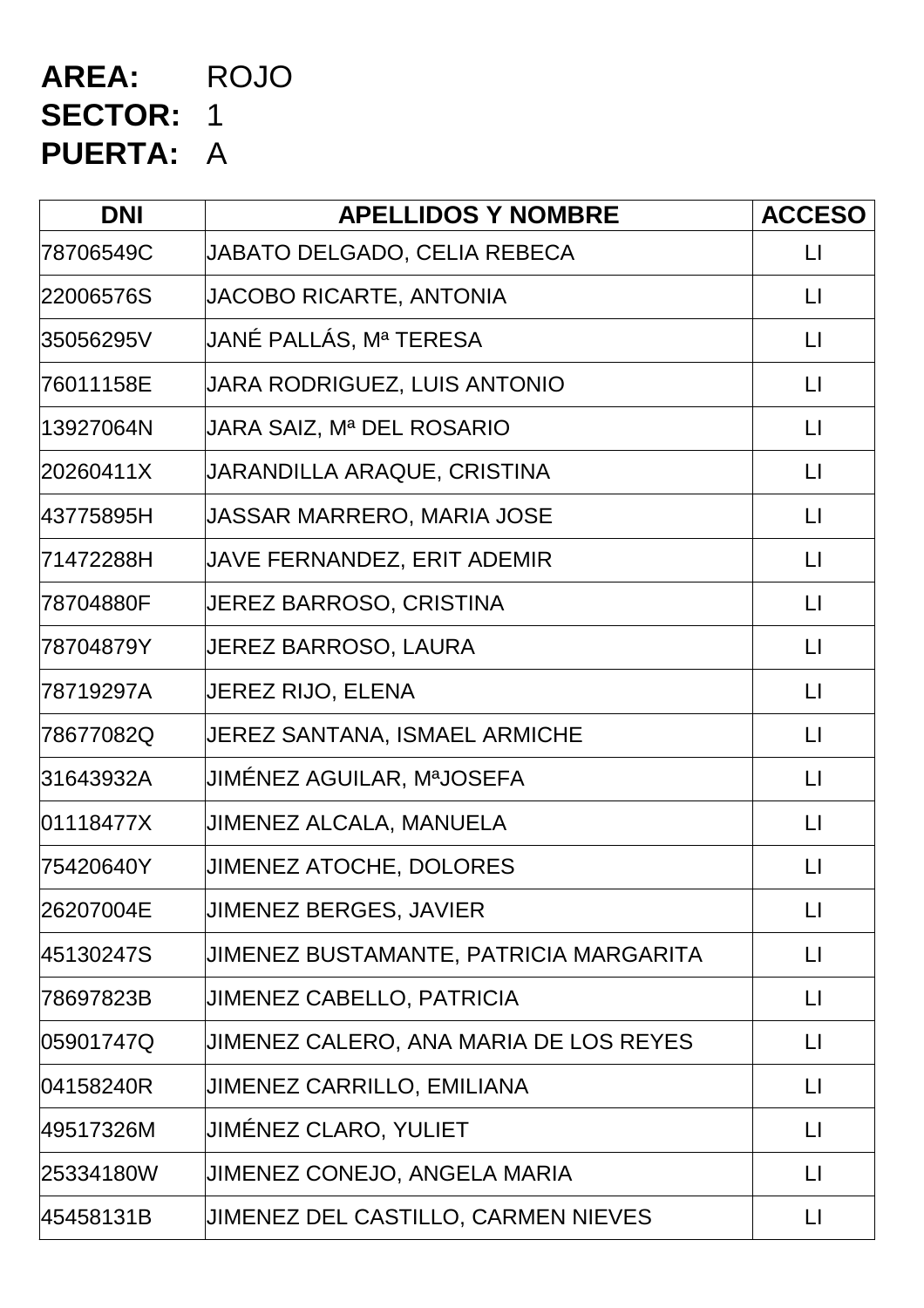# **AREA:** ROJO **SECTOR:** 1 **PUERTA:** A

| <b>DNI</b> | <b>APELLIDOS Y NOMBRE</b>              | <b>ACCESO</b>           |
|------------|----------------------------------------|-------------------------|
| 78706549C  | JABATO DELGADO, CELIA REBECA           | LI.                     |
| 22006576S  | JACOBO RICARTE, ANTONIA                | $\Box$                  |
| 35056295V  | JANÉ PALLÁS, Mª TERESA                 | $\lfloor \cdot \rfloor$ |
| 76011158E  | JARA RODRIGUEZ, LUIS ANTONIO           | $\lfloor \rfloor$       |
| 13927064N  | JARA SAIZ, Mª DEL ROSARIO              | $\Box$                  |
| 20260411X  | JARANDILLA ARAQUE, CRISTINA            | $\lfloor \cdot \rfloor$ |
| 43775895H  | JASSAR MARRERO, MARIA JOSE             | $\mathsf{L}$            |
| 71472288H  | JAVE FERNANDEZ, ERIT ADEMIR            | $\mathsf{L}$            |
| 78704880F  | JEREZ BARROSO, CRISTINA                | $\Box$                  |
| 78704879Y  | <b>JEREZ BARROSO, LAURA</b>            | $\lfloor \cdot \rfloor$ |
| 78719297A  | JEREZ RIJO, ELENA                      | LI                      |
| 78677082Q  | JEREZ SANTANA, ISMAEL ARMICHE          | $\lfloor \rfloor$       |
| 31643932A  | JIMÉNEZ AGUILAR, MªJOSEFA              | $\lfloor \rfloor$       |
| 01118477X  | JIMENEZ ALCALA, MANUELA                | $\lfloor \rfloor$       |
| 75420640Y  | <b>JIMENEZ ATOCHE, DOLORES</b>         | $\lfloor \rfloor$       |
| 26207004E  | <b>JIMENEZ BERGES, JAVIER</b>          | $\lfloor \rfloor$       |
| 45130247S  | JIMENEZ BUSTAMANTE, PATRICIA MARGARITA | $\mathsf{L}$            |
| 78697823B  | <b>JIMENEZ CABELLO, PATRICIA</b>       | $\lfloor \cdot \rfloor$ |
| 05901747Q  | JIMENEZ CALERO, ANA MARIA DE LOS REYES | $\lfloor \rfloor$       |
| 04158240R  | <b>JIMENEZ CARRILLO, EMILIANA</b>      | $\Box$                  |
| 49517326M  | JIMÉNEZ CLARO, YULIET                  | $\lfloor \rfloor$       |
| 25334180W  | JIMENEZ CONEJO, ANGELA MARIA           | $\lfloor \rfloor$       |
| 45458131B  | JIMENEZ DEL CASTILLO, CARMEN NIEVES    | $\mathsf{L}$            |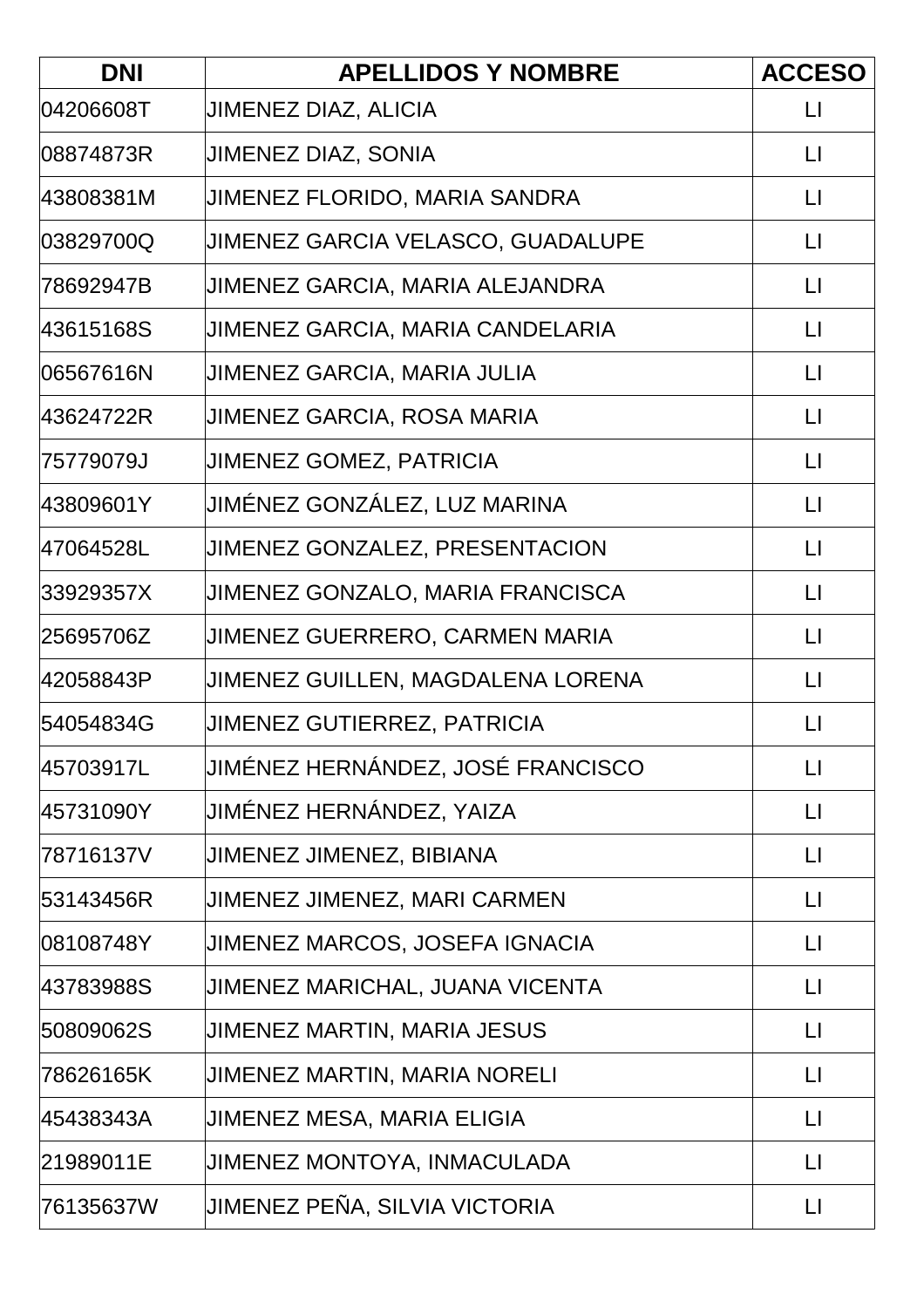| <b>DNI</b> | <b>APELLIDOS Y NOMBRE</b>             | <b>ACCESO</b>     |
|------------|---------------------------------------|-------------------|
| 04206608T  | <b>JIMENEZ DIAZ, ALICIA</b>           | LI                |
| 08874873R  | <b>JIMENEZ DIAZ, SONIA</b>            | $\mathsf{L}$      |
| 43808381M  | JIMENEZ FLORIDO, MARIA SANDRA         | $\mathsf{L}$      |
| 03829700Q  | JIMENEZ GARCIA VELASCO, GUADALUPE     | $\lfloor \rfloor$ |
| 78692947B  | JIMENEZ GARCIA, MARIA ALEJANDRA       | $\mathsf{L}$      |
| 43615168S  | JIMENEZ GARCIA, MARIA CANDELARIA      | $\mathsf{L}$      |
| 06567616N  | JIMENEZ GARCIA, MARIA JULIA           | $\mathsf{L}$      |
| 43624722R  | JIMENEZ GARCIA, ROSA MARIA            | $\sqcup$          |
| 75779079J  | <b>JIMENEZ GOMEZ, PATRICIA</b>        | $\mathsf{L}$      |
| 43809601Y  | JIMÉNEZ GONZÁLEZ, LUZ MARINA          | $\mathsf{L}$      |
| l47064528L | <b>JIMENEZ GONZALEZ, PRESENTACION</b> | $\mathsf{L}$      |
| 33929357X  | JIMENEZ GONZALO, MARIA FRANCISCA      | $\mathsf{L}$      |
| 25695706Z  | JIMENEZ GUERRERO, CARMEN MARIA        | $\mathsf{L}$      |
| 42058843P  | JIMENEZ GUILLEN, MAGDALENA LORENA     | $\mathsf{L}$      |
| 54054834G  | JIMENEZ GUTIERREZ, PATRICIA           | $\mathsf{L}$      |
| 45703917L  | JIMÉNEZ HERNÁNDEZ, JOSÉ FRANCISCO     | $\lfloor \rfloor$ |
| 45731090Y  | JIMÉNEZ HERNÁNDEZ, YAIZA              | $\sqcup$          |
| 78716137V  | JIMENEZ JIMENEZ, BIBIANA              | $\mathsf{L}$      |
| 53143456R  | JIMENEZ JIMENEZ, MARI CARMEN          | $\mathsf{L}$      |
| 08108748Y  | <b>JIMENEZ MARCOS, JOSEFA IGNACIA</b> | $\mathsf{L}$      |
| 43783988S  | JIMENEZ MARICHAL, JUANA VICENTA       | $\sqcup$          |
| 50809062S  | JIMENEZ MARTIN, MARIA JESUS           | $\mathsf{L}$      |
| 78626165K  | <b>JIMENEZ MARTIN, MARIA NORELI</b>   | $\mathsf{L}$      |
| 45438343A  | JIMENEZ MESA, MARIA ELIGIA            | LI                |
| 21989011E  | JIMENEZ MONTOYA, INMACULADA           | $\mathsf{L}$      |
| 76135637W  | JIMENEZ PEÑA, SILVIA VICTORIA         | $\lfloor \rfloor$ |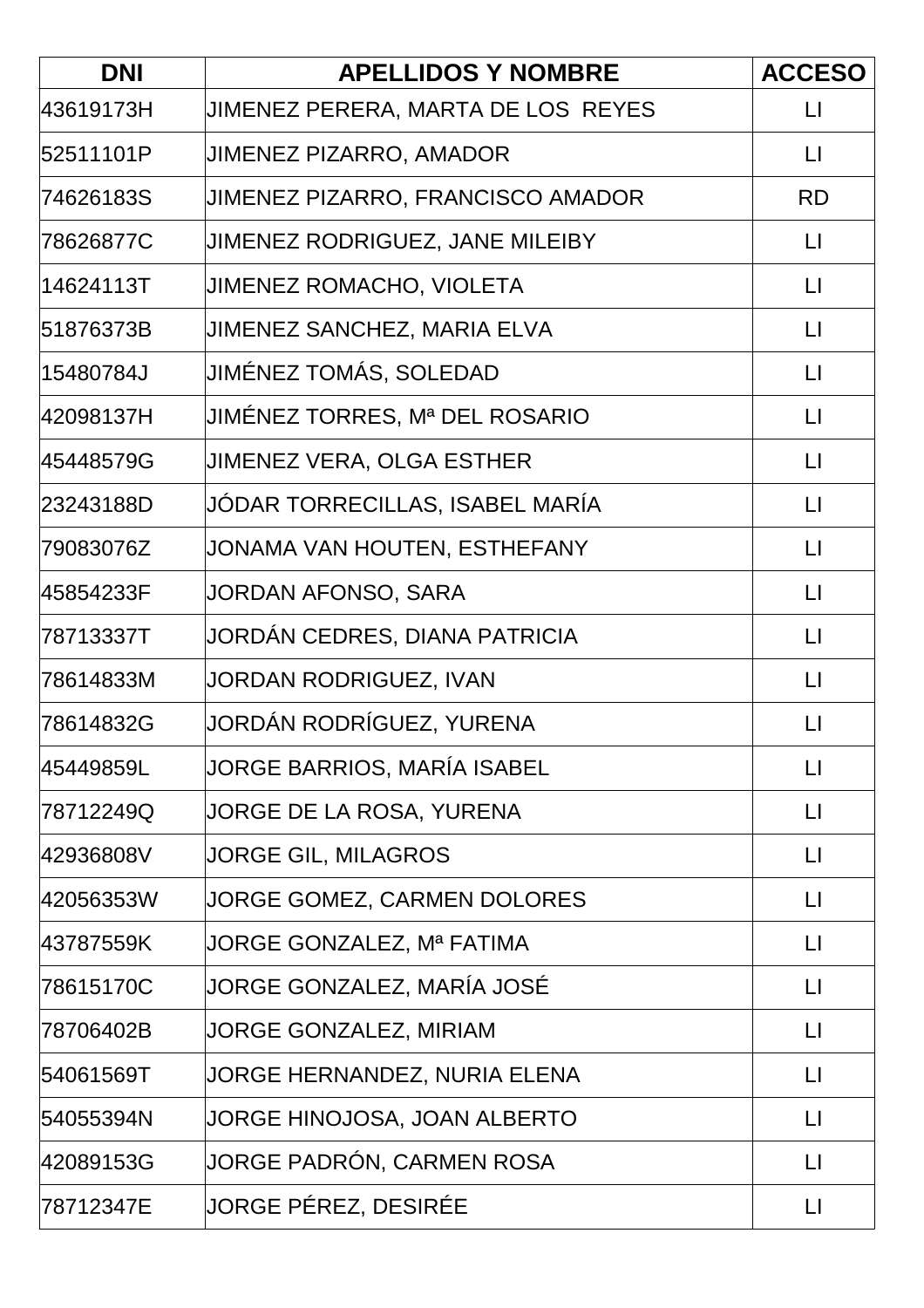| <b>DNI</b> | <b>APELLIDOS Y NOMBRE</b>          | <b>ACCESO</b>     |
|------------|------------------------------------|-------------------|
| 43619173H  | JIMENEZ PERERA, MARTA DE LOS REYES | $\mathsf{L}$      |
| l52511101P | JIMENEZ PIZARRO, AMADOR            | $\mathsf{L}$      |
| 74626183S  | JIMENEZ PIZARRO, FRANCISCO AMADOR  | <b>RD</b>         |
| 78626877C  | JIMENEZ RODRIGUEZ, JANE MILEIBY    | $\mathsf{L}$      |
| 14624113T  | JIMENEZ ROMACHO, VIOLETA           | $\mathsf{L}$      |
| l51876373B | JIMENEZ SANCHEZ, MARIA ELVA        | $\mathsf{L}$      |
| 15480784J  | JIMÉNEZ TOMÁS, SOLEDAD             | $\mathsf{L}$      |
| 42098137H  | JIMÉNEZ TORRES, Mª DEL ROSARIO     | $\sqcup$          |
| 45448579G  | <b>JIMENEZ VERA, OLGA ESTHER</b>   | $\mathsf{L}$      |
| 23243188D  | JODAR TORRECILLAS, ISABEL MARÍA    | $\mathsf{L}$      |
| 79083076Z  | JONAMA VAN HOUTEN, ESTHEFANY       | $\mathsf{L}$      |
| 45854233F  | JORDAN AFONSO, SARA                | $\mathsf{L}$      |
| 78713337T  | JORDÁN CEDRES, DIANA PATRICIA      | $\mathsf{L}$      |
| 78614833M  | JORDAN RODRIGUEZ, IVAN             | $\mathsf{L}$      |
| 78614832G  | JORDÁN RODRÍGUEZ, YURENA           | $\mathsf{L}$      |
| l45449859L | JORGE BARRIOS, MARÍA ISABEL        | $\mathsf{L}$      |
| 78712249Q  | JORGE DE LA ROSA, YURENA           | $\mathsf{L}$      |
| 42936808V  | <b>JORGE GIL, MILAGROS</b>         | $\sqcup$          |
| 42056353W  | JORGE GOMEZ, CARMEN DOLORES        | $\mathsf{L}$      |
| 43787559K  | JORGE GONZALEZ, Mª FATIMA          | $\lfloor \rfloor$ |
| 78615170C  | JORGE GONZALEZ, MARÍA JOSÉ         | $\sqcup$          |
| 78706402B  | JORGE GONZALEZ, MIRIAM             | $\mathsf{L}$      |
| 54061569T  | JORGE HERNANDEZ, NURIA ELENA       | $\mathsf{L}$      |
| 54055394N  | JORGE HINOJOSA, JOAN ALBERTO       | LI                |
| 42089153G  | JORGE PADRÓN, CARMEN ROSA          | $\mathsf{L}$      |
| 78712347E  | JORGE PÉREZ, DESIRÉE               | $\lfloor \rfloor$ |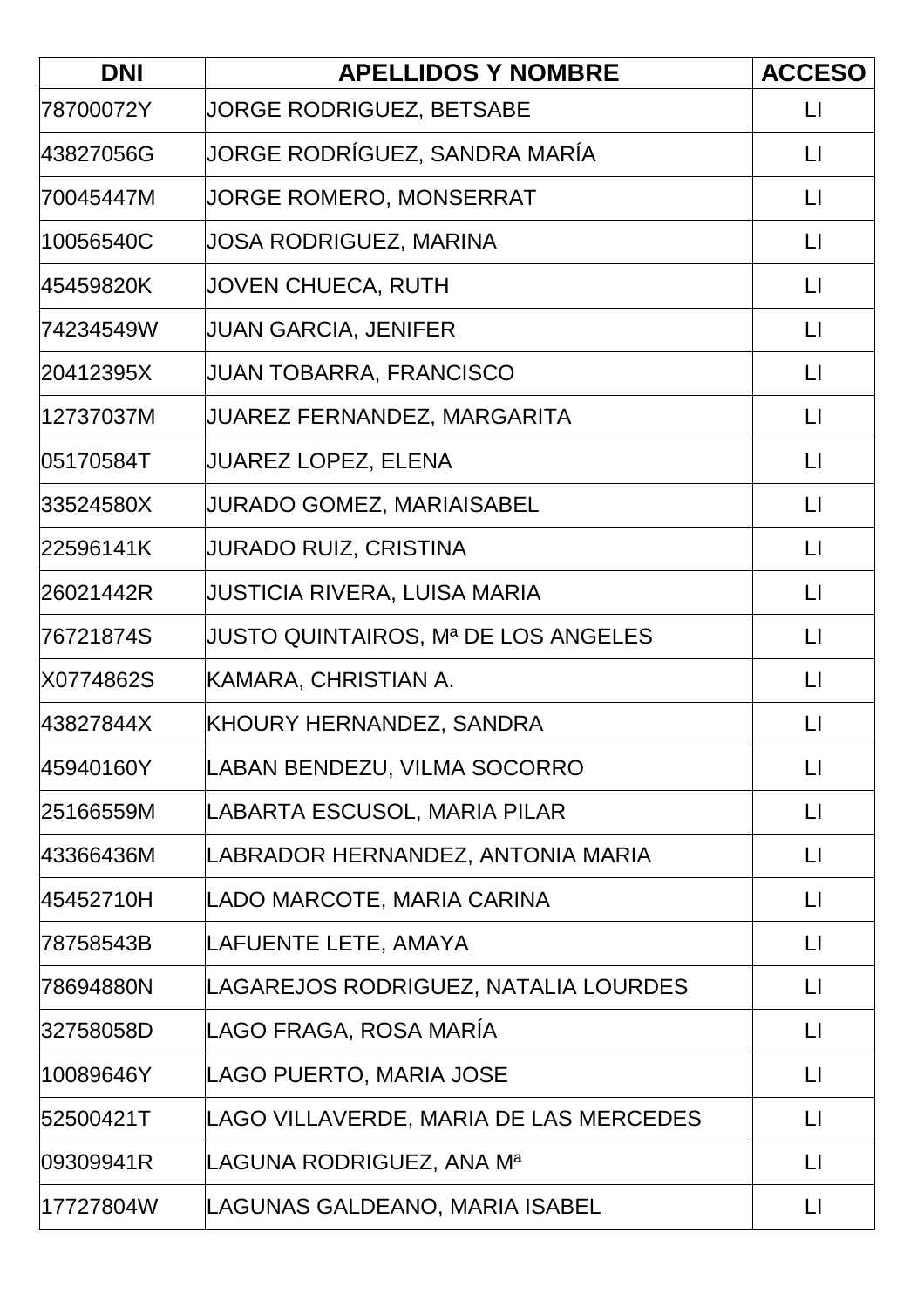| <b>DNI</b> | <b>APELLIDOS Y NOMBRE</b>                  | <b>ACCESO</b>     |
|------------|--------------------------------------------|-------------------|
| 78700072Y  | <b>JORGE RODRIGUEZ, BETSABE</b>            | $\lfloor \rfloor$ |
| 43827056G  | JORGE RODRÍGUEZ, SANDRA MARÍA              | $\lfloor \rfloor$ |
| 70045447M  | JORGE ROMERO, MONSERRAT                    | $\lfloor \rfloor$ |
| 10056540C  | JOSA RODRIGUEZ, MARINA                     | $\lfloor \rfloor$ |
| 45459820K  | JOVEN CHUECA, RUTH                         | $\mathsf{L}$      |
| 74234549W  | JUAN GARCIA, JENIFER                       | $\Box$            |
| 20412395X  | JUAN TOBARRA, FRANCISCO                    | $\mathsf{L}$      |
| 12737037M  | JUAREZ FERNANDEZ, MARGARITA                | $\mathsf{L}$      |
| l05170584T | <b>JUAREZ LOPEZ, ELENA</b>                 | $\lfloor \rfloor$ |
| 33524580X  | <b>JURADO GOMEZ, MARIAISABEL</b>           | $\Box$            |
| 22596141K  | JURADO RUIZ, CRISTINA                      | $\lfloor \rfloor$ |
| 26021442R  | JUSTICIA RIVERA, LUISA MARIA               | $\lfloor \rfloor$ |
| 76721874S  | <b>JUSTO QUINTAIROS, Mª DE LOS ANGELES</b> | $\lfloor \rfloor$ |
| X0774862S  | KAMARA, CHRISTIAN A.                       | $\lfloor \rfloor$ |
| 43827844X  | KHOURY HERNANDEZ, SANDRA                   | $\mathsf{L}$      |
| 45940160Y  | LABAN BENDEZU, VILMA SOCORRO               | $\lfloor \rfloor$ |
| 25166559M  | LABARTA ESCUSOL, MARIA PILAR               | $\lfloor \rfloor$ |
| 43366436M  | LABRADOR HERNANDEZ, ANTONIA MARIA          | $\lfloor \rfloor$ |
| 45452710H  | LADO MARCOTE, MARIA CARINA                 | $\lfloor \rfloor$ |
| 78758543B  | LAFUENTE LETE, AMAYA                       | $\lfloor \rfloor$ |
| 78694880N  | LAGAREJOS RODRIGUEZ, NATALIA LOURDES       | LI                |
| 32758058D  | LAGO FRAGA, ROSA MARÍA                     | $\lfloor \rfloor$ |
| 10089646Y  | LAGO PUERTO, MARIA JOSE                    | $\mathsf{L}$      |
| 52500421T  | LAGO VILLAVERDE, MARIA DE LAS MERCEDES     | $\mathsf{L}$      |
| 09309941R  | LAGUNA RODRIGUEZ, ANA Mª                   | $\lfloor \rfloor$ |
| 17727804W  | LAGUNAS GALDEANO, MARIA ISABEL             | $\mathsf{L}$      |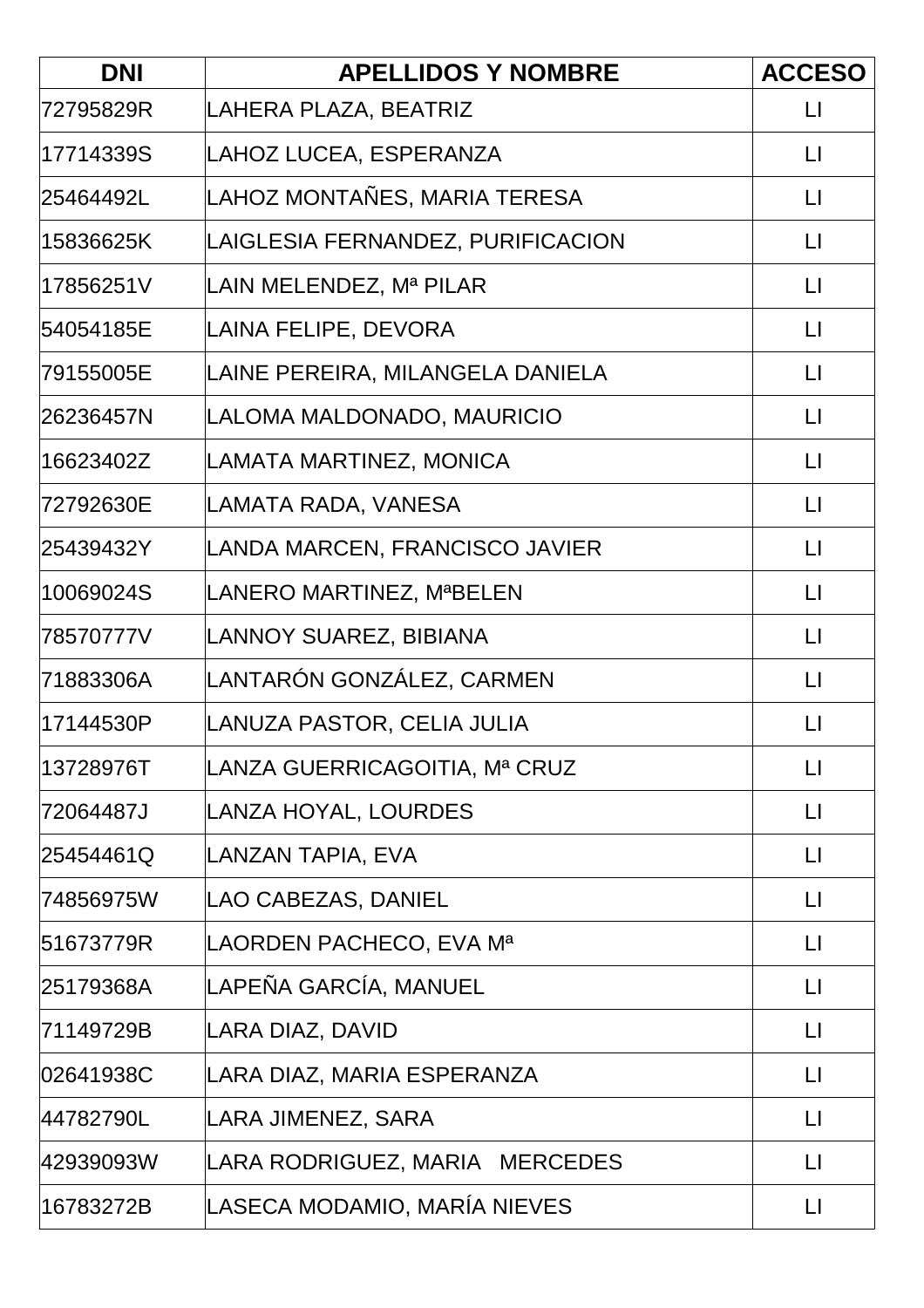| <b>DNI</b> | <b>APELLIDOS Y NOMBRE</b>         | <b>ACCESO</b>     |
|------------|-----------------------------------|-------------------|
| 72795829R  | LAHERA PLAZA, BEATRIZ             | $\mathsf{L}$      |
| l17714339S | LAHOZ LUCEA, ESPERANZA            | $\mathsf{L}$      |
| 25464492L  | LAHOZ MONTAÑES, MARIA TERESA      | $\mathsf{L}$      |
| 15836625K  | LAIGLESIA FERNANDEZ, PURIFICACION | $\lfloor \rfloor$ |
| 17856251V  | LAIN MELENDEZ, Mª PILAR           | $\Box$            |
| 54054185E  | LAINA FELIPE, DEVORA              | $\mathsf{L}$      |
| 79155005E  | LAINE PEREIRA, MILANGELA DANIELA  | $\mathsf{L}$      |
| 26236457N  | LALOMA MALDONADO, MAURICIO        | $\sqcup$          |
| 16623402Z  | LAMATA MARTINEZ, MONICA           | $\mathsf{L}$      |
| 72792630E  | LAMATA RADA, VANESA               | $\mathsf{L}$      |
| 25439432Y  | LANDA MARCEN, FRANCISCO JAVIER    | $\mathsf{L}$      |
| 10069024S  | LANERO MARTINEZ, MªBELEN          | $\mathsf{L}$      |
| 78570777V  | LANNOY SUAREZ, BIBIANA            | $\mathsf{L}$      |
| 71883306A  | LANTARÓN GONZÁLEZ, CARMEN         | $\mathsf{L}$      |
| 17144530P  | LANUZA PASTOR, CELIA JULIA        | $\sqcup$          |
| 13728976T  | LANZA GUERRICAGOITIA, Mª CRUZ     | $\lfloor \rfloor$ |
| 72064487J  | LANZA HOYAL, LOURDES              | $\sqcup$          |
| 25454461Q  | LANZAN TAPIA, EVA                 | $\mathsf{L}$      |
| 74856975W  | LAO CABEZAS, DANIEL               | $\mathsf{L}$      |
| 51673779R  | LAORDEN PACHECO, EVA Mª           | $\mathsf{L}$      |
| 25179368A  | LAPEÑA GARCÍA, MANUEL             | $\sqcup$          |
| 71149729B  | LARA DIAZ, DAVID                  | $\mathsf{L}$      |
| 02641938C  | LARA DIAZ, MARIA ESPERANZA        | $\mathsf{L}$      |
| 44782790L  | LARA JIMENEZ, SARA                | LI                |
| 42939093W  | LARA RODRIGUEZ, MARIA MERCEDES    | $\mathsf{L}$      |
| 16783272B  | LASECA MODAMIO, MARÍA NIEVES      | $\mathsf{L}$      |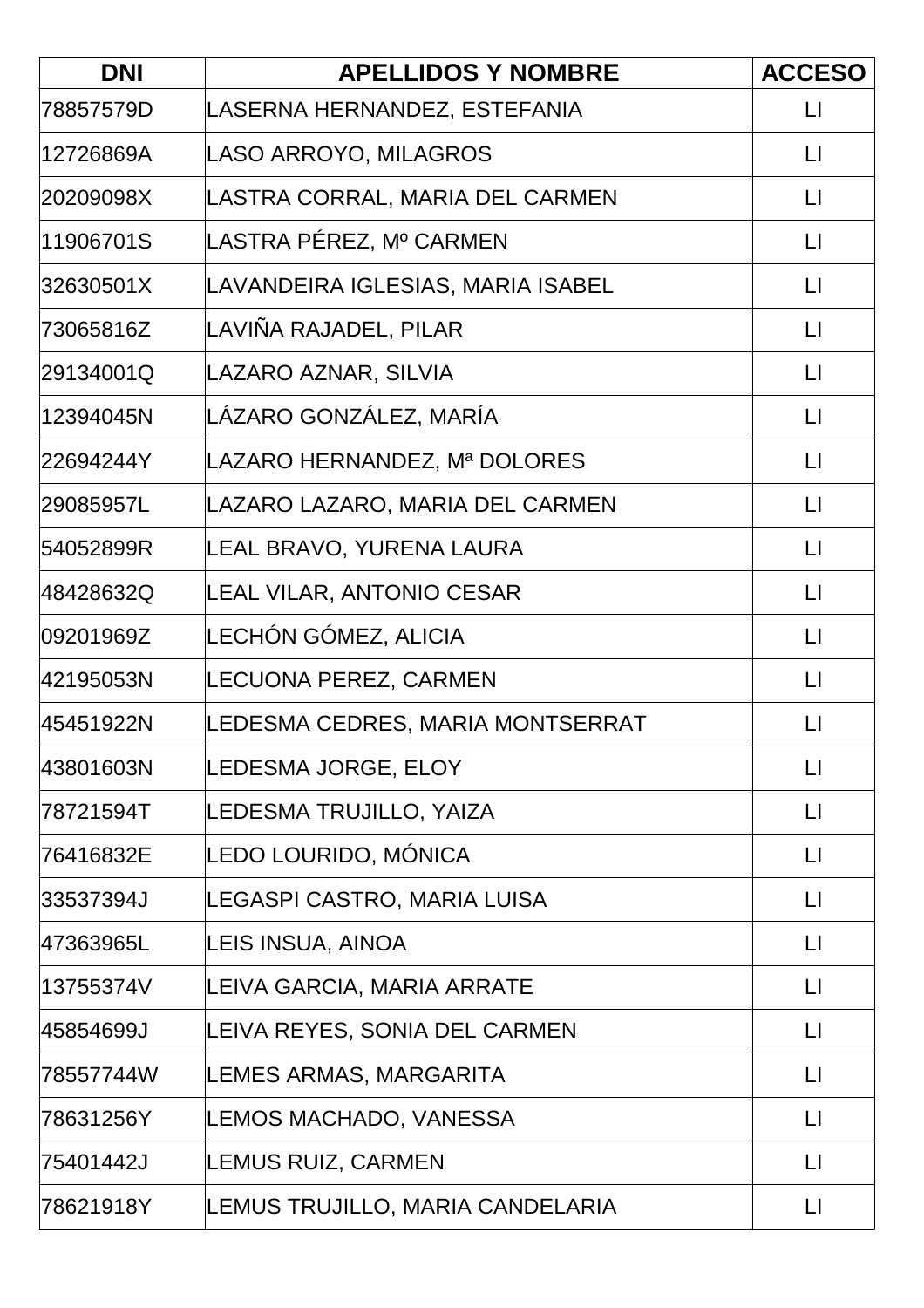| <b>DNI</b> | <b>APELLIDOS Y NOMBRE</b>         | <b>ACCESO</b>     |
|------------|-----------------------------------|-------------------|
| 78857579D  | LASERNA HERNANDEZ, ESTEFANIA      | $\mathsf{L}$      |
| 12726869A  | LASO ARROYO, MILAGROS             | $\mathsf{L}$      |
| 20209098X  | LASTRA CORRAL, MARIA DEL CARMEN   | $\mathsf{L}$      |
| 11906701S  | ∣LASTRA PÉREZ, Mº CARMEN          | $\lfloor \rfloor$ |
| 32630501X  | LAVANDEIRA IGLESIAS, MARIA ISABEL | $\mathsf{L}$      |
| 73065816Z  | LAVIÑA RAJADEL, PILAR             | $\mathsf{L}$      |
| 29134001Q  | LAZARO AZNAR, SILVIA              | $\mathsf{L}$      |
| 12394045N  | LÁZARO GONZÁLEZ, MARÍA            | $\mathsf{L}$      |
| 22694244Y  | LAZARO HERNANDEZ, Mª DOLORES      | $\mathsf{L}$      |
| 29085957L  | LAZARO LAZARO, MARIA DEL CARMEN   | $\mathsf{L}$      |
| 54052899R  | LEAL BRAVO, YURENA LAURA          | $\mathsf{L}$      |
| 48428632Q  | LEAL VILAR, ANTONIO CESAR         | $\mathsf{L}$      |
| 09201969Z  | LECHÓN GÓMEZ, ALICIA              | $\mathsf{L}$      |
| 42195053N  | LECUONA PEREZ, CARMEN             | $\mathsf{L}$      |
| 45451922N  | LEDESMA CEDRES, MARIA MONTSERRAT  | $\mathsf{L}$      |
| 43801603N  | LEDESMA JORGE, ELOY               | $\lfloor \rfloor$ |
| 78721594T  | LEDESMA TRUJILLO, YAIZA           | $\sqcup$          |
| 76416832E  | LEDO LOURIDO, MÓNICA              | $\mathsf{L}$      |
| 33537394J  | LEGASPI CASTRO, MARIA LUISA       | $\mathsf{L}$      |
| 47363965L  | LEIS INSUA, AINOA                 | $\mathsf{L}$      |
| 13755374V  | LEIVA GARCIA, MARIA ARRATE        | $\sqcup$          |
| 45854699J  | LEIVA REYES, SONIA DEL CARMEN     | $\mathsf{L}$      |
| 78557744W  | LEMES ARMAS, MARGARITA            | $\lfloor \rfloor$ |
| 78631256Y  | LEMOS MACHADO, VANESSA            | LI                |
| 75401442J  | LEMUS RUIZ, CARMEN                | $\mathsf{L}$      |
| 78621918Y  | LEMUS TRUJILLO, MARIA CANDELARIA  | $\mathsf{L}$      |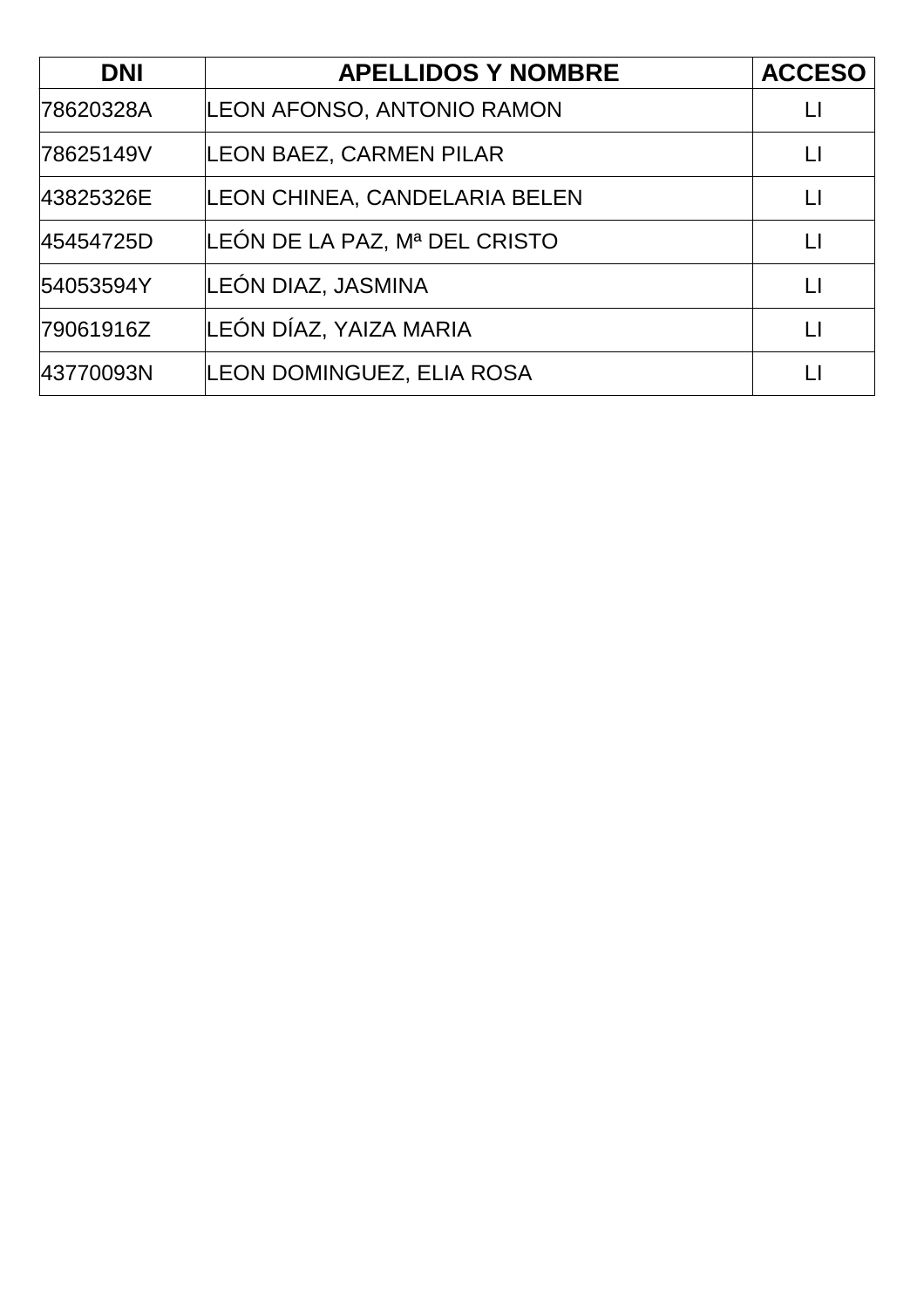| <b>DNI</b> | <b>APELLIDOS Y NOMBRE</b>      | <b>ACCESO</b> |
|------------|--------------------------------|---------------|
| 78620328A  | LEON AFONSO, ANTONIO RAMON     |               |
| 78625149V  | <b>LEON BAEZ, CARMEN PILAR</b> | Ħ             |
| 43825326E  | LEON CHINEA, CANDELARIA BELEN  | $\mathsf{L}$  |
| 45454725D  | LEÓN DE LA PAZ, Mª DEL CRISTO  | Ħ             |
| 54053594Y  | LEÓN DIAZ, JASMINA             | $\mathsf{L}$  |
| 79061916Z  | LEÓN DÍAZ, YAIZA MARIA         | $\mathsf{L}$  |
| 43770093N  | LEON DOMINGUEZ, ELIA ROSA      |               |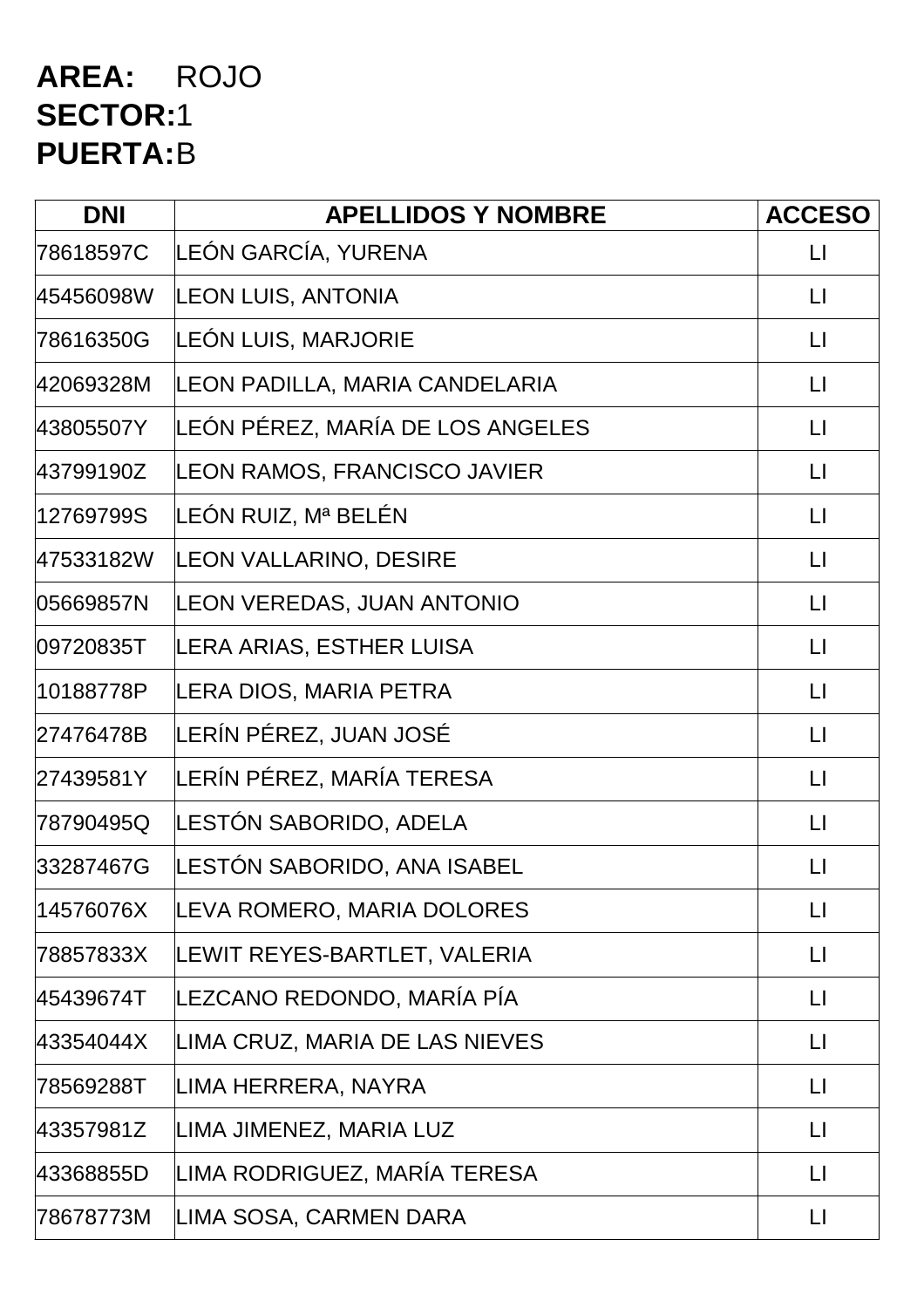### **AREA:** ROJO **SECTOR:**1 **PUERTA:**B

| <b>DNI</b> | <b>APELLIDOS Y NOMBRE</b>        | <b>ACCESO</b>          |
|------------|----------------------------------|------------------------|
| 78618597C  | LEÓN GARCÍA, YURENA              | $\mathsf{L}$           |
| 45456098W  | <b>LEON LUIS, ANTONIA</b>        | $\lfloor \rfloor$      |
| 78616350G  | LEÓN LUIS, MARJORIE              | $\mathsf{L}\mathsf{I}$ |
| 42069328M  | LEON PADILLA, MARIA CANDELARIA   | $\lfloor \rfloor$      |
| 43805507Y  | LEÓN PÉREZ, MARÍA DE LOS ANGELES | $\mathsf{L}\mathsf{I}$ |
| 43799190Z  | LEON RAMOS, FRANCISCO JAVIER     | $\lfloor \rfloor$      |
| 12769799S  | LEÓN RUIZ, Mª BELÉN              | $\lfloor \rfloor$      |
| 47533182W  | LEON VALLARINO, DESIRE           | $\lfloor \rfloor$      |
| 05669857N  | LEON VEREDAS, JUAN ANTONIO       | $\sqcup$               |
| 09720835T  | LERA ARIAS, ESTHER LUISA         | $\mathsf{L}\mathsf{I}$ |
| 10188778P  | LERA DIOS, MARIA PETRA           | $\lfloor \rfloor$      |
| 27476478B  | LERÍN PÉREZ, JUAN JOSÉ           | $\lfloor \rfloor$      |
| 27439581Y  | LERÍN PÉREZ, MARÍA TERESA        | $\Box$                 |
| 78790495Q  | LESTÓN SABORIDO, ADELA           | $\mathsf{L}$           |
| 33287467G  | LESTÓN SABORIDO, ANA ISABEL      | LI                     |
| 14576076X  | LEVA ROMERO, MARIA DOLORES       | П                      |
| 78857833X  | LEWIT REYES-BARTLET, VALERIA     | П                      |
| 45439674T  | LEZCANO REDONDO, MARÍA PÍA       | $\mathsf{L}\mathsf{L}$ |
| 43354044X  | LIMA CRUZ, MARIA DE LAS NIEVES   | $\sqcup$               |
| 78569288T  | LIMA HERRERA, NAYRA              | П                      |
| 43357981Z  | LIMA JIMENEZ, MARIA LUZ          | П                      |
| 43368855D  | LIMA RODRIGUEZ, MARÍA TERESA     | $\lfloor \rfloor$      |
| 78678773M  | LIMA SOSA, CARMEN DARA           | $\Box$                 |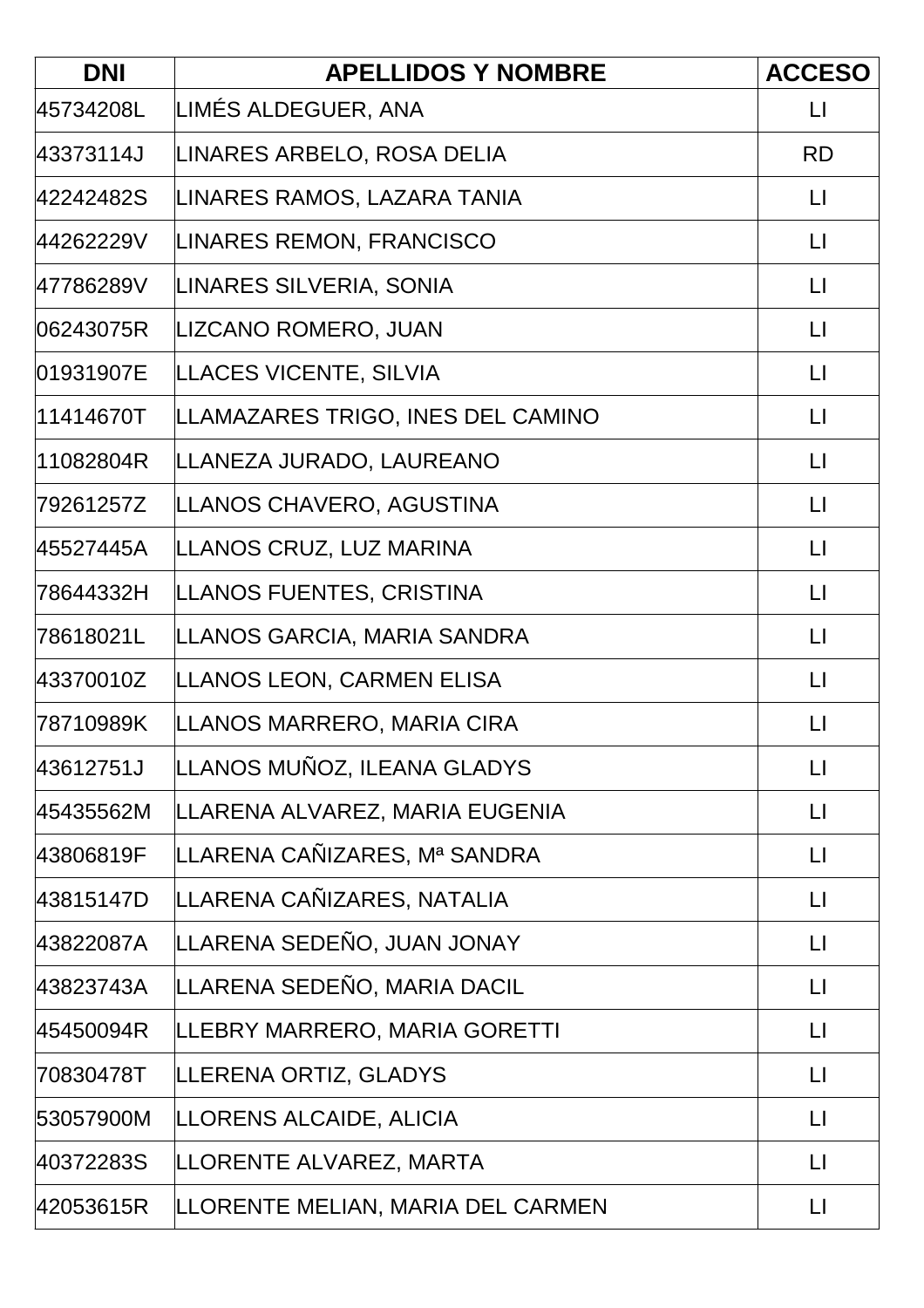| <b>DNI</b> | <b>APELLIDOS Y NOMBRE</b>         | <b>ACCESO</b>     |
|------------|-----------------------------------|-------------------|
| 45734208L  | LIMÉS ALDEGUER, ANA               | $\lfloor \rfloor$ |
| 43373114J  | LINARES ARBELO, ROSA DELIA        | <b>RD</b>         |
| 42242482S  | LINARES RAMOS, LAZARA TANIA       | $\Box$            |
| 44262229V  | LINARES REMON, FRANCISCO          | $\lfloor \rfloor$ |
| 47786289V  | LINARES SILVERIA, SONIA           | $\mathsf{L}$      |
| 06243075R  | LIZCANO ROMERO, JUAN              | $\Box$            |
| 01931907E  | LLACES VICENTE, SILVIA            | $\lfloor \rfloor$ |
| 11414670T  | LLAMAZARES TRIGO, INES DEL CAMINO | $\lfloor \rfloor$ |
| 11082804R  | LLANEZA JURADO, LAUREANO          | $\mathsf{L}$      |
| 79261257Z  | LLANOS CHAVERO, AGUSTINA          | $\lfloor \rfloor$ |
| 45527445A  | LLANOS CRUZ, LUZ MARINA           | $\lfloor \rfloor$ |
| 78644332H  | LLANOS FUENTES, CRISTINA          | $\mathsf{L}$      |
| 78618021L  | LLANOS GARCIA, MARIA SANDRA       | $\lfloor \rfloor$ |
| 43370010Z  | LLANOS LEON, CARMEN ELISA         | $\lfloor \rfloor$ |
| 78710989K  | LLANOS MARRERO, MARIA CIRA        | $\mathsf{L}$      |
| 43612751J  | LLANOS MUÑOZ, ILEANA GLADYS       | $\lfloor \rfloor$ |
| 45435562M  | LLARENA ALVAREZ, MARIA EUGENIA    | $\lfloor \rfloor$ |
| 43806819F  | LLARENA CAÑIZARES, Mª SANDRA      | $\lfloor \rfloor$ |
| 43815147D  | LLARENA CAÑIZARES, NATALIA        | $\Box$            |
| 43822087A  | LLARENA SEDEÑO, JUAN JONAY        | $\lfloor \rfloor$ |
| 43823743A  | LLARENA SEDEÑO, MARIA DACIL       | $\lfloor \rfloor$ |
| 45450094R  | LLEBRY MARRERO, MARIA GORETTI     | $\mathsf{L}$      |
| 70830478T  | LLERENA ORTIZ, GLADYS             | $\lfloor \rfloor$ |
| 53057900M  | LLORENS ALCAIDE, ALICIA           | $\Box$            |
| 40372283S  | LLORENTE ALVAREZ, MARTA           | $\mathsf{L}$      |
| 42053615R  | LLORENTE MELIAN, MARIA DEL CARMEN | $\lfloor \rfloor$ |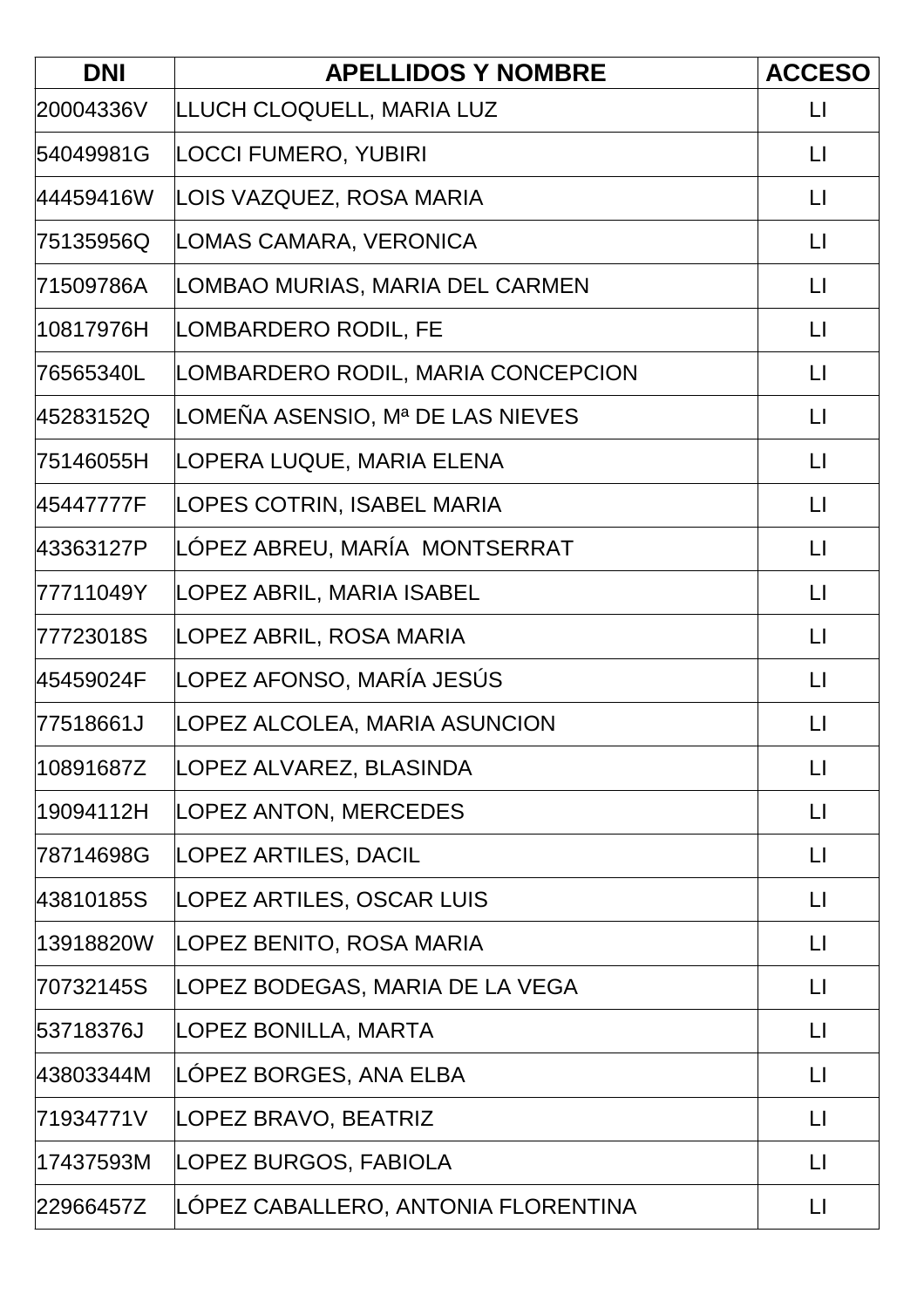| <b>DNI</b> | <b>APELLIDOS Y NOMBRE</b>           | <b>ACCESO</b>           |
|------------|-------------------------------------|-------------------------|
| 20004336V  | LLUCH CLOQUELL, MARIA LUZ           | $\lfloor \cdot \rfloor$ |
| 54049981G  | LOCCI FUMERO, YUBIRI                | $\mathsf{L}$            |
| 44459416W  | LOIS VAZQUEZ, ROSA MARIA            | $\Box$                  |
| 75135956Q  | LOMAS CAMARA, VERONICA              | $\lfloor \cdot \rfloor$ |
| 71509786A  | LOMBAO MURIAS, MARIA DEL CARMEN     | $\lfloor \rfloor$       |
| 10817976H  | LOMBARDERO RODIL, FE                | $\lfloor \rfloor$       |
| 76565340L  | LOMBARDERO RODIL, MARIA CONCEPCION  | $\mathsf{L}$            |
| 45283152Q  | LOMEÑA ASENSIO, Mª DE LAS NIEVES    | $\lfloor \cdot \rfloor$ |
| 75146055H  | LOPERA LUQUE, MARIA ELENA           | $\mathsf{L}$            |
| 45447777F  | LOPES COTRIN, ISABEL MARIA          | $\lfloor \cdot \rfloor$ |
| 43363127P  | LÓPEZ ABREU, MARÍA MONTSERRAT       | $\lfloor \rfloor$       |
| 77711049Y  | LOPEZ ABRIL, MARIA ISABEL           | $\lfloor \rfloor$       |
| 77723018S  | LOPEZ ABRIL, ROSA MARIA             | $\Box$                  |
| 45459024F  | LOPEZ AFONSO, MARÍA JESÚS           | $\mathsf{L}$            |
| 77518661J  | LOPEZ ALCOLEA, MARIA ASUNCION       | $\lfloor \rfloor$       |
| 10891687Z  | LOPEZ ALVAREZ, BLASINDA             | $\mathsf{L}$            |
| 19094112H  | <b>LOPEZ ANTON, MERCEDES</b>        | $\lfloor \rfloor$       |
| 78714698G  | <b>LOPEZ ARTILES, DACIL</b>         | $\Box$                  |
| 43810185S  | LOPEZ ARTILES, OSCAR LUIS           | $\mathsf{L}$            |
| 13918820W  | LOPEZ BENITO, ROSA MARIA            | $\Box$                  |
| 70732145S  | LOPEZ BODEGAS, MARIA DE LA VEGA     | $\mathsf{L}$            |
| 53718376J  | LOPEZ BONILLA, MARTA                | $\lfloor \rfloor$       |
| 43803344M  | LOPEZ BORGES, ANA ELBA              | $\lfloor \cdot \rfloor$ |
| 71934771V  | LOPEZ BRAVO, BEATRIZ                | $\lfloor \rfloor$       |
| 17437593M  | LOPEZ BURGOS, FABIOLA               | $\Box$                  |
| 22966457Z  | LÓPEZ CABALLERO, ANTONIA FLORENTINA | $\lfloor \rfloor$       |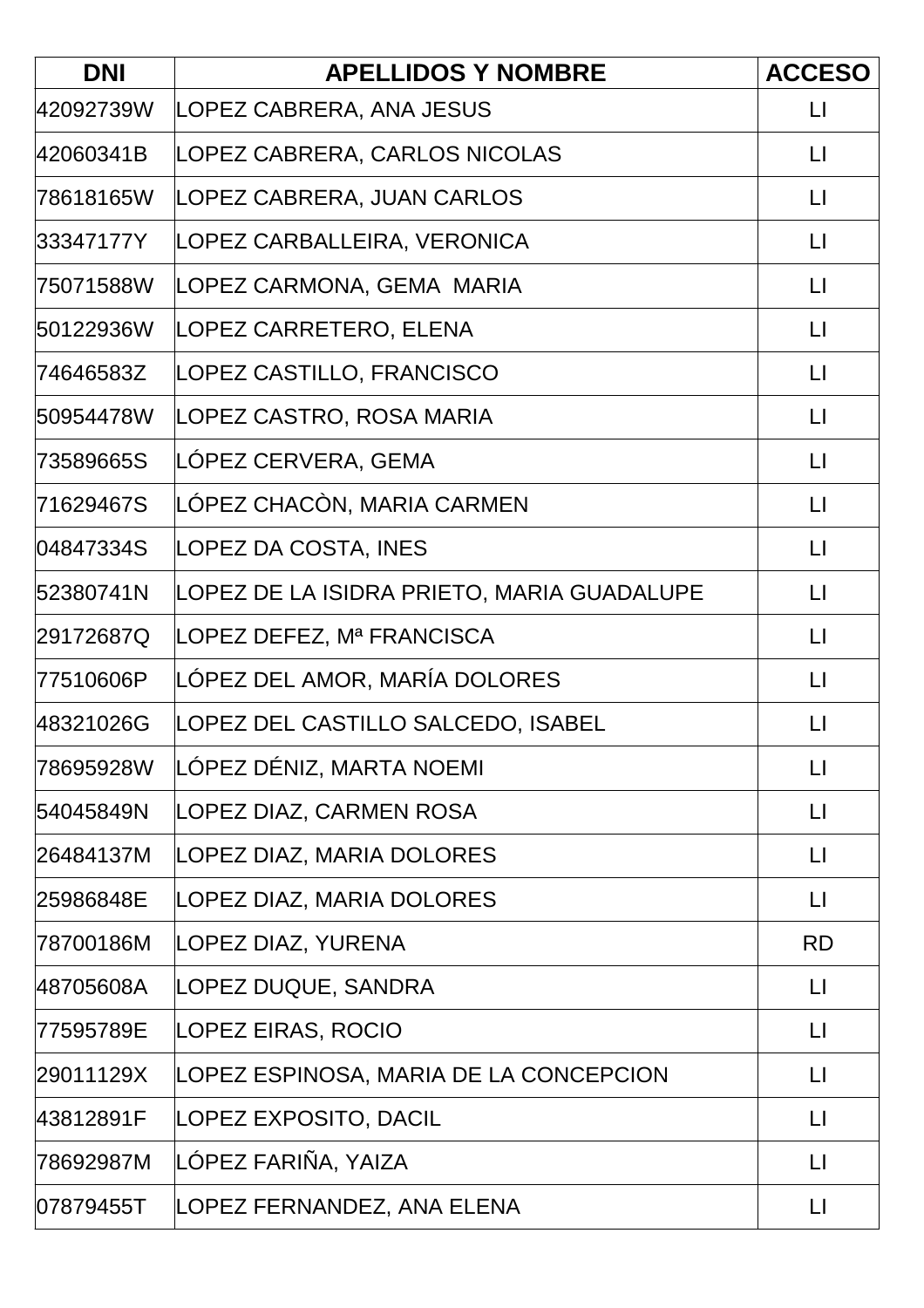| <b>DNI</b> | <b>APELLIDOS Y NOMBRE</b>                  | <b>ACCESO</b>           |
|------------|--------------------------------------------|-------------------------|
| 42092739W  | LOPEZ CABRERA, ANA JESUS                   | $\lfloor \rfloor$       |
| 42060341B  | LOPEZ CABRERA, CARLOS NICOLAS              | $\mathsf{L}$            |
| 78618165W  | LOPEZ CABRERA, JUAN CARLOS                 | $\lfloor \rfloor$       |
| 33347177Y  | LOPEZ CARBALLEIRA, VERONICA                | $\Box$                  |
| 75071588W  | LOPEZ CARMONA, GEMA MARIA                  | $\lfloor \cdot \rfloor$ |
| 50122936W  | LOPEZ CARRETERO, ELENA                     | $\mathsf{L}$            |
| 74646583Z  | LOPEZ CASTILLO, FRANCISCO                  | $\Box$                  |
| 50954478W  | LOPEZ CASTRO, ROSA MARIA                   | $\lfloor \cdot \rfloor$ |
| 73589665S  | LÓPEZ CERVERA, GEMA                        | $\mathsf{L}$            |
| 71629467S  | LÓPEZ CHACÒN, MARIA CARMEN                 | $\lfloor \rfloor$       |
| 04847334S  | LOPEZ DA COSTA, INES                       | $\mathsf{L}$            |
| 52380741N  | LOPEZ DE LA ISIDRA PRIETO, MARIA GUADALUPE | $\lfloor \cdot \rfloor$ |
| 29172687Q  | LOPEZ DEFEZ, Mª FRANCISCA                  | $\Box$                  |
| 77510606P  | LÓPEZ DEL AMOR, MARÍA DOLORES              | $\Box$                  |
| 48321026G  | LOPEZ DEL CASTILLO SALCEDO, ISABEL         | $\lfloor \rfloor$       |
| 78695928W  | LÓPEZ DÉNIZ, MARTA NOEMI                   | $\lfloor \rfloor$       |
| 54045849N  | LOPEZ DIAZ, CARMEN ROSA                    | $\mathsf{L}\mathsf{I}$  |
| 26484137M  | LOPEZ DIAZ, MARIA DOLORES                  | $\Box$                  |
| 25986848E  | LOPEZ DIAZ, MARIA DOLORES                  | $\mathsf{L}$            |
| 78700186M  | LOPEZ DIAZ, YURENA                         | <b>RD</b>               |
| 48705608A  | LOPEZ DUQUE, SANDRA                        | $\mathsf{L}$            |
| 77595789E  | LOPEZ EIRAS, ROCIO                         | $\Box$                  |
| 29011129X  | LOPEZ ESPINOSA, MARIA DE LA CONCEPCION     | $\mathsf{L}$            |
| 43812891F  | LOPEZ EXPOSITO, DACIL                      | $\lfloor \rfloor$       |
| 78692987M  | LÓPEZ FARIÑA, YAIZA                        | $\Box$                  |
| 07879455T  | LOPEZ FERNANDEZ, ANA ELENA                 | $\mathsf{L}$            |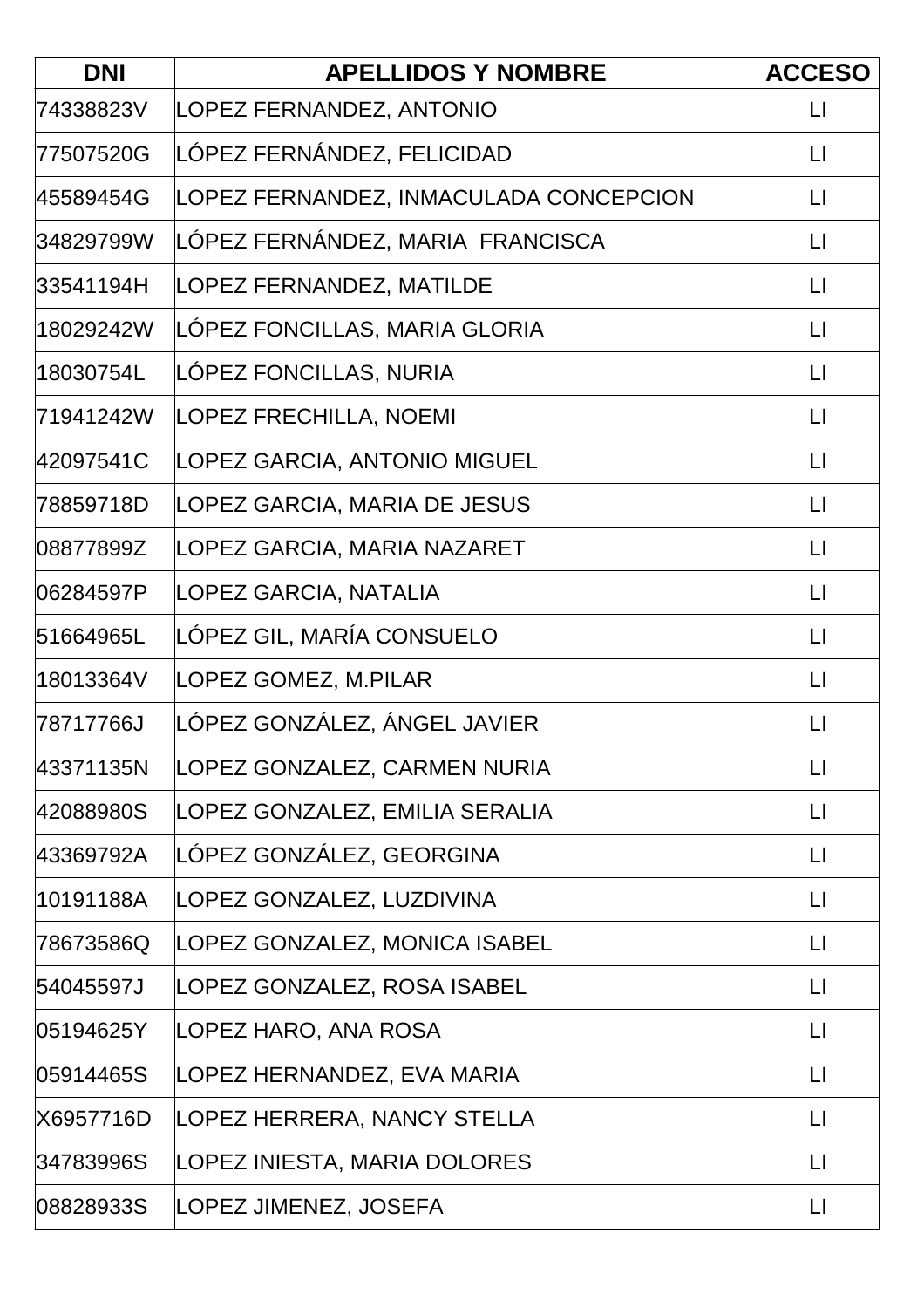| <b>DNI</b> | <b>APELLIDOS Y NOMBRE</b>              | <b>ACCESO</b>           |
|------------|----------------------------------------|-------------------------|
| 74338823V  | LOPEZ FERNANDEZ, ANTONIO               | $\lfloor \rfloor$       |
| 77507520G  | LÓPEZ FERNÁNDEZ, FELICIDAD             | $\lfloor \cdot \rfloor$ |
| 45589454G  | LOPEZ FERNANDEZ, INMACULADA CONCEPCION | $\lfloor \rfloor$       |
| 34829799W  | LÓPEZ FERNÁNDEZ, MARIA FRANCISCA       | $\Box$                  |
| 33541194H  | LOPEZ FERNANDEZ, MATILDE               | $\lfloor \rfloor$       |
| 18029242W  | LOPEZ FONCILLAS, MARIA GLORIA          | $\mathsf{L}$            |
| 18030754L  | LÓPEZ FONCILLAS, NURIA                 | $\mathsf{L}\mathsf{I}$  |
| 71941242W  | LOPEZ FRECHILLA, NOEMI                 | $\lfloor \rfloor$       |
| 42097541C  | LOPEZ GARCIA, ANTONIO MIGUEL           | $\mathsf{L}$            |
| 78859718D  | LOPEZ GARCIA, MARIA DE JESUS           | $\lfloor \cdot \rfloor$ |
| 08877899Z  | LOPEZ GARCIA, MARIA NAZARET            | $\mathsf{L}$            |
| 06284597P  | LOPEZ GARCIA, NATALIA                  | $\lfloor \rfloor$       |
| 51664965L  | LÓPEZ GIL, MARÍA CONSUELO              | $\Box$                  |
| 18013364V  | LOPEZ GOMEZ, M.PILAR                   | $\lfloor \rfloor$       |
| 78717766J  | LÓPEZ GONZÁLEZ, ÁNGEL JAVIER           | $\lfloor \rfloor$       |
| 43371135N  | LOPEZ GONZALEZ, CARMEN NURIA           | $\lfloor \rfloor$       |
| 42088980S  | LOPEZ GONZALEZ, EMILIA SERALIA         | $\lfloor \rfloor$       |
| 43369792A  | LÓPEZ GONZÁLEZ, GEORGINA               | $\mathsf{L}$            |
| 10191188A  | LOPEZ GONZALEZ, LUZDIVINA              | $\Box$                  |
| 78673586Q  | LOPEZ GONZALEZ, MONICA ISABEL          | $\lfloor \rfloor$       |
| 54045597J  | LOPEZ GONZALEZ, ROSA ISABEL            | $\lfloor \rfloor$       |
| 05194625Y  | LOPEZ HARO, ANA ROSA                   | $\Box$                  |
| 05914465S  | LOPEZ HERNANDEZ, EVA MARIA             | $\Box$                  |
| X6957716D  | LOPEZ HERRERA, NANCY STELLA            | $\mathsf{L}$            |
| 34783996S  | LOPEZ INIESTA, MARIA DOLORES           | $\Box$                  |
| 08828933S  | LOPEZ JIMENEZ, JOSEFA                  | $\lfloor \rfloor$       |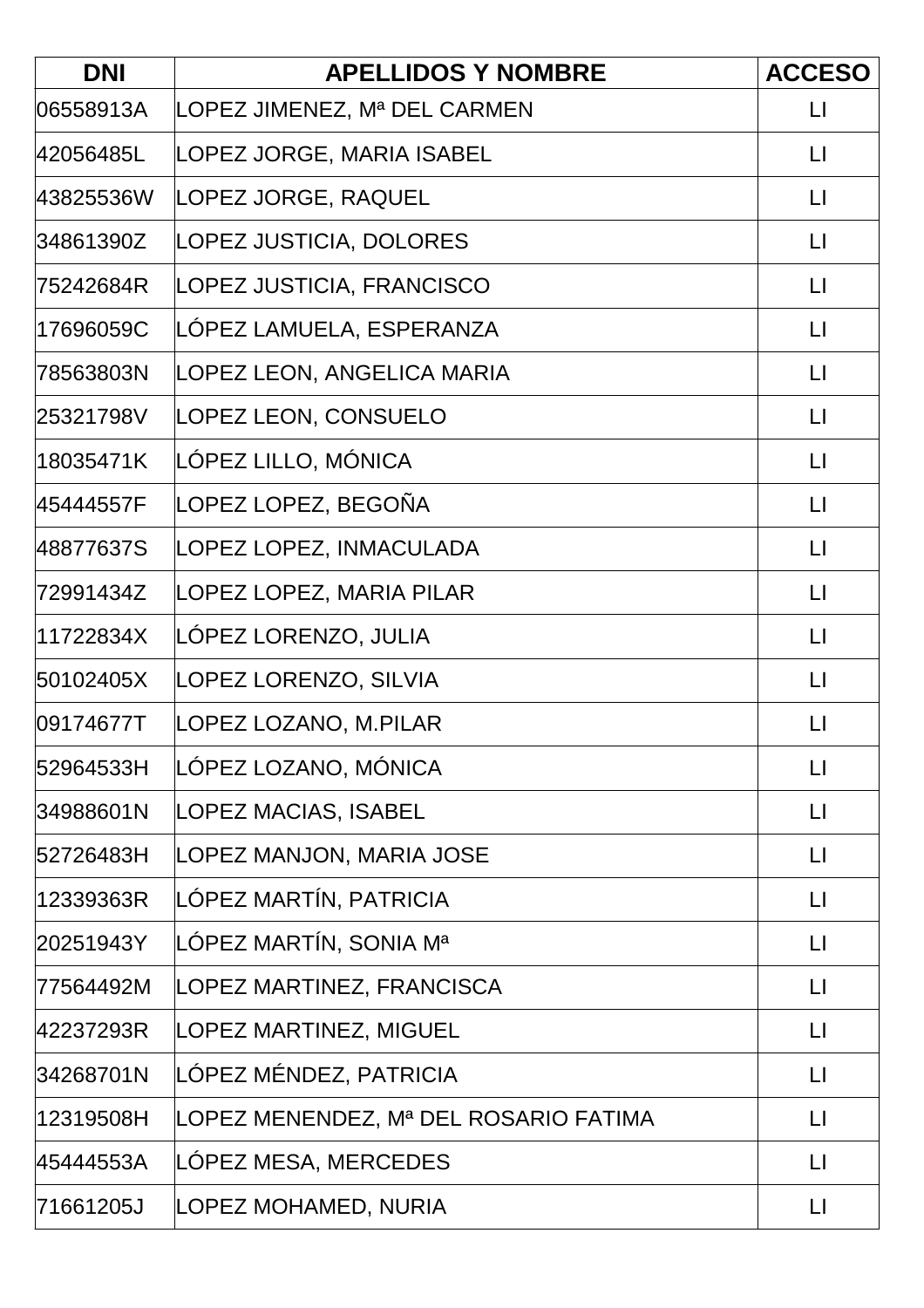| <b>DNI</b> | <b>APELLIDOS Y NOMBRE</b>             | <b>ACCESO</b>           |
|------------|---------------------------------------|-------------------------|
| 06558913A  | LOPEZ JIMENEZ, Mª DEL CARMEN          | LI                      |
| 42056485L  | LOPEZ JORGE, MARIA ISABEL             | $\mathsf{L}$            |
| 43825536W  | LOPEZ JORGE, RAQUEL                   | $\Box$                  |
| 34861390Z  | LOPEZ JUSTICIA, DOLORES               | $\lfloor \rfloor$       |
| 75242684R  | LOPEZ JUSTICIA, FRANCISCO             | $\lfloor \cdot \rfloor$ |
| 17696059C  | LOPEZ LAMUELA, ESPERANZA              | $\lfloor \rfloor$       |
| 78563803N  | LOPEZ LEON, ANGELICA MARIA            | $\lfloor \cdot \rfloor$ |
| 25321798V  | LOPEZ LEON, CONSUELO                  | $\lfloor \rfloor$       |
| 18035471K  | LÓPEZ LILLO, MÓNICA                   | $\mathsf{L}$            |
| 45444557F  | LOPEZ LOPEZ, BEGOÑA                   | $\lfloor \cdot \rfloor$ |
| 48877637S  | LOPEZ LOPEZ, INMACULADA               | $\lfloor \rfloor$       |
| 72991434Z  | LOPEZ LOPEZ, MARIA PILAR              | $\lfloor \cdot \rfloor$ |
| 11722834X  | LÓPEZ LORENZO, JULIA                  | $\Box$                  |
| 50102405X  | LOPEZ LORENZO, SILVIA                 | $\mathsf{L}$            |
| 09174677T  | LOPEZ LOZANO, M.PILAR                 | $\mathsf{L}$            |
| 52964533H  | LÓPEZ LOZANO, MÓNICA                  | $\lfloor \rfloor$       |
| 34988601N  | <b>LOPEZ MACIAS, ISABEL</b>           | $\lfloor \rfloor$       |
| 52726483H  | LOPEZ MANJON, MARIA JOSE              | $\Box$                  |
| 12339363R  | LÓPEZ MARTÍN, PATRICIA                | $\mathsf{L}$            |
| 20251943Y  | LÓPEZ MARTÍN, SONIA Mª                | $\Box$                  |
| 77564492M  | LOPEZ MARTINEZ, FRANCISCA             | $\mathsf{L}$            |
| 42237293R  | LOPEZ MARTINEZ, MIGUEL                | $\Box$                  |
| 34268701N  | LÓPEZ MÉNDEZ, PATRICIA                | $\lfloor \rfloor$       |
| 12319508H  | LOPEZ MENENDEZ, Mª DEL ROSARIO FATIMA | $\lfloor \rfloor$       |
| 45444553A  | LOPEZ MESA, MERCEDES                  | $\Box$                  |
| 71661205J  | LOPEZ MOHAMED, NURIA                  | $\lfloor \rfloor$       |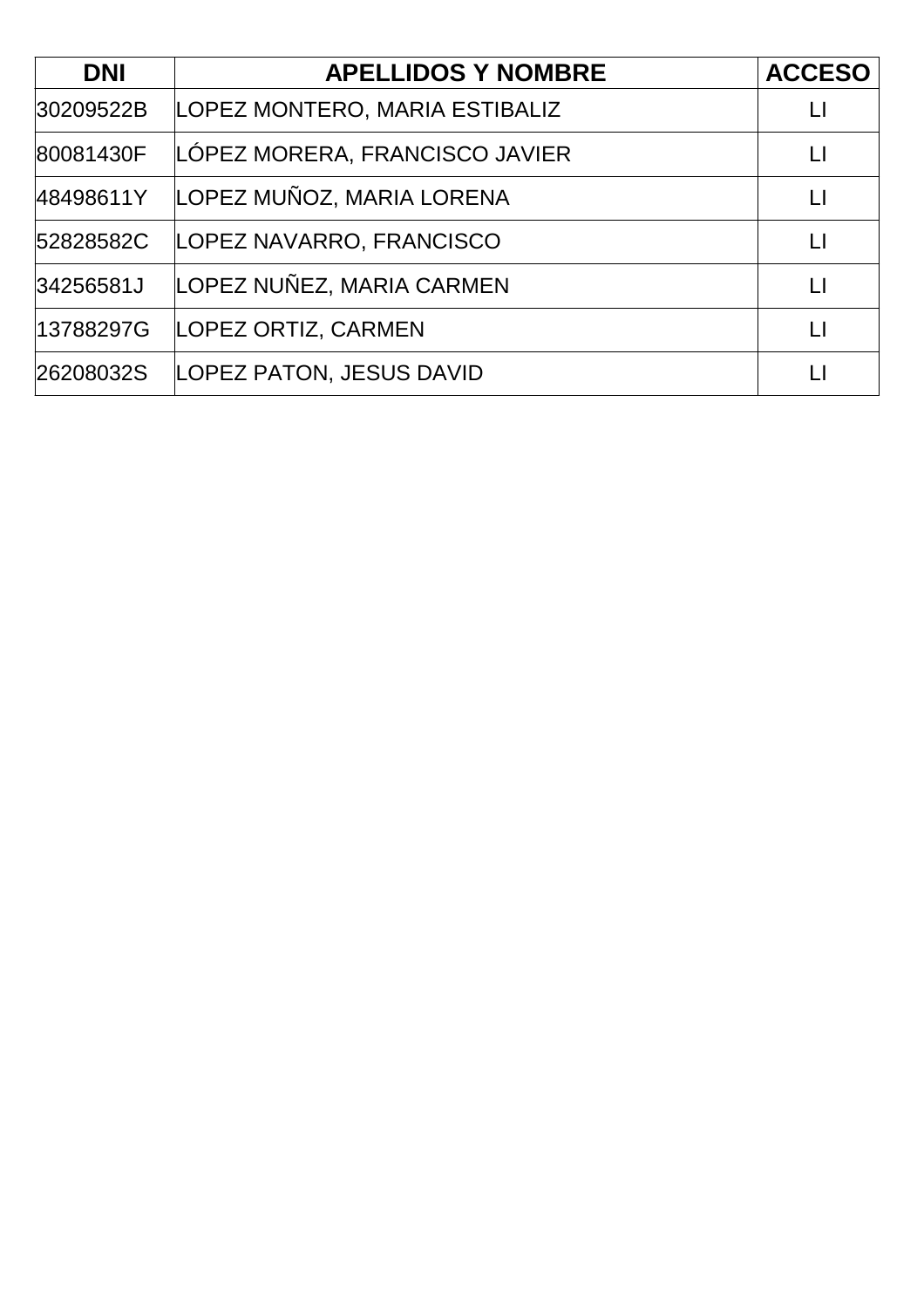| <b>DNI</b> | <b>APELLIDOS Y NOMBRE</b>      | <b>ACCESO</b> |
|------------|--------------------------------|---------------|
| 30209522B  | LOPEZ MONTERO, MARIA ESTIBALIZ |               |
| 80081430F  | LÓPEZ MORERA, FRANCISCO JAVIER |               |
| 48498611Y  | LOPEZ MUÑOZ, MARIA LORENA      | $\Box$        |
| 52828582C  | LOPEZ NAVARRO, FRANCISCO       | $\mathsf{L}$  |
| 34256581J  | LOPEZ NUÑEZ, MARIA CARMEN      | $\mathsf{L}$  |
| 13788297G  | LOPEZ ORTIZ, CARMEN            |               |
| 26208032S  | LOPEZ PATON, JESUS DAVID       |               |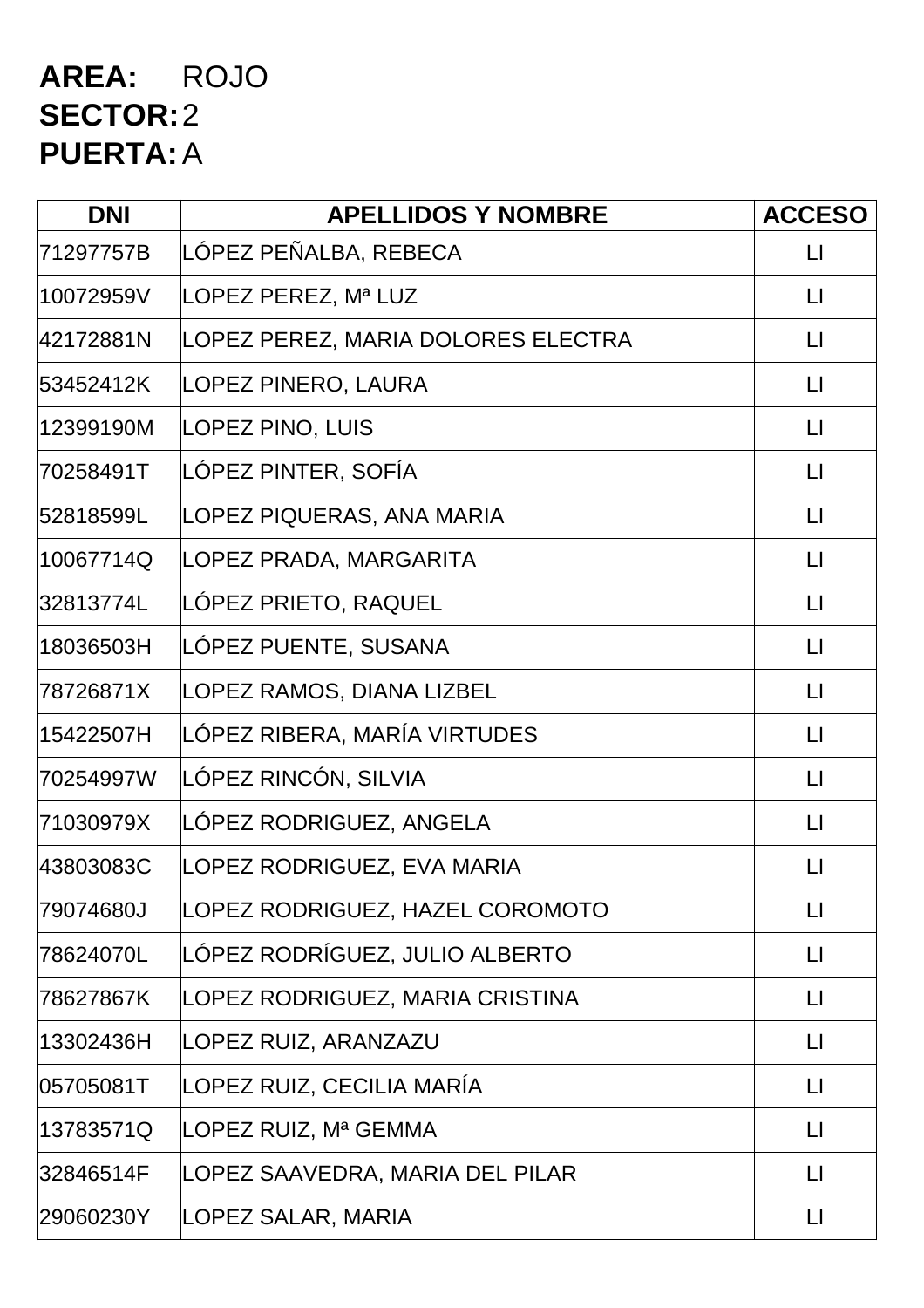### **AREA:** ROJO **SECTOR:**2 **PUERTA:**A

| <b>DNI</b> | <b>APELLIDOS Y NOMBRE</b>          | <b>ACCESO</b>           |
|------------|------------------------------------|-------------------------|
| 71297757B  | LÓPEZ PEÑALBA, REBECA              | $\lfloor \cdot \rfloor$ |
| 10072959V  | LOPEZ PEREZ, Mª LUZ                | $\lfloor \rfloor$       |
| 42172881N  | LOPEZ PEREZ, MARIA DOLORES ELECTRA | $\mathsf{L}$            |
| 53452412K  | LOPEZ PINERO, LAURA                | $\lfloor \rfloor$       |
| 12399190M  | <b>LOPEZ PINO, LUIS</b>            | $\lfloor \cdot \rfloor$ |
| 70258491T  | LÓPEZ PINTER, SOFÍA                | $\lfloor \rfloor$       |
| 52818599L  | LOPEZ PIQUERAS, ANA MARIA          | $\lfloor \cdot \rfloor$ |
| 10067714Q  | LOPEZ PRADA, MARGARITA             | $\lfloor \rfloor$       |
| 32813774L  | LÓPEZ PRIETO, RAQUEL               | $\lfloor \cdot \rfloor$ |
| 18036503H  | LÓPEZ PUENTE, SUSANA               | $\lfloor \cdot \rfloor$ |
| 78726871X  | LOPEZ RAMOS, DIANA LIZBEL          | $\lfloor \rfloor$       |
| 15422507H  | LÓPEZ RIBERA, MARÍA VIRTUDES       | $\lfloor \rfloor$       |
| 70254997W  | LÓPEZ RINCÓN, SILVIA               | $\lfloor \rfloor$       |
| 71030979X  | LOPEZ RODRIGUEZ, ANGELA            | $\lfloor \rfloor$       |
| 43803083C  | LOPEZ RODRIGUEZ, EVA MARIA         | $\mathsf{L}$            |
| 79074680J  | LOPEZ RODRIGUEZ, HAZEL COROMOTO    | $\lfloor \rfloor$       |
| 78624070L  | LÓPEZ RODRÍGUEZ, JULIO ALBERTO     | $\lfloor \rfloor$       |
| 78627867K  | LOPEZ RODRIGUEZ, MARIA CRISTINA    | $\lfloor \cdot \rfloor$ |
| 13302436H  | LOPEZ RUIZ, ARANZAZU               | $\mathsf{L}\mathsf{L}$  |
| 05705081T  | LOPEZ RUIZ, CECILIA MARÍA          | $\lfloor \rfloor$       |
| 13783571Q  | LOPEZ RUIZ, Mª GEMMA               | $\mathsf{L}$            |
| 32846514F  | LOPEZ SAAVEDRA, MARIA DEL PILAR    | $\mathsf{L}$            |
| 29060230Y  | LOPEZ SALAR, MARIA                 | $\lfloor \rfloor$       |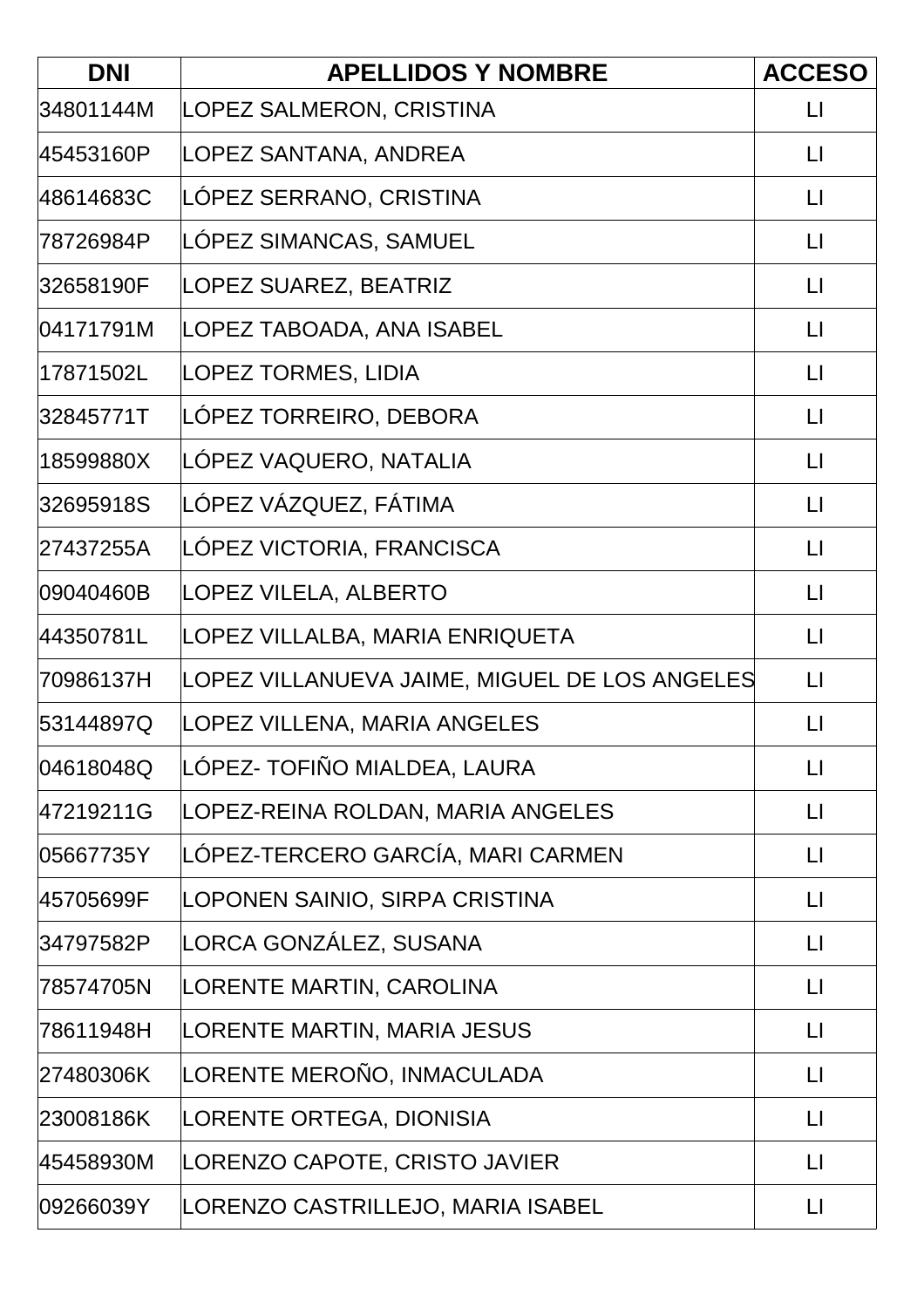| <b>DNI</b> | <b>APELLIDOS Y NOMBRE</b>                     | <b>ACCESO</b>           |
|------------|-----------------------------------------------|-------------------------|
| 34801144M  | LOPEZ SALMERON, CRISTINA                      | $\lfloor \rfloor$       |
| 45453160P  | LOPEZ SANTANA, ANDREA                         | $\lfloor \cdot \rfloor$ |
| 48614683C  | LOPEZ SERRANO, CRISTINA                       | $\mathsf{L}$            |
| 78726984P  | LÓPEZ SIMANCAS, SAMUEL                        | $\lfloor \rfloor$       |
| 32658190F  | LOPEZ SUAREZ, BEATRIZ                         | $\lfloor \rfloor$       |
| 04171791M  | LOPEZ TABOADA, ANA ISABEL                     | $\lfloor \cdot \rfloor$ |
| 17871502L  | <b>LOPEZ TORMES, LIDIA</b>                    | $\lfloor \rfloor$       |
| 32845771T  | LÓPEZ TORREIRO, DEBORA                        | $\lfloor \rfloor$       |
| 18599880X  | LÓPEZ VAQUERO, NATALIA                        | $\mathsf{L}$            |
| 32695918S  | LÓPEZ VÁZQUEZ, FÁTIMA                         | $\lfloor \rfloor$       |
| 27437255A  | LOPEZ VICTORIA, FRANCISCA                     | $\lfloor \rfloor$       |
| 09040460B  | LOPEZ VILELA, ALBERTO                         | $\mathsf{L}$            |
| 44350781L  | LOPEZ VILLALBA, MARIA ENRIQUETA               | $\mathsf{L}$            |
| 70986137H  | LOPEZ VILLANUEVA JAIME, MIGUEL DE LOS ANGELES | $\lfloor \rfloor$       |
| 53144897Q  | LOPEZ VILLENA, MARIA ANGELES                  | $\mathsf{L}$            |
| 04618048Q  | LÓPEZ- TOFIÑO MIALDEA, LAURA                  | $\lfloor \rfloor$       |
| 47219211G  | LOPEZ-REINA ROLDAN, MARIA ANGELES             | $\lfloor \rfloor$       |
| 05667735Y  | LÓPEZ-TERCERO GARCÍA, MARI CARMEN             | $\mathsf{L}$            |
| 45705699F  | LOPONEN SAINIO, SIRPA CRISTINA                | $\lfloor \rfloor$       |
| 34797582P  | LORCA GONZÁLEZ, SUSANA                        | $\lfloor \rfloor$       |
| 78574705N  | LORENTE MARTIN, CAROLINA                      | $\lfloor \rfloor$       |
| 78611948H  | LORENTE MARTIN, MARIA JESUS                   | $\lfloor \rfloor$       |
| 27480306K  | LORENTE MEROÑO, INMACULADA                    | $\lfloor \cdot \rfloor$ |
| 23008186K  | LORENTE ORTEGA, DIONISIA                      | $\lfloor \rfloor$       |
| 45458930M  | LORENZO CAPOTE, CRISTO JAVIER                 | $\lfloor \rfloor$       |
| 09266039Y  | LORENZO CASTRILLEJO, MARIA ISABEL             | $\Box$                  |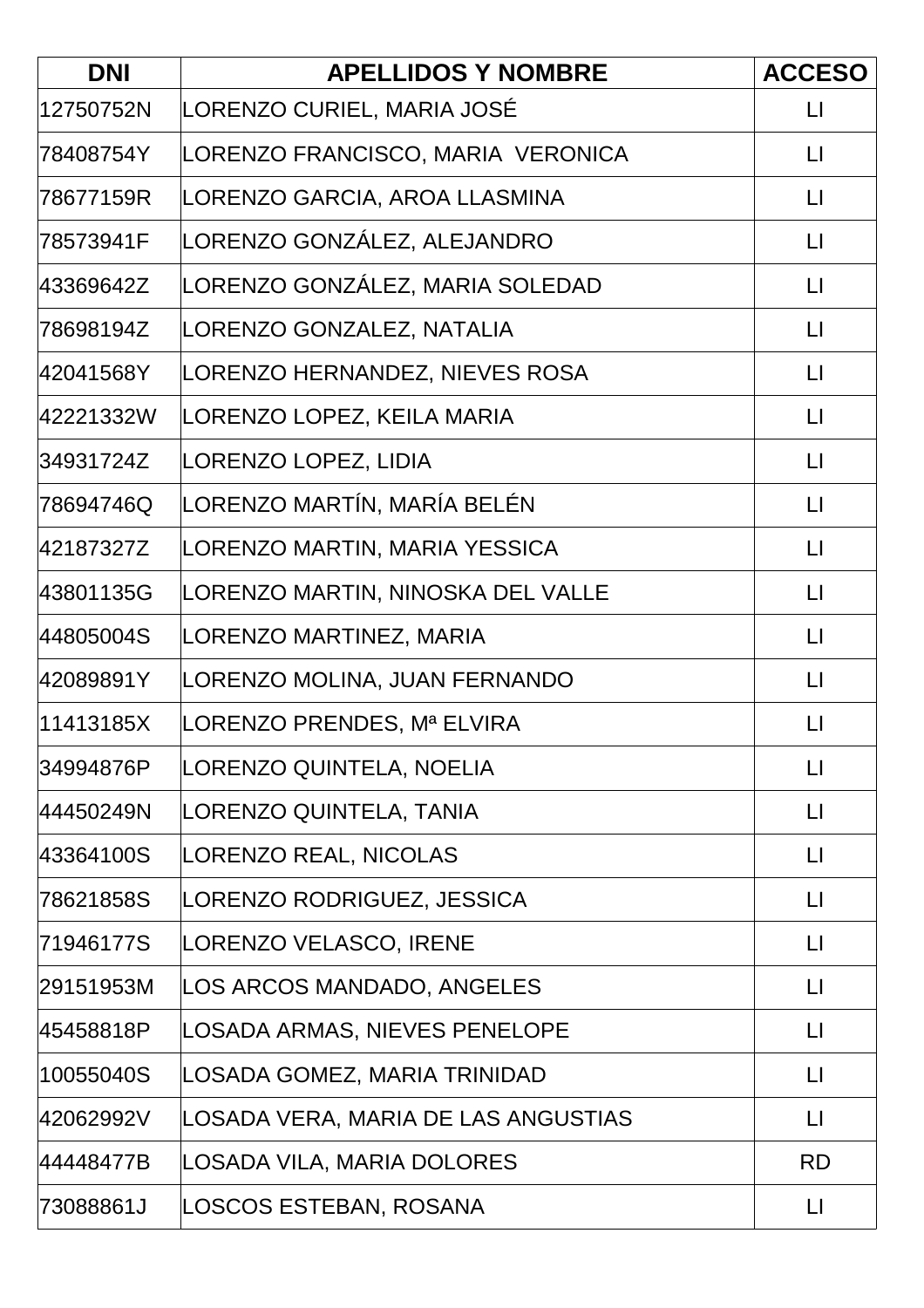| <b>DNI</b> | <b>APELLIDOS Y NOMBRE</b>           | <b>ACCESO</b>           |
|------------|-------------------------------------|-------------------------|
| 12750752N  | LORENZO CURIEL, MARIA JOSÉ          | $\mathsf{L}$            |
| 78408754Y  | LORENZO FRANCISCO, MARIA VERONICA   | $\lfloor \rfloor$       |
| 78677159R  | LORENZO GARCIA, AROA LLASMINA       | $\mathsf{L}$            |
| 78573941F  | LORENZO GONZÁLEZ, ALEJANDRO         | $\lfloor \rfloor$       |
| 43369642Z  | LORENZO GONZÁLEZ, MARIA SOLEDAD     | $\lfloor \cdot \rfloor$ |
| 78698194Z  | LORENZO GONZALEZ, NATALIA           | $\mathsf{L}$            |
| 42041568Y  | LORENZO HERNANDEZ, NIEVES ROSA      | $\Box$                  |
| 42221332W  | LORENZO LOPEZ, KEILA MARIA          | $\lfloor \rfloor$       |
| 34931724Z  | LORENZO LOPEZ, LIDIA                | LI                      |
| 78694746Q  | LORENZO MARTÍN, MARÍA BELÉN         | $\lfloor \rfloor$       |
| 42187327Z  | LORENZO MARTIN, MARIA YESSICA       | $\lfloor \rfloor$       |
| 43801135G  | LORENZO MARTIN, NINOSKA DEL VALLE   | $\lfloor \cdot \rfloor$ |
| 44805004S  | LORENZO MARTINEZ, MARIA             | $\lfloor \cdot \rfloor$ |
| 42089891Y  | LORENZO MOLINA, JUAN FERNANDO       | $\Box$                  |
| 11413185X  | LORENZO PRENDES, Mª ELVIRA          | LI                      |
| 34994876P  | LORENZO QUINTELA, NOELIA            | $\lfloor \rfloor$       |
| 44450249N  | LORENZO QUINTELA, TANIA             | $\lfloor \cdot \rfloor$ |
| 43364100S  | LORENZO REAL, NICOLAS               | $\Box$                  |
| 78621858S  | LORENZO RODRIGUEZ, JESSICA          | LI                      |
| 71946177S  | LORENZO VELASCO, IRENE              | $\lfloor \rfloor$       |
| 29151953M  | LOS ARCOS MANDADO, ANGELES          | $\lfloor \rfloor$       |
| 45458818P  | LOSADA ARMAS, NIEVES PENELOPE       | $\mathsf{L}$            |
| 10055040S  | LOSADA GOMEZ, MARIA TRINIDAD        | $\Box$                  |
| 42062992V  | LOSADA VERA, MARIA DE LAS ANGUSTIAS | $\lfloor \rfloor$       |
| 44448477B  | LOSADA VILA, MARIA DOLORES          | <b>RD</b>               |
| 73088861J  | LOSCOS ESTEBAN, ROSANA              | $\Box$                  |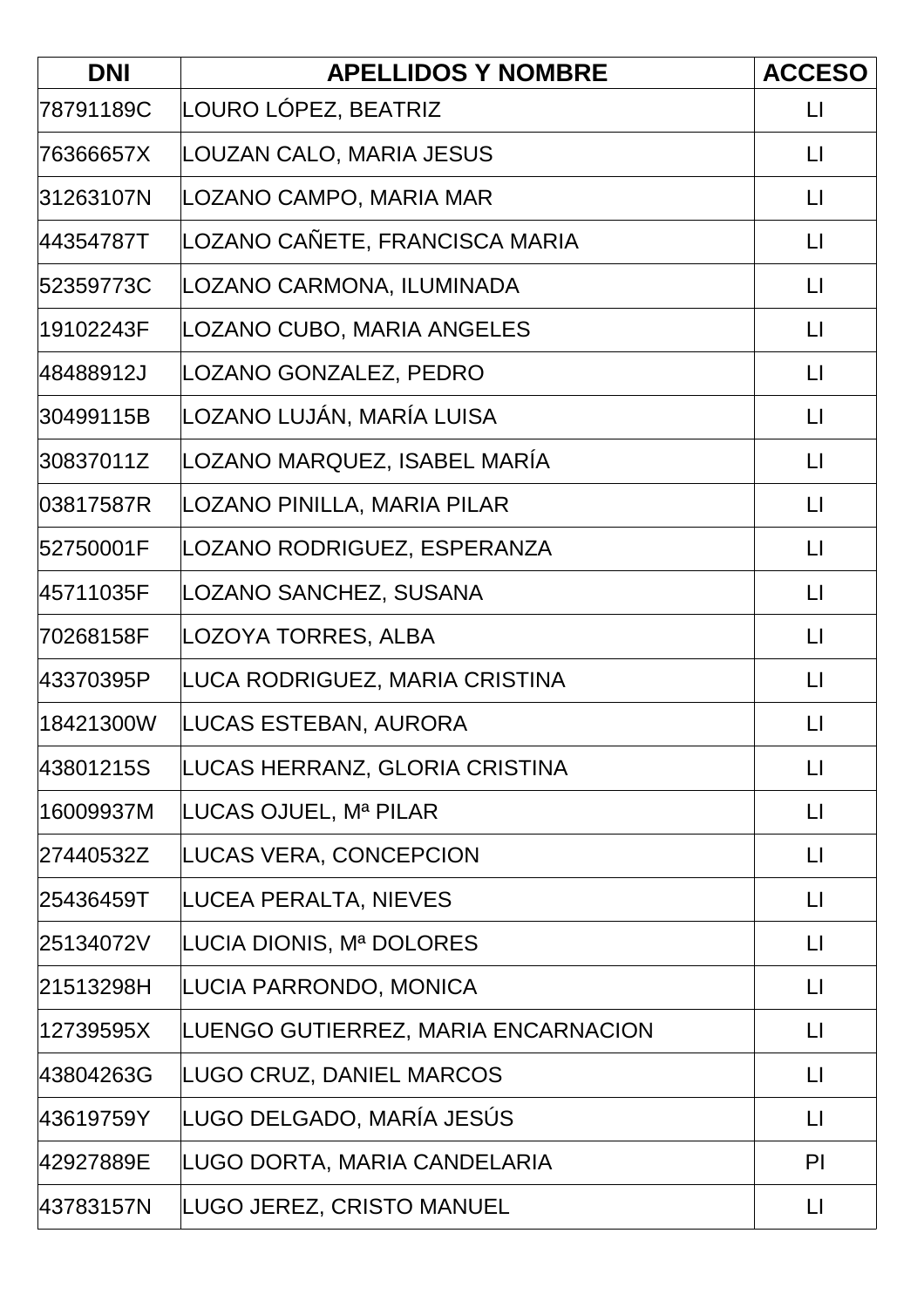| <b>DNI</b> | <b>APELLIDOS Y NOMBRE</b>           | <b>ACCESO</b>           |
|------------|-------------------------------------|-------------------------|
| 78791189C  | LOURO LÓPEZ, BEATRIZ                | $\lfloor \rfloor$       |
| 76366657X  | LOUZAN CALO, MARIA JESUS            | $\lfloor \cdot \rfloor$ |
| 31263107N  | LOZANO CAMPO, MARIA MAR             | $\lfloor \rfloor$       |
| 44354787T  | LOZANO CAÑETE, FRANCISCA MARIA      | $\lfloor \rfloor$       |
| 52359773C  | LOZANO CARMONA, ILUMINADA           | $\lfloor \cdot \rfloor$ |
| 19102243F  | LOZANO CUBO, MARIA ANGELES          | LI                      |
| 48488912J  | LOZANO GONZALEZ, PEDRO              | $\Box$                  |
| 30499115B  | LOZANO LUJÁN, MARÍA LUISA           | $\lfloor \cdot \rfloor$ |
| 30837011Z  | LOZANO MARQUEZ, ISABEL MARÍA        | $\lfloor \cdot \rfloor$ |
| 03817587R  | LOZANO PINILLA, MARIA PILAR         | $\Box$                  |
| 52750001F  | LOZANO RODRIGUEZ, ESPERANZA         | $\lfloor \rfloor$       |
| 45711035F  | LOZANO SANCHEZ, SUSANA              | $\lfloor \cdot \rfloor$ |
| 70268158F  | LOZOYA TORRES, ALBA                 | $\lfloor \rfloor$       |
| 43370395P  | LUCA RODRIGUEZ, MARIA CRISTINA      | $\lfloor \rfloor$       |
| 18421300W  | LUCAS ESTEBAN, AURORA               | $\mathsf{L}$            |
| 43801215S  | LUCAS HERRANZ, GLORIA CRISTINA      | $\lfloor \cdot \rfloor$ |
| 16009937M  | LUCAS OJUEL, Mª PILAR               | $\lfloor \rfloor$       |
| 27440532Z  | LUCAS VERA, CONCEPCION              | $\mathsf{L}$            |
| 25436459T  | LUCEA PERALTA, NIEVES               | $\lfloor \rfloor$       |
| 25134072V  | LUCIA DIONIS, Mª DOLORES            | $\lfloor \rfloor$       |
| 21513298H  | LUCIA PARRONDO, MONICA              | $\lfloor \rfloor$       |
| 12739595X  | LUENGO GUTIERREZ, MARIA ENCARNACION | $\lfloor \rfloor$       |
| 43804263G  | LUGO CRUZ, DANIEL MARCOS            | $\lfloor \rfloor$       |
| 43619759Y  | LUGO DELGADO, MARÍA JESÚS           | $\lfloor \rfloor$       |
| 42927889E  | LUGO DORTA, MARIA CANDELARIA        | PI                      |
| 43783157N  | LUGO JEREZ, CRISTO MANUEL           | $\lfloor \cdot \rfloor$ |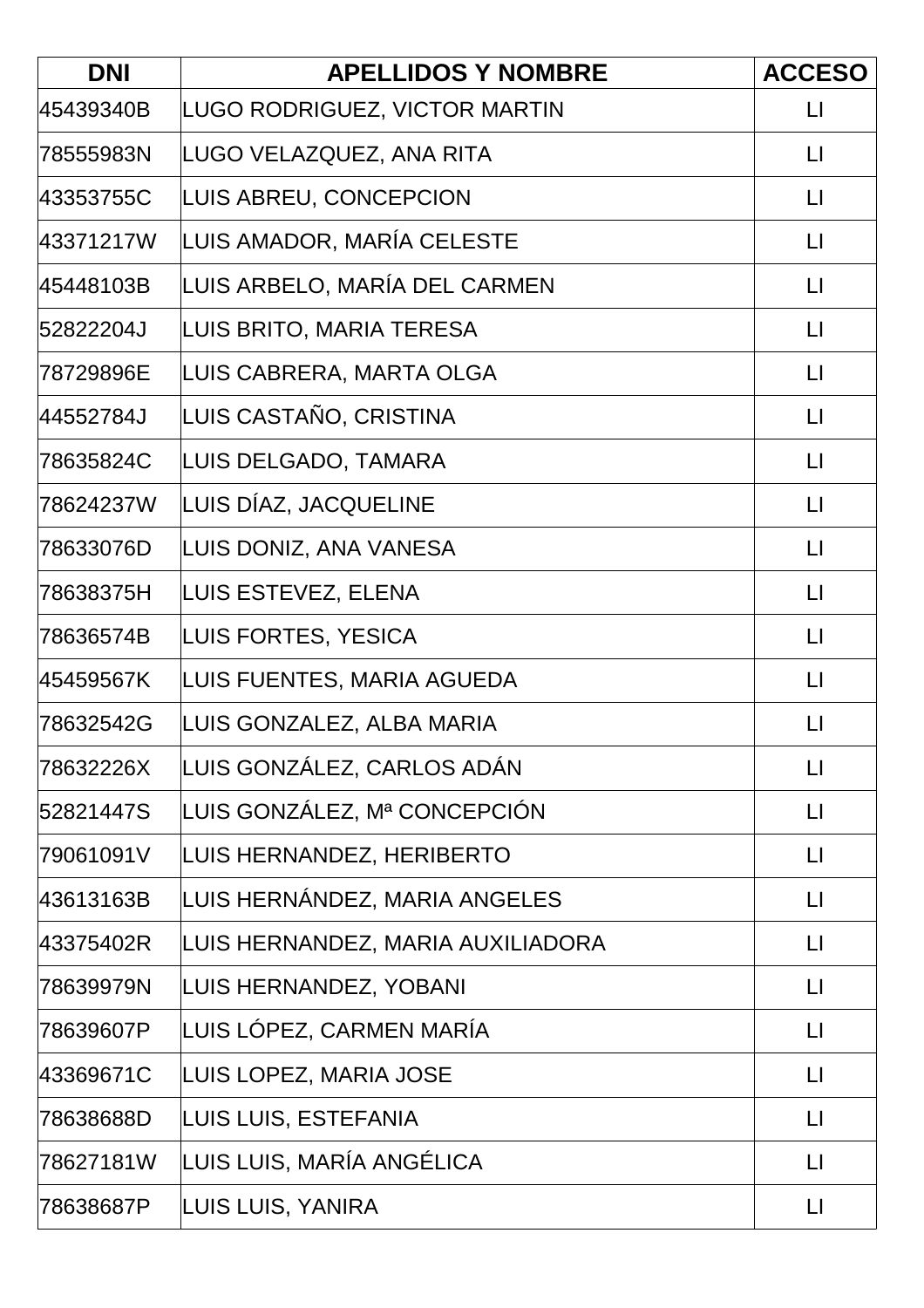| <b>DNI</b> | <b>APELLIDOS Y NOMBRE</b>         | <b>ACCESO</b>           |
|------------|-----------------------------------|-------------------------|
| 45439340B  | LUGO RODRIGUEZ, VICTOR MARTIN     | $\lfloor \rfloor$       |
| 78555983N  | LUGO VELAZQUEZ, ANA RITA          | $\lfloor \cdot \rfloor$ |
| 43353755C  | LUIS ABREU, CONCEPCION            | $\lfloor \rfloor$       |
| 43371217W  | LUIS AMADOR, MARÍA CELESTE        | $\lfloor \rfloor$       |
| 45448103B  | LUIS ARBELO, MARÍA DEL CARMEN     | $\lfloor \rfloor$       |
| 52822204J  | LUIS BRITO, MARIA TERESA          | $\mathsf{L}$            |
| 78729896E  | LUIS CABRERA, MARTA OLGA          | $\lfloor \rfloor$       |
| 44552784J  | LUIS CASTAÑO, CRISTINA            | $\lfloor \rfloor$       |
| 78635824C  | LUIS DELGADO, TAMARA              | $\mathsf{L}$            |
| 78624237W  | LUIS DÍAZ, JACQUELINE             | $\lfloor \cdot \rfloor$ |
| 78633076D  | LUIS DONIZ, ANA VANESA            | $\lfloor \rfloor$       |
| 78638375H  | LUIS ESTEVEZ, ELENA               | $\lfloor \rfloor$       |
| 78636574B  | LUIS FORTES, YESICA               | $\mathsf{L}$            |
| 45459567K  | LUIS FUENTES, MARIA AGUEDA        | $\lfloor \rfloor$       |
| 78632542G  | LUIS GONZALEZ, ALBA MARIA         | $\mathsf{L}$            |
| 78632226X  | LUIS GONZÁLEZ, CARLOS ADÁN        | $\Box$                  |
| 52821447S  | LUIS GONZÁLEZ, Mª CONCEPCIÓN      | $\lfloor \rfloor$       |
| 79061091V  | LUIS HERNANDEZ, HERIBERTO         | $\mathsf{L}$            |
| 43613163B  | LUIS HERNÁNDEZ, MARIA ANGELES     | $\lfloor \rfloor$       |
| 43375402R  | LUIS HERNANDEZ, MARIA AUXILIADORA | $\lfloor \rfloor$       |
| 78639979N  | LUIS HERNANDEZ, YOBANI            | $\Box$                  |
| 78639607P  | LUIS LÓPEZ, CARMEN MARÍA          | $\lfloor \rfloor$       |
| 43369671C  | LUIS LOPEZ, MARIA JOSE            | $\lfloor \cdot \rfloor$ |
| 78638688D  | LUIS LUIS, ESTEFANIA              | $\Box$                  |
| 78627181W  | LUIS LUIS, MARÍA ANGÉLICA         | $\lfloor \rfloor$       |
| 78638687P  | LUIS LUIS, YANIRA                 | $\Box$                  |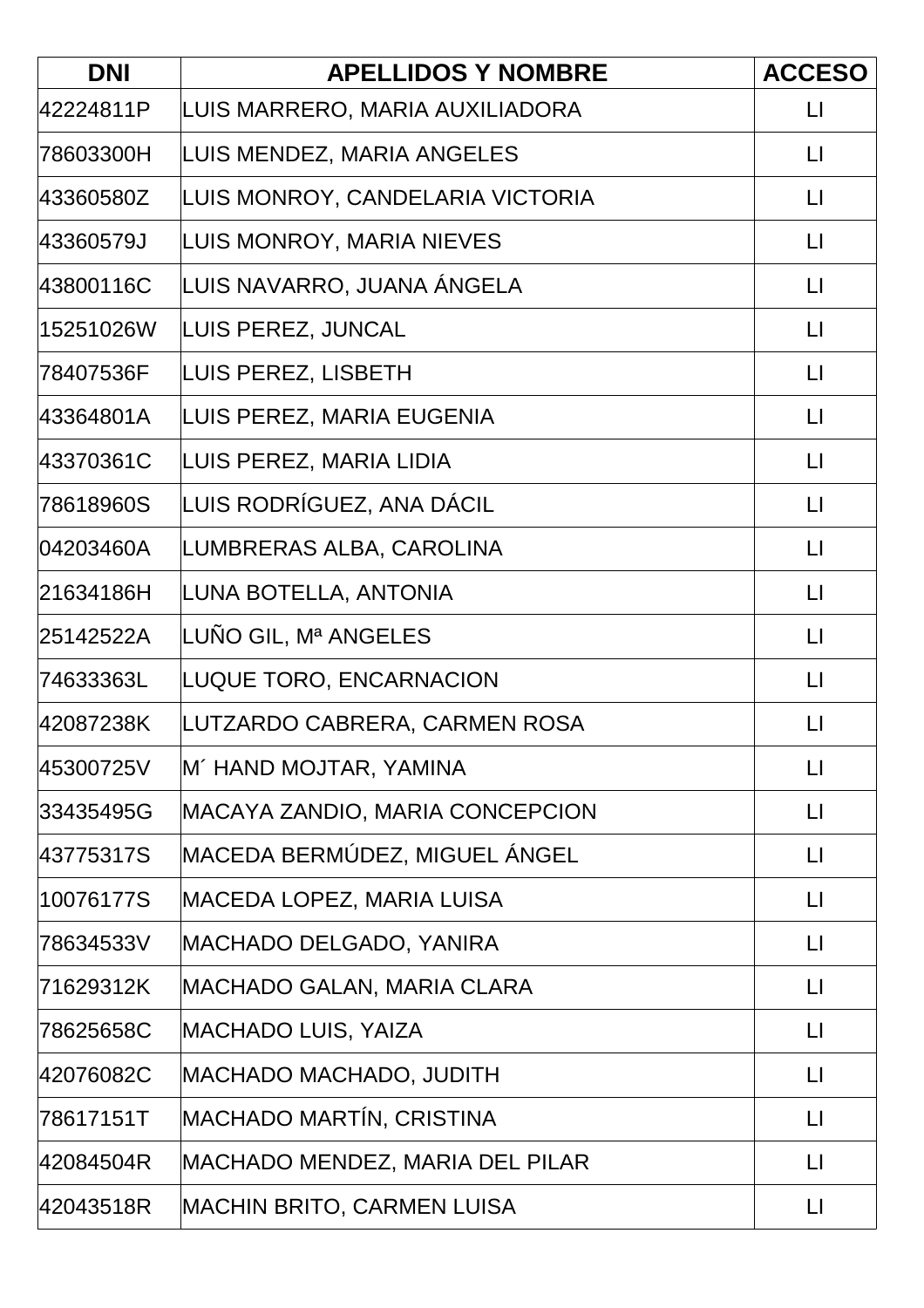| <b>DNI</b> | <b>APELLIDOS Y NOMBRE</b>         | <b>ACCESO</b>           |
|------------|-----------------------------------|-------------------------|
| 42224811P  | LUIS MARRERO, MARIA AUXILIADORA   | $\lfloor \rfloor$       |
| 78603300H  | LUIS MENDEZ, MARIA ANGELES        | $\lfloor \cdot \rfloor$ |
| 43360580Z  | LUIS MONROY, CANDELARIA VICTORIA  | LI                      |
| 43360579J  | LUIS MONROY, MARIA NIEVES         | $\Box$                  |
| 43800116C  | LUIS NAVARRO, JUANA ÁNGELA        | $\lfloor \rfloor$       |
| 15251026W  | LUIS PEREZ, JUNCAL                | $\lfloor \cdot \rfloor$ |
| 78407536F  | LUIS PEREZ, LISBETH               | $\Box$                  |
| 43364801A  | LUIS PEREZ, MARIA EUGENIA         | $\lfloor \rfloor$       |
| 43370361C  | LUIS PEREZ, MARIA LIDIA           | $\mathsf{L}$            |
| 78618960S  | LUIS RODRÍGUEZ, ANA DÁCIL         | $\mathsf{L}$            |
| 04203460A  | LUMBRERAS ALBA, CAROLINA          | $\lfloor \rfloor$       |
| 21634186H  | LUNA BOTELLA, ANTONIA             | $\lfloor \rfloor$       |
| 25142522A  | LUÑO GIL, Mª ANGELES              | $\mathsf{L}$            |
| 74633363L  | LUQUE TORO, ENCARNACION           | $\lfloor \rfloor$       |
| 42087238K  | LUTZARDO CABRERA, CARMEN ROSA     | $\mathsf{L}$            |
| 45300725V  | M´ HAND MOJTAR, YAMINA            | $\Box$                  |
| 33435495G  | MACAYA ZANDIO, MARIA CONCEPCION   | $\lfloor \rfloor$       |
| 43775317S  | MACEDA BERMÚDEZ, MIGUEL ÁNGEL     | $\mathsf{L}$            |
| 10076177S  | <b>MACEDA LOPEZ, MARIA LUISA</b>  | $\lfloor \rfloor$       |
| 78634533V  | MACHADO DELGADO, YANIRA           | $\lfloor \rfloor$       |
| 71629312K  | MACHADO GALAN, MARIA CLARA        | $\Box$                  |
| 78625658C  | <b>MACHADO LUIS, YAIZA</b>        | $\lfloor \rfloor$       |
| 42076082C  | MACHADO MACHADO, JUDITH           | $\lfloor \rfloor$       |
| 78617151T  | MACHADO MARTÍN, CRISTINA          | $\mathsf{L}\mathsf{I}$  |
| 42084504R  | MACHADO MENDEZ, MARIA DEL PILAR   | $\lfloor \rfloor$       |
| 42043518R  | <b>MACHIN BRITO, CARMEN LUISA</b> | $\lfloor \rfloor$       |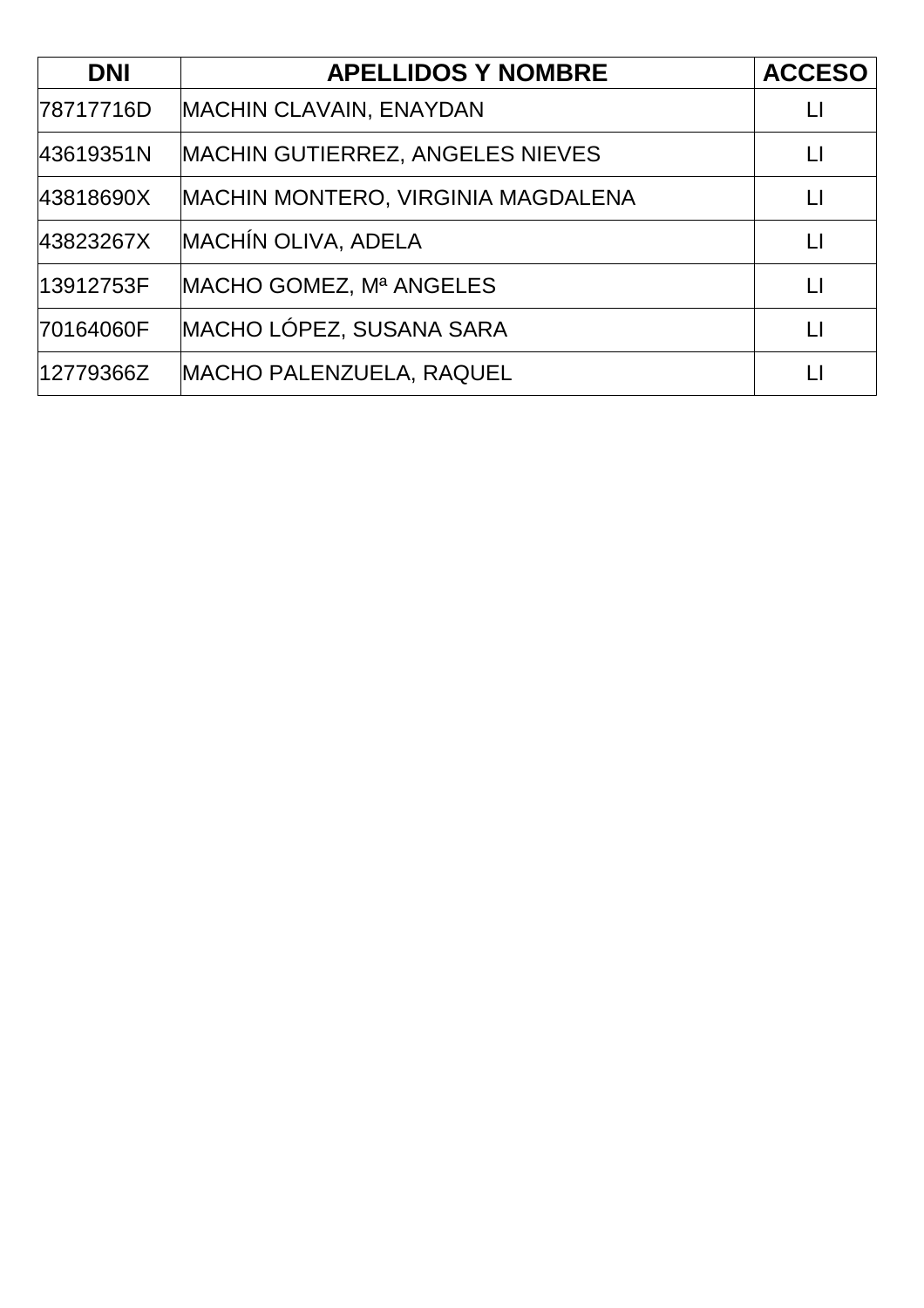| <b>DNI</b> | <b>APELLIDOS Y NOMBRE</b>                 | <b>ACCESO</b> |
|------------|-------------------------------------------|---------------|
| 78717716D  | <b>MACHIN CLAVAIN, ENAYDAN</b>            |               |
| 43619351N  | <b>MACHIN GUTIERREZ, ANGELES NIEVES</b>   | LI            |
| 43818690X  | <b>MACHIN MONTERO, VIRGINIA MAGDALENA</b> | LI            |
| 43823267X  | <b>MACHÍN OLIVA, ADELA</b>                | $\mathsf{L}$  |
| 13912753F  | MACHO GOMEZ, Mª ANGELES                   | $\mathsf{L}$  |
| 70164060F  | MACHO LÓPEZ, SUSANA SARA                  |               |
| 12779366Z  | <b>MACHO PALENZUELA, RAQUEL</b>           |               |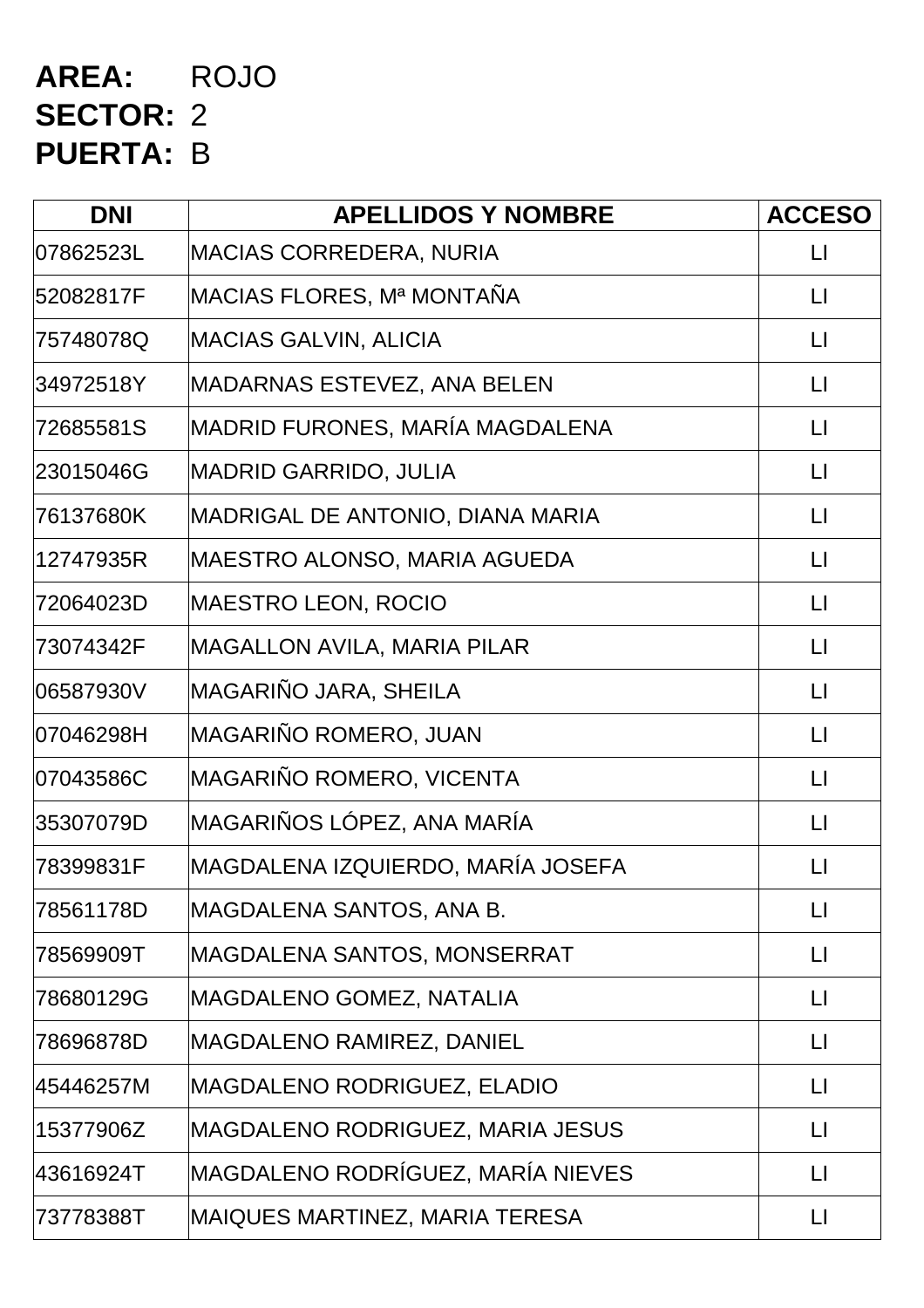## **AREA:** ROJO **SECTOR:** 2 **PUERTA:** B

| <b>DNI</b> | <b>APELLIDOS Y NOMBRE</b>          | <b>ACCESO</b>     |
|------------|------------------------------------|-------------------|
| 07862523L  | MACIAS CORREDERA, NURIA            | П                 |
| 52082817F  | MACIAS FLORES, Mª MONTAÑA          | LI                |
| 75748078Q  | MACIAS GALVIN, ALICIA              | LI                |
| 34972518Y  | MADARNAS ESTEVEZ, ANA BELEN        | LI                |
| 72685581S  | MADRID FURONES, MARÍA MAGDALENA    | $\lfloor \rfloor$ |
| 23015046G  | MADRID GARRIDO, JULIA              | LI                |
| 76137680K  | MADRIGAL DE ANTONIO, DIANA MARIA   | $\mathsf{L}$      |
| 12747935R  | MAESTRO ALONSO, MARIA AGUEDA       | $\mathsf{L}$      |
| 72064023D  | MAESTRO LEON, ROCIO                | $\lfloor \rfloor$ |
| 73074342F  | <b>MAGALLON AVILA, MARIA PILAR</b> | $\mathsf{L}$      |
| 06587930V  | MAGARIÑO JARA, SHEILA              | $\mathsf{L}$      |
| l07046298H | MAGARIÑO ROMERO, JUAN              | $\lfloor \rfloor$ |
| 07043586C  | MAGARIÑO ROMERO, VICENTA           | $\mathsf{L}$      |
| 35307079D  | MAGARIÑOS LÓPEZ, ANA MARÍA         | $\mathsf{L}$      |
| 78399831F  | MAGDALENA IZQUIERDO, MARÍA JOSEFA  | П                 |
| 78561178D  | MAGDALENA SANTOS, ANA B.           | LI                |
| 78569909T  | MAGDALENA SANTOS, MONSERRAT        | LI                |
| 78680129G  | MAGDALENO GOMEZ, NATALIA           | $\lfloor \rfloor$ |
| 78696878D  | MAGDALENO RAMIREZ, DANIEL          | LI                |
| 45446257M  | MAGDALENO RODRIGUEZ, ELADIO        | LI                |
| 15377906Z  | MAGDALENO RODRIGUEZ, MARIA JESUS   | $\mathsf{L}$      |
| 43616924T  | MAGDALENO RODRÍGUEZ, MARÍA NIEVES  | $\Box$            |
| 73778388T  | MAIQUES MARTINEZ, MARIA TERESA     | LI                |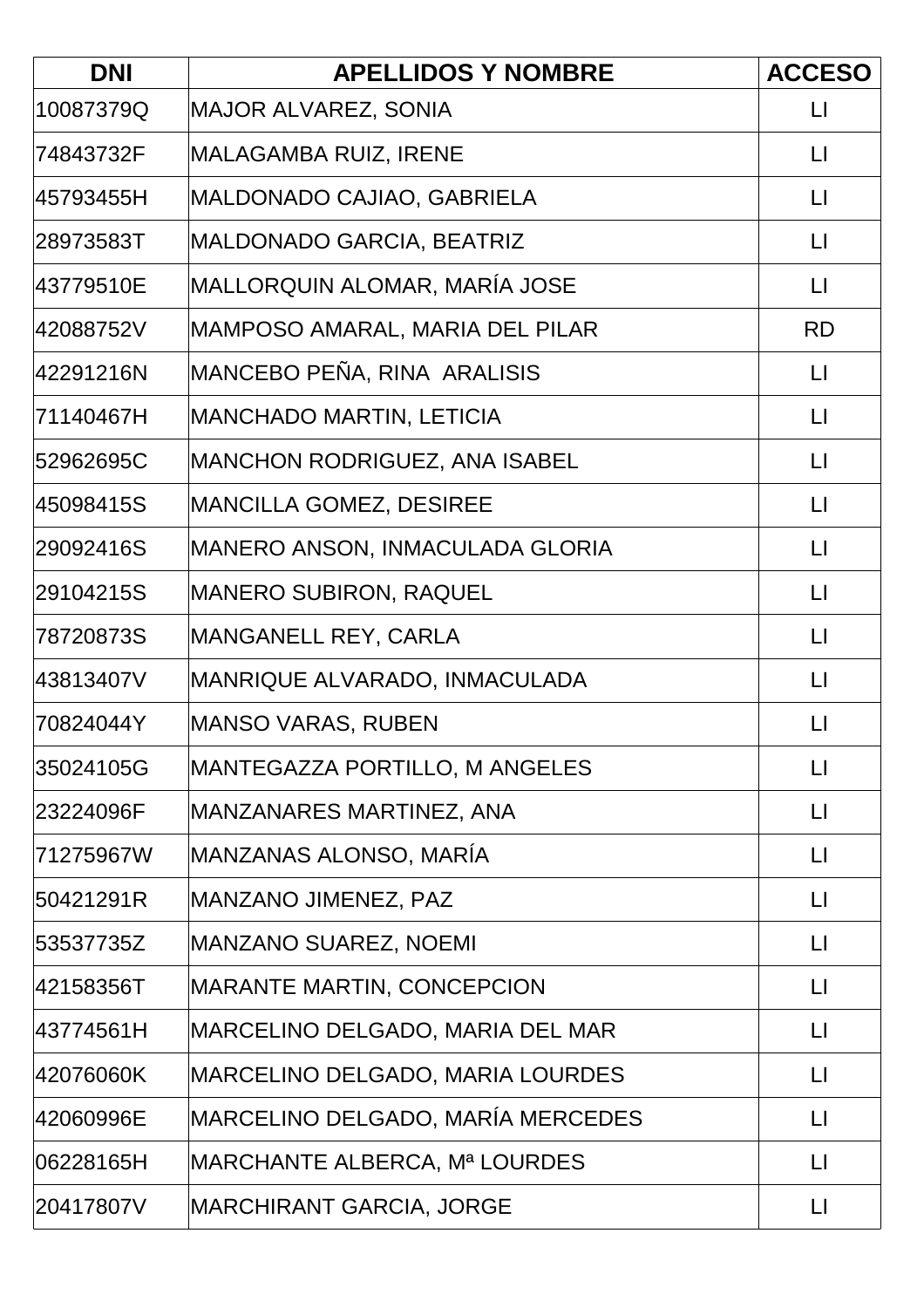| <b>DNI</b> | <b>APELLIDOS Y NOMBRE</b>             | <b>ACCESO</b>     |
|------------|---------------------------------------|-------------------|
| 10087379Q  | <b>MAJOR ALVAREZ, SONIA</b>           | $\mathsf{L}$      |
| 74843732F  | MALAGAMBA RUIZ, IRENE                 | $\mathsf{L}$      |
| 45793455H  | MALDONADO CAJIAO, GABRIELA            | LI                |
| 28973583T  | MALDONADO GARCIA, BEATRIZ             | $\lfloor \rfloor$ |
| 43779510E  | MALLORQUIN ALOMAR, MARÍA JOSE         | $\mathsf{L}$      |
| 42088752V  | MAMPOSO AMARAL, MARIA DEL PILAR       | <b>RD</b>         |
| 42291216N  | MANCEBO PEÑA, RINA ARALISIS           | $\mathsf{L}$      |
| 71140467H  | MANCHADO MARTIN, LETICIA              | $\mathsf{L}$      |
| 52962695C  | <b>MANCHON RODRIGUEZ, ANA ISABEL</b>  | $\mathsf{L}$      |
| 45098415S  | <b>MANCILLA GOMEZ, DESIREE</b>        | $\mathsf{L}$      |
| 29092416S  | MANERO ANSON, INMACULADA GLORIA       | $\mathsf{L}$      |
| 29104215S  | MANERO SUBIRON, RAQUEL                | $\sqcup$          |
| 78720873S  | MANGANELL REY, CARLA                  | $\lfloor \rfloor$ |
| 43813407V  | MANRIQUE ALVARADO, INMACULADA         | $\mathsf{L}$      |
| 70824044Y  | MANSO VARAS, RUBEN                    | П                 |
| 35024105G  | <b>MANTEGAZZA PORTILLO, M ANGELES</b> | $\lfloor \rfloor$ |
| 23224096F  | MANZANARES MARTINEZ, ANA              | $\mathsf{L}$      |
| 71275967W  | MANZANAS ALONSO, MARÍA                | $\mathsf{L}$      |
| 50421291R  | MANZANO JIMENEZ, PAZ                  | $\mathsf{L}$      |
| 53537735Z  | <b>MANZANO SUAREZ, NOEMI</b>          | $\lfloor \rfloor$ |
| 42158356T  | <b>MARANTE MARTIN, CONCEPCION</b>     | $\mathsf{L}$      |
| 43774561H  | MARCELINO DELGADO, MARIA DEL MAR      | $\mathsf{L}$      |
| 42076060K  | MARCELINO DELGADO, MARIA LOURDES      | $\mathsf{L}$      |
| 42060996E  | MARCELINO DELGADO, MARÍA MERCEDES     | LI                |
| 06228165H  | MARCHANTE ALBERCA, Mª LOURDES         | $\mathsf{L}$      |
| 20417807V  | <b>MARCHIRANT GARCIA, JORGE</b>       | $\mathsf{L}$      |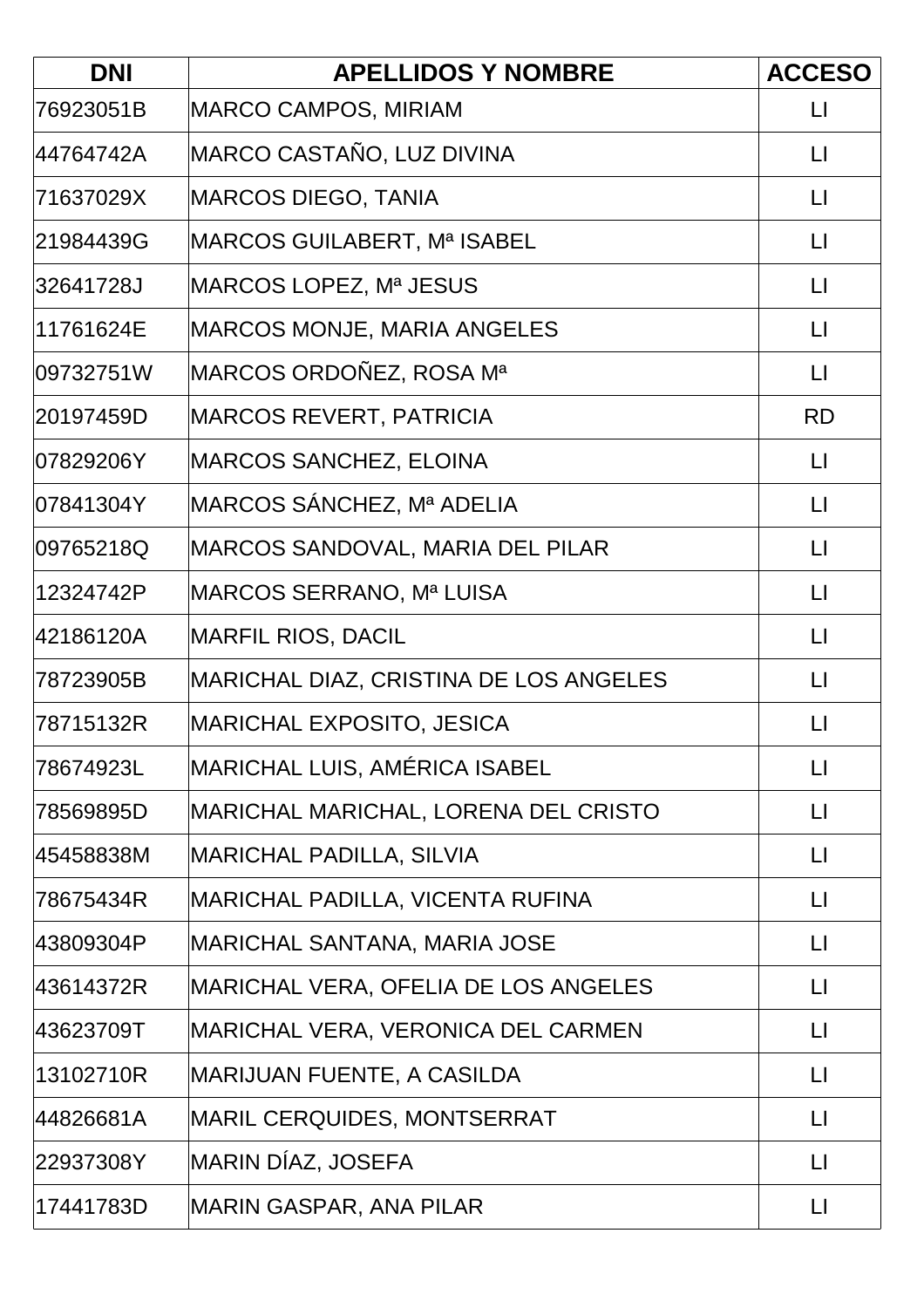| <b>DNI</b> | <b>APELLIDOS Y NOMBRE</b>              | <b>ACCESO</b>     |
|------------|----------------------------------------|-------------------|
| 76923051B  | MARCO CAMPOS, MIRIAM                   | LI                |
| 44764742A  | MARCO CASTAÑO, LUZ DIVINA              | $\mathsf{L}$      |
| 71637029X  | MARCOS DIEGO, TANIA                    | $\mathsf{L}$      |
| 21984439G  | MARCOS GUILABERT, Mª ISABEL            | $\mathsf{L}$      |
| 32641728J  | MARCOS LOPEZ, Mª JESUS                 | $\lfloor \rfloor$ |
| 11761624E  | <b>MARCOS MONJE, MARIA ANGELES</b>     | LI                |
| 09732751W  | MARCOS ORDOÑEZ, ROSA Mª                | $\lfloor \rfloor$ |
| 20197459D  | MARCOS REVERT, PATRICIA                | <b>RD</b>         |
| 07829206Y  | <b>MARCOS SANCHEZ, ELOINA</b>          | $\mathsf{L}$      |
| 07841304Y  | MARCOS SÁNCHEZ, Mª ADELIA              | $\mathsf{L}$      |
| 09765218Q  | MARCOS SANDOVAL, MARIA DEL PILAR       | $\mathsf{L}$      |
| 12324742P  | MARCOS SERRANO, Mª LUISA               | $\mathsf{L}$      |
| 42186120A  | MARFIL RIOS, DACIL                     | $\mathsf{L}$      |
| 78723905B  | MARICHAL DIAZ, CRISTINA DE LOS ANGELES | $\mathsf{L}$      |
| 78715132R  | <b>MARICHAL EXPOSITO, JESICA</b>       | $\mathsf{L}$      |
| 78674923L  | MARICHAL LUIS, AMÉRICA ISABEL          | $\lfloor \rfloor$ |
| 78569895D  | MARICHAL MARICHAL, LORENA DEL CRISTO   | П                 |
| 45458838M  | <b>MARICHAL PADILLA, SILVIA</b>        | $\mathsf{L}$      |
| 78675434R  | MARICHAL PADILLA, VICENTA RUFINA       | $\mathsf{L}$      |
| 43809304P  | MARICHAL SANTANA, MARIA JOSE           | $\mathsf{L}$      |
| 43614372R  | MARICHAL VERA, OFELIA DE LOS ANGELES   | $\mathsf{L}$      |
| 43623709T  | MARICHAL VERA, VERONICA DEL CARMEN     | LI                |
| 13102710R  | MARIJUAN FUENTE, A CASILDA             | $\mathsf{L}$      |
| 44826681A  | MARIL CERQUIDES, MONTSERRAT            | $\lfloor \rfloor$ |
| 22937308Y  | MARIN DÍAZ, JOSEFA                     | $\mathsf{L}$      |
| 17441783D  | <b>MARIN GASPAR, ANA PILAR</b>         | $\lfloor \rfloor$ |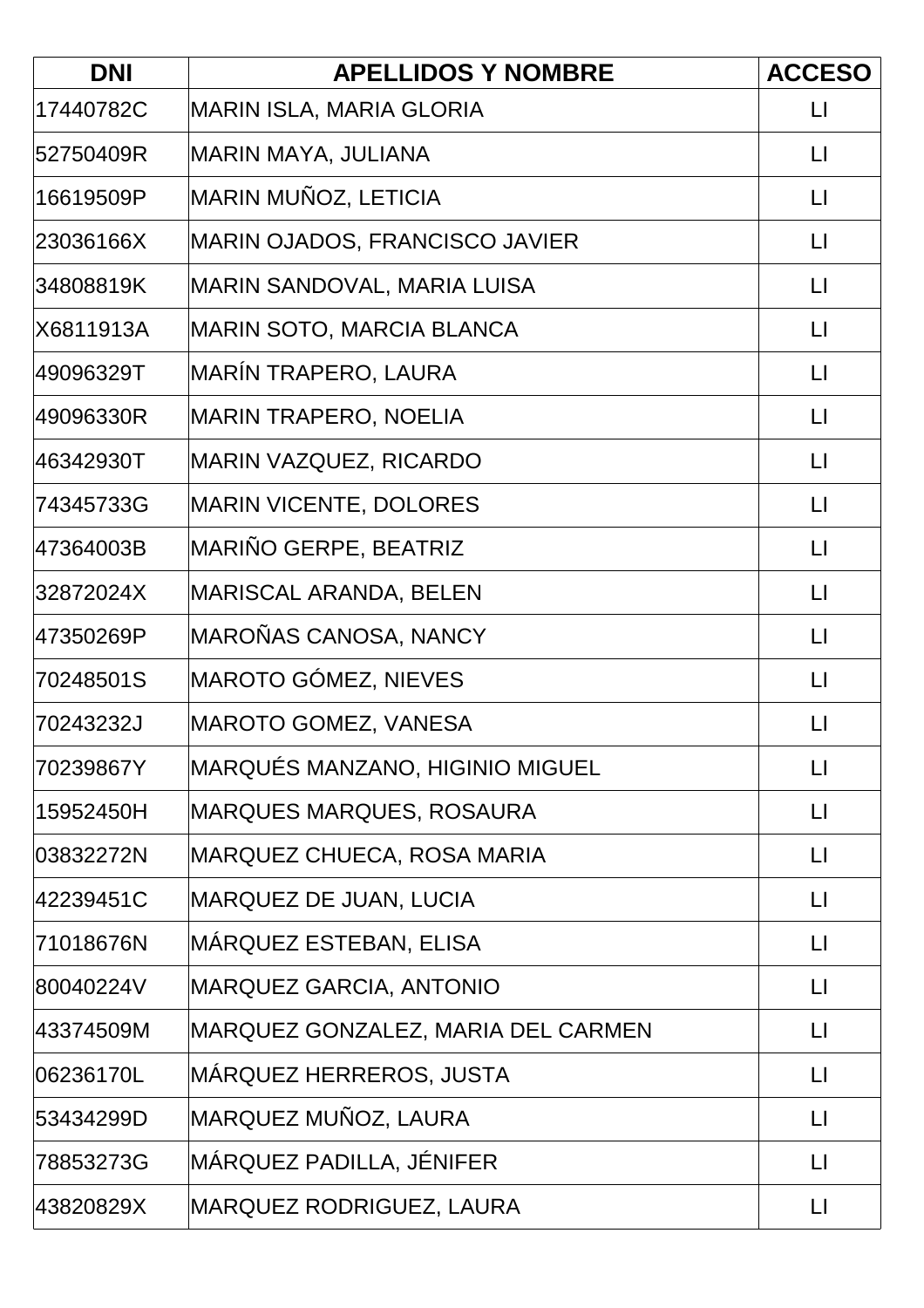| <b>DNI</b> | <b>APELLIDOS Y NOMBRE</b>             | <b>ACCESO</b>     |
|------------|---------------------------------------|-------------------|
| 17440782C  | <b>MARIN ISLA, MARIA GLORIA</b>       | LI                |
| 52750409R  | MARIN MAYA, JULIANA                   | $\mathsf{L}$      |
| 16619509P  | MARIN MUÑOZ, LETICIA                  | $\mathsf{L}$      |
| 23036166X  | <b>MARIN OJADOS, FRANCISCO JAVIER</b> | $\lfloor \rfloor$ |
| 34808819K  | MARIN SANDOVAL, MARIA LUISA           | $\lfloor \rfloor$ |
| X6811913A  | MARIN SOTO, MARCIA BLANCA             | $\mathsf{L}$      |
| 49096329T  | MARÍN TRAPERO, LAURA                  | $\lfloor \rfloor$ |
| 49096330R  | MARIN TRAPERO, NOELIA                 | $\lfloor \rfloor$ |
| 46342930T  | <b>MARIN VAZQUEZ, RICARDO</b>         | $\mathsf{L}$      |
| 74345733G  | <b>MARIN VICENTE, DOLORES</b>         | $\lfloor \rfloor$ |
| 47364003B  | MARIÑO GERPE, BEATRIZ                 | $\sqcup$          |
| 32872024X  | <b>MARISCAL ARANDA, BELEN</b>         | $\mathsf{L}$      |
| 47350269P  | MAROÑAS CANOSA, NANCY                 | $\mathsf{L}$      |
| 70248501S  | <b>MAROTO GÓMEZ, NIEVES</b>           | $\lfloor \rfloor$ |
| 70243232J  | MAROTO GOMEZ, VANESA                  | LI                |
| 70239867Y  | MARQUÉS MANZANO, HIGINIO MIGUEL       | $\lfloor \rfloor$ |
| 15952450H  | <b>MARQUES MARQUES, ROSAURA</b>       | П                 |
| 03832272N  | <b>MARQUEZ CHUECA, ROSA MARIA</b>     | $\mathsf{L}$      |
| 42239451C  | MARQUEZ DE JUAN, LUCIA                | $\mathsf{L}$      |
| 71018676N  | MÁRQUEZ ESTEBAN, ELISA                | $\lfloor \rfloor$ |
| 80040224V  | <b>MARQUEZ GARCIA, ANTONIO</b>        | $\mathsf{L}$      |
| 43374509M  | MARQUEZ GONZALEZ, MARIA DEL CARMEN    | $\mathsf{L}$      |
| 06236170L  | MÁRQUEZ HERREROS, JUSTA               | $\mathsf{L}$      |
| 53434299D  | MARQUEZ MUÑOZ, LAURA                  | $\lfloor \rfloor$ |
| 78853273G  | MÁRQUEZ PADILLA, JÉNIFER              | $\mathsf{L}$      |
| 43820829X  | <b>MARQUEZ RODRIGUEZ, LAURA</b>       | $\lfloor \rfloor$ |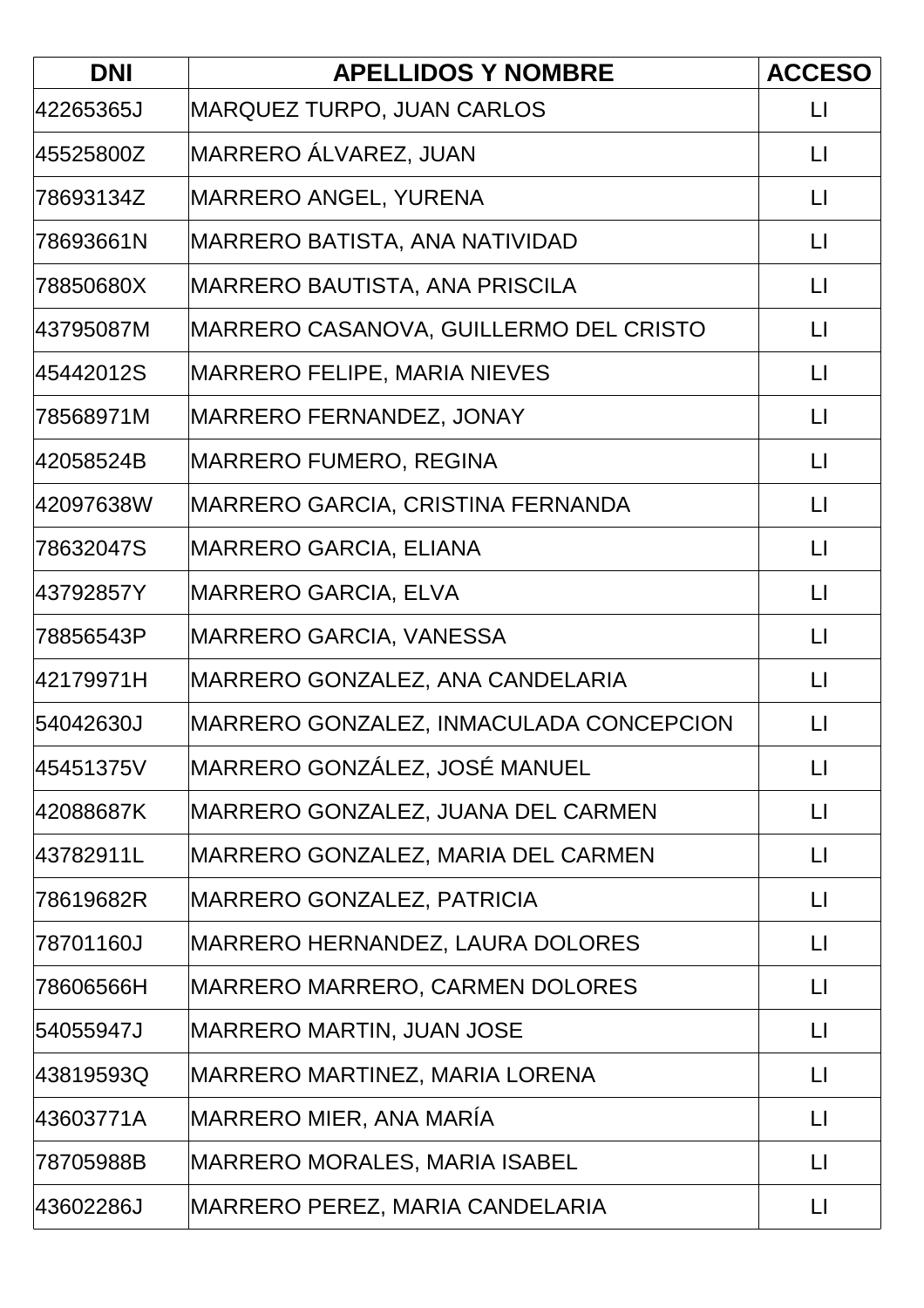| <b>DNI</b> | <b>APELLIDOS Y NOMBRE</b>               | <b>ACCESO</b>     |
|------------|-----------------------------------------|-------------------|
| 42265365J  | <b>MARQUEZ TURPO, JUAN CARLOS</b>       | $\mathsf{L}$      |
| 45525800Z  | MARRERO ÁLVAREZ, JUAN                   | $\mathsf{L}$      |
| 78693134Z  | MARRERO ANGEL, YURENA                   | LI                |
| 78693661N  | MARRERO BATISTA, ANA NATIVIDAD          | $\mathsf{L}$      |
| 78850680X  | MARRERO BAUTISTA, ANA PRISCILA          | $\mathsf{L}$      |
| 43795087M  | MARRERO CASANOVA, GUILLERMO DEL CRISTO  | $\mathsf{L}$      |
| 45442012S  | MARRERO FELIPE, MARIA NIEVES            | $\lfloor \rfloor$ |
| 78568971M  | MARRERO FERNANDEZ, JONAY                | $\mathsf{L}$      |
| 42058524B  | MARRERO FUMERO, REGINA                  | $\mathsf{L}$      |
| 42097638W  | MARRERO GARCIA, CRISTINA FERNANDA       | $\mathsf{L}$      |
| 78632047S  | <b>MARRERO GARCIA, ELIANA</b>           | $\sqcup$          |
| 43792857Y  | <b>MARRERO GARCIA, ELVA</b>             | $\mathsf{L}$      |
| 78856543P  | MARRERO GARCIA, VANESSA                 | $\mathsf{L}$      |
| 42179971H  | MARRERO GONZALEZ, ANA CANDELARIA        | $\mathsf{L}$      |
| 54042630J  | MARRERO GONZALEZ, INMACULADA CONCEPCION | $\lfloor \rfloor$ |
| 45451375V  | MARRERO GONZÁLEZ, JOSÉ MANUEL           | $\lfloor \rfloor$ |
| 42088687K  | MARRERO GONZALEZ, JUANA DEL CARMEN      | $\lfloor \rfloor$ |
| 43782911L  | MARRERO GONZALEZ, MARIA DEL CARMEN      | $\mathsf{L}$      |
| 78619682R  | MARRERO GONZALEZ, PATRICIA              | $\mathsf{L}$      |
| 78701160J  | MARRERO HERNANDEZ, LAURA DOLORES        | $\mathsf{L}$      |
| 78606566H  | MARRERO MARRERO, CARMEN DOLORES         | $\lfloor \rfloor$ |
| 54055947J  | <b>MARRERO MARTIN, JUAN JOSE</b>        | $\mathsf{L}$      |
| 43819593Q  | MARRERO MARTINEZ, MARIA LORENA          | $\mathsf{L}$      |
| 43603771A  | MARRERO MIER, ANA MARÍA                 | LI                |
| 78705988B  | MARRERO MORALES, MARIA ISABEL           | $\mathsf{L}$      |
| 43602286J  | MARRERO PEREZ, MARIA CANDELARIA         | $\lfloor \rfloor$ |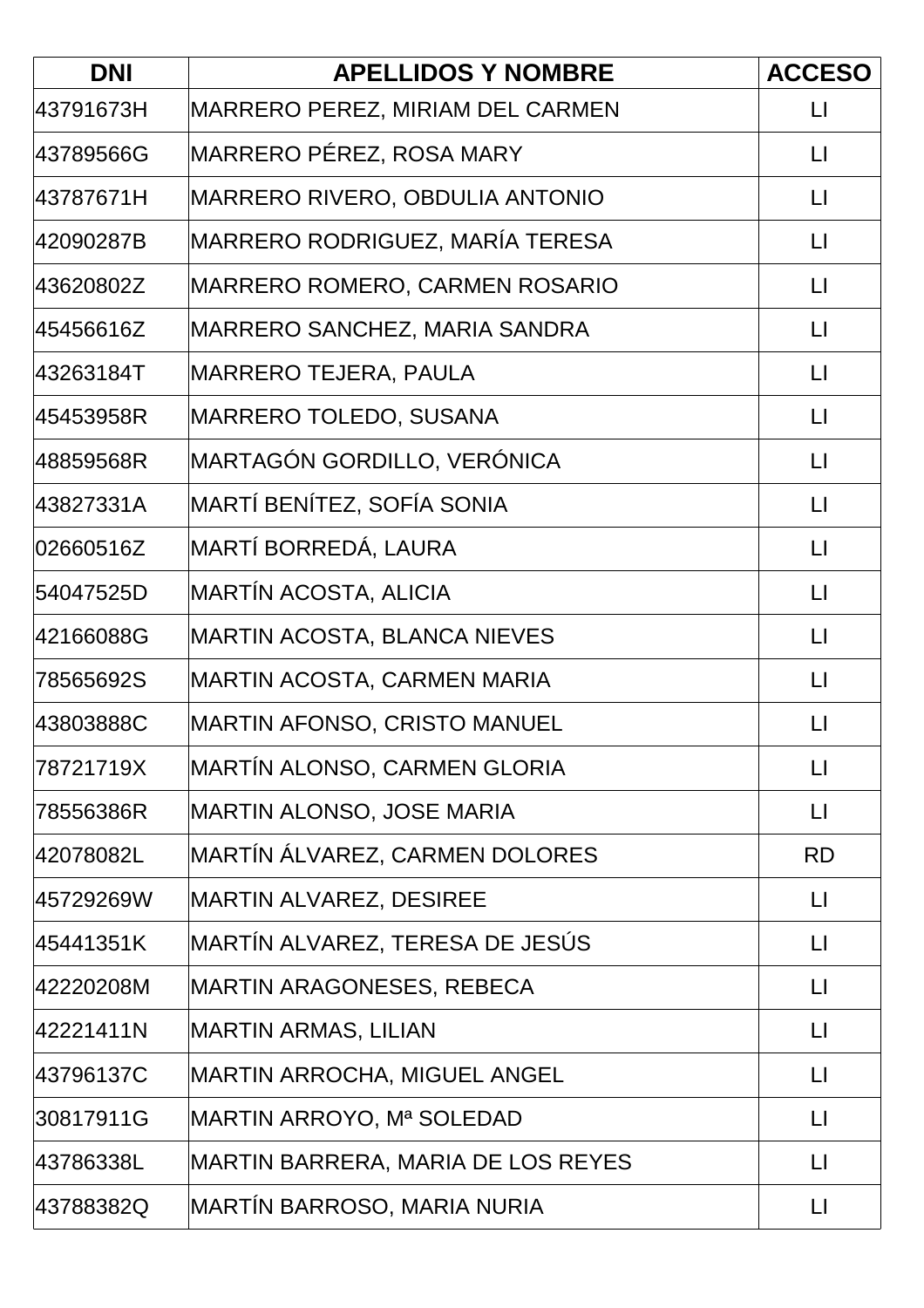| <b>DNI</b> | <b>APELLIDOS Y NOMBRE</b>           | <b>ACCESO</b>     |
|------------|-------------------------------------|-------------------|
| 43791673H  | MARRERO PEREZ, MIRIAM DEL CARMEN    | $\mathsf{L}$      |
| 43789566G  | MARRERO PÉREZ, ROSA MARY            | $\mathsf{L}$      |
| 43787671H  | MARRERO RIVERO, OBDULIA ANTONIO     | LI                |
| 42090287B  | MARRERO RODRIGUEZ, MARÍA TERESA     | $\lfloor \rfloor$ |
| 43620802Z  | MARRERO ROMERO, CARMEN ROSARIO      | $\mathsf{L}$      |
| 45456616Z  | MARRERO SANCHEZ, MARIA SANDRA       | $\mathsf{L}$      |
| 43263184T  | MARRERO TEJERA, PAULA               | $\mathsf{L}$      |
| 45453958R  | <b>MARRERO TOLEDO, SUSANA</b>       | $\mathsf{L}$      |
| 48859568R  | MARTAGÓN GORDILLO, VERÓNICA         | $\mathsf{L}$      |
| 43827331A  | MARTÍ BENÍTEZ, SOFÍA SONIA          | $\mathsf{L}$      |
| 02660516Z  | MARTÍ BORREDÁ, LAURA                | $\lfloor \rfloor$ |
| 54047525D  | MARTÍN ACOSTA, ALICIA               | $\lfloor \rfloor$ |
| 42166088G  | <b>MARTIN ACOSTA, BLANCA NIEVES</b> | $\lfloor \rfloor$ |
| 78565692S  | MARTIN ACOSTA, CARMEN MARIA         | $\mathsf{L}$      |
| 43803888C  | <b>MARTIN AFONSO, CRISTO MANUEL</b> | $\mathsf{L}$      |
| 78721719X  | MARTÍN ALONSO, CARMEN GLORIA        | $\lfloor \rfloor$ |
| 78556386R  | MARTIN ALONSO, JOSE MARIA           | $\mathsf{L}$      |
| 42078082L  | MARTÍN ÁLVAREZ, CARMEN DOLORES      | <b>RD</b>         |
| 45729269W  | <b>MARTIN ALVAREZ, DESIREE</b>      | $\mathsf{L}$      |
| 45441351K  | MARTÍN ALVAREZ, TERESA DE JESÚS     | $\mathsf{L}$      |
| 42220208M  | MARTIN ARAGONESES, REBECA           | $\lfloor \rfloor$ |
| 42221411N  | MARTIN ARMAS, LILIAN                | $\mathsf{L}$      |
| 43796137C  | <b>MARTIN ARROCHA, MIGUEL ANGEL</b> | $\mathsf{L}$      |
| 30817911G  | MARTIN ARROYO, Mª SOLEDAD           | LI                |
| 43786338L  | MARTIN BARRERA, MARIA DE LOS REYES  | $\lfloor \rfloor$ |
| 43788382Q  | MARTÍN BARROSO, MARIA NURIA         | $\mathsf{L}$      |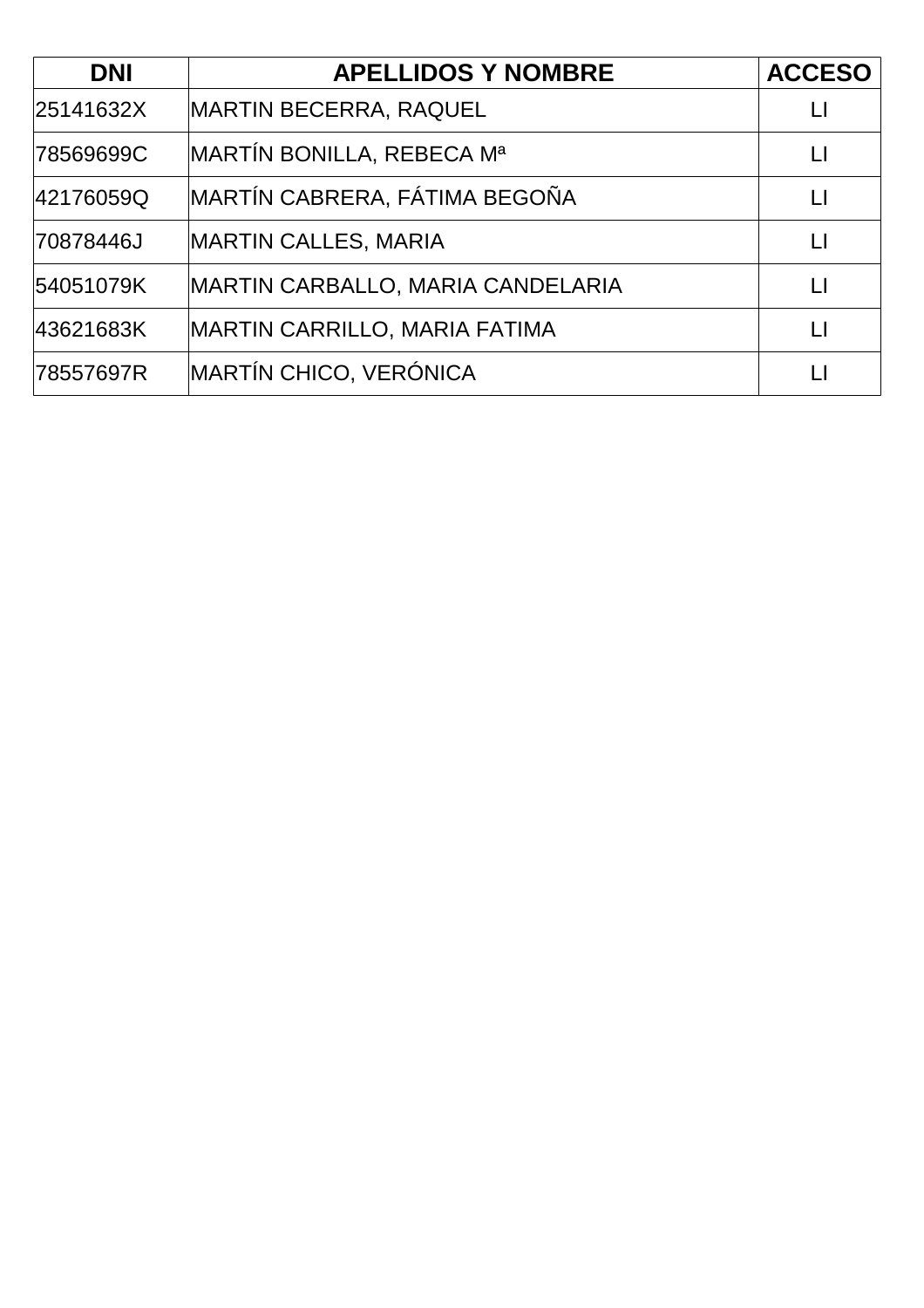| <b>DNI</b> | <b>APELLIDOS Y NOMBRE</b>             | <b>ACCESO</b>          |
|------------|---------------------------------------|------------------------|
| 25141632X  | <b>MARTIN BECERRA, RAQUEL</b>         | Ħ                      |
| 78569699C  | MARTÍN BONILLA, REBECA M <sup>a</sup> | LI                     |
| 42176059Q  | MARTÍN CABRERA, FÁTIMA BEGOÑA         | $\mathsf{L}$           |
| 70878446J  | <b>MARTIN CALLES, MARIA</b>           | $\mathsf{L}$           |
| 54051079K  | MARTIN CARBALLO, MARIA CANDELARIA     | $\mathsf{L}\mathsf{L}$ |
| 43621683K  | <b>MARTIN CARRILLO, MARIA FATIMA</b>  | Ħ                      |
| 78557697R  | MARTÍN CHICO, VERÓNICA                |                        |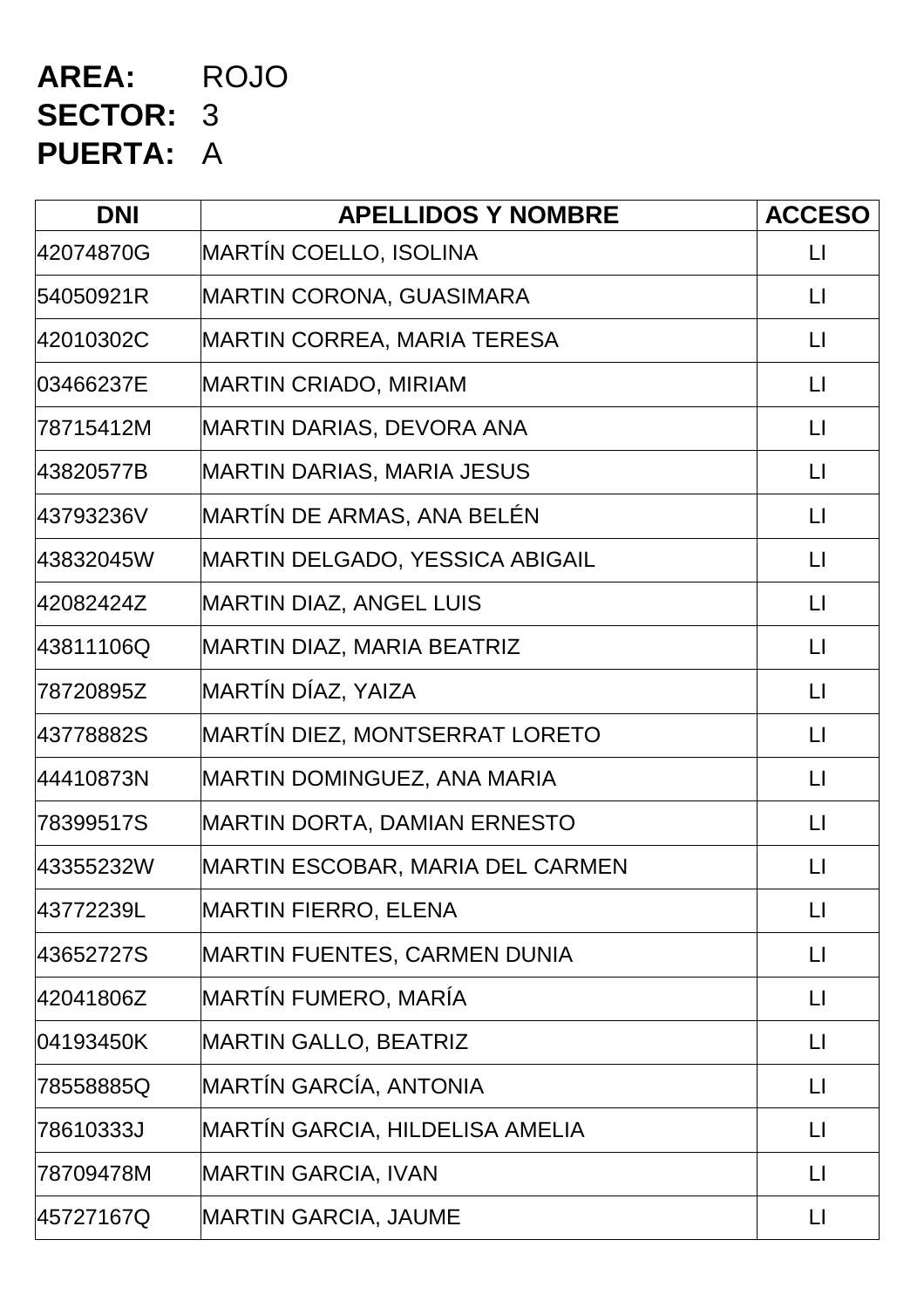# **AREA:** ROJO **SECTOR:** 3 **PUERTA:** A

| <b>DNI</b> | <b>APELLIDOS Y NOMBRE</b>              | <b>ACCESO</b>           |
|------------|----------------------------------------|-------------------------|
| 42074870G  | MARTÍN COELLO, ISOLINA                 | $\Box$                  |
| 54050921R  | <b>MARTIN CORONA, GUASIMARA</b>        | $\Box$                  |
| 42010302C  | MARTIN CORREA, MARIA TERESA            | $\mathsf{L}$            |
| 03466237E  | <b>MARTIN CRIADO, MIRIAM</b>           | $\Box$                  |
| 78715412M  | <b>MARTIN DARIAS, DEVORA ANA</b>       | $\lfloor \cdot \rfloor$ |
| 43820577B  | <b>MARTIN DARIAS, MARIA JESUS</b>      | $\Box$                  |
| 43793236V  | MARTÍN DE ARMAS, ANA BELÉN             | $\Box$                  |
| 43832045W  | <b>MARTIN DELGADO, YESSICA ABIGAIL</b> | $\lfloor \cdot \rfloor$ |
| 42082424Z  | <b>MARTIN DIAZ, ANGEL LUIS</b>         | $\Box$                  |
| 43811106Q  | MARTIN DIAZ, MARIA BEATRIZ             | $\lfloor \rfloor$       |
| 78720895Z  | MARTÍN DÍAZ, YAIZA                     | $\lfloor \cdot \rfloor$ |
| 43778882S  | MARTÍN DIEZ, MONTSERRAT LORETO         | $\Box$                  |
| 44410873N  | MARTIN DOMINGUEZ, ANA MARIA            | $\lfloor \cdot \rfloor$ |
| 78399517S  | <b>MARTIN DORTA, DAMIAN ERNESTO</b>    | $\lfloor \cdot \rfloor$ |
| 43355232W  | MARTIN ESCOBAR, MARIA DEL CARMEN       | $\sqcup$                |
| 43772239L  | <b>MARTIN FIERRO, ELENA</b>            | $\sqcup$                |
| 43652727S  | <b>MARTIN FUENTES, CARMEN DUNIA</b>    | $\lfloor \rfloor$       |
| 42041806Z  | MARTÍN FUMERO, MARÍA                   | $\Box$                  |
| 04193450K  | <b>MARTIN GALLO, BEATRIZ</b>           | $\lfloor \rfloor$       |
| 78558885Q  | MARTÍN GARCÍA, ANTONIA                 | $\sqcup$                |
| 78610333J  | MARTÍN GARCIA, HILDELISA AMELIA        | $\lfloor \cdot \rfloor$ |
| 78709478M  | <b>MARTIN GARCIA, IVAN</b>             | $\lfloor \rfloor$       |
| 45727167Q  | <b>MARTIN GARCIA, JAUME</b>            | $\lfloor \rfloor$       |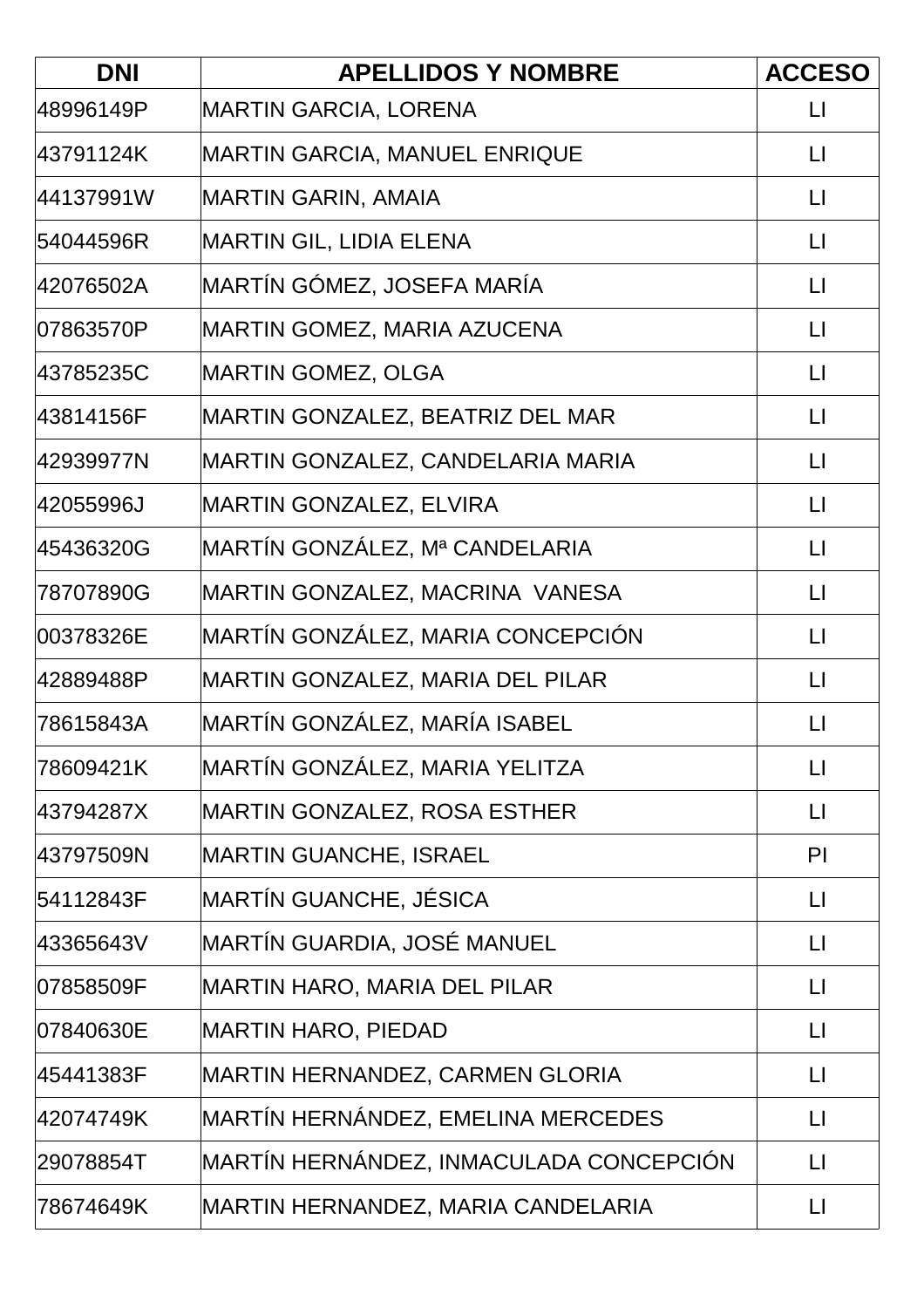| <b>DNI</b> | <b>APELLIDOS Y NOMBRE</b>               | <b>ACCESO</b>     |
|------------|-----------------------------------------|-------------------|
| 48996149P  | <b>MARTIN GARCIA, LORENA</b>            | $\mathsf{L}$      |
| 43791124K  | <b>MARTIN GARCIA, MANUEL ENRIQUE</b>    | $\lfloor \rfloor$ |
| 44137991W  | MARTIN GARIN, AMAIA                     | $\lfloor \rfloor$ |
| 54044596R  | <b>MARTIN GIL, LIDIA ELENA</b>          | $\lfloor \rfloor$ |
| 42076502A  | MARTÍN GÓMEZ, JOSEFA MARIA              | $\mathsf{L}$      |
| 07863570P  | MARTIN GOMEZ, MARIA AZUCENA             | $\mathsf{L}$      |
| 43785235C  | <b>MARTIN GOMEZ, OLGA</b>               | $\lfloor \rfloor$ |
| 43814156F  | MARTIN GONZALEZ, BEATRIZ DEL MAR        | $\mathsf{L}$      |
| 42939977N  | MARTIN GONZALEZ, CANDELARIA MARIA       | $\Box$            |
| 42055996J  | <b>MARTIN GONZALEZ, ELVIRA</b>          | $\mathsf{L}$      |
| 45436320G  | MARTÍN GONZÁLEZ, Mª CANDELARIA          | $\lfloor \rfloor$ |
| 78707890G  | MARTIN GONZALEZ, MACRINA VANESA         | $\lfloor \rfloor$ |
| 00378326E  | MARTÍN GONZÁLEZ, MARIA CONCEPCIÓN       | $\lfloor \rfloor$ |
| 42889488P  | MARTIN GONZALEZ, MARIA DEL PILAR        | $\lfloor \rfloor$ |
| 78615843A  | MARTÍN GONZÁLEZ, MARÍA ISABEL           | $\mathsf{L}$      |
| 78609421K  | MARTÍN GONZÁLEZ, MARIA YELITZA          | $\lfloor \rfloor$ |
| 43794287X  | <b>MARTIN GONZALEZ, ROSA ESTHER</b>     | $\lfloor \rfloor$ |
| 43797509N  | <b>MARTIN GUANCHE, ISRAEL</b>           | PI                |
| 54112843F  | <b>MARTÍN GUANCHE, JÉSICA</b>           | $\lfloor \rfloor$ |
| 43365643V  | MARTÍN GUARDIA, JOSÉ MANUEL             | $\lfloor \rfloor$ |
| 07858509F  | MARTIN HARO, MARIA DEL PILAR            | $\lfloor \rfloor$ |
| 07840630E  | <b>MARTIN HARO, PIEDAD</b>              | $\lfloor \rfloor$ |
| 45441383F  | MARTIN HERNANDEZ, CARMEN GLORIA         | $\mathsf{L}$      |
| 42074749K  | MARTÍN HERNÁNDEZ, EMELINA MERCEDES      | $\lfloor \rfloor$ |
| 29078854T  | MARTÍN HERNÁNDEZ, INMACULADA CONCEPCIÓN | $\lfloor \rfloor$ |
| 78674649K  | MARTIN HERNANDEZ, MARIA CANDELARIA      | $\lfloor \rfloor$ |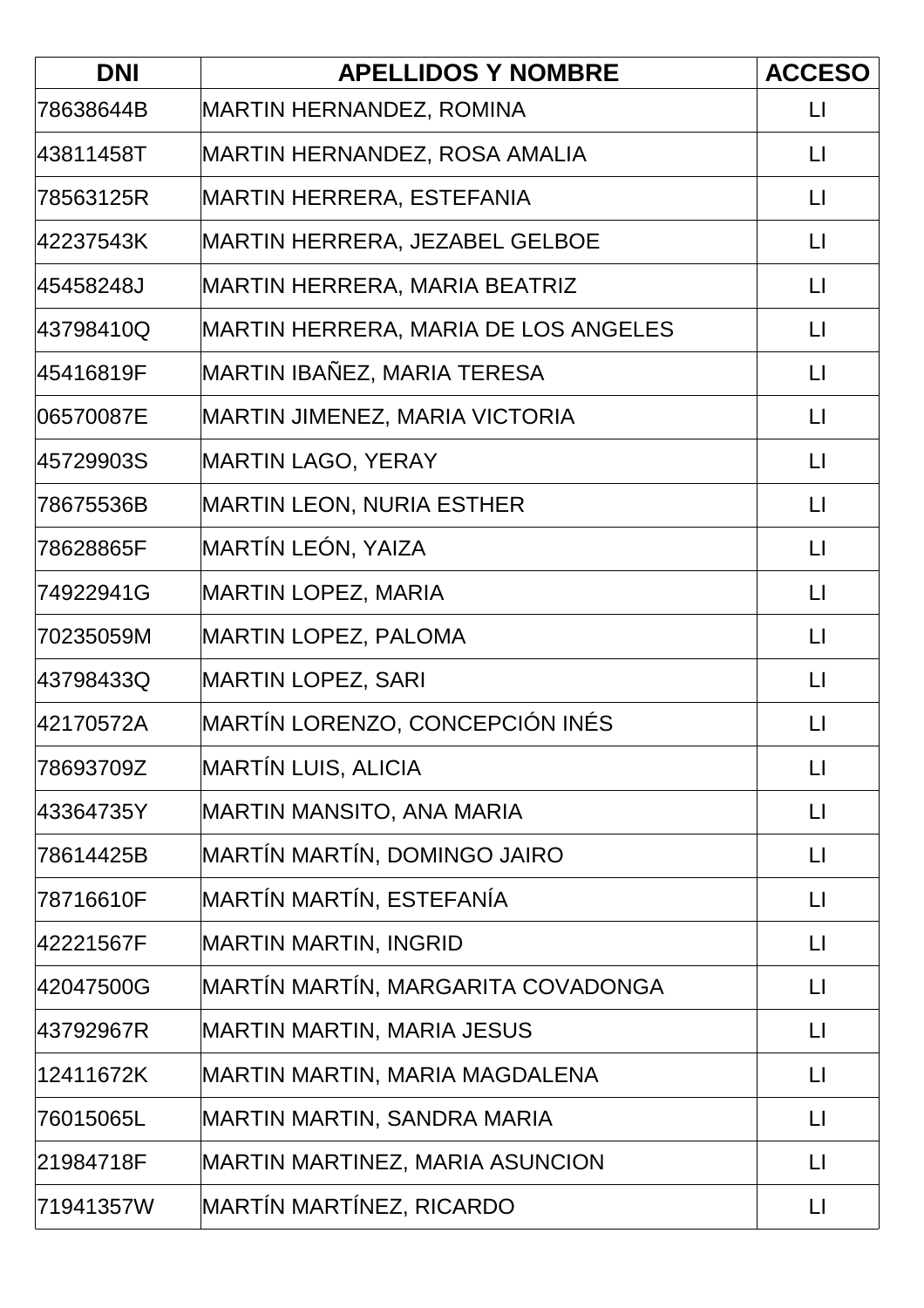| <b>DNI</b> | <b>APELLIDOS Y NOMBRE</b>             | <b>ACCESO</b>           |
|------------|---------------------------------------|-------------------------|
| 78638644B  | <b>MARTIN HERNANDEZ, ROMINA</b>       | $\Box$                  |
| 43811458T  | MARTIN HERNANDEZ, ROSA AMALIA         | $\mathsf{L}$            |
| 78563125R  | MARTIN HERRERA, ESTEFANIA             | $\mathsf{L}$            |
| 42237543K  | MARTIN HERRERA, JEZABEL GELBOE        | $\Box$                  |
| 45458248J  | MARTIN HERRERA, MARIA BEATRIZ         | $\mathsf{L}$            |
| 43798410Q  | MARTIN HERRERA, MARIA DE LOS ANGELES  | $\Box$                  |
| 45416819F  | MARTIN IBAÑEZ, MARIA TERESA           | $\mathsf{L}$            |
| 06570087E  | <b>MARTIN JIMENEZ, MARIA VICTORIA</b> | $\lfloor \rfloor$       |
| 45729903S  | <b>MARTIN LAGO, YERAY</b>             | $\lfloor \cdot \rfloor$ |
| 78675536B  | <b>MARTIN LEON, NURIA ESTHER</b>      | $\mathsf{L}$            |
| 78628865F  | MARTÍN LEÓN, YAIZA                    | $\lfloor \rfloor$       |
| 74922941G  | <b>MARTIN LOPEZ, MARIA</b>            | $\lfloor \rfloor$       |
| 70235059M  | <b>MARTIN LOPEZ, PALOMA</b>           | $\lfloor \rfloor$       |
| 43798433Q  | <b>MARTIN LOPEZ, SARI</b>             | $\lfloor \rfloor$       |
| 42170572A  | MARTÍN LORENZO, CONCEPCIÓN INÉS       | $\mathsf{L}$            |
| 78693709Z  | <b>MARTÍN LUIS, ALICIA</b>            | $\Box$                  |
| 43364735Y  | MARTIN MANSITO, ANA MARIA             | $\mathsf{L}$            |
| 78614425B  | MARTÍN MARTÍN, DOMINGO JAIRO          | $\mathsf{L}$            |
| 78716610F  | MARTÍN MARTÍN, ESTEFANÍA              | $\Box$                  |
| 42221567F  | MARTIN MARTIN, INGRID                 | $\Box$                  |
| 42047500G  | MARTÍN MARTÍN, MARGARITA COVADONGA    | $\Box$                  |
| 43792967R  | <b>MARTIN MARTIN, MARIA JESUS</b>     | $\mathsf{L}$            |
| 12411672K  | MARTIN MARTIN, MARIA MAGDALENA        | $\lfloor \rfloor$       |
| 76015065L  | MARTIN MARTIN, SANDRA MARIA           | $\Box$                  |
| 21984718F  | MARTIN MARTINEZ, MARIA ASUNCION       | $\Box$                  |
| 71941357W  | MARTÍN MARTÍNEZ, RICARDO              | $\mathsf{L}$            |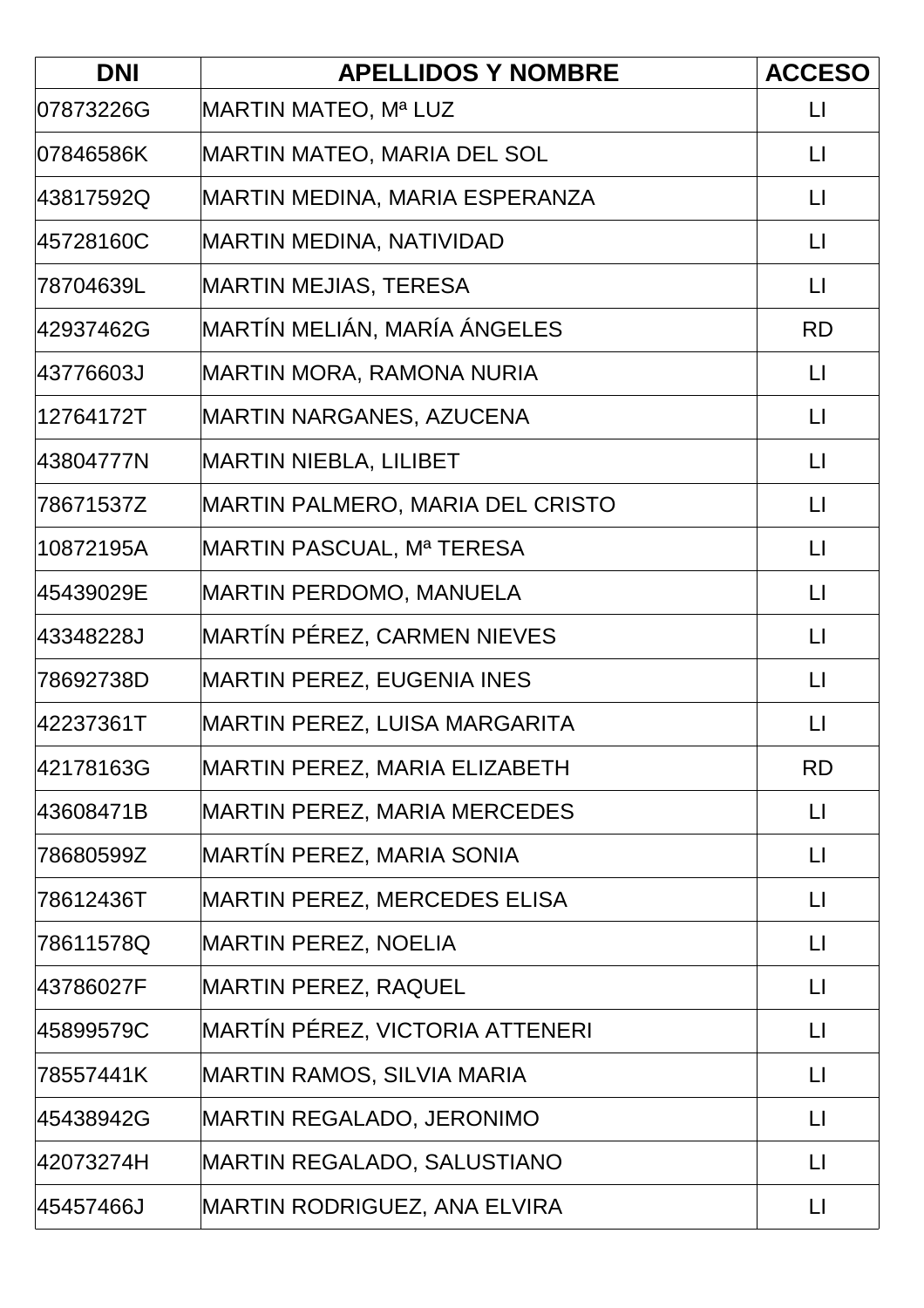| <b>DNI</b> | <b>APELLIDOS Y NOMBRE</b>               | <b>ACCESO</b>           |
|------------|-----------------------------------------|-------------------------|
| 07873226G  | MARTIN MATEO, Mª LUZ                    | $\lfloor \rfloor$       |
| 07846586K  | MARTIN MATEO, MARIA DEL SOL             | $\mathsf{L}$            |
| 43817592Q  | MARTIN MEDINA, MARIA ESPERANZA          | $\mathsf{L}$            |
| 45728160C  | <b>MARTIN MEDINA, NATIVIDAD</b>         | $\Box$                  |
| l78704639L | <b>MARTIN MEJIAS, TERESA</b>            | $\lfloor \cdot \rfloor$ |
| 42937462G  | MARTÍN MELIÁN, MARÍA ÁNGELES            | <b>RD</b>               |
| 43776603J  | MARTIN MORA, RAMONA NURIA               | $\lfloor \cdot \rfloor$ |
| 12764172T  | <b>MARTIN NARGANES, AZUCENA</b>         | $\lfloor \rfloor$       |
| 43804777N  | <b>MARTIN NIEBLA, LILIBET</b>           | $\mathsf{L}$            |
| 78671537Z  | <b>MARTIN PALMERO, MARIA DEL CRISTO</b> | $\lfloor \cdot \rfloor$ |
| 10872195A  | MARTIN PASCUAL, Mª TERESA               | $\lfloor \rfloor$       |
| 45439029E  | <b>MARTIN PERDOMO, MANUELA</b>          | $\lfloor \cdot \rfloor$ |
| 43348228J  | MARTÍN PÉREZ, CARMEN NIEVES             | $\lfloor \cdot \rfloor$ |
| 78692738D  | <b>MARTIN PEREZ, EUGENIA INES</b>       | $\lfloor \rfloor$       |
| 42237361T  | MARTIN PEREZ, LUISA MARGARITA           | $\lfloor \rfloor$       |
| 42178163G  | MARTIN PEREZ, MARIA ELIZABETH           | <b>RD</b>               |
| 43608471B  | MARTIN PEREZ, MARIA MERCEDES            | $\lfloor \rfloor$       |
| 78680599Z  | MARTÍN PEREZ, MARIA SONIA               | $\mathsf{L}$            |
| 78612436T  | <b>MARTIN PEREZ, MERCEDES ELISA</b>     | $\Box$                  |
| 78611578Q  | <b>MARTIN PEREZ, NOELIA</b>             | $\lfloor \cdot \rfloor$ |
| 43786027F  | <b>MARTIN PEREZ, RAQUEL</b>             | $\lfloor \rfloor$       |
| 45899579C  | MARTÍN PÉREZ, VICTORIA ATTENERI         | $\Box$                  |
| 78557441K  | MARTIN RAMOS, SILVIA MARIA              | $\mathsf{L}$            |
| 45438942G  | MARTIN REGALADO, JERONIMO               | $\lfloor \rfloor$       |
| 42073274H  | MARTIN REGALADO, SALUSTIANO             | $\mathsf{L}$            |
| 45457466J  | MARTIN RODRIGUEZ, ANA ELVIRA            | $\mathsf{L}$            |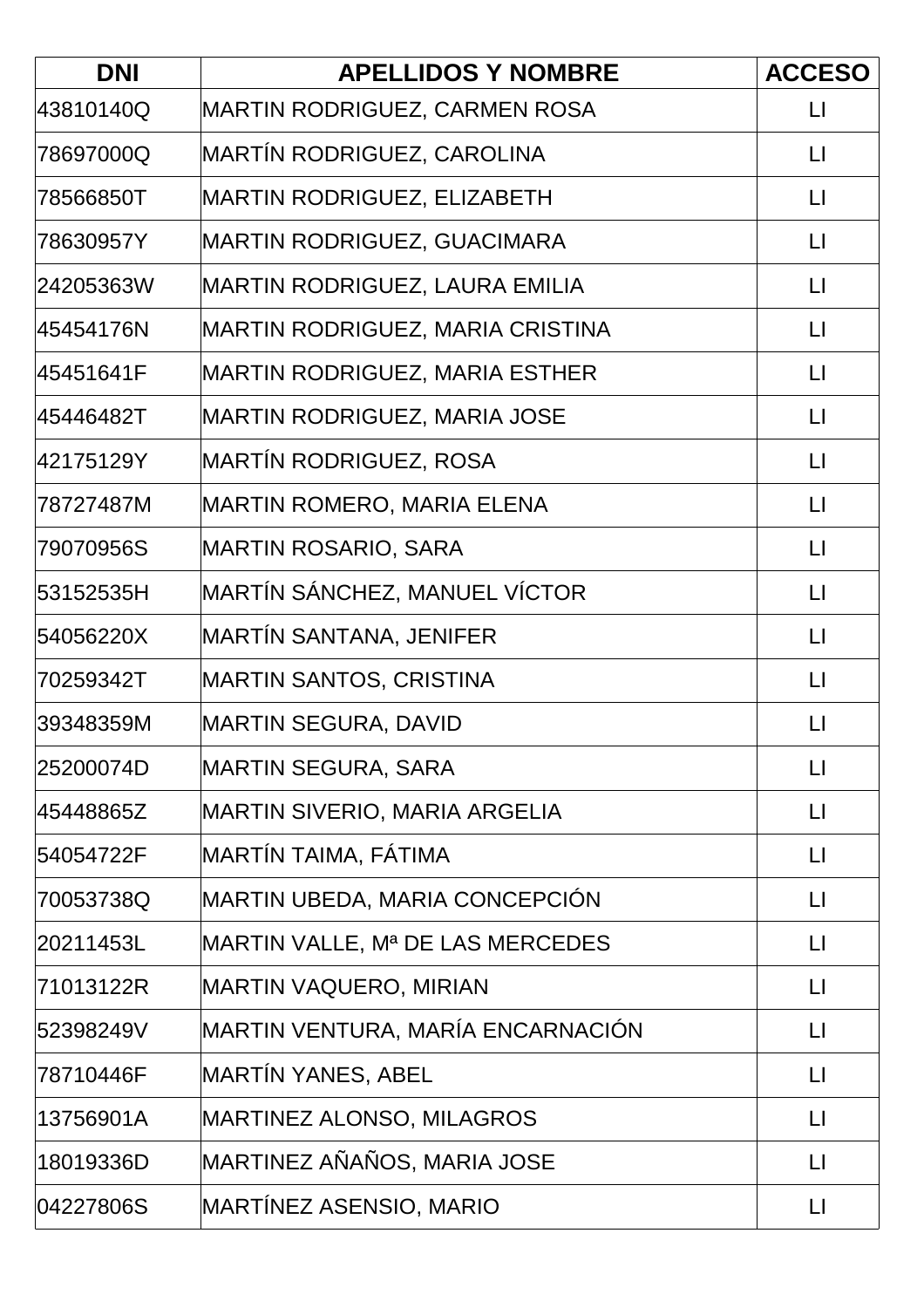| <b>DNI</b> | <b>APELLIDOS Y NOMBRE</b>             | <b>ACCESO</b>           |
|------------|---------------------------------------|-------------------------|
| 43810140Q  | <b>MARTIN RODRIGUEZ, CARMEN ROSA</b>  | $\Box$                  |
| 78697000Q  | MARTÍN RODRIGUEZ, CAROLINA            | $\mathsf{L}$            |
| l78566850T | MARTIN RODRIGUEZ, ELIZABETH           | $\mathsf{L}$            |
| 78630957Y  | <b>MARTIN RODRIGUEZ, GUACIMARA</b>    | $\Box$                  |
| 24205363W  | MARTIN RODRIGUEZ, LAURA EMILIA        | $\lfloor \cdot \rfloor$ |
| 45454176N  | MARTIN RODRIGUEZ, MARIA CRISTINA      | $\Box$                  |
| 45451641F  | <b>MARTIN RODRIGUEZ, MARIA ESTHER</b> | $\Box$                  |
| 45446482T  | MARTIN RODRIGUEZ, MARIA JOSE          | $\lfloor \rfloor$       |
| 42175129Y  | MARTÍN RODRIGUEZ, ROSA                | $\mathsf{L}$            |
| 78727487M  | <b>MARTIN ROMERO, MARIA ELENA</b>     | $\mathsf{L}$            |
| 79070956S  | MARTIN ROSARIO, SARA                  | $\Box$                  |
| 53152535H  | MARTÍN SÁNCHEZ, MANUEL VÍCTOR         | $\Box$                  |
| 54056220X  | MARTÍN SANTANA, JENIFER               | $\Box$                  |
| 70259342T  | <b>MARTIN SANTOS, CRISTINA</b>        | $\Box$                  |
| 39348359M  | <b>MARTIN SEGURA, DAVID</b>           | $\mathsf{L}$            |
| 25200074D  | MARTIN SEGURA, SARA                   | $\lfloor \cdot \rfloor$ |
| 45448865Z  | <b>MARTIN SIVERIO, MARIA ARGELIA</b>  | $\Box$                  |
| 54054722F  | MARTÍN TAIMA, FÁTIMA                  | $\Box$                  |
| 70053738Q  | MARTIN UBEDA, MARIA CONCEPCIÓN        | $\Box$                  |
| 20211453L  | MARTIN VALLE, Mª DE LAS MERCEDES      | $\lfloor \rfloor$       |
| 71013122R  | MARTIN VAQUERO, MIRIAN                | $\lfloor \rfloor$       |
| 52398249V  | MARTIN VENTURA, MARÍA ENCARNACIÓN     | $\mathsf{L}$            |
| 78710446F  | MARTÍN YANES, ABEL                    | $\lfloor \cdot \rfloor$ |
| 13756901A  | MARTINEZ ALONSO, MILAGROS             | $\lfloor \rfloor$       |
| 18019336D  | MARTINEZ AÑAÑOS, MARIA JOSE           | $\Box$                  |
| 04227806S  | MARTÍNEZ ASENSIO, MARIO               | $\lfloor \rfloor$       |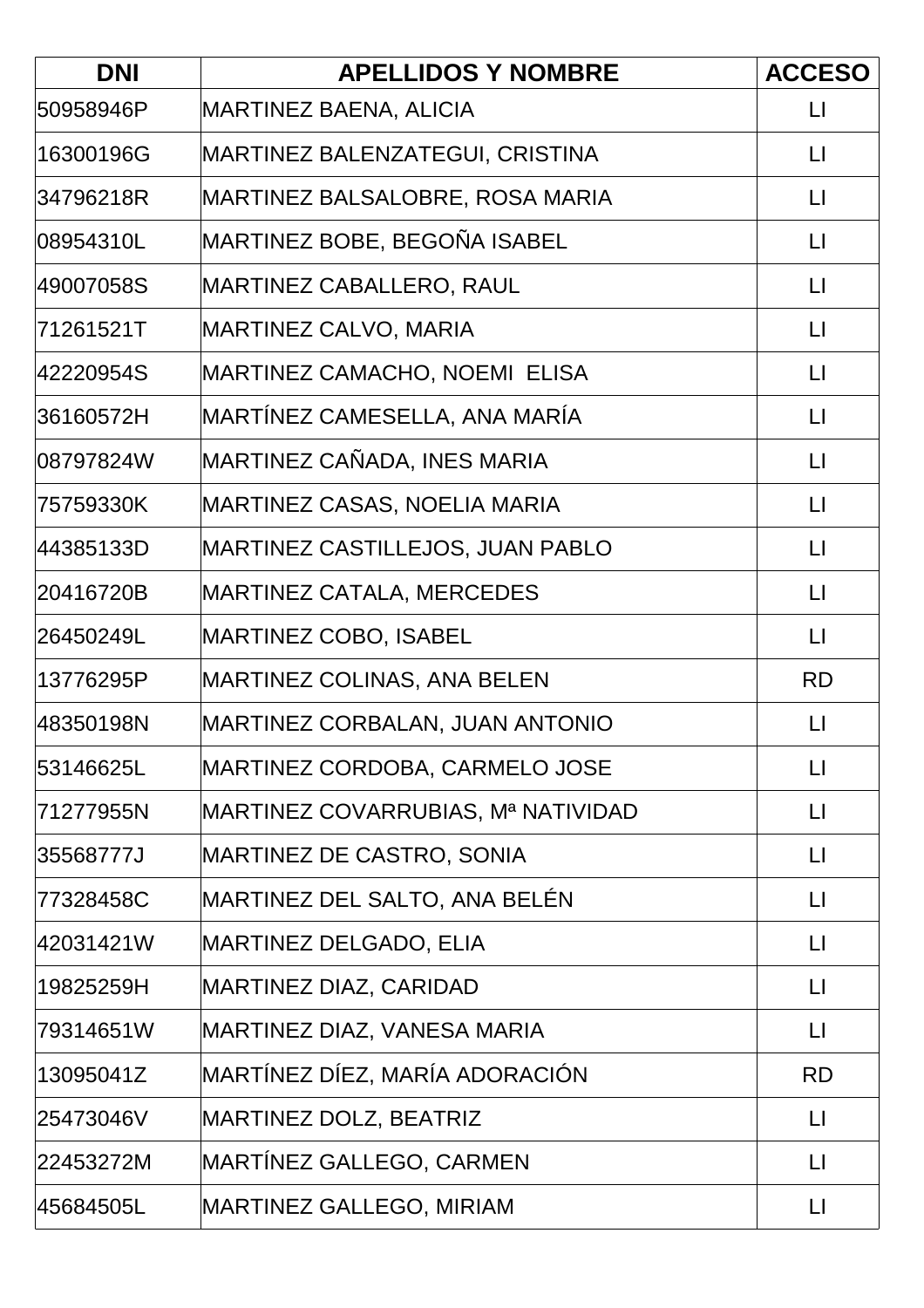| <b>DNI</b> | <b>APELLIDOS Y NOMBRE</b>           | <b>ACCESO</b>           |
|------------|-------------------------------------|-------------------------|
| 50958946P  | <b>MARTINEZ BAENA, ALICIA</b>       | $\Box$                  |
| 16300196G  | MARTINEZ BALENZATEGUI, CRISTINA     | $\mathsf{L}$            |
| 34796218R  | MARTINEZ BALSALOBRE, ROSA MARIA     | $\mathsf{L}$            |
| 08954310L  | MARTINEZ BOBE, BEGOÑA ISABEL        | $\Box$                  |
| 49007058S  | MARTINEZ CABALLERO, RAUL            | $\lfloor \rfloor$       |
| 71261521T  | MARTINEZ CALVO, MARIA               | $\lfloor \cdot \rfloor$ |
| 42220954S  | MARTINEZ CAMACHO, NOEMI ELISA       | $\Box$                  |
| 36160572H  | MARTÍNEZ CAMESELLA, ANA MARÍA       | $\lfloor \rfloor$       |
| l08797824W | MARTINEZ CAÑADA, INES MARIA         | $\mathsf{L}$            |
| 75759330K  | <b>MARTINEZ CASAS, NOELIA MARIA</b> | $\mathsf{L}$            |
| 44385133D  | MARTINEZ CASTILLEJOS, JUAN PABLO    | $\lfloor \rfloor$       |
| 20416720B  | MARTINEZ CATALA, MERCEDES           | $\Box$                  |
| 26450249L  | <b>MARTINEZ COBO, ISABEL</b>        | $\lfloor \cdot \rfloor$ |
| 13776295P  | MARTINEZ COLINAS, ANA BELEN         | <b>RD</b>               |
| 48350198N  | MARTINEZ CORBALAN, JUAN ANTONIO     | $\mathsf{L}$            |
| 53146625L  | MARTINEZ CORDOBA, CARMELO JOSE      | $\lfloor \cdot \rfloor$ |
| 71277955N  | MARTINEZ COVARRUBIAS, Mª NATIVIDAD  | $\lfloor \rfloor$       |
| 35568777J  | <b>MARTINEZ DE CASTRO, SONIA</b>    | $\Box$                  |
| 77328458C  | MARTINEZ DEL SALTO, ANA BELÉN       | $\lfloor \rfloor$       |
| 42031421W  | <b>MARTINEZ DELGADO, ELIA</b>       | $\lfloor \rfloor$       |
| 19825259H  | <b>MARTINEZ DIAZ, CARIDAD</b>       | $\Box$                  |
| 79314651W  | MARTINEZ DIAZ, VANESA MARIA         | $\lfloor \rfloor$       |
| 13095041Z  | MARTÍNEZ DÍEZ, MARÍA ADORACIÓN      | <b>RD</b>               |
| 25473046V  | <b>MARTINEZ DOLZ, BEATRIZ</b>       | $\lfloor \rfloor$       |
| 22453272M  | MARTÍNEZ GALLEGO, CARMEN            | $\lfloor \cdot \rfloor$ |
| 45684505L  | MARTINEZ GALLEGO, MIRIAM            | $\Box$                  |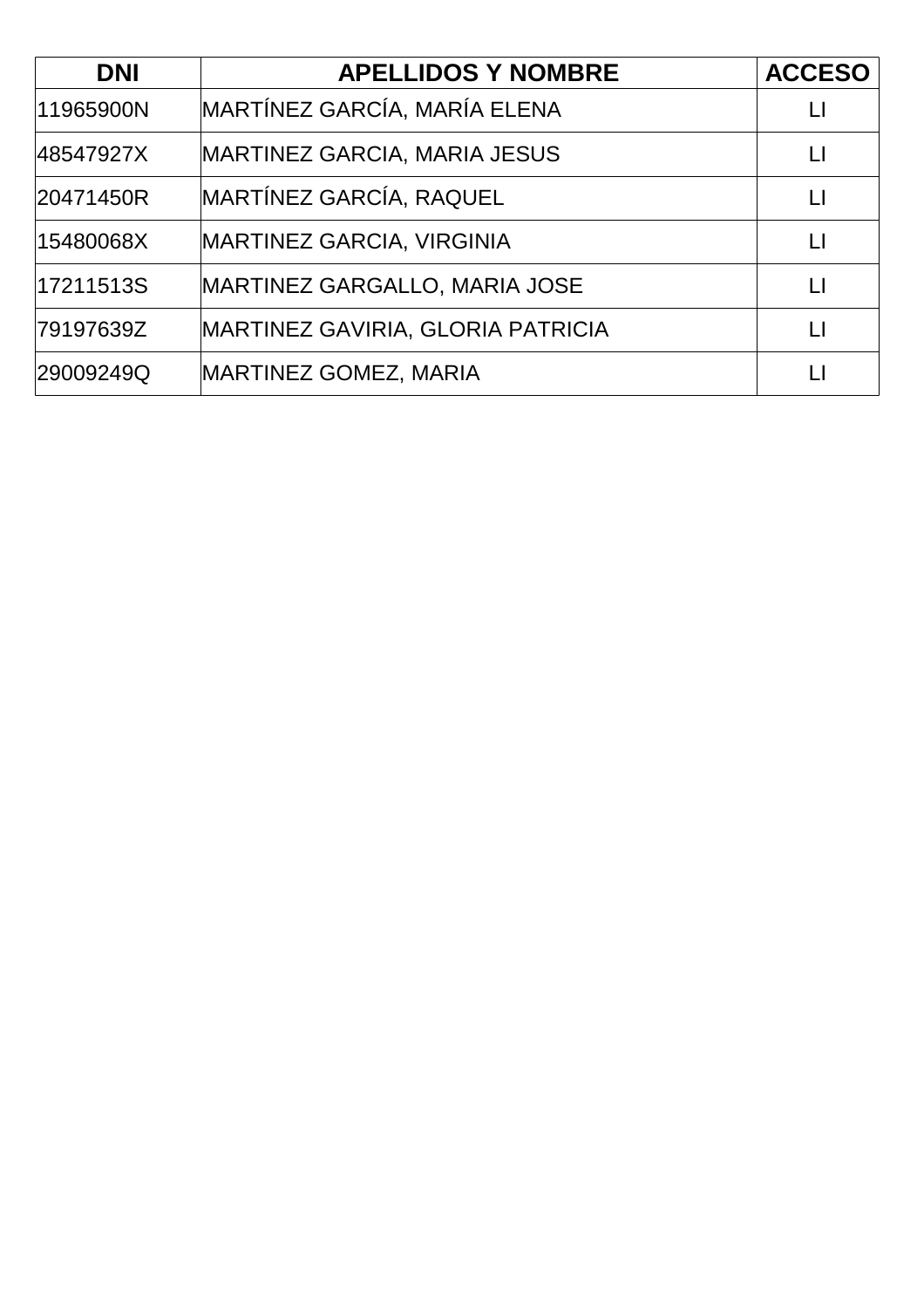| <b>DNI</b> | <b>APELLIDOS Y NOMBRE</b>                | <b>ACCESO</b> |
|------------|------------------------------------------|---------------|
| 11965900N  | MARTÍNEZ GARCÍA, MARÍA ELENA             |               |
| 48547927X  | <b>MARTINEZ GARCIA, MARIA JESUS</b>      |               |
| 20471450R  | <b>MARTÍNEZ GARCÍA, RAQUEL</b>           | $\mathsf{L}$  |
| 15480068X  | <b>MARTINEZ GARCIA, VIRGINIA</b>         | Ħ             |
| 17211513S  | <b>MARTINEZ GARGALLO, MARIA JOSE</b>     | П             |
| 79197639Z  | <b>MARTINEZ GAVIRIA, GLORIA PATRICIA</b> | П             |
| 29009249Q  | <b>MARTINEZ GOMEZ, MARIA</b>             |               |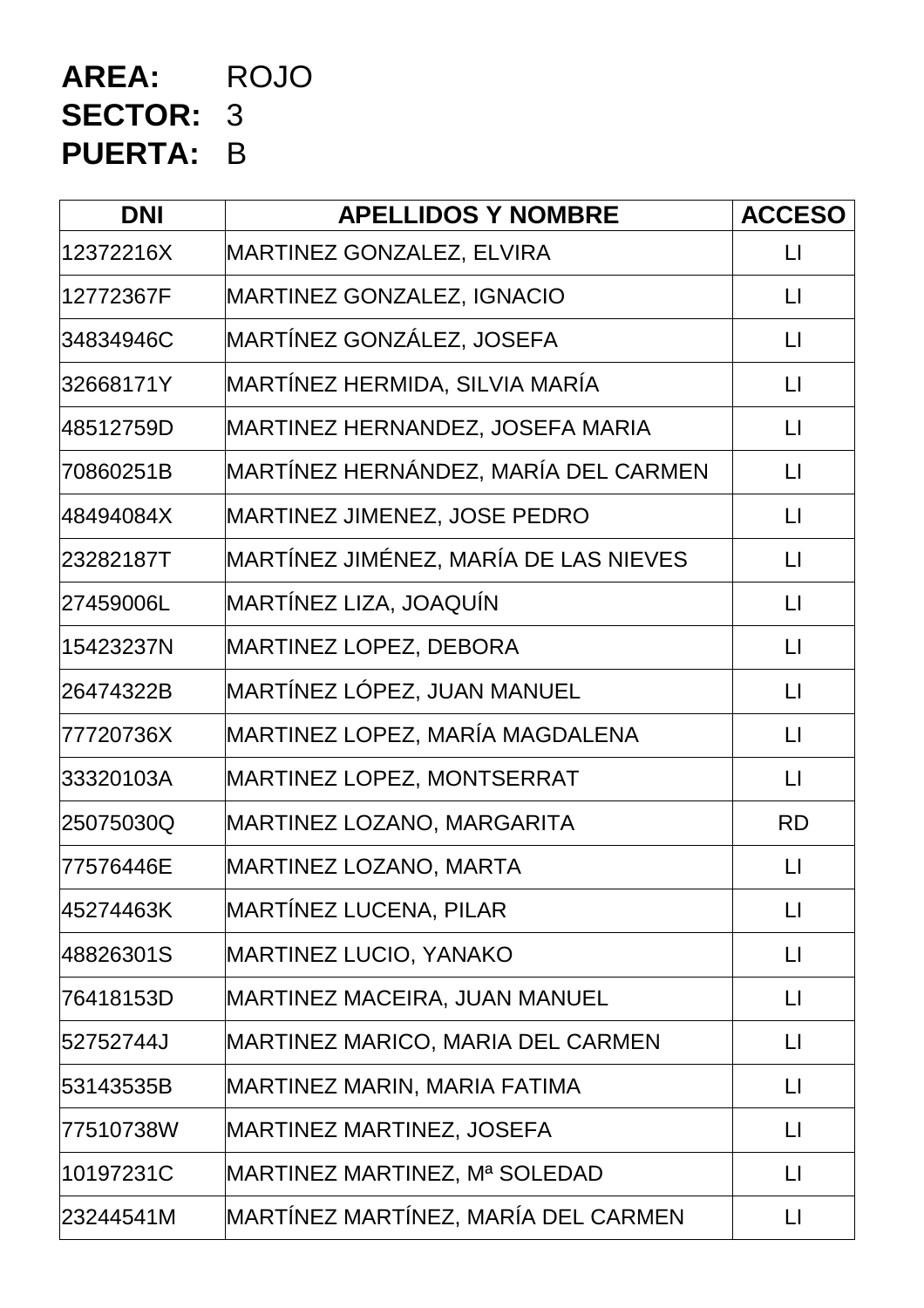## **AREA:** ROJO **SECTOR:** 3 **PUERTA:** B

| <b>DNI</b> | <b>APELLIDOS Y NOMBRE</b>             | <b>ACCESO</b>           |
|------------|---------------------------------------|-------------------------|
| 12372216X  | MARTINEZ GONZALEZ, ELVIRA             | $\mathsf{L}$            |
| 12772367F  | MARTINEZ GONZALEZ, IGNACIO            | $\lfloor \rfloor$       |
| 34834946C  | MARTÍNEZ GONZÁLEZ, JOSEFA             | $\lfloor \cdot \rfloor$ |
| 32668171Y  | MARTÍNEZ HERMIDA, SILVIA MARÍA        | $\lfloor \rfloor$       |
| 48512759D  | MARTINEZ HERNANDEZ, JOSEFA MARIA      | $\Box$                  |
| 70860251B  | MARTÍNEZ HERNÁNDEZ, MARÍA DEL CARMEN  | $\lfloor \rfloor$       |
| 48494084X  | MARTINEZ JIMENEZ, JOSE PEDRO          | $\lfloor \rfloor$       |
| 23282187T  | MARTÍNEZ JIMÉNEZ, MARÍA DE LAS NIEVES | $\Box$                  |
| 27459006L  | MARTÍNEZ LIZA, JOAQUÍN                | $\lfloor \rfloor$       |
| 15423237N  | <b>MARTINEZ LOPEZ, DEBORA</b>         | $\lfloor \rfloor$       |
| 26474322B  | MARTÍNEZ LÓPEZ, JUAN MANUEL           | $\lfloor \rfloor$       |
| 77720736X  | MARTINEZ LOPEZ, MARÍA MAGDALENA       | $\Box$                  |
| 33320103A  | MARTINEZ LOPEZ, MONTSERRAT            | $\lfloor \rfloor$       |
| 25075030Q  | MARTINEZ LOZANO, MARGARITA            | <b>RD</b>               |
| 77576446E  | MARTINEZ LOZANO, MARTA                | $\lfloor \rfloor$       |
| 45274463K  | MARTÍNEZ LUCENA, PILAR                | $\lfloor \rfloor$       |
| 48826301S  | <b>MARTINEZ LUCIO, YANAKO</b>         | $\lfloor \rfloor$       |
| 76418153D  | MARTINEZ MACEIRA, JUAN MANUEL         | $\mathsf{L}\mathsf{L}$  |
| 52752744J  | MARTINEZ MARICO, MARIA DEL CARMEN     | $\lfloor \rfloor$       |
| 53143535B  | MARTINEZ MARIN, MARIA FATIMA          | $\lfloor \rfloor$       |
| 77510738W  | <b>MARTINEZ MARTINEZ, JOSEFA</b>      | $\lfloor \rfloor$       |
| 10197231C  | MARTINEZ MARTINEZ, Mª SOLEDAD         | П                       |
| 23244541M  | MARTÍNEZ MARTÍNEZ, MARÍA DEL CARMEN   | $\lfloor \rfloor$       |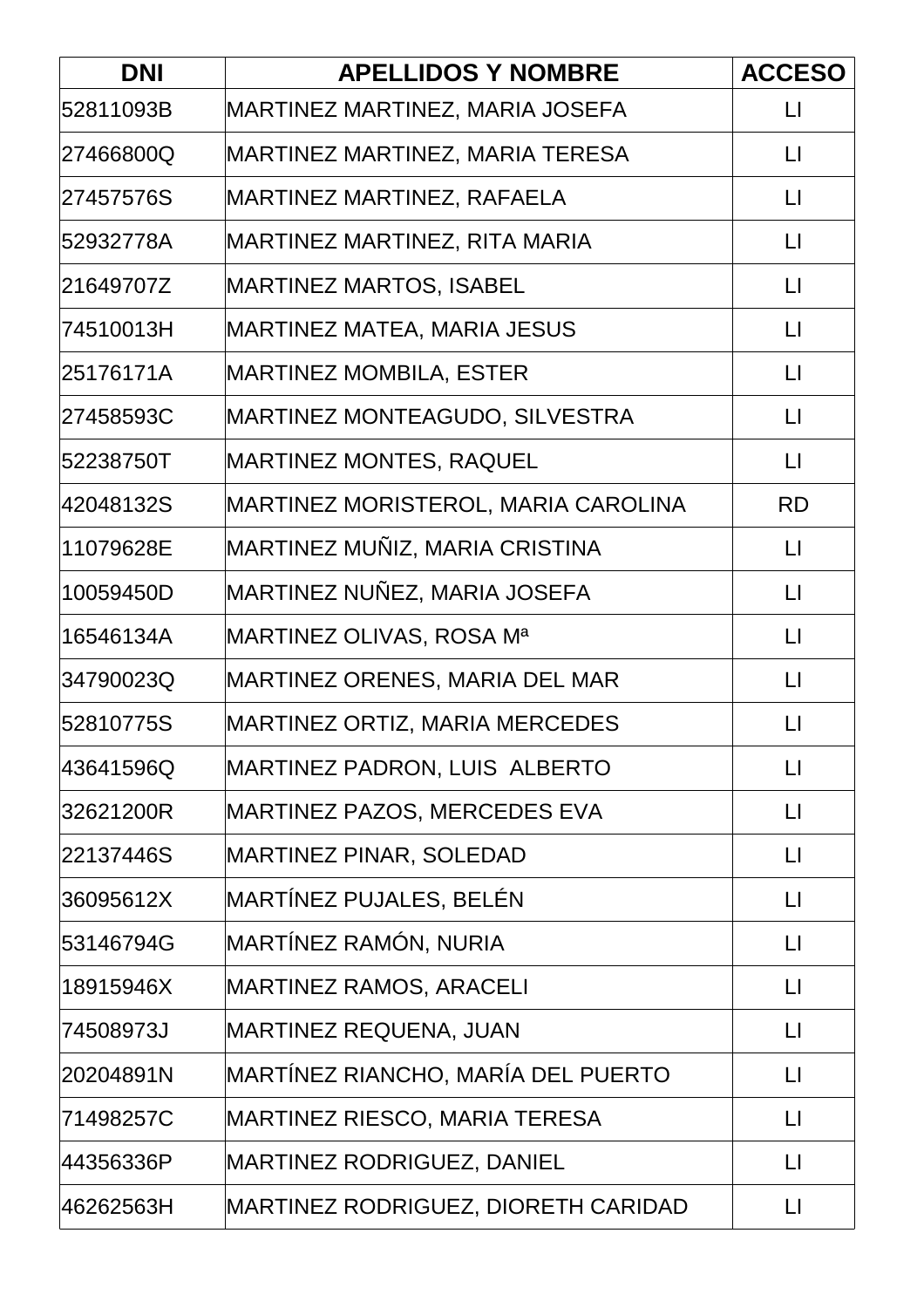| <b>DNI</b> | <b>APELLIDOS Y NOMBRE</b>                  | <b>ACCESO</b>           |
|------------|--------------------------------------------|-------------------------|
| 52811093B  | MARTINEZ MARTINEZ, MARIA JOSEFA            | $\lfloor \rfloor$       |
| 27466800Q  | MARTINEZ MARTINEZ, MARIA TERESA            | $\lfloor \rfloor$       |
| 27457576S  | MARTINEZ MARTINEZ, RAFAELA                 | $\mathsf{L}$            |
| 52932778A  | MARTINEZ MARTINEZ, RITA MARIA              | $\lfloor \rfloor$       |
| 21649707Z  | <b>MARTINEZ MARTOS, ISABEL</b>             | $\lfloor \rfloor$       |
| 74510013H  | MARTINEZ MATEA, MARIA JESUS                | $\lfloor \rfloor$       |
| 25176171A  | <b>MARTINEZ MOMBILA, ESTER</b>             | $\Box$                  |
| 27458593C  | MARTINEZ MONTEAGUDO, SILVESTRA             | $\lfloor \rfloor$       |
| 52238750T  | <b>MARTINEZ MONTES, RAQUEL</b>             | $\lfloor \rfloor$       |
| 42048132S  | MARTINEZ MORISTEROL, MARIA CAROLINA        | <b>RD</b>               |
| 11079628E  | MARTINEZ MUÑIZ, MARIA CRISTINA             | $\lfloor \rfloor$       |
| 10059450D  | MARTINEZ NUÑEZ, MARIA JOSEFA               | $\lfloor \rfloor$       |
| 16546134A  | MARTINEZ OLIVAS, ROSA Mª                   | $\lfloor \rfloor$       |
| 34790023Q  | <b>MARTINEZ ORENES, MARIA DEL MAR</b>      | $\Box$                  |
| 52810775S  | <b>MARTINEZ ORTIZ, MARIA MERCEDES</b>      | $\lfloor \rfloor$       |
| 43641596Q  | MARTINEZ PADRON, LUIS ALBERTO              | $\lfloor \cdot \rfloor$ |
| 32621200R  | <b>MARTINEZ PAZOS, MERCEDES EVA</b>        | $\lfloor \rfloor$       |
| 22137446S  | MARTINEZ PINAR, SOLEDAD                    | $\lfloor \rfloor$       |
| 36095612X  | MARTÍNEZ PUJALES, BELÉN                    | $\lfloor \rfloor$       |
| 53146794G  | MARTÍNEZ RAMÓN, NURIA                      | $\Box$                  |
| 18915946X  | <b>MARTINEZ RAMOS, ARACELI</b>             | $\lfloor \rfloor$       |
| 74508973J  | <b>MARTINEZ REQUENA, JUAN</b>              | $\mathsf{L}\mathsf{I}$  |
| 20204891N  | MARTÍNEZ RIANCHO, MARÍA DEL PUERTO         | $\lfloor \rfloor$       |
| 71498257C  | <b>MARTINEZ RIESCO, MARIA TERESA</b>       | $\lfloor \rfloor$       |
| 44356336P  | <b>MARTINEZ RODRIGUEZ, DANIEL</b>          | $\lfloor \rfloor$       |
| 46262563H  | <b>MARTINEZ RODRIGUEZ, DIORETH CARIDAD</b> | $\lfloor \rfloor$       |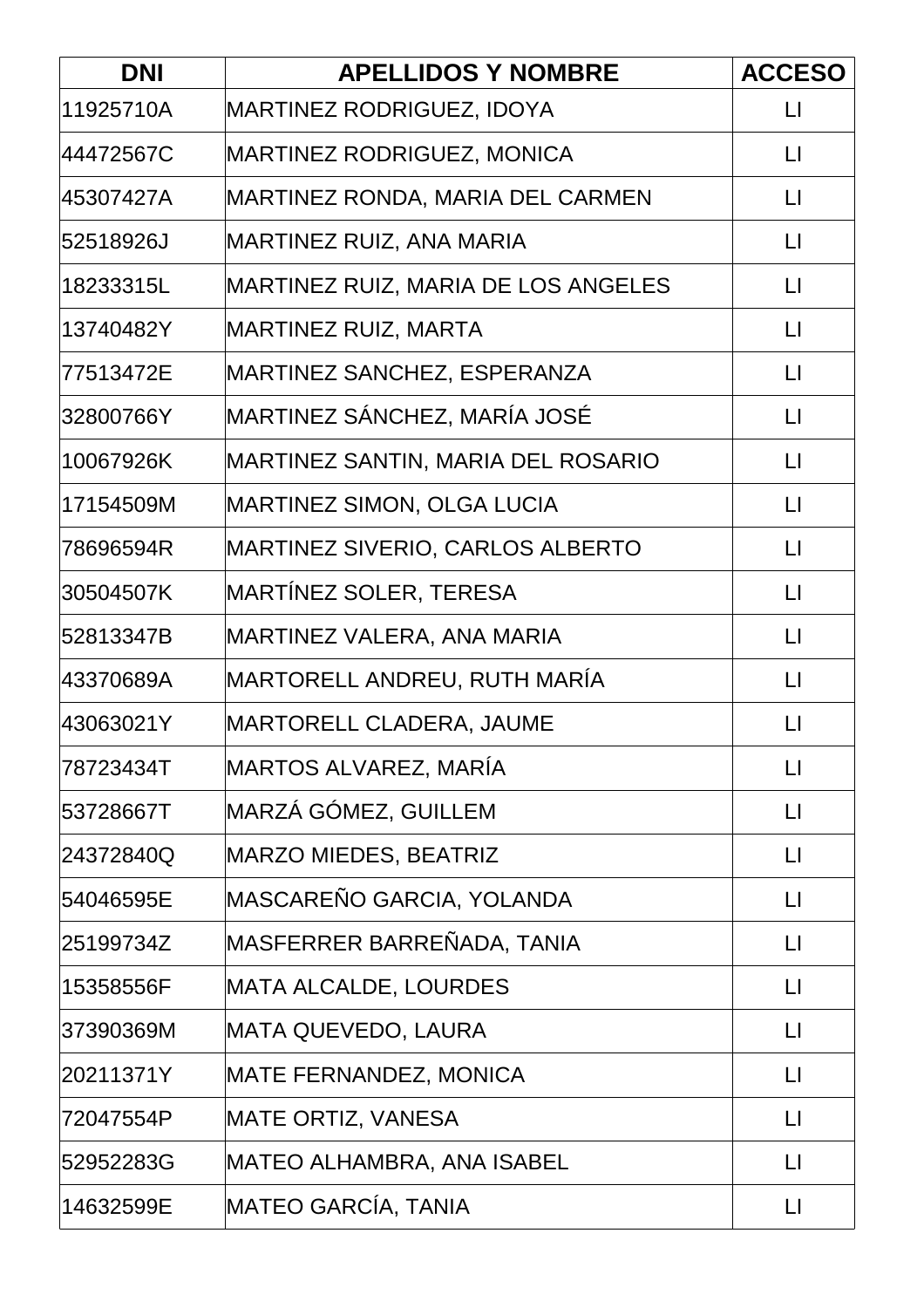| <b>DNI</b> | <b>APELLIDOS Y NOMBRE</b>                  | <b>ACCESO</b>           |
|------------|--------------------------------------------|-------------------------|
| 11925710A  | <b>MARTINEZ RODRIGUEZ, IDOYA</b>           | $\lfloor \rfloor$       |
| 44472567C  | <b>MARTINEZ RODRIGUEZ, MONICA</b>          | $\lfloor \rfloor$       |
| 45307427A  | MARTINEZ RONDA, MARIA DEL CARMEN           | $\mathsf{L}$            |
| 52518926J  | MARTINEZ RUIZ, ANA MARIA                   | $\lfloor \rfloor$       |
| 18233315L  | <b>MARTINEZ RUIZ, MARIA DE LOS ANGELES</b> | $\lfloor \rfloor$       |
| 13740482Y  | MARTINEZ RUIZ, MARTA                       | $\mathsf{L}$            |
| 77513472E  | MARTINEZ SANCHEZ, ESPERANZA                | $\Box$                  |
| 32800766Y  | MARTINEZ SÁNCHEZ, MARÍA JOSÉ               | $\lfloor \rfloor$       |
| 10067926K  | MARTINEZ SANTIN, MARIA DEL ROSARIO         | $\lfloor \rfloor$       |
| 17154509M  | <b>MARTINEZ SIMON, OLGA LUCIA</b>          | $\lfloor \rfloor$       |
| 78696594R  | MARTINEZ SIVERIO, CARLOS ALBERTO           | $\lfloor \rfloor$       |
| 30504507K  | MARTÍNEZ SOLER, TERESA                     | $\lfloor \rfloor$       |
| 52813347B  | MARTINEZ VALERA, ANA MARIA                 | $\lfloor \rfloor$       |
| 43370689A  | MARTORELL ANDREU, RUTH MARÍA               | $\lfloor \rfloor$       |
| 43063021Y  | <b>MARTORELL CLADERA, JAUME</b>            | $\lfloor \rfloor$       |
| 78723434T  | MARTOS ALVAREZ, MARÍA                      | $\lfloor \cdot \rfloor$ |
| 53728667T  | MARZÁ GÓMEZ, GUILLEM                       | $\Box$                  |
| 24372840Q  | <b>MARZO MIEDES, BEATRIZ</b>               | $\lfloor \rfloor$       |
| 54046595E  | MASCAREÑO GARCIA, YOLANDA                  | $\lfloor \cdot \rfloor$ |
| 25199734Z  | MASFERRER BARREÑADA, TANIA                 | $\Box$                  |
| 15358556F  | <b>MATA ALCALDE, LOURDES</b>               | $\lfloor \rfloor$       |
| 37390369M  | MATA QUEVEDO, LAURA                        | $\mathsf{L}\mathsf{I}$  |
| 20211371Y  | <b>MATE FERNANDEZ, MONICA</b>              | $\lfloor \rfloor$       |
| 72047554P  | MATE ORTIZ, VANESA                         | $\lfloor \rfloor$       |
| 52952283G  | MATEO ALHAMBRA, ANA ISABEL                 | $\lfloor \rfloor$       |
| 14632599E  | MATEO GARCÍA, TANIA                        | $\lfloor \rfloor$       |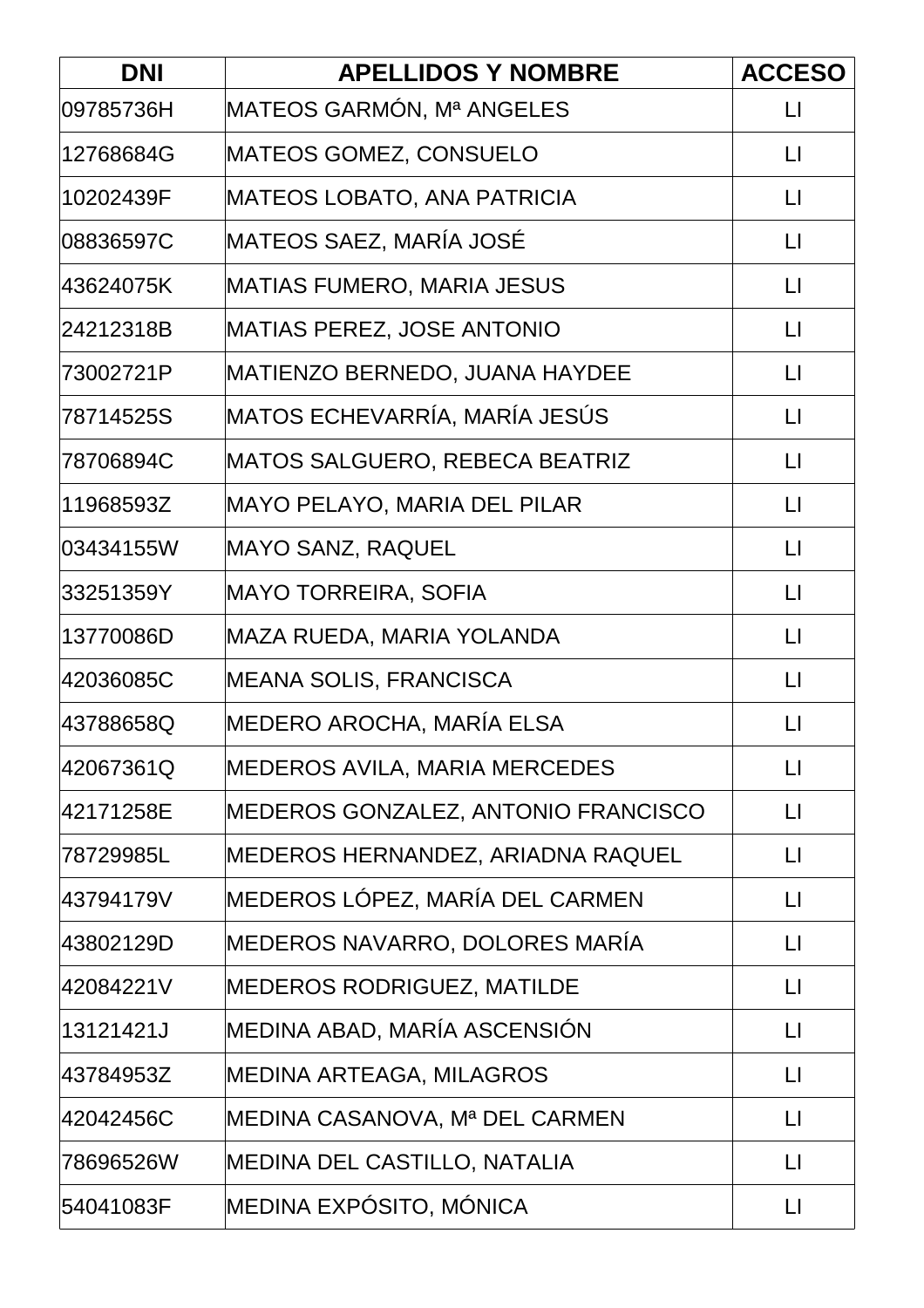| <b>DNI</b> | <b>APELLIDOS Y NOMBRE</b>           | <b>ACCESO</b>           |
|------------|-------------------------------------|-------------------------|
| 09785736H  | MATEOS GARMÓN, Mª ANGELES           | $\lfloor \rfloor$       |
| 12768684G  | <b>MATEOS GOMEZ, CONSUELO</b>       | $\lfloor \rfloor$       |
| 10202439F  | MATEOS LOBATO, ANA PATRICIA         | $\lfloor \rfloor$       |
| 08836597C  | MATEOS SAEZ, MARÍA JOSÉ             | $\lfloor \rfloor$       |
| 43624075K  | <b>MATIAS FUMERO, MARIA JESUS</b>   | $\lfloor \rfloor$       |
| 24212318B  | <b>MATIAS PEREZ, JOSE ANTONIO</b>   | $\mathsf{L}$            |
| 73002721P  | MATIENZO BERNEDO, JUANA HAYDEE      | $\Box$                  |
| 78714525S  | MATOS ECHEVARRÍA, MARÍA JESÚS       | $\lfloor \cdot \rfloor$ |
| 78706894C  | MATOS SALGUERO, REBECA BEATRIZ      | $\Box$                  |
| 11968593Z  | MAYO PELAYO, MARIA DEL PILAR        | $\Box$                  |
| 03434155W  | MAYO SANZ, RAQUEL                   | $\lfloor \rfloor$       |
| 33251359Y  | <b>MAYO TORREIRA, SOFIA</b>         | $\lfloor \rfloor$       |
| 13770086D  | MAZA RUEDA, MARIA YOLANDA           | $\lfloor \rfloor$       |
| 42036085C  | <b>MEANA SOLIS, FRANCISCA</b>       | $\Box$                  |
| 43788658Q  | MEDERO AROCHA, MARÍA ELSA           | $\lfloor \rfloor$       |
| 42067361Q  | MEDEROS AVILA, MARIA MERCEDES       | $\mathsf{L}\mathsf{I}$  |
| 42171258E  | MEDEROS GONZALEZ, ANTONIO FRANCISCO | $\lfloor \rfloor$       |
| 78729985L  | MEDEROS HERNANDEZ, ARIADNA RAQUEL   | $\lfloor \rfloor$       |
| 43794179V  | MEDEROS LÓPEZ, MARÍA DEL CARMEN     | $\Box$                  |
| 43802129D  | MEDEROS NAVARRO, DOLORES MARÍA      | $\lfloor \rfloor$       |
| 42084221V  | <b>MEDEROS RODRIGUEZ, MATILDE</b>   | $\lfloor \rfloor$       |
| 13121421J  | MEDINA ABAD, MARÍA ASCENSIÓN        | $\mathsf{L}\mathsf{I}$  |
| 43784953Z  | <b>MEDINA ARTEAGA, MILAGROS</b>     | $\lfloor \rfloor$       |
| 42042456C  | MEDINA CASANOVA, Mª DEL CARMEN      | $\mathsf{L}\mathsf{I}$  |
| 78696526W  | MEDINA DEL CASTILLO, NATALIA        | $\lfloor \rfloor$       |
| 54041083F  | MEDINA EXPÓSITO, MÓNICA             | $\lfloor \rfloor$       |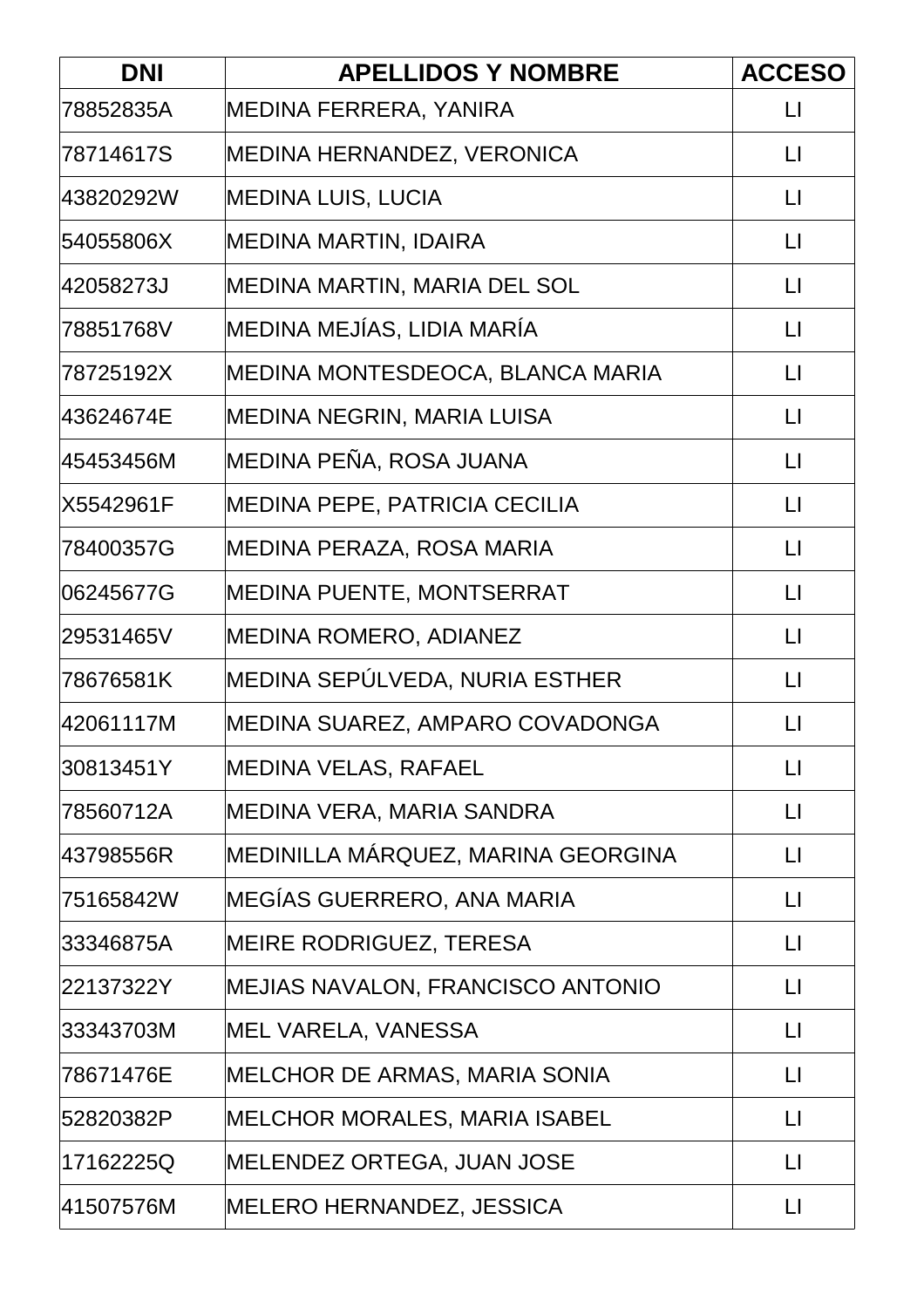| <b>DNI</b> | <b>APELLIDOS Y NOMBRE</b>            | <b>ACCESO</b>           |
|------------|--------------------------------------|-------------------------|
| 78852835A  | MEDINA FERRERA, YANIRA               | $\mathsf{L}$            |
| 78714617S  | MEDINA HERNANDEZ, VERONICA           | $\lfloor \rfloor$       |
| 43820292W  | MEDINA LUIS, LUCIA                   | $\lfloor \cdot \rfloor$ |
| 54055806X  | <b>MEDINA MARTIN, IDAIRA</b>         | $\lfloor \rfloor$       |
| 42058273J  | MEDINA MARTIN, MARIA DEL SOL         | $\lfloor \rfloor$       |
| 78851768V  | MEDINA MEJÍAS, LIDIA MARÍA           | $\lfloor \cdot \rfloor$ |
| 78725192X  | MEDINA MONTESDEOCA, BLANCA MARIA     | $\lfloor \rfloor$       |
| 43624674E  | MEDINA NEGRIN, MARIA LUISA           | $\lfloor \rfloor$       |
| 45453456M  | MEDINA PEÑA, ROSA JUANA              | $\lfloor \rfloor$       |
| X5542961F  | <b>MEDINA PEPE, PATRICIA CECILIA</b> | $\Box$                  |
| 78400357G  | MEDINA PERAZA, ROSA MARIA            | $\lfloor \rfloor$       |
| 06245677G  | <b>MEDINA PUENTE, MONTSERRAT</b>     | $\lfloor \rfloor$       |
| 29531465V  | <b>MEDINA ROMERO, ADIANEZ</b>        | $\lfloor \cdot \rfloor$ |
| 78676581K  | MEDINA SEPÚLVEDA, NURIA ESTHER       | $\lfloor \rfloor$       |
| 42061117M  | MEDINA SUAREZ, AMPARO COVADONGA      | $\lfloor \rfloor$       |
| 30813451Y  | <b>MEDINA VELAS, RAFAEL</b>          | $\mathsf{L}\mathsf{I}$  |
| 78560712A  | MEDINA VERA, MARIA SANDRA            | $\Box$                  |
| 43798556R  | MEDINILLA MÁRQUEZ, MARINA GEORGINA   | $\lfloor \cdot \rfloor$ |
| 75165842W  | MEGÍAS GUERRERO, ANA MARIA           | $\lfloor \rfloor$       |
| 33346875A  | <b>MEIRE RODRIGUEZ, TERESA</b>       | $\lfloor \rfloor$       |
| 22137322Y  | MEJIAS NAVALON, FRANCISCO ANTONIO    | $\lfloor \rfloor$       |
| 33343703M  | MEL VARELA, VANESSA                  | $\Box$                  |
| 78671476E  | MELCHOR DE ARMAS, MARIA SONIA        | $\lfloor \rfloor$       |
| 52820382P  | MELCHOR MORALES, MARIA ISABEL        | $\mathsf{L}\mathsf{I}$  |
| 17162225Q  | <b>MELENDEZ ORTEGA, JUAN JOSE</b>    | $\lfloor \rfloor$       |
| 41507576M  | MELERO HERNANDEZ, JESSICA            | $\lfloor \rfloor$       |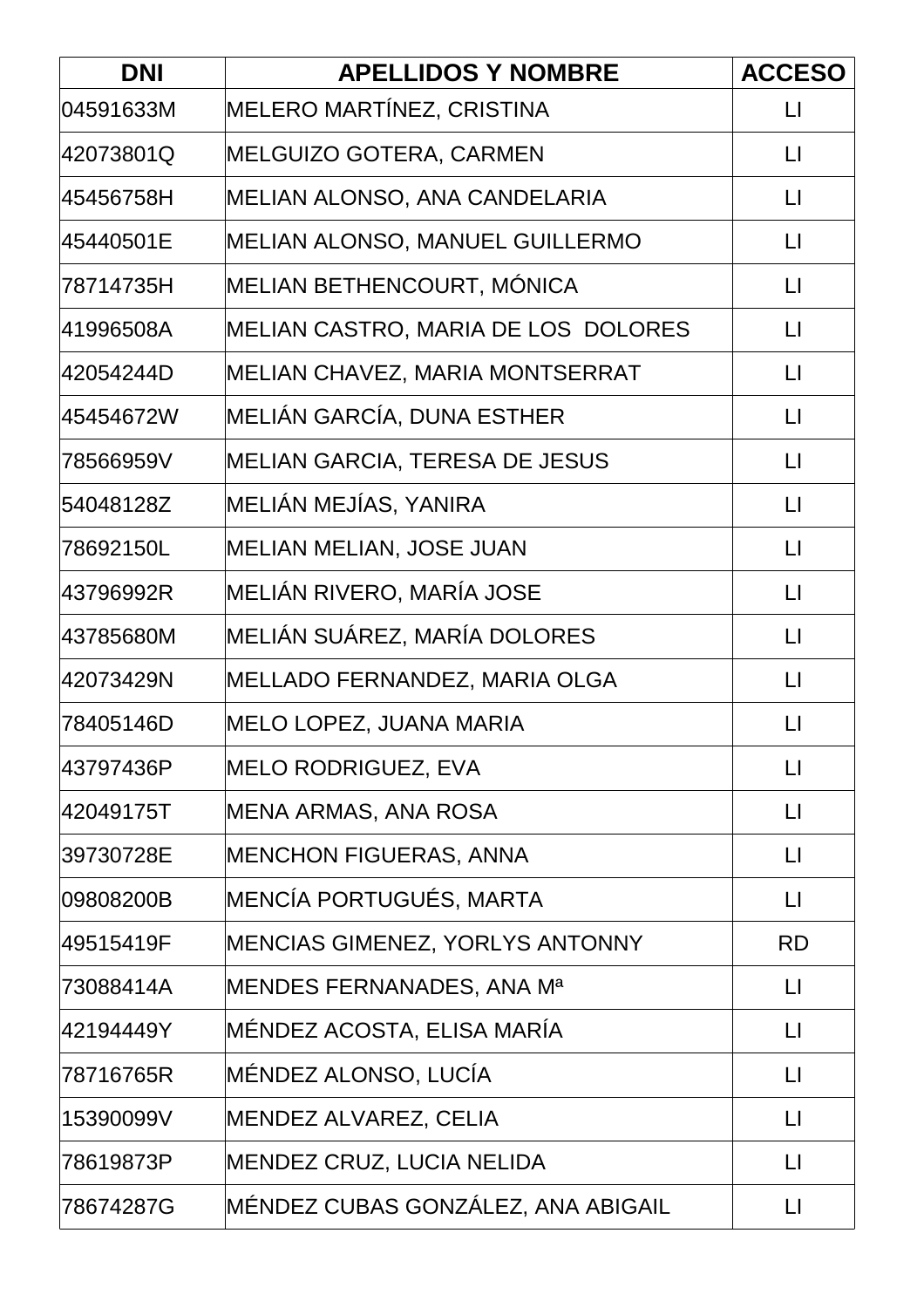| <b>DNI</b> | <b>APELLIDOS Y NOMBRE</b>           | <b>ACCESO</b>           |
|------------|-------------------------------------|-------------------------|
| 04591633M  | MELERO MARTÍNEZ, CRISTINA           | $\lfloor \rfloor$       |
| 42073801Q  | <b>MELGUIZO GOTERA, CARMEN</b>      | $\lfloor \rfloor$       |
| 45456758H  | MELIAN ALONSO, ANA CANDELARIA       | $\mathsf{L}$            |
| 45440501E  | MELIAN ALONSO, MANUEL GUILLERMO     | $\lfloor \rfloor$       |
| 78714735H  | MELIAN BETHENCOURT, MÓNICA          | $\lfloor \cdot \rfloor$ |
| 41996508A  | MELIAN CASTRO, MARIA DE LOS DOLORES | $\mathsf{L}$            |
| 42054244D  | MELIAN CHAVEZ, MARIA MONTSERRAT     | $\Box$                  |
| 45454672W  | MELIÁN GARCÍA, DUNA ESTHER          | $\lfloor \cdot \rfloor$ |
| 78566959V  | MELIAN GARCIA, TERESA DE JESUS      | $\Box$                  |
| 54048128Z  | MELIÁN MEJÍAS, YANIRA               | $\Box$                  |
| 78692150L  | MELIAN MELIAN, JOSE JUAN            | $\lfloor \rfloor$       |
| 43796992R  | MELIÁN RIVERO, MARÍA JOSE           | $\lfloor \rfloor$       |
| 43785680M  | MELIÁN SUÁREZ, MARÍA DOLORES        | $\lfloor \rfloor$       |
| 42073429N  | MELLADO FERNANDEZ, MARIA OLGA       | $\Box$                  |
| 78405146D  | MELO LOPEZ, JUANA MARIA             | $\lfloor \rfloor$       |
| 43797436P  | <b>MELO RODRIGUEZ, EVA</b>          | $\lfloor \rfloor$       |
| 42049175T  | <b>MENA ARMAS, ANA ROSA</b>         | $\lfloor \rfloor$       |
| 39730728E  | <b>MENCHON FIGUERAS, ANNA</b>       | $\lfloor \rfloor$       |
| 09808200B  | MENCÍA PORTUGUÉS, MARTA             | $\Box$                  |
| 49515419F  | MENCIAS GIMENEZ, YORLYS ANTONNY     | <b>RD</b>               |
| 73088414A  | MENDES FERNANADES, ANA Mª           | $\lfloor \rfloor$       |
| 42194449Y  | MÉNDEZ ACOSTA, ELISA MARÍA          | $\lfloor \rfloor$       |
| 78716765R  | MÉNDEZ ALONSO, LUCÍA                | $\lfloor \rfloor$       |
| 15390099V  | MENDEZ ALVAREZ, CELIA               | $\Box$                  |
| 78619873P  | MENDEZ CRUZ, LUCIA NELIDA           | $\lfloor \rfloor$       |
| 78674287G  | MÉNDEZ CUBAS GONZÁLEZ, ANA ABIGAIL  | $\lfloor \rfloor$       |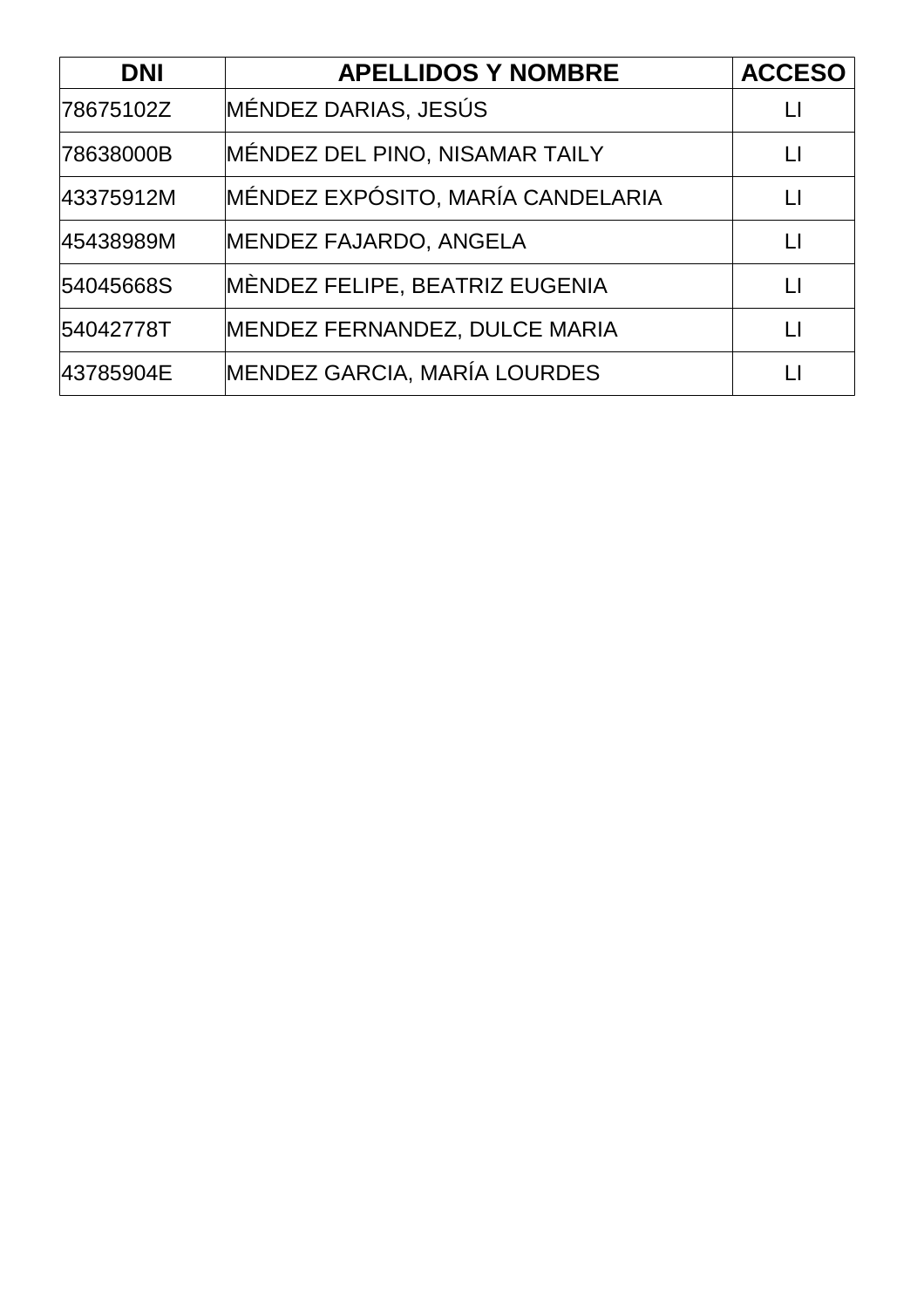| <b>DNI</b> | <b>APELLIDOS Y NOMBRE</b>         | <b>ACCESO</b> |
|------------|-----------------------------------|---------------|
| 78675102Z  | MÉNDEZ DARIAS, JESÚS              |               |
| 78638000B  | MÉNDEZ DEL PINO, NISAMAR TAILY    | Ħ             |
| 43375912M  | MÉNDEZ EXPÓSITO, MARÍA CANDELARIA | $\mathsf{L}$  |
| 45438989M  | MENDEZ FAJARDO, ANGELA            | $\perp$       |
| 54045668S  | MÈNDEZ FELIPE, BEATRIZ EUGENIA    | $\mathsf{L}$  |
| 54042778T  | MENDEZ FERNANDEZ, DULCE MARIA     | $\perp$       |
| 43785904E  | MENDEZ GARCIA, MARÍA LOURDES      |               |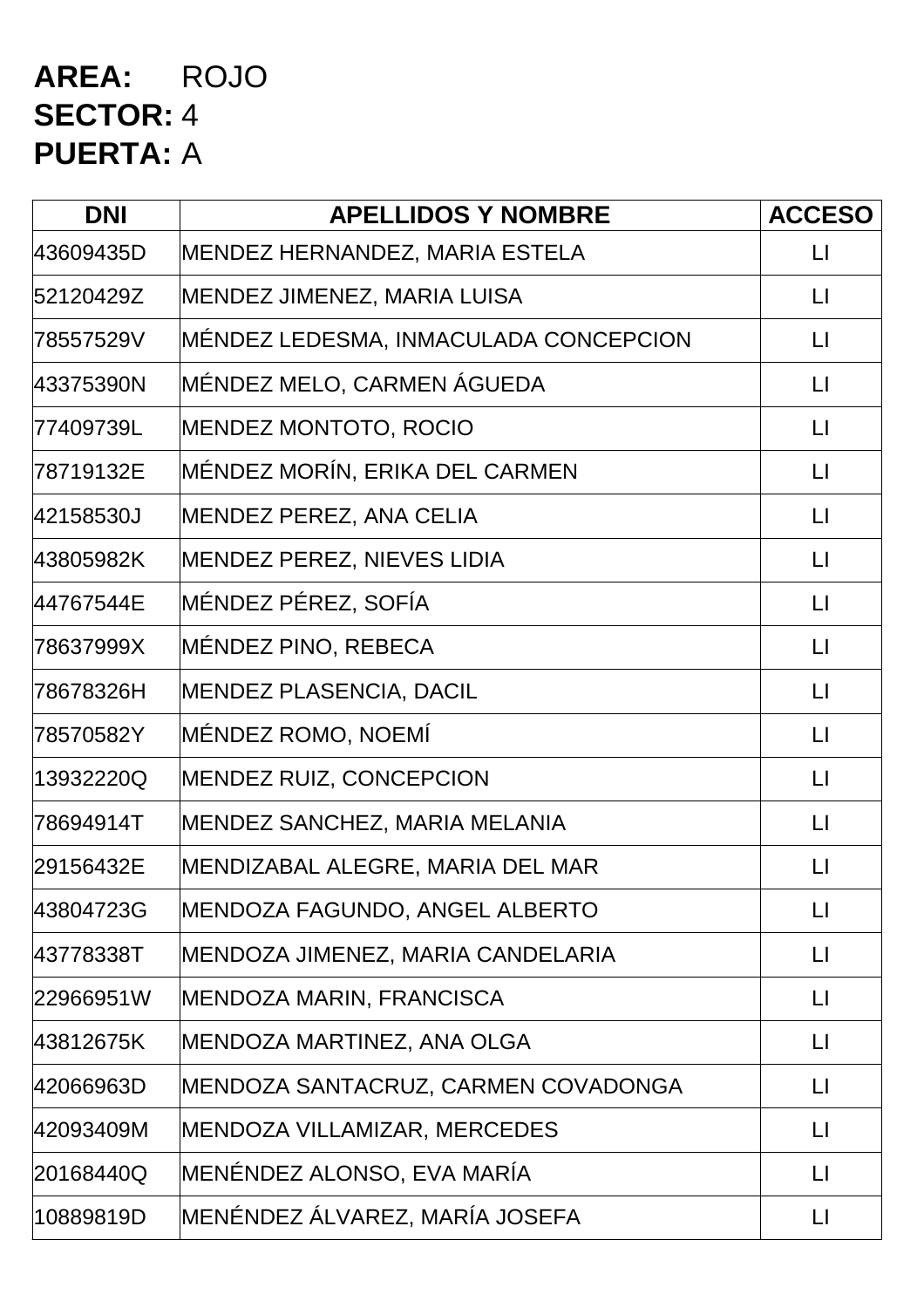### **AREA:** ROJO **SECTOR:** 4 **PUERTA:** A

| <b>DNI</b> | <b>APELLIDOS Y NOMBRE</b>             | <b>ACCESO</b>     |
|------------|---------------------------------------|-------------------|
| 43609435D  | MENDEZ HERNANDEZ, MARIA ESTELA        | $\lfloor \rfloor$ |
| 52120429Z  | MENDEZ JIMENEZ, MARIA LUISA           | $\Box$            |
| 78557529V  | MÉNDEZ LEDESMA, INMACULADA CONCEPCION | $\lfloor \rfloor$ |
| 43375390N  | MÉNDEZ MELO, CARMEN ÁGUEDA            | $\lfloor \rfloor$ |
| 77409739L  | <b>MENDEZ MONTOTO, ROCIO</b>          | $\lfloor \rfloor$ |
| 78719132E  | MÉNDEZ MORÍN, ERIKA DEL CARMEN        | $\lfloor \rfloor$ |
| 42158530J  | <b>MENDEZ PEREZ, ANA CELIA</b>        | $\Box$            |
| 43805982K  | MENDEZ PEREZ, NIEVES LIDIA            | $\lfloor \rfloor$ |
| 44767544E  | MÉNDEZ PÉREZ, SOFÍA                   | $\lfloor \rfloor$ |
| 78637999X  | MÉNDEZ PINO, REBECA                   | $\Box$            |
| 78678326H  | <b>MENDEZ PLASENCIA, DACIL</b>        | $\Box$            |
| 78570582Y  | MÉNDEZ ROMO, NOEMÍ                    | $\lfloor \rfloor$ |
| 13932220Q  | <b>MENDEZ RUIZ, CONCEPCION</b>        | $\lfloor \rfloor$ |
| 78694914T  | MENDEZ SANCHEZ, MARIA MELANIA         | $\Box$            |
| 29156432E  | MENDIZABAL ALEGRE, MARIA DEL MAR      | $\lfloor \rfloor$ |
| 43804723G  | MENDOZA FAGUNDO, ANGEL ALBERTO        | $\lfloor \rfloor$ |
| 43778338T  | MENDOZA JIMENEZ, MARIA CANDELARIA     | $\Box$            |
| 22966951W  | MENDOZA MARIN, FRANCISCA              | $\Box$            |
| 43812675K  | MENDOZA MARTINEZ, ANA OLGA            | $\Box$            |
| 42066963D  | MENDOZA SANTACRUZ, CARMEN COVADONGA   | $\lfloor \rfloor$ |
| 42093409M  | MENDOZA VILLAMIZAR, MERCEDES          | $\lfloor \rfloor$ |
| 20168440Q  | MENÉNDEZ ALONSO, EVA MARÍA            | $\Box$            |
| 10889819D  | MENÉNDEZ ÁLVAREZ, MARÍA JOSEFA        | $\lfloor \rfloor$ |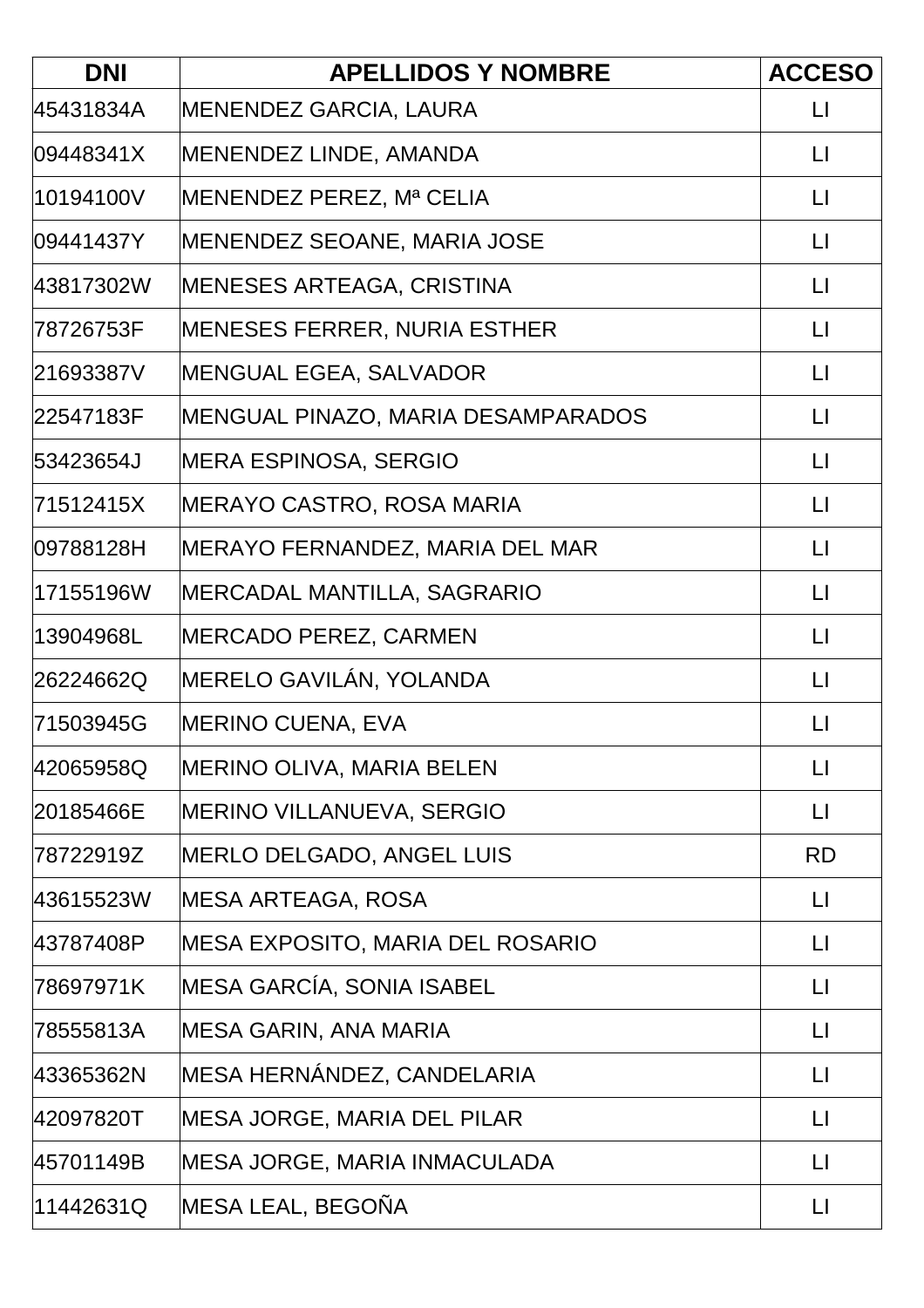| <b>DNI</b> | <b>APELLIDOS Y NOMBRE</b>               | <b>ACCESO</b>          |
|------------|-----------------------------------------|------------------------|
| 45431834A  | <b>MENENDEZ GARCIA, LAURA</b>           | $\lfloor \rfloor$      |
| 09448341X  | MENENDEZ LINDE, AMANDA                  | $\lfloor \rfloor$      |
| 10194100V  | MENENDEZ PEREZ, Mª CELIA                | $\Box$                 |
| 09441437Y  | MENENDEZ SEOANE, MARIA JOSE             | $\lfloor \rfloor$      |
| 43817302W  | <b>MENESES ARTEAGA, CRISTINA</b>        | $\lfloor \rfloor$      |
| 78726753F  | <b>MENESES FERRER, NURIA ESTHER</b>     | $\lfloor \rfloor$      |
| 21693387V  | <b>MENGUAL EGEA, SALVADOR</b>           | $\lfloor \rfloor$      |
| 22547183F  | MENGUAL PINAZO, MARIA DESAMPARADOS      | $\lfloor \rfloor$      |
| 53423654J  | <b>MERA ESPINOSA, SERGIO</b>            | $\lfloor \rfloor$      |
| 71512415X  | <b>MERAYO CASTRO, ROSA MARIA</b>        | $\lfloor \rfloor$      |
| 09788128H  | MERAYO FERNANDEZ, MARIA DEL MAR         | $\Box$                 |
| 17155196W  | MERCADAL MANTILLA, SAGRARIO             | $\Box$                 |
| 13904968L  | <b>MERCADO PEREZ, CARMEN</b>            | $\lfloor \rfloor$      |
| 26224662Q  | MERELO GAVILÁN, YOLANDA                 | $\lfloor \rfloor$      |
| 71503945G  | <b>MERINO CUENA, EVA</b>                | $\mathsf{L}$           |
| 42065958Q  | <b>MERINO OLIVA, MARIA BELEN</b>        | $\lfloor \rfloor$      |
| 20185466E  | MERINO VILLANUEVA, SERGIO               | $\mathsf{L}\mathsf{I}$ |
| 78722919Z  | MERLO DELGADO, ANGEL LUIS               | <b>RD</b>              |
| 43615523W  | <b>MESA ARTEAGA, ROSA</b>               | $\mathsf{L}$           |
| 43787408P  | <b>MESA EXPOSITO, MARIA DEL ROSARIO</b> | $\mathsf{L}$           |
| 78697971K  | MESA GARCÍA, SONIA ISABEL               | $\lfloor \rfloor$      |
| 78555813A  | MESA GARIN, ANA MARIA                   | $\lfloor \rfloor$      |
| 43365362N  | MESA HERNÁNDEZ, CANDELARIA              | $\lfloor \rfloor$      |
| 42097820T  | <b>MESA JORGE, MARIA DEL PILAR</b>      | $\mathsf{L}$           |
| 45701149B  | MESA JORGE, MARIA INMACULADA            | $\lfloor \rfloor$      |
| 11442631Q  | MESA LEAL, BEGOÑA                       | $\lfloor \rfloor$      |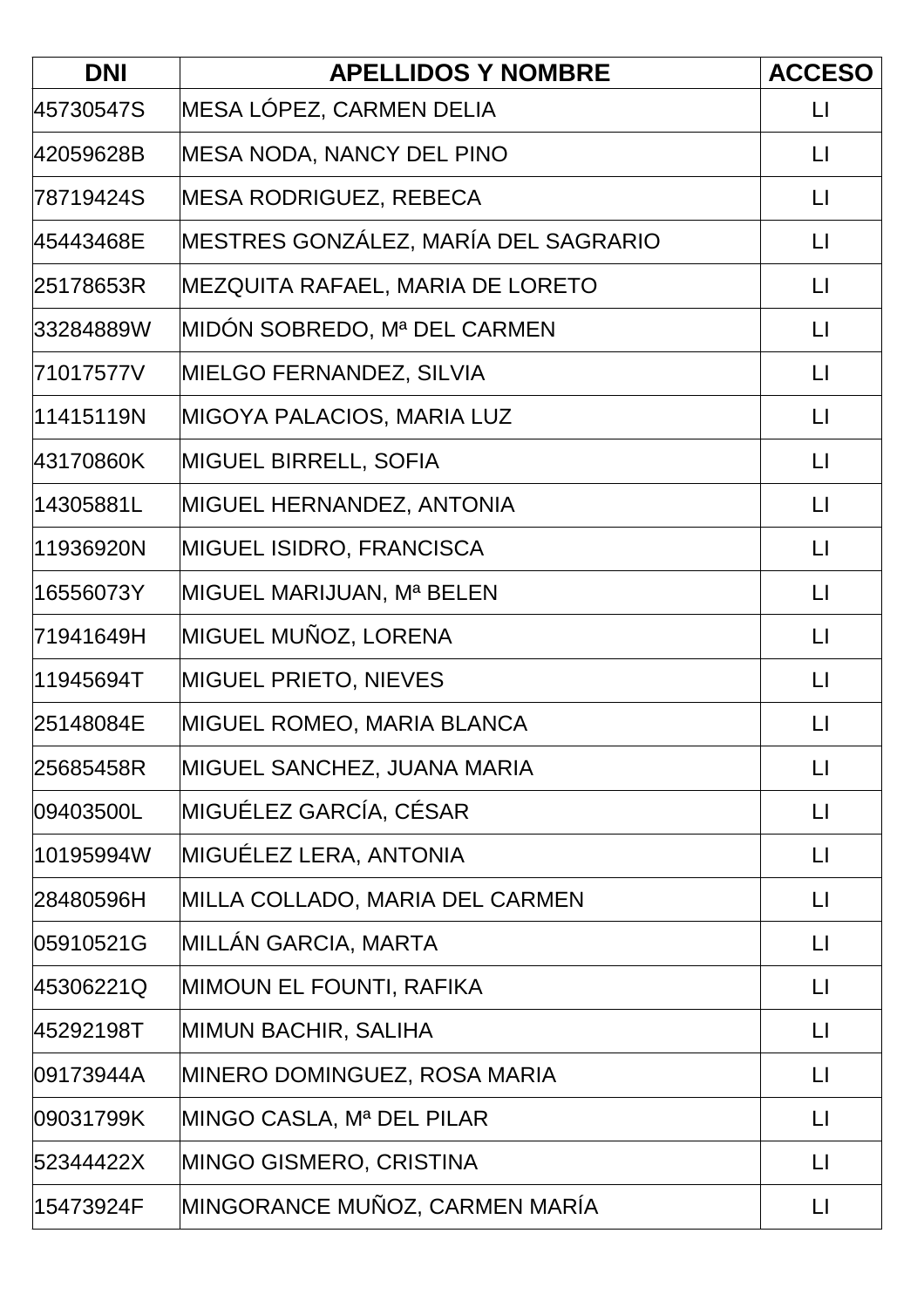| <b>DNI</b> | <b>APELLIDOS Y NOMBRE</b>            | <b>ACCESO</b>     |
|------------|--------------------------------------|-------------------|
| 45730547S  | MESA LÓPEZ, CARMEN DELIA             | $\lfloor \rfloor$ |
| 42059628B  | <b>MESA NODA, NANCY DEL PINO</b>     | $\lfloor \rfloor$ |
| 78719424S  | <b>MESA RODRIGUEZ, REBECA</b>        | $\mathsf{L}$      |
| 45443468E  | MESTRES GONZÁLEZ, MARÍA DEL SAGRARIO | $\lfloor \rfloor$ |
| 25178653R  | MEZQUITA RAFAEL, MARIA DE LORETO     | $\lfloor \rfloor$ |
| 33284889W  | MIDÓN SOBREDO, Mª DEL CARMEN         | $\lfloor \rfloor$ |
| 71017577V  | MIELGO FERNANDEZ, SILVIA             | $\lfloor \rfloor$ |
| 11415119N  | <b>MIGOYA PALACIOS, MARIA LUZ</b>    | $\lfloor \rfloor$ |
| 43170860K  | <b>MIGUEL BIRRELL, SOFIA</b>         | $\lfloor \rfloor$ |
| 14305881L  | MIGUEL HERNANDEZ, ANTONIA            | $\lfloor \rfloor$ |
| 11936920N  | MIGUEL ISIDRO, FRANCISCA             | $\Box$            |
| 16556073Y  | MIGUEL MARIJUAN, Mª BELEN            | $\lfloor \rfloor$ |
| 71941649H  | MIGUEL MUÑOZ, LORENA                 | $\lfloor \rfloor$ |
| 11945694T  | <b>MIGUEL PRIETO, NIEVES</b>         | $\lfloor \rfloor$ |
| 25148084E  | MIGUEL ROMEO, MARIA BLANCA           | $\mathsf{L}$      |
| 25685458R  | MIGUEL SANCHEZ, JUANA MARIA          | $\lfloor \rfloor$ |
| 09403500L  | MIGUÉLEZ GARCÍA, CÉSAR               | $\lfloor \rfloor$ |
| 10195994W  | MIGUÉLEZ LERA, ANTONIA               | $\mathsf{L}$      |
| 28480596H  | MILLA COLLADO, MARIA DEL CARMEN      | $\lfloor \rfloor$ |
| 05910521G  | <b>MILLAN GARCIA, MARTA</b>          | $\mathsf{L}$      |
| 45306221Q  | <b>MIMOUN EL FOUNTI, RAFIKA</b>      | $\mathsf{L}$      |
| 45292198T  | <b>MIMUN BACHIR, SALIHA</b>          | $\mathsf{L}$      |
| 09173944A  | MINERO DOMINGUEZ, ROSA MARIA         | $\lfloor \rfloor$ |
| 09031799K  | MINGO CASLA, Mª DEL PILAR            | $\lfloor \rfloor$ |
| 52344422X  | MINGO GISMERO, CRISTINA              | $\lfloor \rfloor$ |
| 15473924F  | MINGORANCE MUÑOZ, CARMEN MARÍA       | $\lfloor \rfloor$ |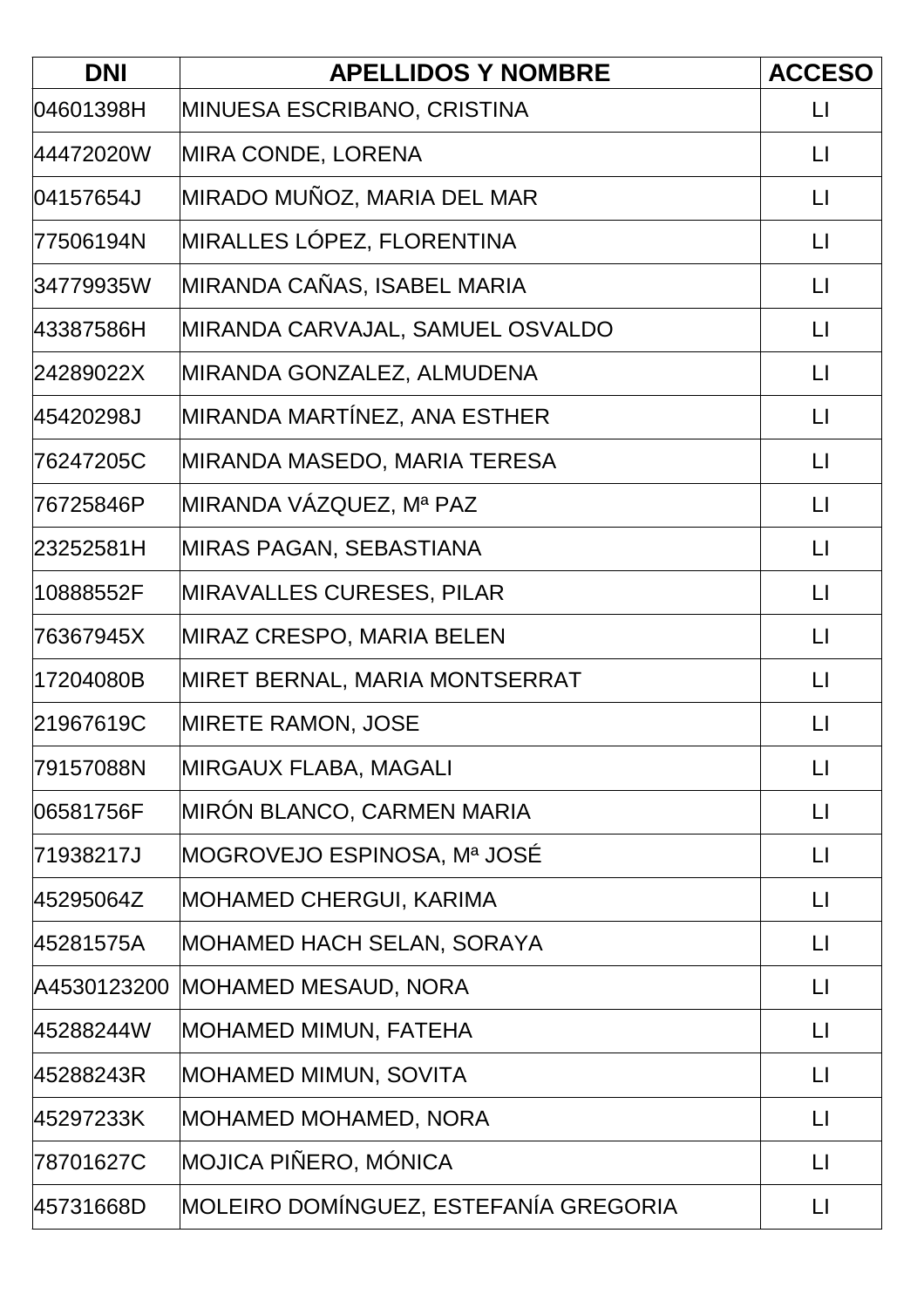| <b>DNI</b>  | <b>APELLIDOS Y NOMBRE</b>             | <b>ACCESO</b>           |
|-------------|---------------------------------------|-------------------------|
| 04601398H   | MINUESA ESCRIBANO, CRISTINA           | $\lfloor \rfloor$       |
| 44472020W   | MIRA CONDE, LORENA                    | $\Box$                  |
| 04157654J   | MIRADO MUÑOZ, MARIA DEL MAR           | $\mathsf{L}$            |
| 77506194N   | MIRALLES LÓPEZ, FLORENTINA            | $\lfloor \rfloor$       |
| 34779935W   | MIRANDA CAÑAS, ISABEL MARIA           | $\lfloor \cdot \rfloor$ |
| 43387586H   | MIRANDA CARVAJAL, SAMUEL OSVALDO      | $\mathsf{L}$            |
| 24289022X   | MIRANDA GONZALEZ, ALMUDENA            | $\lfloor \rfloor$       |
| 45420298J   | MIRANDA MARTÍNEZ, ANA ESTHER          | $\lfloor \rfloor$       |
| 76247205C   | MIRANDA MASEDO, MARIA TERESA          | $\Box$                  |
| 76725846P   | MIRANDA VÁZQUEZ, Mª PAZ               | $\Box$                  |
| 23252581H   | MIRAS PAGAN, SEBASTIANA               | $\sqcup$                |
| 10888552F   | <b>MIRAVALLES CURESES, PILAR</b>      | $\lfloor \rfloor$       |
| 76367945X   | <b>MIRAZ CRESPO, MARIA BELEN</b>      | $\lfloor \rfloor$       |
| 17204080B   | MIRET BERNAL, MARIA MONTSERRAT        | $\lfloor \rfloor$       |
| 21967619C   | <b>MIRETE RAMON, JOSE</b>             | $\mathsf{L}$            |
| 79157088N   | MIRGAUX FLABA, MAGALI                 | $\lfloor \rfloor$       |
| 06581756F   | MIRÓN BLANCO, CARMEN MARIA            | $\lfloor \rfloor$       |
| 71938217J   | MOGROVEJO ESPINOSA, Mª JOSÉ           | $\lfloor \rfloor$       |
| 45295064Z   | MOHAMED CHERGUI, KARIMA               | $\mathsf{L}$            |
| 45281575A   | MOHAMED HACH SELAN, SORAYA            | $\lfloor \rfloor$       |
| A4530123200 | MOHAMED MESAUD, NORA                  | $\lfloor \rfloor$       |
| 45288244W   | MOHAMED MIMUN, FATEHA                 | $\lfloor \rfloor$       |
| 45288243R   | MOHAMED MIMUN, SOVITA                 | $\mathsf{L}$            |
| 45297233K   | MOHAMED MOHAMED, NORA                 | $\lfloor \rfloor$       |
| 78701627C   | MOJICA PIÑERO, MÓNICA                 | $\mathsf{L}$            |
| 45731668D   | MOLEIRO DOMÍNGUEZ, ESTEFANÍA GREGORIA | $\lfloor \rfloor$       |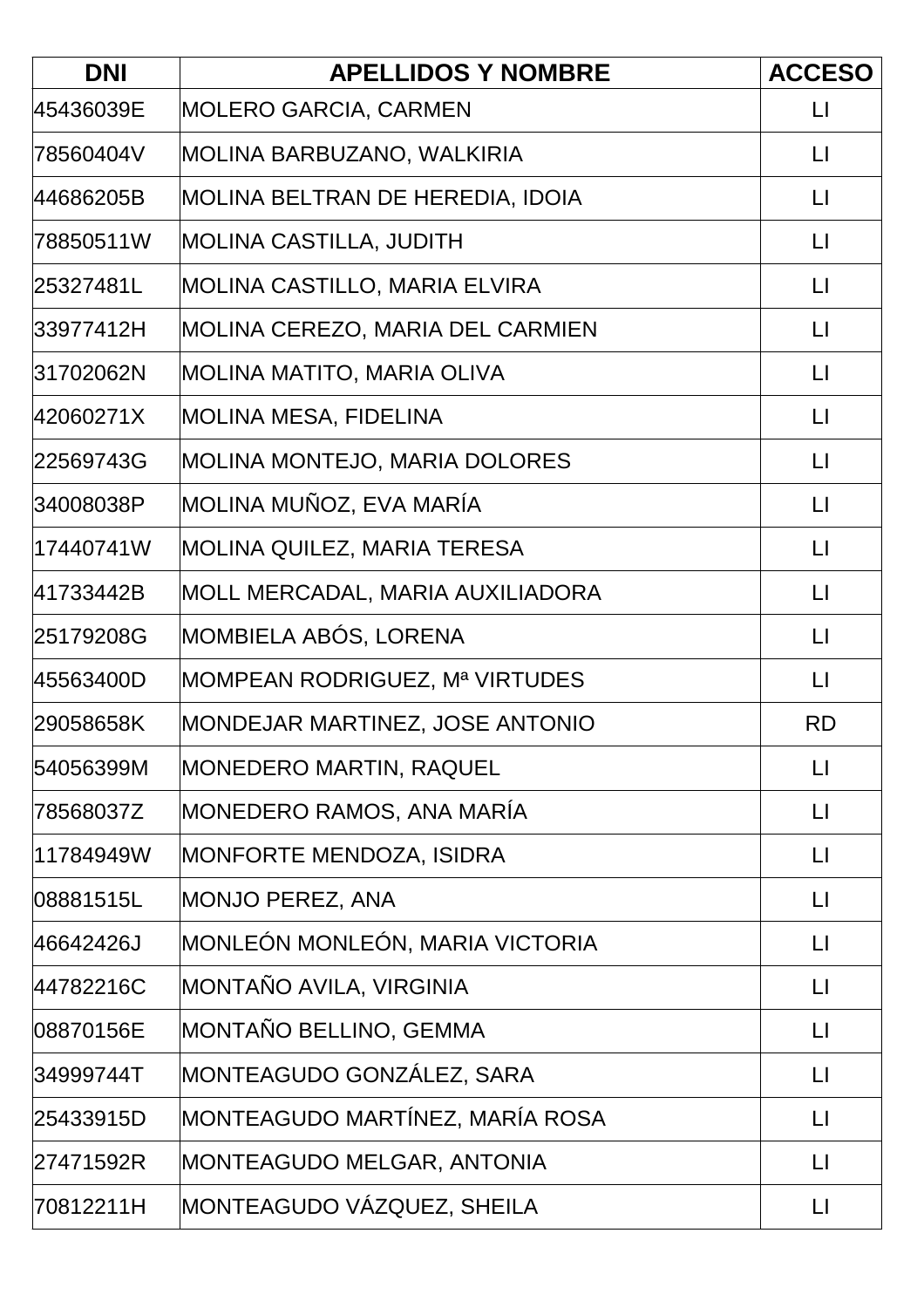| <b>DNI</b> | <b>APELLIDOS Y NOMBRE</b>            | <b>ACCESO</b>     |
|------------|--------------------------------------|-------------------|
| 45436039E  | <b>MOLERO GARCIA, CARMEN</b>         | $\lfloor \rfloor$ |
| 78560404V  | MOLINA BARBUZANO, WALKIRIA           | $\lfloor \rfloor$ |
| 44686205B  | MOLINA BELTRAN DE HEREDIA, IDOIA     | $\lfloor \rfloor$ |
| 78850511W  | <b>MOLINA CASTILLA, JUDITH</b>       | $\lfloor \rfloor$ |
| 25327481L  | MOLINA CASTILLO, MARIA ELVIRA        | $\lfloor \rfloor$ |
| 33977412H  | MOLINA CEREZO, MARIA DEL CARMIEN     | $\lfloor \rfloor$ |
| 31702062N  | MOLINA MATITO, MARIA OLIVA           | $\lfloor \rfloor$ |
| 42060271X  | MOLINA MESA, FIDELINA                | $\lfloor \rfloor$ |
| 22569743G  | <b>MOLINA MONTEJO, MARIA DOLORES</b> | $\lfloor \rfloor$ |
| 34008038P  | MOLINA MUÑOZ, EVA MARÍA              | $\lfloor \rfloor$ |
| 17440741W  | MOLINA QUILEZ, MARIA TERESA          | $\lfloor \rfloor$ |
| 41733442B  | MOLL MERCADAL, MARIA AUXILIADORA     | $\Box$            |
| 25179208G  | MOMBIELA ABÓS, LORENA                | $\lfloor \rfloor$ |
| 45563400D  | MOMPEAN RODRIGUEZ, Mª VIRTUDES       | $\lfloor \rfloor$ |
| 29058658K  | MONDEJAR MARTINEZ, JOSE ANTONIO      | <b>RD</b>         |
| 54056399M  | <b>MONEDERO MARTIN, RAQUEL</b>       | $\lfloor \rfloor$ |
| 78568037Z  | MONEDERO RAMOS, ANA MARÍA            | $\mathsf{L}$      |
| 11784949W  | MONFORTE MENDOZA, ISIDRA             | $\mathsf{L}$      |
| 08881515L  | <b>MONJO PEREZ, ANA</b>              | $\lfloor \rfloor$ |
| 46642426J  | MONLEÓN MONLEÓN, MARIA VICTORIA      | $\lfloor \rfloor$ |
| 44782216C  | MONTAÑO AVILA, VIRGINIA              | $\mathsf{L}$      |
| 08870156E  | MONTAÑO BELLINO, GEMMA               | $\lfloor \rfloor$ |
| 34999744T  | MONTEAGUDO GONZÁLEZ, SARA            | $\lfloor \rfloor$ |
| 25433915D  | MONTEAGUDO MARTÍNEZ, MARÍA ROSA      | $\lfloor \rfloor$ |
| 27471592R  | MONTEAGUDO MELGAR, ANTONIA           | $\lfloor \rfloor$ |
| 70812211H  | MONTEAGUDO VÁZQUEZ, SHEILA           | $\lfloor \rfloor$ |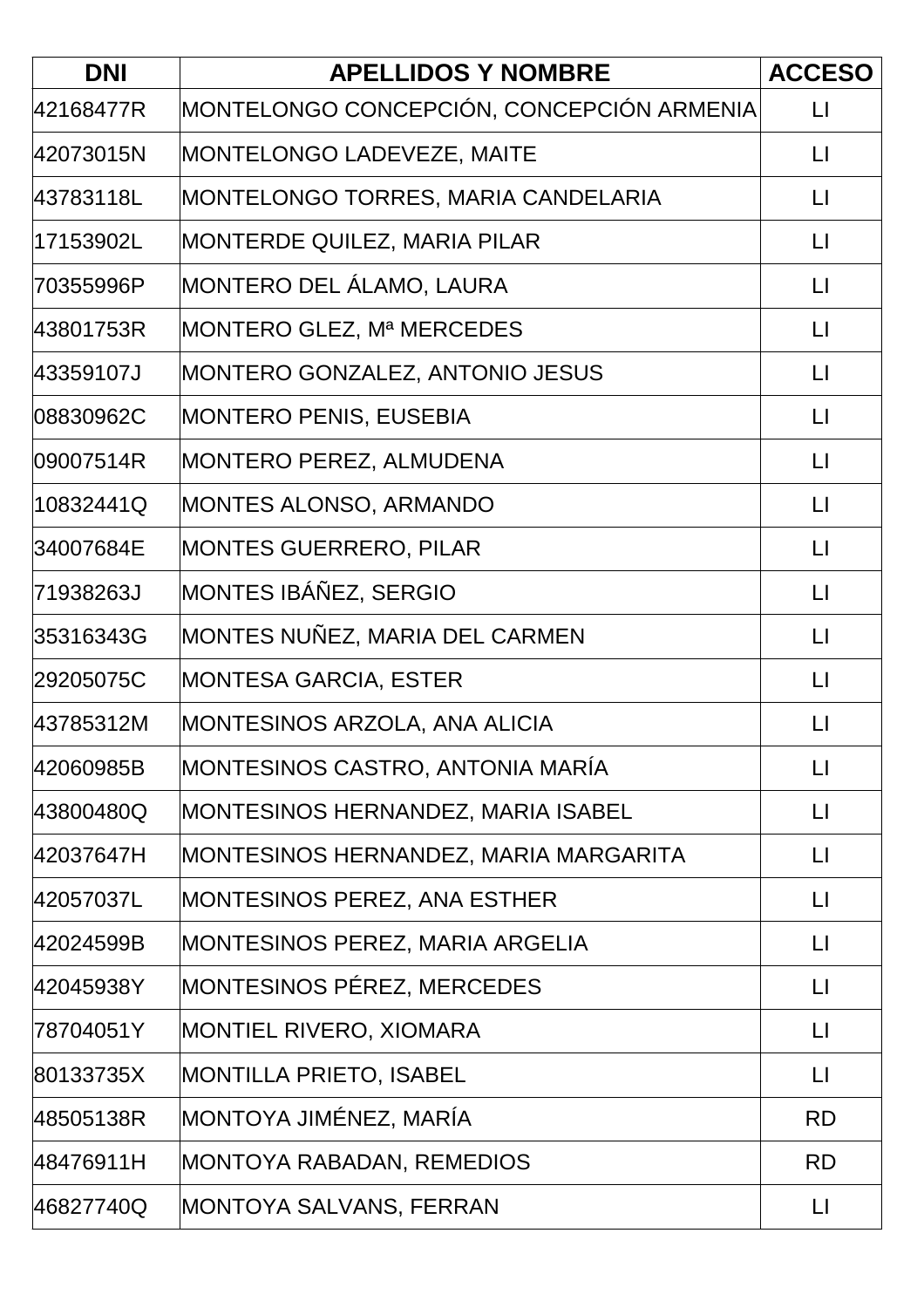| <b>DNI</b> | <b>APELLIDOS Y NOMBRE</b>                 | <b>ACCESO</b>     |
|------------|-------------------------------------------|-------------------|
| 42168477R  | MONTELONGO CONCEPCIÓN, CONCEPCIÓN ARMENIA | $\lfloor \rfloor$ |
| 42073015N  | MONTELONGO LADEVEZE, MAITE                | $\lfloor \rfloor$ |
| 43783118L  | MONTELONGO TORRES, MARIA CANDELARIA       | $\lfloor \rfloor$ |
| 17153902L  | MONTERDE QUILEZ, MARIA PILAR              | $\lfloor \rfloor$ |
| 70355996P  | <b>MONTERO DEL ALAMO, LAURA</b>           | $\lfloor \rfloor$ |
| 43801753R  | MONTERO GLEZ, Mª MERCEDES                 | $\lfloor \rfloor$ |
| 43359107J  | MONTERO GONZALEZ, ANTONIO JESUS           | $\lfloor \rfloor$ |
| 08830962C  | MONTERO PENIS, EUSEBIA                    | $\lfloor \rfloor$ |
| 09007514R  | MONTERO PEREZ, ALMUDENA                   | $\lfloor \rfloor$ |
| 10832441Q  | <b>MONTES ALONSO, ARMANDO</b>             | $\lfloor \rfloor$ |
| 34007684E  | <b>MONTES GUERRERO, PILAR</b>             | $\lfloor \rfloor$ |
| 71938263J  | MONTES IBÁÑEZ, SERGIO                     | $\lfloor \rfloor$ |
| 35316343G  | MONTES NUÑEZ, MARIA DEL CARMEN            | $\lfloor \rfloor$ |
| 29205075C  | MONTESA GARCIA, ESTER                     | $\lfloor \rfloor$ |
| 43785312M  | MONTESINOS ARZOLA, ANA ALICIA             | $\mathsf{L}$      |
| 42060985B  | MONTESINOS CASTRO, ANTONIA MARÍA          | $\lfloor \rfloor$ |
| 43800480Q  | MONTESINOS HERNANDEZ, MARIA ISABEL        | $\lfloor \rfloor$ |
| 42037647H  | MONTESINOS HERNANDEZ, MARIA MARGARITA     | $\lfloor \rfloor$ |
| 42057037L  | MONTESINOS PEREZ, ANA ESTHER              | $\lfloor \rfloor$ |
| 42024599B  | MONTESINOS PEREZ, MARIA ARGELIA           | $\lfloor \rfloor$ |
| 42045938Y  | MONTESINOS PÉREZ, MERCEDES                | $\lfloor \rfloor$ |
| 78704051Y  | MONTIEL RIVERO, XIOMARA                   | $\lfloor \rfloor$ |
| 80133735X  | <b>MONTILLA PRIETO, ISABEL</b>            | $\lfloor \rfloor$ |
| 48505138R  | MONTOYA JIMÉNEZ, MARÍA                    | <b>RD</b>         |
| 48476911H  | <b>MONTOYA RABADAN, REMEDIOS</b>          | <b>RD</b>         |
| 46827740Q  | MONTOYA SALVANS, FERRAN                   | $\lfloor \rfloor$ |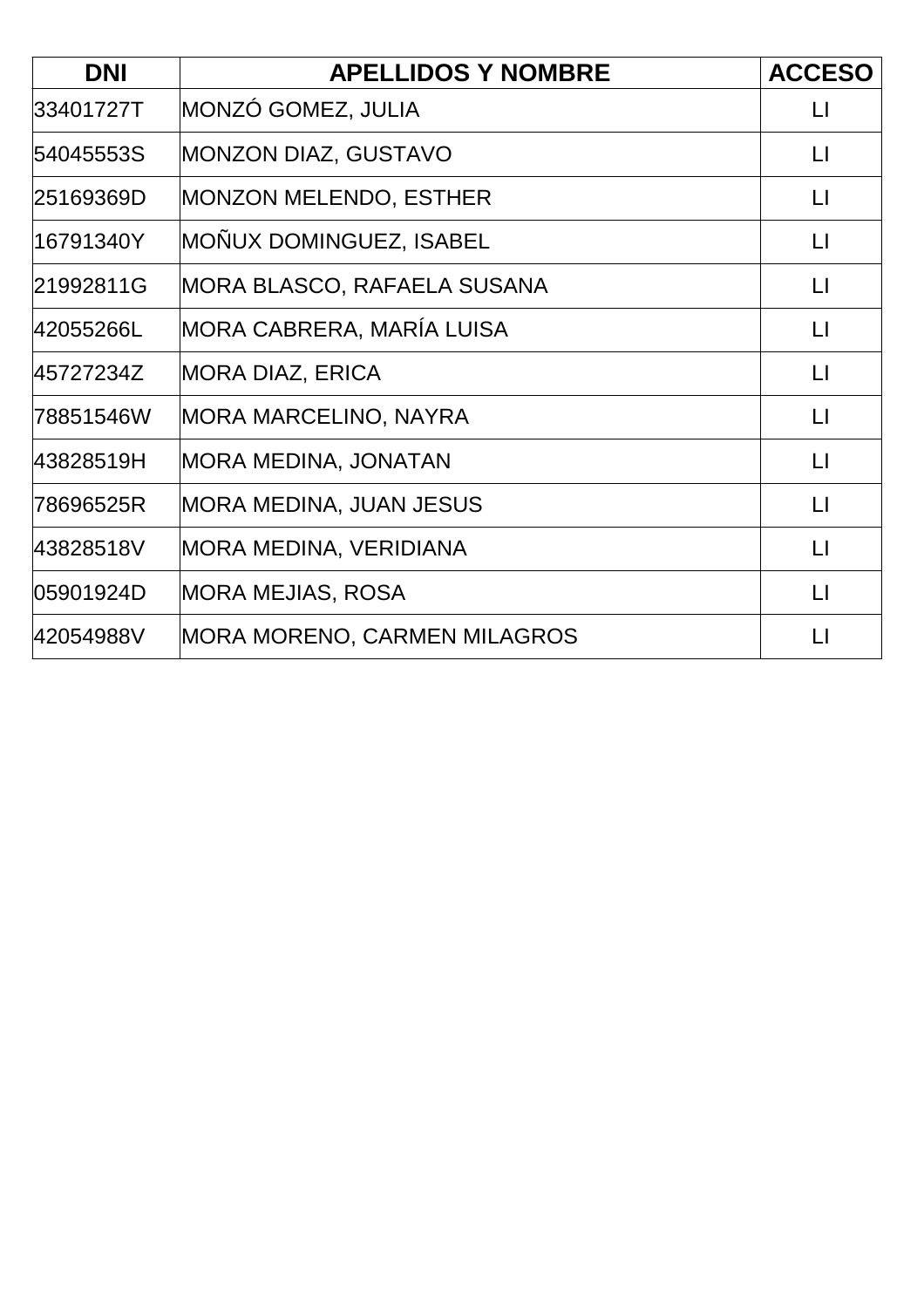| <b>DNI</b> | <b>APELLIDOS Y NOMBRE</b>           | <b>ACCESO</b>     |
|------------|-------------------------------------|-------------------|
| 33401727T  | MONZÓ GOMEZ, JULIA                  | $\lfloor \rfloor$ |
| 54045553S  | MONZON DIAZ, GUSTAVO                | $\mathsf{L}$      |
| 25169369D  | <b>MONZON MELENDO, ESTHER</b>       | $\lfloor \rfloor$ |
| 16791340Y  | MOÑUX DOMINGUEZ, ISABEL             | $\Box$            |
| 21992811G  | MORA BLASCO, RAFAELA SUSANA         | $\lfloor \rfloor$ |
| 42055266L  | MORA CABRERA, MARÍA LUISA           | $\lfloor \rfloor$ |
| 45727234Z  | <b>MORA DIAZ, ERICA</b>             | $\lfloor \rfloor$ |
| 78851546W  | <b>MORA MARCELINO, NAYRA</b>        | $\Box$            |
| 43828519H  | <b>MORA MEDINA, JONATAN</b>         | $\lfloor \rfloor$ |
| 78696525R  | MORA MEDINA, JUAN JESUS             | $\lfloor \rfloor$ |
| 43828518V  | MORA MEDINA, VERIDIANA              | $\lfloor \rfloor$ |
| 05901924D  | MORA MEJIAS, ROSA                   | $\lfloor \rfloor$ |
| 42054988V  | <b>MORA MORENO, CARMEN MILAGROS</b> | $\mathsf{L}$      |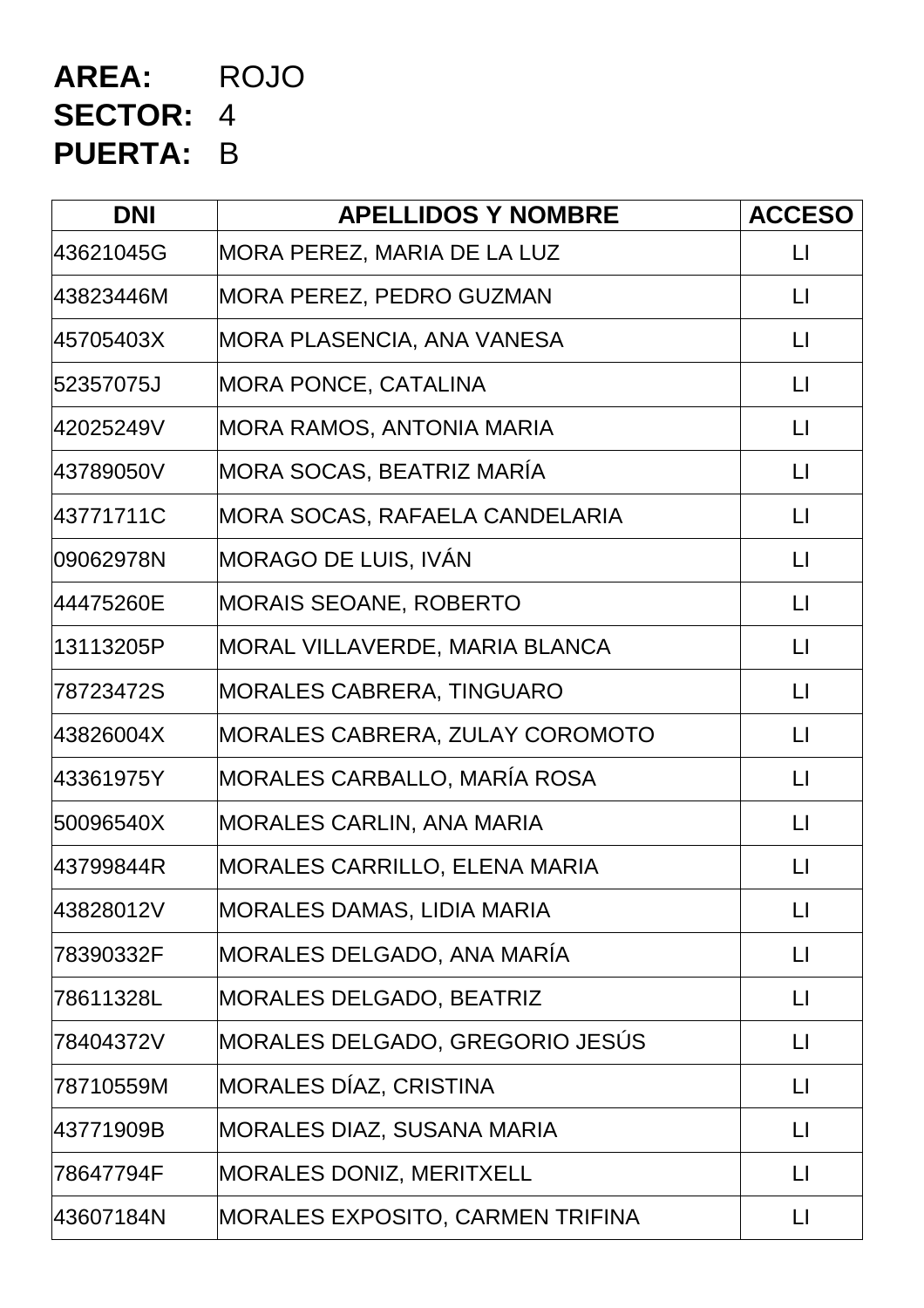# **AREA:** ROJO **SECTOR:** 4 **PUERTA:** B

| <b>DNI</b> | <b>APELLIDOS Y NOMBRE</b>               | <b>ACCESO</b>           |
|------------|-----------------------------------------|-------------------------|
| 43621045G  | MORA PEREZ, MARIA DE LA LUZ             | $\lfloor \cdot \rfloor$ |
| 43823446M  | <b>MORA PEREZ, PEDRO GUZMAN</b>         | $\lfloor \rfloor$       |
| 45705403X  | MORA PLASENCIA, ANA VANESA              | $\lfloor \rfloor$       |
| 52357075J  | <b>MORA PONCE, CATALINA</b>             | $\lfloor \rfloor$       |
| 42025249V  | MORA RAMOS, ANTONIA MARIA               | $\lfloor \cdot \rfloor$ |
| 43789050V  | MORA SOCAS, BEATRIZ MARÍA               | $\lfloor \rfloor$       |
| 43771711C  | MORA SOCAS, RAFAELA CANDELARIA          | $\lfloor \rfloor$       |
| 09062978N  | MORAGO DE LUIS, IVAN                    | $\lfloor \rfloor$       |
| 44475260E  | <b>MORAIS SEOANE, ROBERTO</b>           | $\mathsf{L}$            |
| 13113205P  | MORAL VILLAVERDE, MARIA BLANCA          | $\lfloor \rfloor$       |
| 78723472S  | <b>MORALES CABRERA, TINGUARO</b>        | $\lfloor \rfloor$       |
| 43826004X  | MORALES CABRERA, ZULAY COROMOTO         | $\lfloor \rfloor$       |
| 43361975Y  | MORALES CARBALLO, MARÍA ROSA            | $\Box$                  |
| 50096540X  | <b>MORALES CARLIN, ANA MARIA</b>        | $\Box$                  |
| 43799844R  | <b>MORALES CARRILLO, ELENA MARIA</b>    | $\lfloor \rfloor$       |
| 43828012V  | <b>MORALES DAMAS, LIDIA MARIA</b>       | $\lfloor \rfloor$       |
| 78390332F  | MORALES DELGADO, ANA MARÍA              | $\mathsf{L}$            |
| 78611328L  | <b>MORALES DELGADO, BEATRIZ</b>         | LI                      |
| 78404372V  | MORALES DELGADO, GREGORIO JESÚS         | LI                      |
| 78710559M  | MORALES DÍAZ, CRISTINA                  | $\mathsf{L}$            |
| 43771909B  | <b>MORALES DIAZ, SUSANA MARIA</b>       | $\mathsf{L}$            |
| 78647794F  | <b>MORALES DONIZ, MERITXELL</b>         | $\Box$                  |
| 43607184N  | <b>MORALES EXPOSITO, CARMEN TRIFINA</b> | LI                      |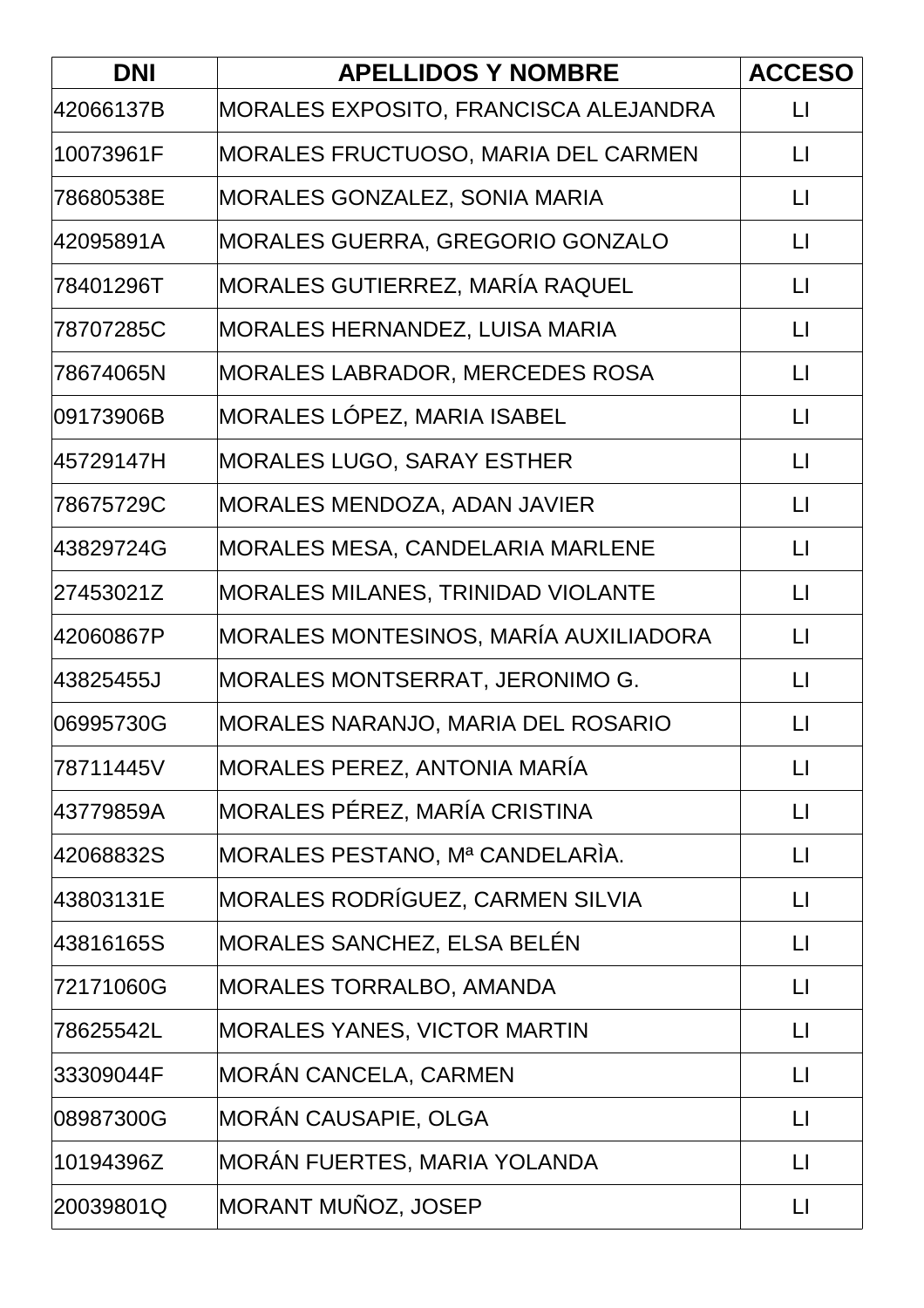| <b>DNI</b> | <b>APELLIDOS Y NOMBRE</b>                 | <b>ACCESO</b>     |
|------------|-------------------------------------------|-------------------|
| 42066137B  | MORALES EXPOSITO, FRANCISCA ALEJANDRA     | $\lfloor \rfloor$ |
| 10073961F  | MORALES FRUCTUOSO, MARIA DEL CARMEN       | $\lfloor \rfloor$ |
| 78680538E  | <b>MORALES GONZALEZ, SONIA MARIA</b>      | $\lfloor \rfloor$ |
| 42095891A  | <b>MORALES GUERRA, GREGORIO GONZALO</b>   | $\lfloor \rfloor$ |
| 78401296T  | MORALES GUTIERREZ, MARÍA RAQUEL           | $\lfloor \rfloor$ |
| 78707285C  | <b>MORALES HERNANDEZ, LUISA MARIA</b>     | $\lfloor \rfloor$ |
| 78674065N  | <b>MORALES LABRADOR, MERCEDES ROSA</b>    | $\lfloor \rfloor$ |
| 09173906B  | MORALES LÓPEZ, MARIA ISABEL               | $\lfloor \rfloor$ |
| 45729147H  | MORALES LUGO, SARAY ESTHER                | $\lfloor \rfloor$ |
| 78675729C  | MORALES MENDOZA, ADAN JAVIER              | $\lfloor \rfloor$ |
| 43829724G  | MORALES MESA, CANDELARIA MARLENE          | $\lfloor \rfloor$ |
| 27453021Z  | <b>MORALES MILANES, TRINIDAD VIOLANTE</b> | $\lfloor \rfloor$ |
| 42060867P  | MORALES MONTESINOS, MARÍA AUXILIADORA     | $\lfloor \rfloor$ |
| 43825455J  | MORALES MONTSERRAT, JERONIMO G.           | $\lfloor \rfloor$ |
| 06995730G  | MORALES NARANJO, MARIA DEL ROSARIO        | $\Box$            |
| 78711445V  | MORALES PEREZ, ANTONIA MARÍA              | $\lfloor \rfloor$ |
| 43779859A  | MORALES PÉREZ, MARÍA CRISTINA             | $\lfloor \rfloor$ |
| 42068832S  | MORALES PESTANO, Mª CANDELARÍA.           | $\lfloor \rfloor$ |
| 43803131E  | MORALES RODRÍGUEZ, CARMEN SILVIA          | $\lfloor \rfloor$ |
| 43816165S  | MORALES SANCHEZ, ELSA BELÉN               | $\lfloor \rfloor$ |
| 72171060G  | <b>MORALES TORRALBO, AMANDA</b>           | П                 |
| 78625542L  | <b>MORALES YANES, VICTOR MARTIN</b>       | $\lfloor \rfloor$ |
| 33309044F  | MORÁN CANCELA, CARMEN                     | $\lfloor \rfloor$ |
| 08987300G  | MORÁN CAUSAPIE, OLGA                      | П                 |
| 10194396Z  | MORÁN FUERTES, MARIA YOLANDA              | $\lfloor \rfloor$ |
| 20039801Q  | MORANT MUÑOZ, JOSEP                       | $\lfloor \rfloor$ |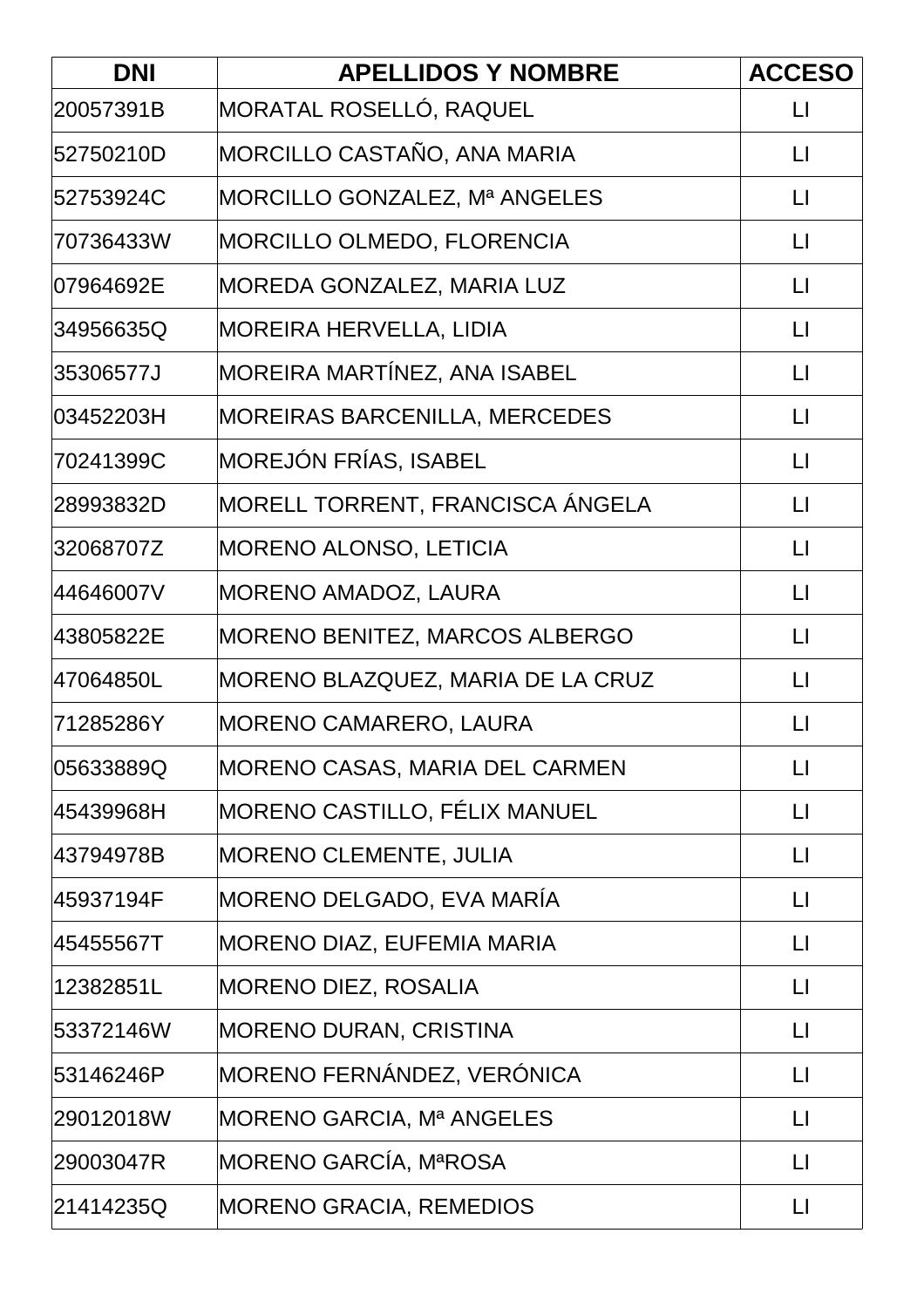| <b>DNI</b> | <b>APELLIDOS Y NOMBRE</b>             | <b>ACCESO</b>     |
|------------|---------------------------------------|-------------------|
| 20057391B  | MORATAL ROSELLÓ, RAQUEL               | $\lfloor \rfloor$ |
| 52750210D  | MORCILLO CASTAÑO, ANA MARIA           | $\lfloor \rfloor$ |
| 52753924C  | MORCILLO GONZALEZ, Mª ANGELES         | $\lfloor \rfloor$ |
| l70736433W | MORCILLO OLMEDO, FLORENCIA            | $\lfloor \rfloor$ |
| l07964692E | MOREDA GONZALEZ, MARIA LUZ            | $\lfloor \rfloor$ |
| 34956635Q  | <b>MOREIRA HERVELLA, LIDIA</b>        | $\lfloor \rfloor$ |
| 35306577J  | MOREIRA MARTÍNEZ, ANA ISABEL          | $\lfloor \rfloor$ |
| l03452203H | <b>MOREIRAS BARCENILLA, MERCEDES</b>  | $\lfloor \rfloor$ |
| 70241399C  | MOREJÓN FRÍAS, ISABEL                 | $\lfloor \rfloor$ |
| 28993832D  | MORELL TORRENT, FRANCISCA ANGELA      | $\lfloor \rfloor$ |
| 32068707Z  | MORENO ALONSO, LETICIA                | $\lfloor \rfloor$ |
| 44646007V  | <b>MORENO AMADOZ, LAURA</b>           | $\lfloor \rfloor$ |
| 43805822E  | <b>MORENO BENITEZ, MARCOS ALBERGO</b> | $\lfloor \rfloor$ |
| l47064850L | MORENO BLAZQUEZ, MARIA DE LA CRUZ     | $\mathsf{L}$      |
| 71285286Y  | MORENO CAMARERO, LAURA                | П                 |
| 05633889Q  | <b>MORENO CASAS, MARIA DEL CARMEN</b> | $\lfloor \rfloor$ |
| 45439968H  | MORENO CASTILLO, FÉLIX MANUEL         | $\lfloor \rfloor$ |
| 43794978B  | MORENO CLEMENTE, JULIA                | $\lfloor \rfloor$ |
| 45937194F  | MORENO DELGADO, EVA MARÍA             | $\lfloor \rfloor$ |
| 45455567T  | MORENO DIAZ, EUFEMIA MARIA            | $\lfloor \rfloor$ |
| 12382851L  | <b>MORENO DIEZ, ROSALIA</b>           | $\lfloor \rfloor$ |
| 53372146W  | <b>MORENO DURAN, CRISTINA</b>         | $\lfloor \rfloor$ |
| 53146246P  | MORENO FERNÁNDEZ, VERÓNICA            | $\lfloor \rfloor$ |
| 29012018W  | MORENO GARCIA, Mª ANGELES             | П                 |
| 29003047R  | MORENO GARCÍA, MªROSA                 | $\lfloor \rfloor$ |
| 21414235Q  | <b>MORENO GRACIA, REMEDIOS</b>        | $\lfloor \rfloor$ |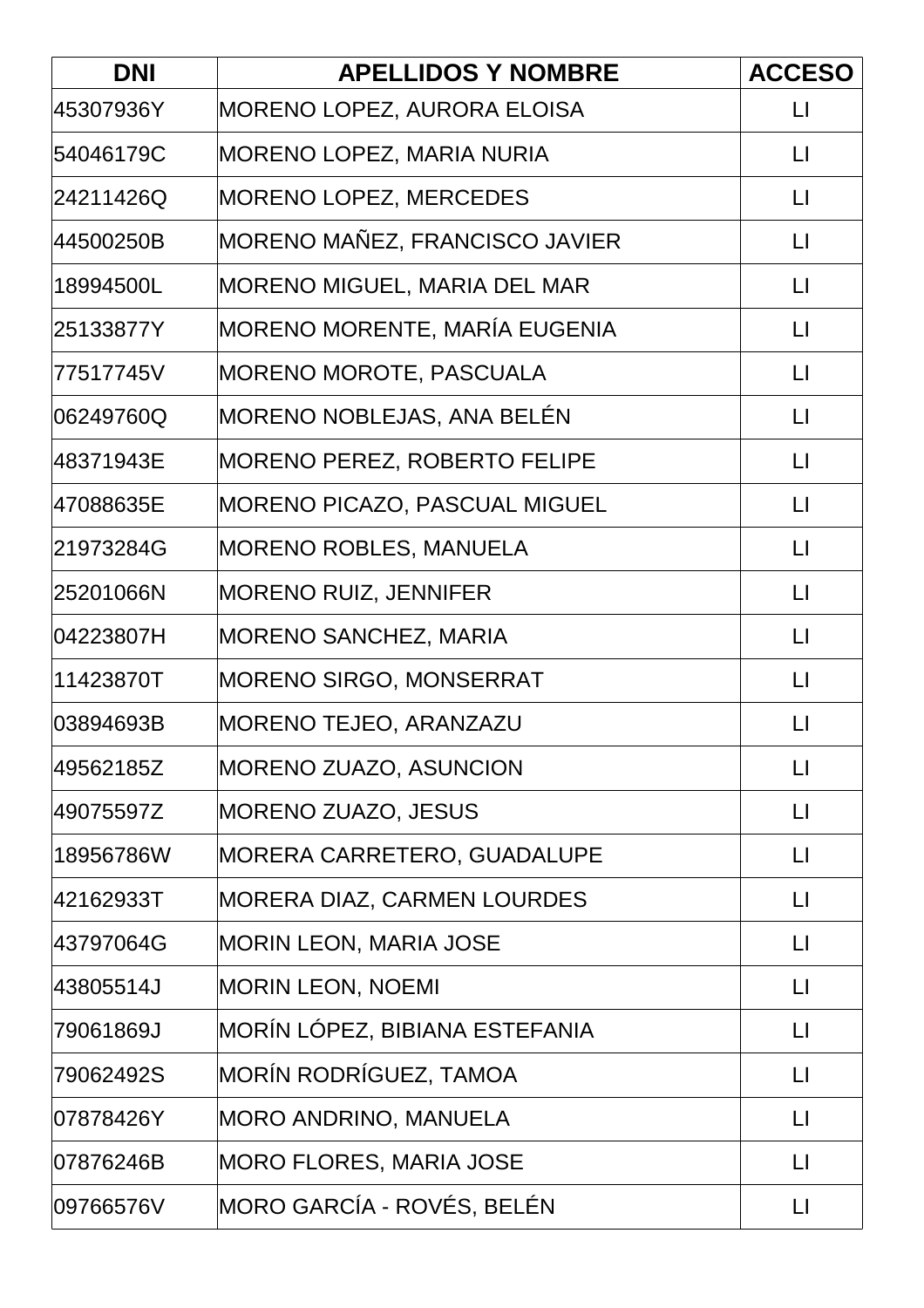| <b>DNI</b> | <b>APELLIDOS Y NOMBRE</b>           | <b>ACCESO</b>     |
|------------|-------------------------------------|-------------------|
| 45307936Y  | MORENO LOPEZ, AURORA ELOISA         | $\lfloor \rfloor$ |
| 54046179C  | MORENO LOPEZ, MARIA NURIA           | $\lfloor \rfloor$ |
| 24211426Q  | <b>MORENO LOPEZ, MERCEDES</b>       | $\lfloor \rfloor$ |
| 44500250B  | MORENO MAÑEZ, FRANCISCO JAVIER      | $\lfloor \rfloor$ |
| 18994500L  | <b>MORENO MIGUEL, MARIA DEL MAR</b> | $\lfloor \rfloor$ |
| 25133877Y  | MORENO MORENTE, MARÍA EUGENIA       | $\lfloor \rfloor$ |
| 77517745V  | <b>MORENO MOROTE, PASCUALA</b>      | $\lfloor \rfloor$ |
| 06249760Q  | MORENO NOBLEJAS, ANA BELÉN          | $\lfloor \rfloor$ |
| 48371943E  | <b>MORENO PEREZ, ROBERTO FELIPE</b> | $\lfloor \rfloor$ |
| 47088635E  | MORENO PICAZO, PASCUAL MIGUEL       | $\lfloor \rfloor$ |
| 21973284G  | MORENO ROBLES, MANUELA              | $\lfloor \rfloor$ |
| 25201066N  | <b>MORENO RUIZ, JENNIFER</b>        | $\lfloor \rfloor$ |
| 04223807H  | <b>MORENO SANCHEZ, MARIA</b>        | $\lfloor \rfloor$ |
| 11423870T  | MORENO SIRGO, MONSERRAT             | $\lfloor \rfloor$ |
| 03894693B  | <b>MORENO TEJEO, ARANZAZU</b>       | $\mathsf{L}$      |
| 49562185Z  | <b>MORENO ZUAZO, ASUNCION</b>       | $\lfloor \rfloor$ |
| 49075597Z  | <b>MORENO ZUAZO, JESUS</b>          | П                 |
| 18956786W  | MORERA CARRETERO, GUADALUPE         | $\lfloor \rfloor$ |
| 42162933T  | <b>MORERA DIAZ, CARMEN LOURDES</b>  | $\mathsf{L}$      |
| 43797064G  | <b>MORIN LEON, MARIA JOSE</b>       | $\lfloor \rfloor$ |
| 43805514J  | <b>MORIN LEON, NOEMI</b>            | $\lfloor \rfloor$ |
| 79061869J  | MORÍN LÓPEZ, BIBIANA ESTEFANIA      | $\mathsf{L}$      |
| 79062492S  | MORÍN RODRÍGUEZ, TAMOA              | $\lfloor \rfloor$ |
| 07878426Y  | <b>MORO ANDRINO, MANUELA</b>        | П                 |
| 07876246B  | <b>MORO FLORES, MARIA JOSE</b>      | $\mathsf{L}$      |
| 09766576V  | MORO GARCÍA - ROVÉS, BELÉN          | $\mathsf{L}$      |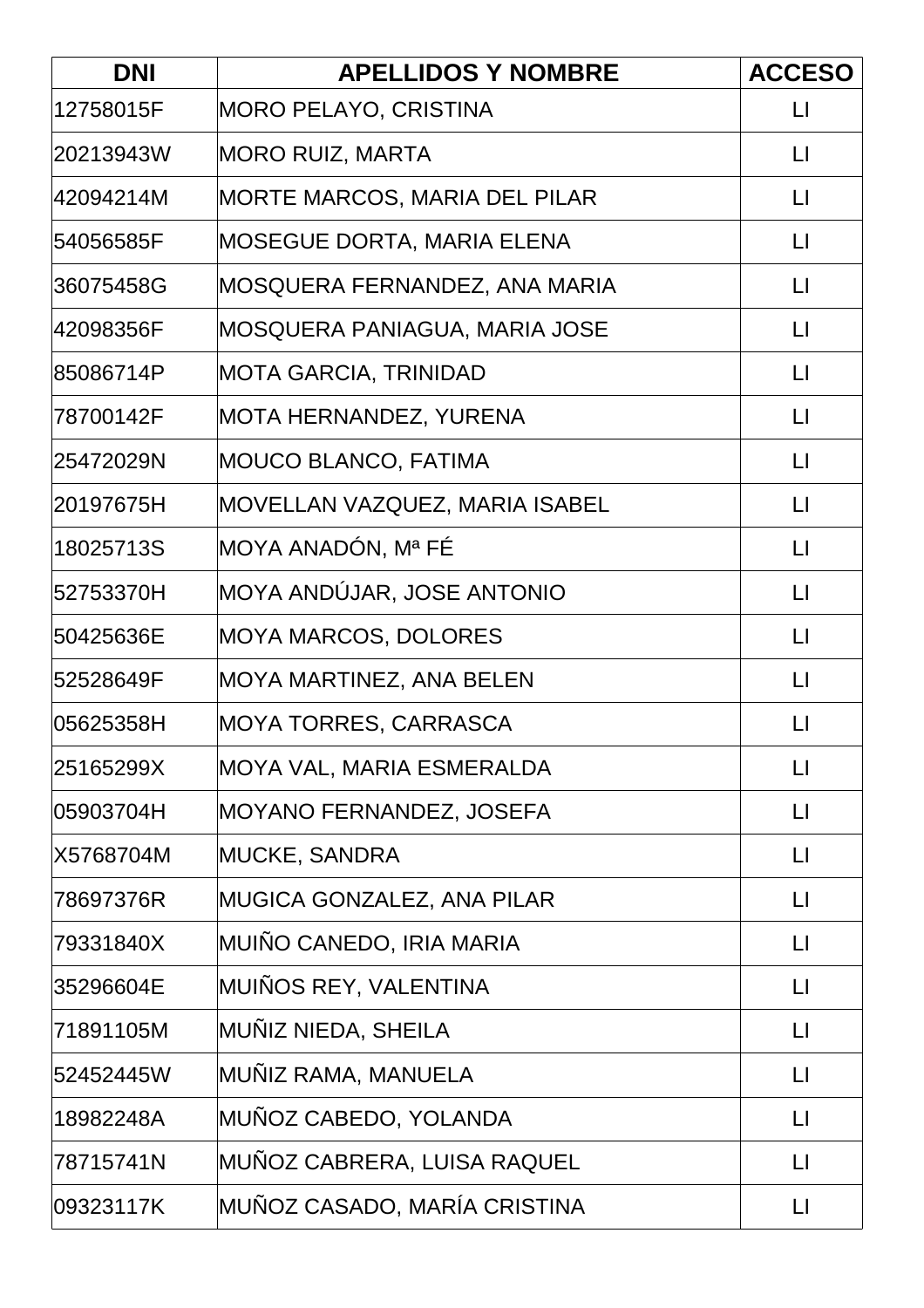| <b>DNI</b> | <b>APELLIDOS Y NOMBRE</b>      | <b>ACCESO</b>          |
|------------|--------------------------------|------------------------|
| 12758015F  | <b>MORO PELAYO, CRISTINA</b>   | LI                     |
| 20213943W  | <b>MORO RUIZ, MARTA</b>        | $\mathsf{L}$           |
| l42094214M | MORTE MARCOS, MARIA DEL PILAR  | $\lfloor \rfloor$      |
| 54056585F  | MOSEGUE DORTA, MARIA ELENA     | $\lfloor \rfloor$      |
| 36075458G  | MOSQUERA FERNANDEZ, ANA MARIA  | $\lfloor \rfloor$      |
| 42098356F  | MOSQUERA PANIAGUA, MARIA JOSE  | $\lfloor \rfloor$      |
| 85086714P  | MOTA GARCIA, TRINIDAD          | $\lfloor \rfloor$      |
| 78700142F  | <b>MOTA HERNANDEZ, YURENA</b>  | $\lfloor \rfloor$      |
| 25472029N  | MOUCO BLANCO, FATIMA           | $\mathsf{L}$           |
| 20197675H  | MOVELLAN VAZQUEZ, MARIA ISABEL | $\lfloor \rfloor$      |
| 18025713S  | MOYA ANADÓN, Mª FÉ             | $\lfloor \rfloor$      |
| 52753370H  | MOYA ANDÚJAR, JOSE ANTONIO     | $\lfloor \rfloor$      |
| 50425636E  | MOYA MARCOS, DOLORES           | $\mathsf{L}$           |
| 52528649F  | MOYA MARTINEZ, ANA BELEN       | $\lfloor \rfloor$      |
| 05625358H  | MOYA TORRES, CARRASCA          | $\lfloor \rfloor$      |
| 25165299X  | MOYA VAL, MARIA ESMERALDA      | $\lfloor \rfloor$      |
| 05903704H  | MOYANO FERNANDEZ, JOSEFA       | П                      |
| X5768704M  | <b>MUCKE, SANDRA</b>           | $\mathsf{L}\mathsf{L}$ |
| 78697376R  | MUGICA GONZALEZ, ANA PILAR     | $\mathsf{L}$           |
| 79331840X  | MUIÑO CANEDO, IRIA MARIA       | $\lfloor \rfloor$      |
| 35296604E  | MUINOS REY, VALENTINA          | $\lfloor \rfloor$      |
| 71891105M  | MUÑIZ NIEDA, SHEILA            | $\mathsf{L}$           |
| 52452445W  | MUÑIZ RAMA, MANUELA            | $\mathsf{L}$           |
| 18982248A  | MUÑOZ CABEDO, YOLANDA          | $\lfloor \rfloor$      |
| 78715741N  | MUÑOZ CABRERA, LUISA RAQUEL    | $\mathsf{L}$           |
| 09323117K  | MUÑOZ CASADO, MARÍA CRISTINA   | $\lfloor \rfloor$      |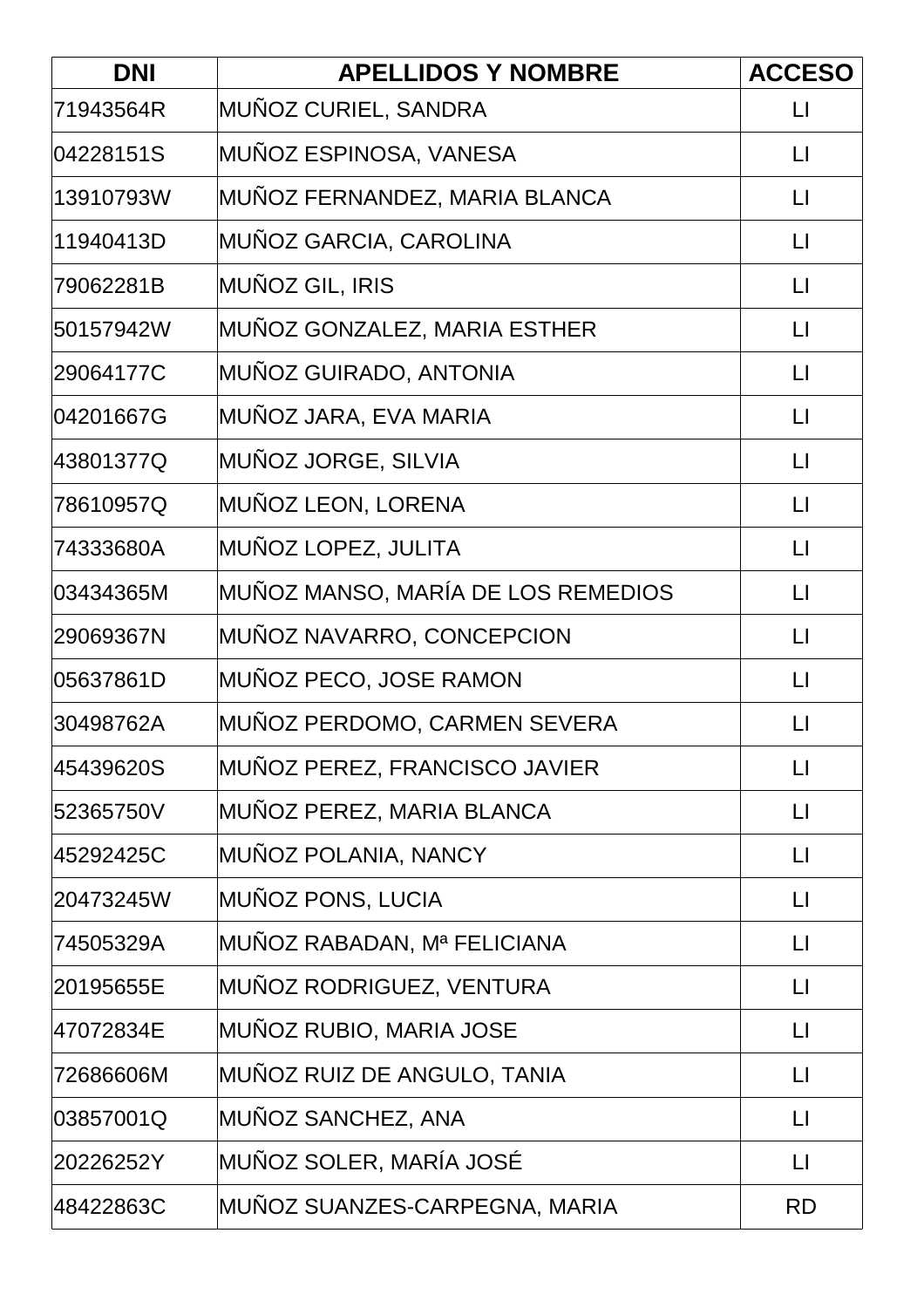| <b>DNI</b> | <b>APELLIDOS Y NOMBRE</b>          | <b>ACCESO</b>     |
|------------|------------------------------------|-------------------|
| 71943564R  | MUÑOZ CURIEL, SANDRA               | LI                |
| 04228151S  | MUÑOZ ESPINOSA, VANESA             | $\lfloor \rfloor$ |
| 13910793W  | MUNOZ FERNANDEZ, MARIA BLANCA      | $\mathsf{L}$      |
| 11940413D  | MUÑOZ GARCIA, CAROLINA             | $\lfloor \rfloor$ |
| 79062281B  | <b>MUÑOZ GIL, IRIS</b>             | $\lfloor \rfloor$ |
| 50157942W  | MUNOZ GONZALEZ, MARIA ESTHER       | $\lfloor \rfloor$ |
| 29064177C  | MUÑOZ GUIRADO, ANTONIA             | $\lfloor \rfloor$ |
| 04201667G  | MUÑOZ JARA, EVA MARIA              | $\lfloor \rfloor$ |
| 43801377Q  | MUÑOZ JORGE, SILVIA                | $\mathsf{L}$      |
| 78610957Q  | MUÑOZ LEON, LORENA                 | $\lfloor \rfloor$ |
| 74333680A  | MUÑOZ LOPEZ, JULITA                | $\lfloor \rfloor$ |
| 03434365M  | MUÑOZ MANSO, MARÍA DE LOS REMEDIOS | $\lfloor \rfloor$ |
| 29069367N  | MUÑOZ NAVARRO, CONCEPCION          | $\mathsf{L}$      |
| 05637861D  | MUNOZ PECO, JOSE RAMON             | $\lfloor \rfloor$ |
| 30498762A  | MUÑOZ PERDOMO, CARMEN SEVERA       | $\lfloor \rfloor$ |
| 45439620S  | MUÑOZ PEREZ, FRANCISCO JAVIER      | $\lfloor \rfloor$ |
| 52365750V  | MUÑOZ PEREZ, MARIA BLANCA          | $\lfloor \rfloor$ |
| 45292425C  | MUÑOZ POLANIA, NANCY               | $\lfloor \rfloor$ |
| 20473245W  | MUÑOZ PONS, LUCIA                  | $\mathsf{L}$      |
| 74505329A  | MUÑOZ RABADAN, Mª FELICIANA        | $\lfloor \rfloor$ |
| 20195655E  | MUNOZ RODRIGUEZ, VENTURA           | $\lfloor \rfloor$ |
| 47072834E  | MUÑOZ RUBIO, MARIA JOSE            | $\lfloor \rfloor$ |
| 72686606M  | MUÑOZ RUIZ DE ANGULO, TANIA        | $\lfloor \rfloor$ |
| 03857001Q  | MUÑOZ SANCHEZ, ANA                 | $\lfloor \rfloor$ |
| 20226252Y  | MUÑOZ SOLER, MARÍA JOSÉ            | $\mathsf{L}$      |
| 48422863C  | MUÑOZ SUANZES-CARPEGNA, MARIA      | <b>RD</b>         |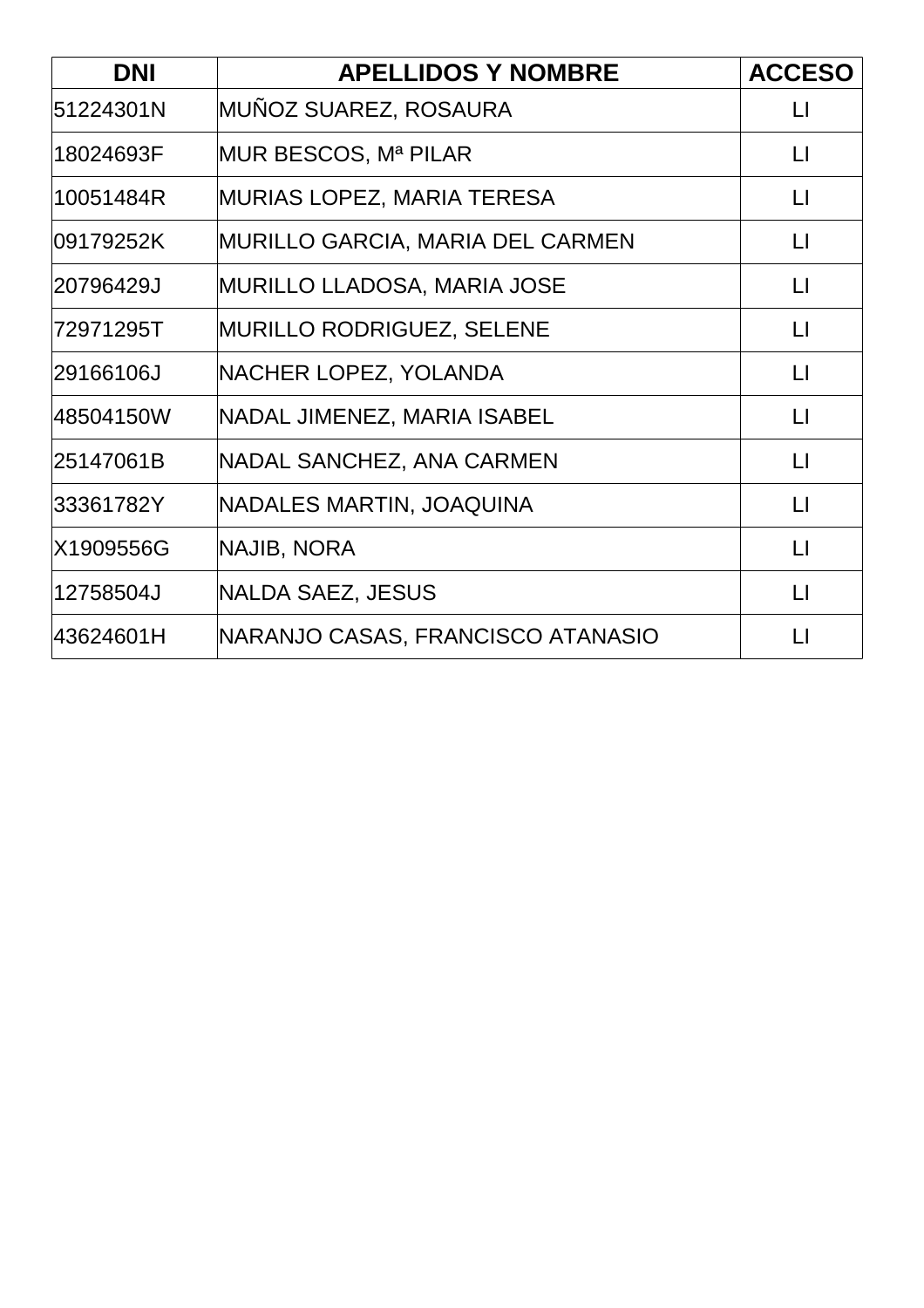| <b>DNI</b> | <b>APELLIDOS Y NOMBRE</b>               | <b>ACCESO</b>     |
|------------|-----------------------------------------|-------------------|
| 51224301N  | MUÑOZ SUAREZ, ROSAURA                   | $\mathsf{L}$      |
| 18024693F  | MUR BESCOS, Mª PILAR                    | $\mathsf{L}$      |
| 10051484R  | <b>MURIAS LOPEZ, MARIA TERESA</b>       | $\mathsf{L}$      |
| 09179252K  | <b>MURILLO GARCIA, MARIA DEL CARMEN</b> | $\lfloor \rfloor$ |
| 20796429J  | <b>MURILLO LLADOSA, MARIA JOSE</b>      | $\lfloor \rfloor$ |
| 72971295T  | <b>MURILLO RODRIGUEZ, SELENE</b>        | $\lfloor \rfloor$ |
| 29166106J  | NACHER LOPEZ, YOLANDA                   | $\lfloor \rfloor$ |
| 48504150W  | NADAL JIMENEZ, MARIA ISABEL             | $\lfloor \rfloor$ |
| 25147061B  | <b>NADAL SANCHEZ, ANA CARMEN</b>        | $\mathsf{L}$      |
| 33361782Y  | NADALES MARTIN, JOAQUINA                | $\Box$            |
| X1909556G  | <b>NAJIB, NORA</b>                      | $\mathsf{L}$      |
| 12758504J  | <b>NALDA SAEZ, JESUS</b>                | $\mathsf{L}$      |
| 43624601H  | NARANJO CASAS, FRANCISCO ATANASIO       | $\mathsf{L}$      |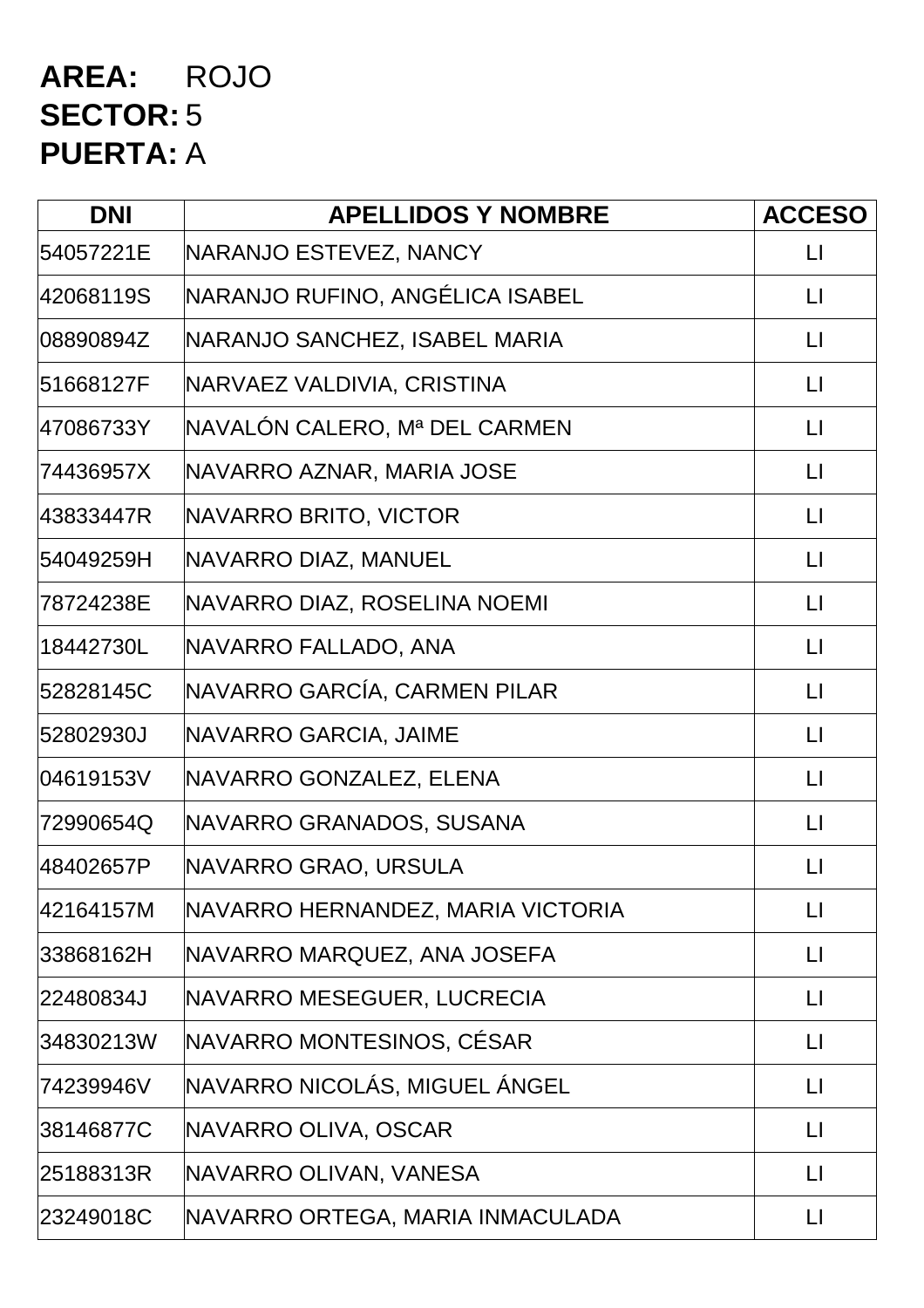### **AREA:** ROJO **SECTOR:** 5 **PUERTA:** A

| <b>DNI</b> | <b>APELLIDOS Y NOMBRE</b>         | <b>ACCESO</b>           |
|------------|-----------------------------------|-------------------------|
| 54057221E  | NARANJO ESTEVEZ, NANCY            | LI                      |
| 42068119S  | NARANJO RUFINO, ANGÉLICA ISABEL   | $\Box$                  |
| 08890894Z  | NARANJO SANCHEZ, ISABEL MARIA     | $\mathsf{L}$            |
| 51668127F  | NARVAEZ VALDIVIA, CRISTINA        | $\Box$                  |
| 47086733Y  | NAVALÓN CALERO, Mª DEL CARMEN     | $\Box$                  |
| 74436957X  | NAVARRO AZNAR, MARIA JOSE         | $\Box$                  |
| 43833447R  | NAVARRO BRITO, VICTOR             | $\mathsf{L}$            |
| 54049259H  | NAVARRO DIAZ, MANUEL              | $\mathsf{L}$            |
| 78724238E  | NAVARRO DIAZ, ROSELINA NOEMI      | $\Box$                  |
| 18442730L  | NAVARRO FALLADO, ANA              | $\mathsf{L}$            |
| 52828145C  | NAVARRO GARCÍA, CARMEN PILAR      | $\lfloor \rfloor$       |
| 52802930J  | NAVARRO GARCIA, JAIME             | $\mathsf{L}$            |
| 04619153V  | NAVARRO GONZALEZ, ELENA           | $\lfloor \rfloor$       |
| 72990654Q  | NAVARRO GRANADOS, SUSANA          | $\lfloor \cdot \rfloor$ |
| 48402657P  | NAVARRO GRAO, URSULA              | $\mathsf{L}$            |
| 42164157M  | NAVARRO HERNANDEZ, MARIA VICTORIA | $\lfloor \rfloor$       |
| 33868162H  | NAVARRO MARQUEZ, ANA JOSEFA       | $\mathsf{L}$            |
| 22480834J  | NAVARRO MESEGUER, LUCRECIA        | $\mathsf{L}$            |
| 34830213W  | NAVARRO MONTESINOS, CÉSAR         | $\lfloor \rfloor$       |
| 74239946V  | NAVARRO NICOLÁS, MIGUEL ÁNGEL     | $\lfloor \cdot \rfloor$ |
| 38146877C  | NAVARRO OLIVA, OSCAR              | $\Box$                  |
| 25188313R  | NAVARRO OLIVAN, VANESA            | $\lfloor \rfloor$       |
| 23249018C  | NAVARRO ORTEGA, MARIA INMACULADA  | $\Box$                  |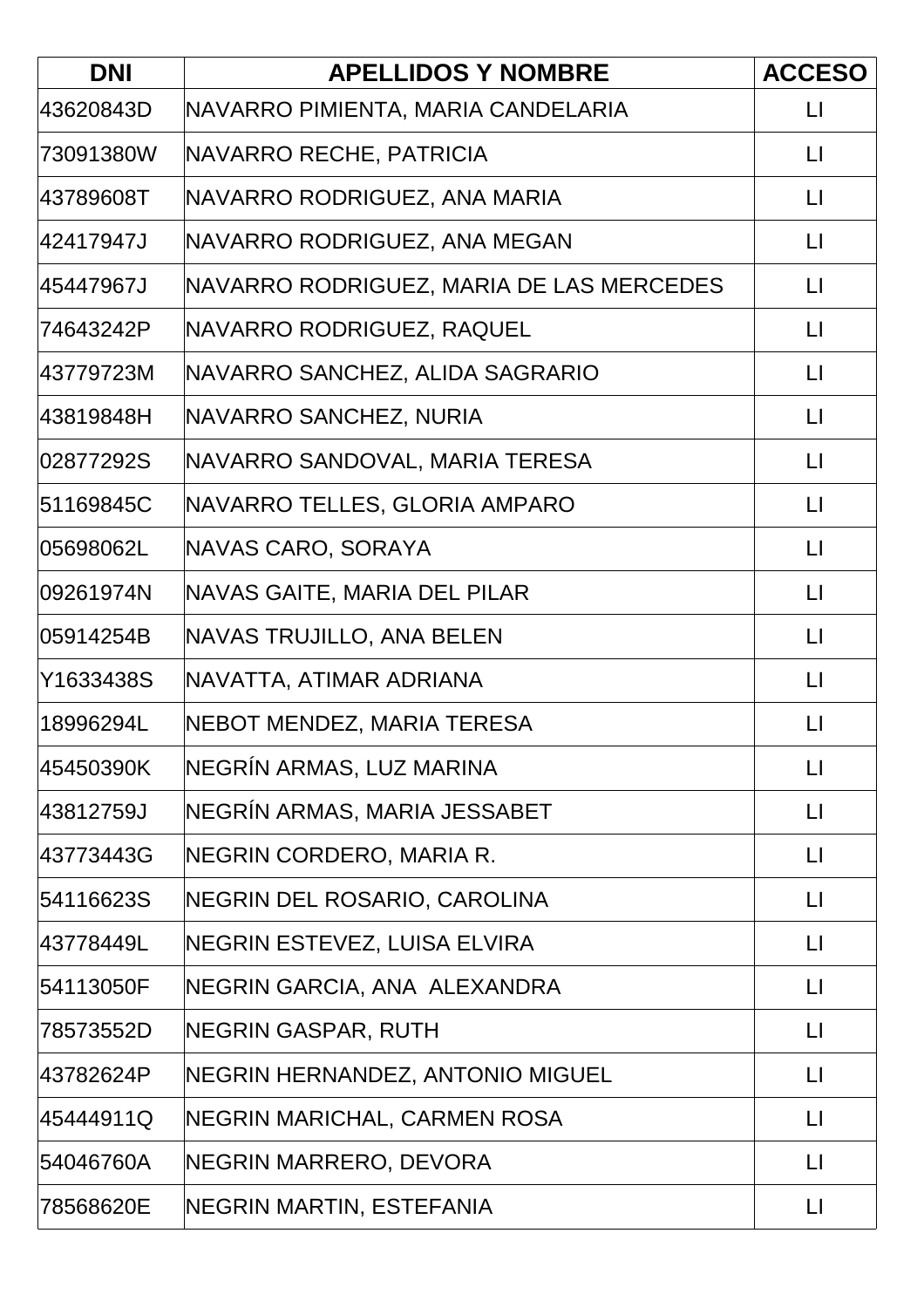| <b>DNI</b> | <b>APELLIDOS Y NOMBRE</b>                | <b>ACCESO</b>           |
|------------|------------------------------------------|-------------------------|
| 43620843D  | NAVARRO PIMIENTA, MARIA CANDELARIA       | $\lfloor \rfloor$       |
| 73091380W  | NAVARRO RECHE, PATRICIA                  | $\lfloor \cdot \rfloor$ |
| 43789608T  | NAVARRO RODRIGUEZ, ANA MARIA             | $\lfloor \cdot \rfloor$ |
| 42417947J  | NAVARRO RODRIGUEZ, ANA MEGAN             | $\lfloor \rfloor$       |
| 45447967J  | NAVARRO RODRIGUEZ, MARIA DE LAS MERCEDES | $\lfloor \cdot \rfloor$ |
| 74643242P  | NAVARRO RODRIGUEZ, RAQUEL                | $\lfloor \cdot \rfloor$ |
| 43779723M  | NAVARRO SANCHEZ, ALIDA SAGRARIO          | $\lfloor \cdot \rfloor$ |
| 43819848H  | NAVARRO SANCHEZ, NURIA                   | $\lfloor \rfloor$       |
| 02877292S  | NAVARRO SANDOVAL, MARIA TERESA           | $\mathsf{L}$            |
| 51169845C  | NAVARRO TELLES, GLORIA AMPARO            | $\mathsf{L}$            |
| 05698062L  | NAVAS CARO, SORAYA                       | $\lfloor \rfloor$       |
| 09261974N  | NAVAS GAITE, MARIA DEL PILAR             | $\lfloor \cdot \rfloor$ |
| 05914254B  | <b>NAVAS TRUJILLO, ANA BELEN</b>         | $\lfloor \rfloor$       |
| Y1633438S  | NAVATTA, ATIMAR ADRIANA                  | $\lfloor \rfloor$       |
| 18996294L  | NEBOT MENDEZ, MARIA TERESA               | $\mathsf{L}$            |
| 45450390K  | NEGRÍN ARMAS, LUZ MARINA                 | $\lfloor \rfloor$       |
| 43812759J  | NEGRÍN ARMAS, MARIA JESSABET             | LI                      |
| 43773443G  | NEGRIN CORDERO, MARIA R.                 | $\Box$                  |
| 54116623S  | NEGRIN DEL ROSARIO, CAROLINA             | $\lfloor \cdot \rfloor$ |
| 43778449L  | NEGRIN ESTEVEZ, LUISA ELVIRA             | $\lfloor \rfloor$       |
| 54113050F  | NEGRIN GARCIA, ANA ALEXANDRA             | $\lfloor \rfloor$       |
| 78573552D  | <b>NEGRIN GASPAR, RUTH</b>               | $\mathsf{L}$            |
| 43782624P  | NEGRIN HERNANDEZ, ANTONIO MIGUEL         | $\lfloor \cdot \rfloor$ |
| 45444911Q  | NEGRIN MARICHAL, CARMEN ROSA             | $\lfloor \rfloor$       |
| 54046760A  | NEGRIN MARRERO, DEVORA                   | $\lfloor \rfloor$       |
| 78568620E  | NEGRIN MARTIN, ESTEFANIA                 | $\lfloor \rfloor$       |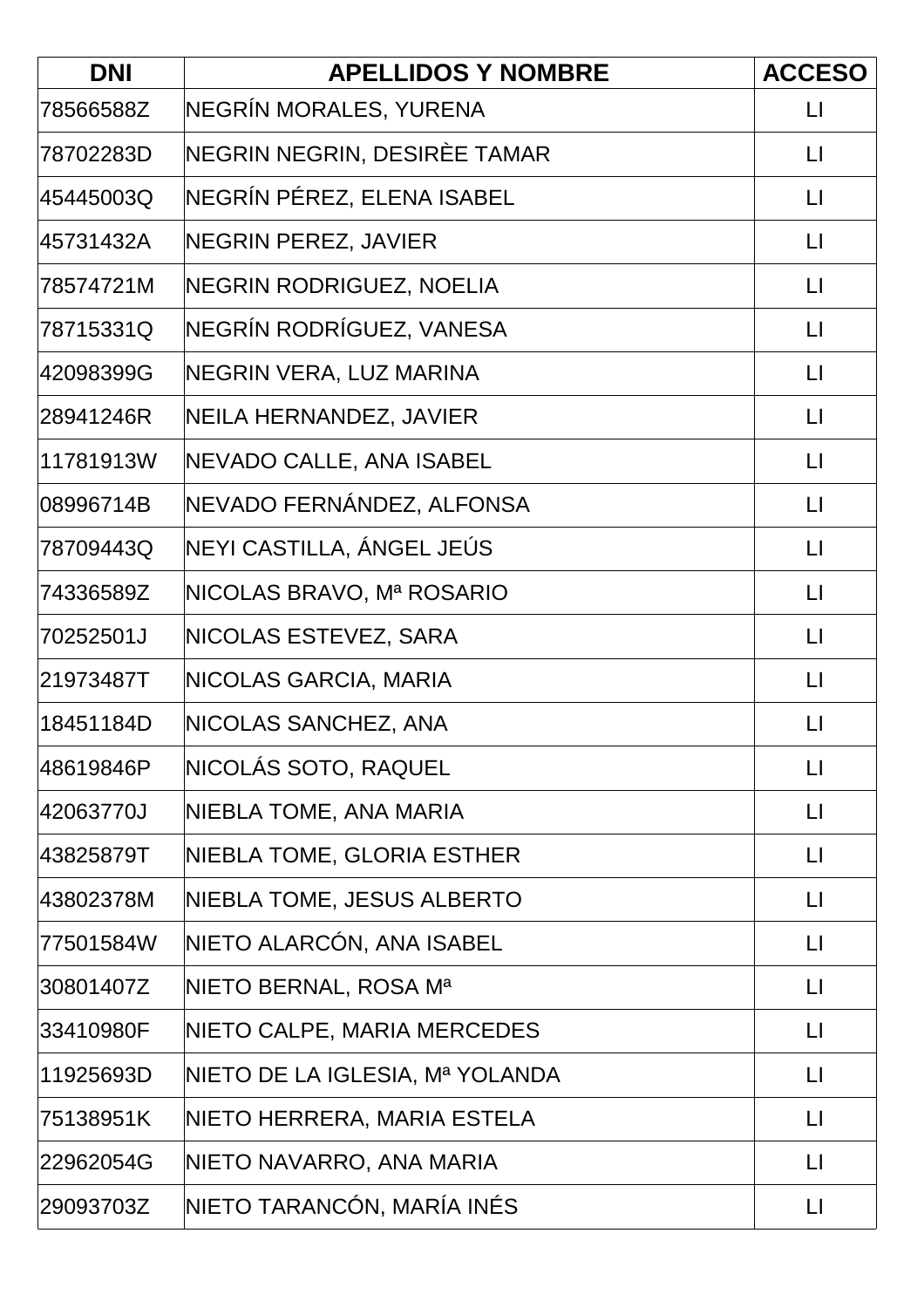| <b>DNI</b> | <b>APELLIDOS Y NOMBRE</b>       | <b>ACCESO</b>           |
|------------|---------------------------------|-------------------------|
| 78566588Z  | NEGRÍN MORALES, YURENA          | $\lfloor \rfloor$       |
| 78702283D  | NEGRIN NEGRIN, DESIRÈE TAMAR    | $\mathsf{L}$            |
| 45445003Q  | NEGRÍN PÉREZ, ELENA ISABEL      | $\Box$                  |
| 45731432A  | NEGRIN PEREZ, JAVIER            | $\lfloor \rfloor$       |
| 78574721M  | NEGRIN RODRIGUEZ, NOELIA        | $\lfloor \cdot \rfloor$ |
| 78715331Q  | NEGRÍN RODRÍGUEZ, VANESA        | $\lfloor \cdot \rfloor$ |
| 42098399G  | NEGRIN VERA, LUZ MARINA         | $\Box$                  |
| 28941246R  | NEILA HERNANDEZ, JAVIER         | $\lfloor \rfloor$       |
| 11781913W  | NEVADO CALLE, ANA ISABEL        | $\Box$                  |
| 08996714B  | NEVADO FERNÁNDEZ, ALFONSA       | $\Box$                  |
| 78709443Q  | NEYI CASTILLA, ÁNGEL JEÚS       | $\lfloor \rfloor$       |
| 74336589Z  | NICOLAS BRAVO, Mª ROSARIO       | $\lfloor \cdot \rfloor$ |
| 70252501J  | NICOLAS ESTEVEZ, SARA           | $\lfloor \cdot \rfloor$ |
| 21973487T  | NICOLAS GARCIA, MARIA           | $\mathsf{L}\mathsf{I}$  |
| 18451184D  | NICOLAS SANCHEZ, ANA            | $\lfloor \rfloor$       |
| 48619846P  | NICOLÁS SOTO, RAQUEL            | $\lfloor \rfloor$       |
| 42063770J  | NIEBLA TOME, ANA MARIA          | $\lfloor \rfloor$       |
| 43825879T  | NIEBLA TOME, GLORIA ESTHER      | $\lfloor \rfloor$       |
| 43802378M  | NIEBLA TOME, JESUS ALBERTO      | $\lfloor \rfloor$       |
| 77501584W  | NIETO ALARCÓN, ANA ISABEL       | $\lfloor \rfloor$       |
| 30801407Z  | NIETO BERNAL, ROSA Mª           | $\lfloor \rfloor$       |
| 33410980F  | NIETO CALPE, MARIA MERCEDES     | $\lfloor \rfloor$       |
| 11925693D  | NIETO DE LA IGLESIA, Mª YOLANDA | $\lfloor \rfloor$       |
| 75138951K  | NIETO HERRERA, MARIA ESTELA     | $\mathsf{L}\mathsf{I}$  |
| 22962054G  | NIETO NAVARRO, ANA MARIA        | $\mathsf{L}$            |
| 29093703Z  | NIETO TARANCÓN, MARÍA INÉS      | $\lfloor \rfloor$       |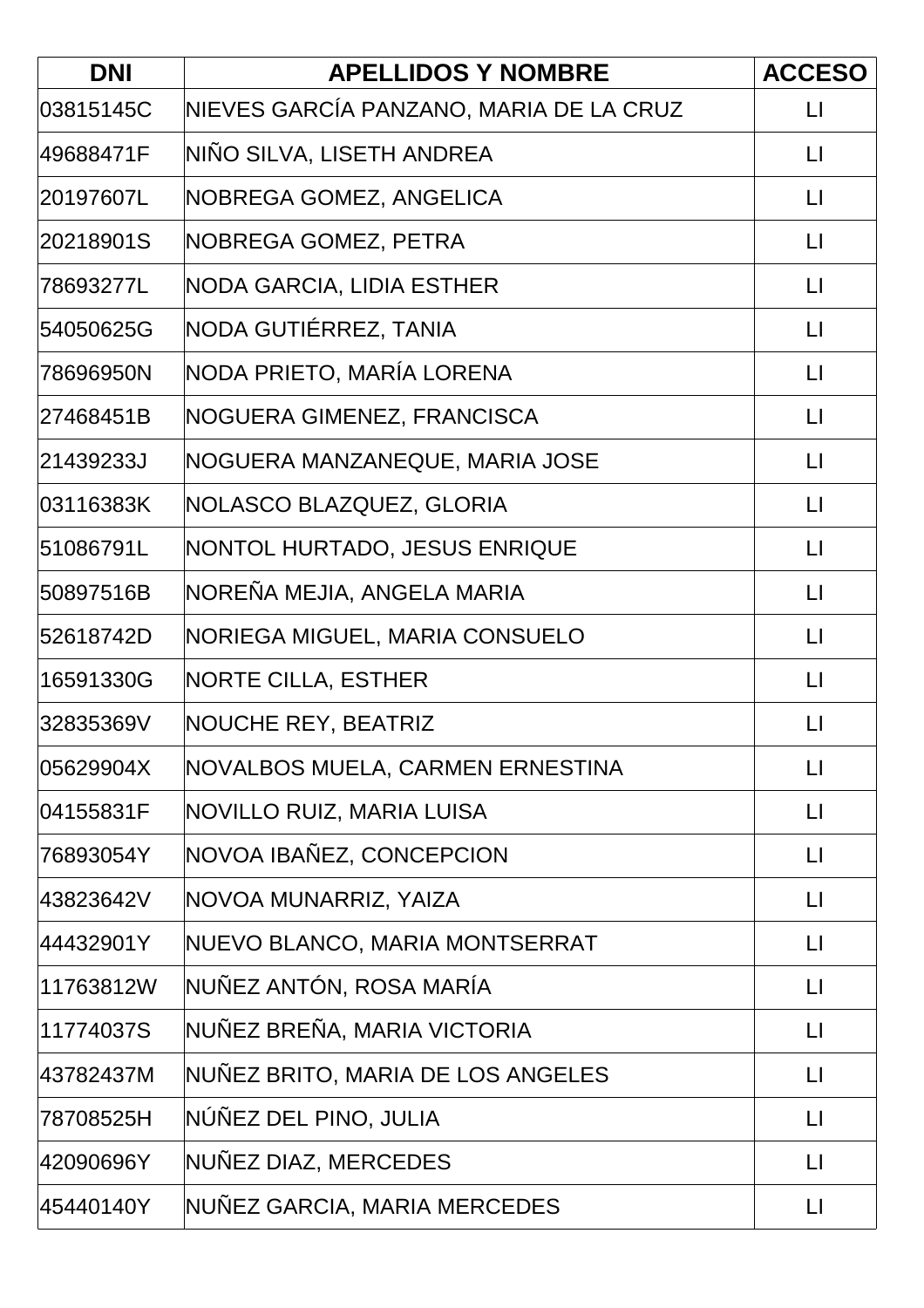| <b>DNI</b> | <b>APELLIDOS Y NOMBRE</b>               | <b>ACCESO</b>           |
|------------|-----------------------------------------|-------------------------|
| 03815145C  | NIEVES GARCÍA PANZANO, MARIA DE LA CRUZ | $\lfloor \rfloor$       |
| 49688471F  | NIÑO SILVA, LISETH ANDREA               | $\lfloor \cdot \rfloor$ |
| 20197607L  | NOBREGA GOMEZ, ANGELICA                 | $\lfloor \cdot \rfloor$ |
| 20218901S  | NOBREGA GOMEZ, PETRA                    | $\lfloor \rfloor$       |
| 78693277L  | NODA GARCIA, LIDIA ESTHER               | $\lfloor \rfloor$       |
| 54050625G  | NODA GUTIÉRREZ, TANIA                   | $\lfloor \cdot \rfloor$ |
| 78696950N  | NODA PRIETO, MARÍA LORENA               | $\lfloor \rfloor$       |
| 27468451B  | NOGUERA GIMENEZ, FRANCISCA              | $\lfloor \rfloor$       |
| 21439233J  | NOGUERA MANZANEQUE, MARIA JOSE          | $\lfloor \cdot \rfloor$ |
| 03116383K  | NOLASCO BLAZQUEZ, GLORIA                | $\mathsf{L}$            |
| 51086791L  | NONTOL HURTADO, JESUS ENRIQUE           | $\lfloor \rfloor$       |
| 50897516B  | NOREÑA MEJIA, ANGELA MARIA              | $\lfloor \cdot \rfloor$ |
| 52618742D  | NORIEGA MIGUEL, MARIA CONSUELO          | $\lfloor \cdot \rfloor$ |
| 16591330G  | <b>NORTE CILLA, ESTHER</b>              | $\lfloor \rfloor$       |
| 32835369V  | <b>NOUCHE REY, BEATRIZ</b>              | $\lfloor \rfloor$       |
| 05629904X  | NOVALBOS MUELA, CARMEN ERNESTINA        | $\lfloor \rfloor$       |
| 04155831F  | NOVILLO RUIZ, MARIA LUISA               | $\lfloor \rfloor$       |
| 76893054Y  | NOVOA IBAÑEZ, CONCEPCION                | $\mathsf{L}$            |
| 43823642V  | NOVOA MUNARRIZ, YAIZA                   | $\lfloor \cdot \rfloor$ |
| 44432901Y  | NUEVO BLANCO, MARIA MONTSERRAT          | $\lfloor \rfloor$       |
| 11763812W  | NUÑEZ ANTÓN, ROSA MARÍA                 | $\lfloor \rfloor$       |
| 11774037S  | NUÑEZ BREÑA, MARIA VICTORIA             | $\mathsf{L}$            |
| 43782437M  | NUÑEZ BRITO, MARIA DE LOS ANGELES       | $\Box$                  |
| 78708525H  | NÚÑEZ DEL PINO, JULIA                   | $\lfloor \rfloor$       |
| 42090696Y  | NUÑEZ DIAZ, MERCEDES                    | $\lfloor \rfloor$       |
| 45440140Y  | NUÑEZ GARCIA, MARIA MERCEDES            | $\lfloor \rfloor$       |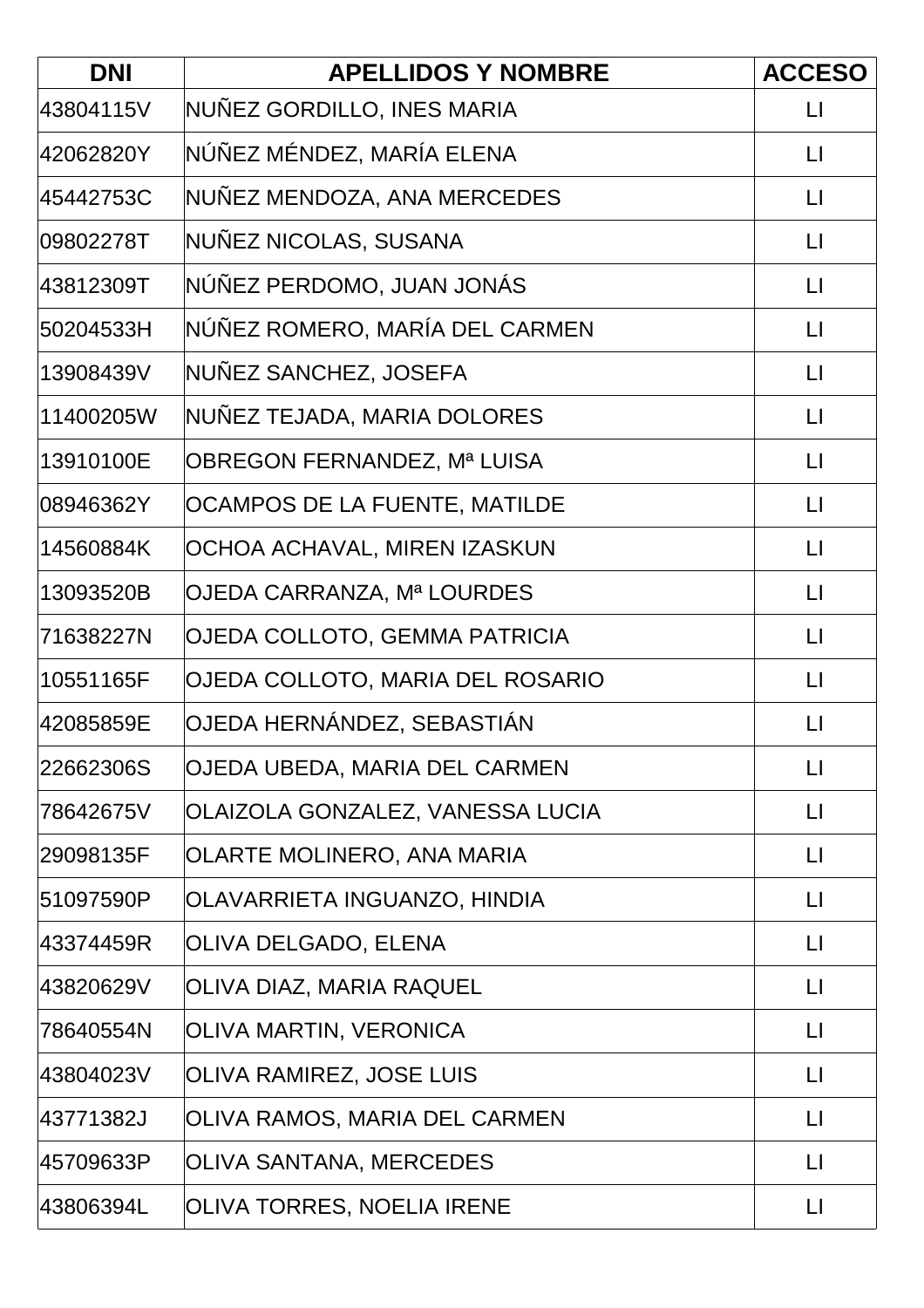| <b>DNI</b> | <b>APELLIDOS Y NOMBRE</b>        | <b>ACCESO</b>           |
|------------|----------------------------------|-------------------------|
| 43804115V  | NUÑEZ GORDILLO, INES MARIA       | $\lfloor \rfloor$       |
| 42062820Y  | NÚÑEZ MÉNDEZ, MARÍA ELENA        | $\lfloor \cdot \rfloor$ |
| 45442753C  | NUÑEZ MENDOZA, ANA MERCEDES      | LI                      |
| 09802278T  | NUÑEZ NICOLAS, SUSANA            | $\mathsf{L}\mathsf{I}$  |
| 43812309T  | NÚÑEZ PERDOMO, JUAN JONÁS        | $\lfloor \cdot \rfloor$ |
| 50204533H  | NÚÑEZ ROMERO, MARÍA DEL CARMEN   | $\lfloor \cdot \rfloor$ |
| 13908439V  | NUÑEZ SANCHEZ, JOSEFA            | $\lfloor \rfloor$       |
| 11400205W  | NUNEZ TEJADA, MARIA DOLORES      | $\lfloor \rfloor$       |
| 13910100E  | OBREGON FERNANDEZ, Mª LUISA      | $\lfloor \rfloor$       |
| 08946362Y  | OCAMPOS DE LA FUENTE, MATILDE    | $\lfloor \rfloor$       |
| 14560884K  | OCHOA ACHAVAL, MIREN IZASKUN     | $\lfloor \rfloor$       |
| 13093520B  | OJEDA CARRANZA, Mª LOURDES       | $\lfloor \rfloor$       |
| 71638227N  | OJEDA COLLOTO, GEMMA PATRICIA    | $\lfloor \cdot \rfloor$ |
| 10551165F  | OJEDA COLLOTO, MARIA DEL ROSARIO | $\lfloor \rfloor$       |
| 42085859E  | OJEDA HERNÁNDEZ, SEBASTIÁN       | $\lfloor \rfloor$       |
| 22662306S  | OJEDA UBEDA, MARIA DEL CARMEN    | $\lfloor \rfloor$       |
| 78642675V  | OLAIZOLA GONZALEZ, VANESSA LUCIA | $\lfloor \rfloor$       |
| 29098135F  | OLARTE MOLINERO, ANA MARIA       | $\mathsf{L}$            |
| 51097590P  | OLAVARRIETA INGUANZO, HINDIA     | $\lfloor \cdot \rfloor$ |
| 43374459R  | OLIVA DELGADO, ELENA             | $\lfloor \rfloor$       |
| 43820629V  | OLIVA DIAZ, MARIA RAQUEL         | $\lfloor \rfloor$       |
| 78640554N  | OLIVA MARTIN, VERONICA           | $\lfloor \rfloor$       |
| 43804023V  | OLIVA RAMIREZ, JOSE LUIS         | $\lfloor \cdot \rfloor$ |
| 43771382J  | OLIVA RAMOS, MARIA DEL CARMEN    | $\mathsf{L}\mathsf{I}$  |
| 45709633P  | OLIVA SANTANA, MERCEDES          | $\lfloor \rfloor$       |
| 43806394L  | OLIVA TORRES, NOELIA IRENE       | $\lfloor \rfloor$       |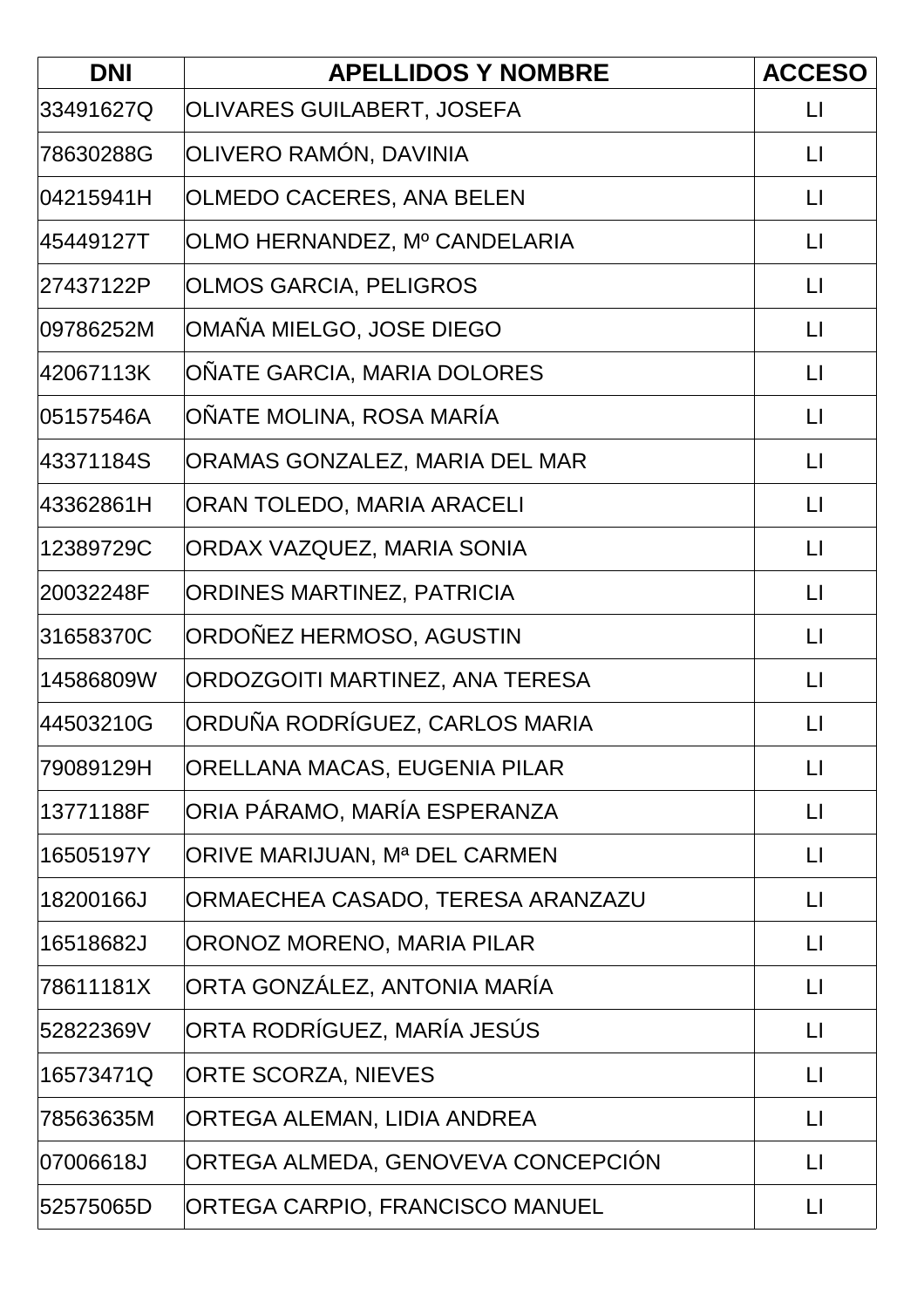| <b>DNI</b> | <b>APELLIDOS Y NOMBRE</b>          | <b>ACCESO</b>           |
|------------|------------------------------------|-------------------------|
| 33491627Q  | OLIVARES GUILABERT, JOSEFA         | $\Box$                  |
| 78630288G  | OLIVERO RAMÓN, DAVINIA             | $\lfloor \cdot \rfloor$ |
| 04215941H  | OLMEDO CACERES, ANA BELEN          | $\lfloor \rfloor$       |
| 45449127T  | OLMO HERNANDEZ, Mº CANDELARIA      | $\lfloor \cdot \rfloor$ |
| 27437122P  | <b>OLMOS GARCIA, PELIGROS</b>      | $\lfloor \rfloor$       |
| l09786252M | OMAÑA MIELGO, JOSE DIEGO           | $\lfloor \rfloor$       |
| 42067113K  | OÑATE GARCIA, MARIA DOLORES        | $\lfloor \rfloor$       |
| 05157546A  | OÑATE MOLINA, ROSA MARÍA           | $\lfloor \cdot \rfloor$ |
| 43371184S  | ORAMAS GONZALEZ, MARIA DEL MAR     | $\lfloor \rfloor$       |
| 43362861H  | ORAN TOLEDO, MARIA ARACELI         | $\Box$                  |
| 12389729C  | ORDAX VAZQUEZ, MARIA SONIA         | $\lfloor \cdot \rfloor$ |
| 20032248F  | <b>ORDINES MARTINEZ, PATRICIA</b>  | $\lfloor \rfloor$       |
| 31658370C  | ORDOÑEZ HERMOSO, AGUSTIN           | $\lfloor \rfloor$       |
| 14586809W  | ORDOZGOITI MARTINEZ, ANA TERESA    | $\mathsf{L}$            |
| 44503210G  | ORDUÑA RODRÍGUEZ, CARLOS MARIA     | $\mathsf{L}$            |
| 79089129H  | ORELLANA MACAS, EUGENIA PILAR      | $\lfloor \rfloor$       |
| 13771188F  | ORIA PÁRAMO, MARÍA ESPERANZA       | $\lfloor \rfloor$       |
| 16505197Y  | ORIVE MARIJUAN, Mª DEL CARMEN      | $\lfloor \rfloor$       |
| 18200166J  | ORMAECHEA CASADO, TERESA ARANZAZU  | $\lfloor \rfloor$       |
| 16518682J  | ORONOZ MORENO, MARIA PILAR         | $\lfloor \rfloor$       |
| 78611181X  | ORTA GONZÁLEZ, ANTONIA MARÍA       | $\mathsf{L}$            |
| 52822369V  | ORTA RODRÍGUEZ, MARÍA JESÚS        | $\lfloor \rfloor$       |
| 16573471Q  | <b>ORTE SCORZA, NIEVES</b>         | $\lfloor \rfloor$       |
| 78563635M  | ORTEGA ALEMAN, LIDIA ANDREA        | $\lfloor \rfloor$       |
| 07006618J  | ORTEGA ALMEDA, GENOVEVA CONCEPCIÓN | $\lfloor \rfloor$       |
| 52575065D  | ORTEGA CARPIO, FRANCISCO MANUEL    | $\mathsf{L}\mathsf{I}$  |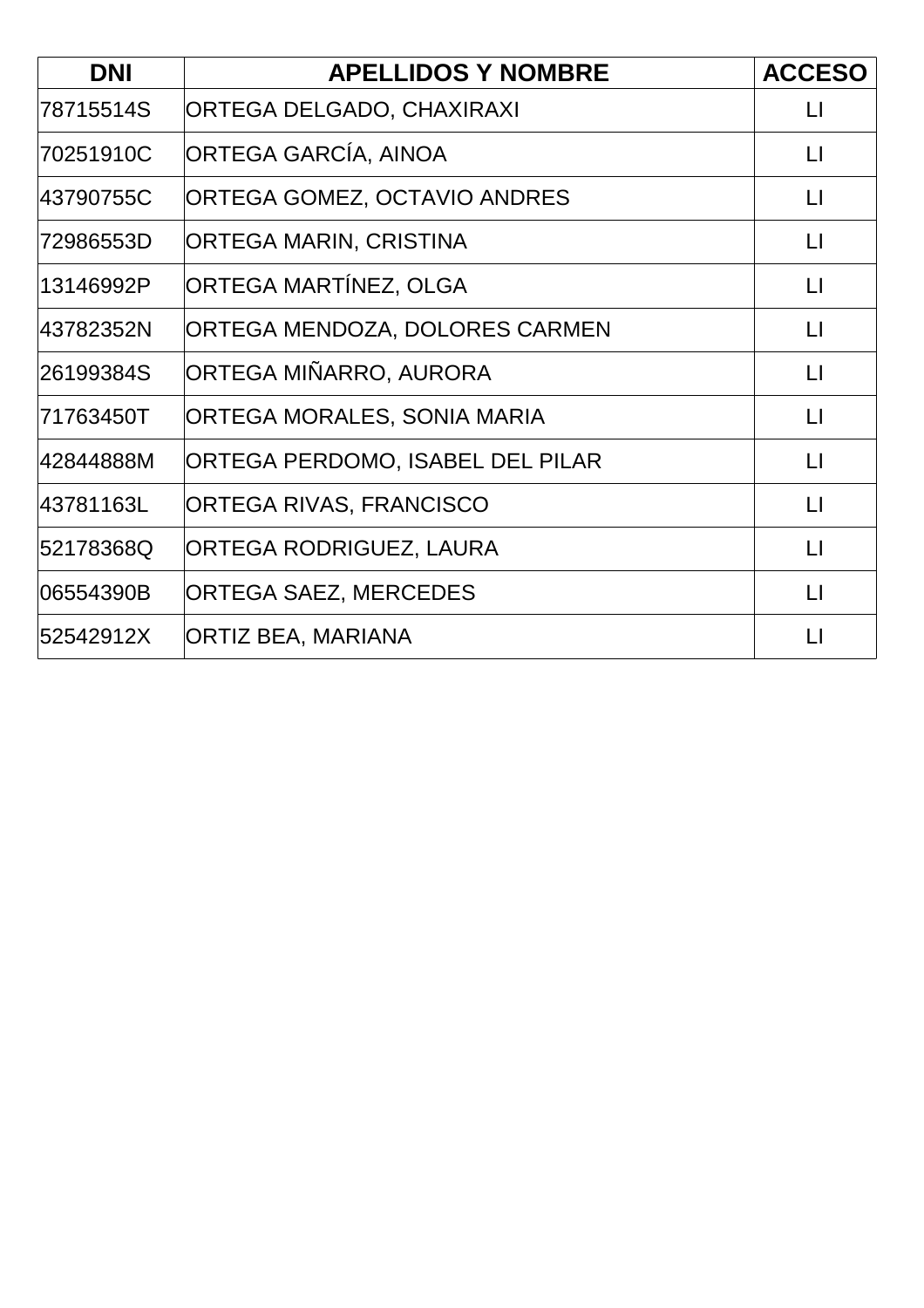| <b>DNI</b> | <b>APELLIDOS Y NOMBRE</b>        | <b>ACCESO</b>     |
|------------|----------------------------------|-------------------|
| 78715514S  | ORTEGA DELGADO, CHAXIRAXI        | $\lfloor \rfloor$ |
| 70251910C  | ORTEGA GARCÍA, AINOA             | $\mathsf{L}$      |
| 43790755C  | ORTEGA GOMEZ, OCTAVIO ANDRES     | $\mathsf{L}$      |
| 72986553D  | ORTEGA MARIN, CRISTINA           | $\lfloor \rfloor$ |
| 13146992P  | ORTEGA MARTÍNEZ, OLGA            | $\mathsf{L}$      |
| 43782352N  | ORTEGA MENDOZA, DOLORES CARMEN   | $\mathsf{L}$      |
| 26199384S  | ORTEGA MIÑARRO, AURORA           | $\lfloor \rfloor$ |
| 71763450T  | ORTEGA MORALES, SONIA MARIA      | $\mathsf{L}$      |
| 42844888M  | ORTEGA PERDOMO, ISABEL DEL PILAR | $\lfloor \rfloor$ |
| 43781163L  | ORTEGA RIVAS, FRANCISCO          | $\lfloor \rfloor$ |
| 52178368Q  | ORTEGA RODRIGUEZ, LAURA          | $\Box$            |
| 06554390B  | <b>ORTEGA SAEZ, MERCEDES</b>     | $\mathsf{L}$      |
| 52542912X  | <b>ORTIZ BEA, MARIANA</b>        | $\Box$            |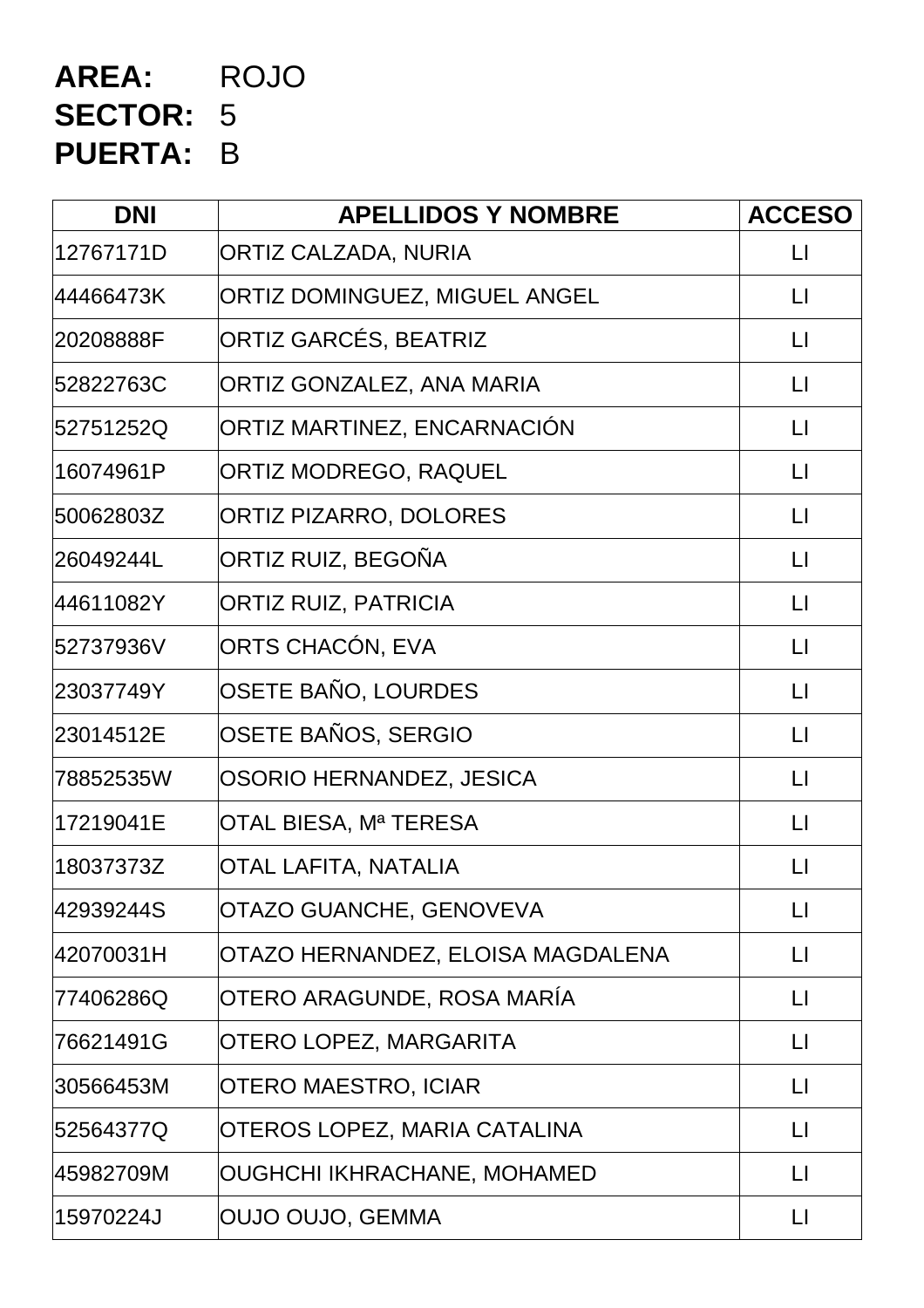# **AREA:** ROJO **SECTOR:** 5 **PUERTA:** B

| <b>DNI</b> | <b>APELLIDOS Y NOMBRE</b>            | <b>ACCESO</b>     |
|------------|--------------------------------------|-------------------|
| 12767171D  | ORTIZ CALZADA, NURIA                 | $\lfloor \rfloor$ |
| 44466473K  | <b>ORTIZ DOMINGUEZ, MIGUEL ANGEL</b> | $\Box$            |
| 20208888F  | ORTIZ GARCÉS, BEATRIZ                | $\lfloor \rfloor$ |
| 52822763C  | ORTIZ GONZALEZ, ANA MARIA            | $\mathsf{L}$      |
| 52751252Q  | ORTIZ MARTINEZ, ENCARNACIÓN          | $\Box$            |
| 16074961P  | <b>ORTIZ MODREGO, RAQUEL</b>         | $\lfloor \rfloor$ |
| 50062803Z  | <b>ORTIZ PIZARRO, DOLORES</b>        | $\lfloor \rfloor$ |
| 26049244L  | ORTIZ RUIZ, BEGOÑA                   | $\lfloor \rfloor$ |
| 44611082Y  | <b>ORTIZ RUIZ, PATRICIA</b>          | $\lfloor \rfloor$ |
| 52737936V  | ORTS CHACÓN, EVA                     | $\lfloor \rfloor$ |
| 23037749Y  | OSETE BAÑO, LOURDES                  | $\lfloor \rfloor$ |
| 23014512E  | OSETE BAÑOS, SERGIO                  | $\lfloor \rfloor$ |
| 78852535W  | OSORIO HERNANDEZ, JESICA             | $\mathsf{L}$      |
| 17219041E  | OTAL BIESA, Mª TERESA                | $\lfloor \rfloor$ |
| 18037373Z  | <b>OTAL LAFITA, NATALIA</b>          | $\mathsf{L}$      |
| 42939244S  | OTAZO GUANCHE, GENOVEVA              | $\mathsf{L}$      |
| 42070031H  | OTAZO HERNANDEZ, ELOISA MAGDALENA    | П                 |
| 77406286Q  | OTERO ARAGUNDE, ROSA MARÍA           | LI                |
| 76621491G  | OTERO LOPEZ, MARGARITA               | $\lfloor \rfloor$ |
| 30566453M  | OTERO MAESTRO, ICIAR                 | $\mathsf{L}$      |
| 52564377Q  | OTEROS LOPEZ, MARIA CATALINA         | $\mathsf{L}$      |
| 45982709M  | OUGHCHI IKHRACHANE, MOHAMED          | $\lfloor \rfloor$ |
| 15970224J  | OUJO OUJO, GEMMA                     | $\lfloor \rfloor$ |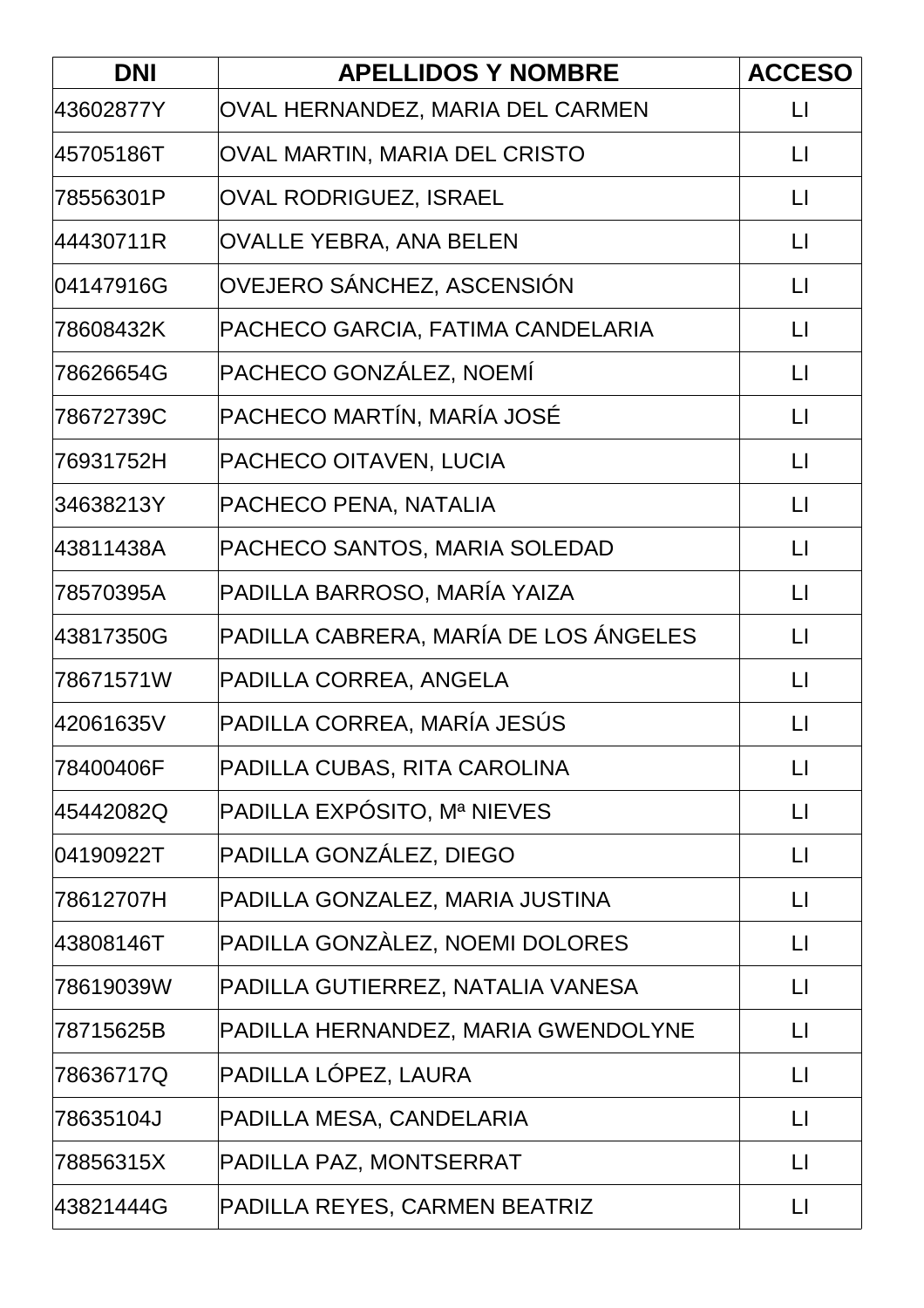| <b>DNI</b> | <b>APELLIDOS Y NOMBRE</b>             | <b>ACCESO</b>          |
|------------|---------------------------------------|------------------------|
| 43602877Y  | OVAL HERNANDEZ, MARIA DEL CARMEN      | $\mathsf{L}$           |
| 45705186T  | OVAL MARTIN, MARIA DEL CRISTO         | $\lfloor \rfloor$      |
| 78556301P  | OVAL RODRIGUEZ, ISRAEL                | $\mathsf{L}$           |
| 44430711R  | OVALLE YEBRA, ANA BELEN               | $\lfloor \rfloor$      |
| 04147916G  | OVEJERO SÁNCHEZ, ASCENSIÓN            | $\lfloor \rfloor$      |
| 78608432K  | PACHECO GARCIA, FATIMA CANDELARIA     | $\mathsf{L}$           |
| 78626654G  | PACHECO GONZÁLEZ, NOEMÍ               | $\Box$                 |
| 78672739C  | PACHECO MARTÍN, MARÍA JOSÉ            | $\lfloor \rfloor$      |
| 76931752H  | PACHECO OITAVEN, LUCIA                | $\lfloor \rfloor$      |
| 34638213Y  | PACHECO PENA, NATALIA                 | $\lfloor \rfloor$      |
| 43811438A  | PACHECO SANTOS, MARIA SOLEDAD         | $\lfloor \rfloor$      |
| 78570395A  | PADILLA BARROSO, MARÍA YAIZA          | $\lfloor \rfloor$      |
| 43817350G  | PADILLA CABRERA, MARÍA DE LOS ÁNGELES | $\lfloor \rfloor$      |
| 78671571W  | PADILLA CORREA, ANGELA                | $\lfloor \rfloor$      |
| 42061635V  | PADILLA CORREA, MARÍA JESÚS           | $\lfloor \rfloor$      |
| 78400406F  | PADILLA CUBAS, RITA CAROLINA          | $\lfloor \rfloor$      |
| 45442082Q  | PADILLA EXPÓSITO, Mª NIEVES           | $\Box$                 |
| 04190922T  | PADILLA GONZÁLEZ, DIEGO               | $\lfloor \rfloor$      |
| 78612707H  | PADILLA GONZALEZ, MARIA JUSTINA       | $\Box$                 |
| 43808146T  | PADILLA GONZÀLEZ, NOEMI DOLORES       | $\lfloor \rfloor$      |
| 78619039W  | PADILLA GUTIERREZ, NATALIA VANESA     | $\lfloor \rfloor$      |
| 78715625B  | PADILLA HERNANDEZ, MARIA GWENDOLYNE   | $\lfloor \rfloor$      |
| 78636717Q  | PADILLA LÓPEZ, LAURA                  | $\lfloor \rfloor$      |
| 78635104J  | PADILLA MESA, CANDELARIA              | $\mathsf{L}\mathsf{I}$ |
| 78856315X  | PADILLA PAZ, MONTSERRAT               | $\lfloor \rfloor$      |
| 43821444G  | PADILLA REYES, CARMEN BEATRIZ         | $\lfloor \rfloor$      |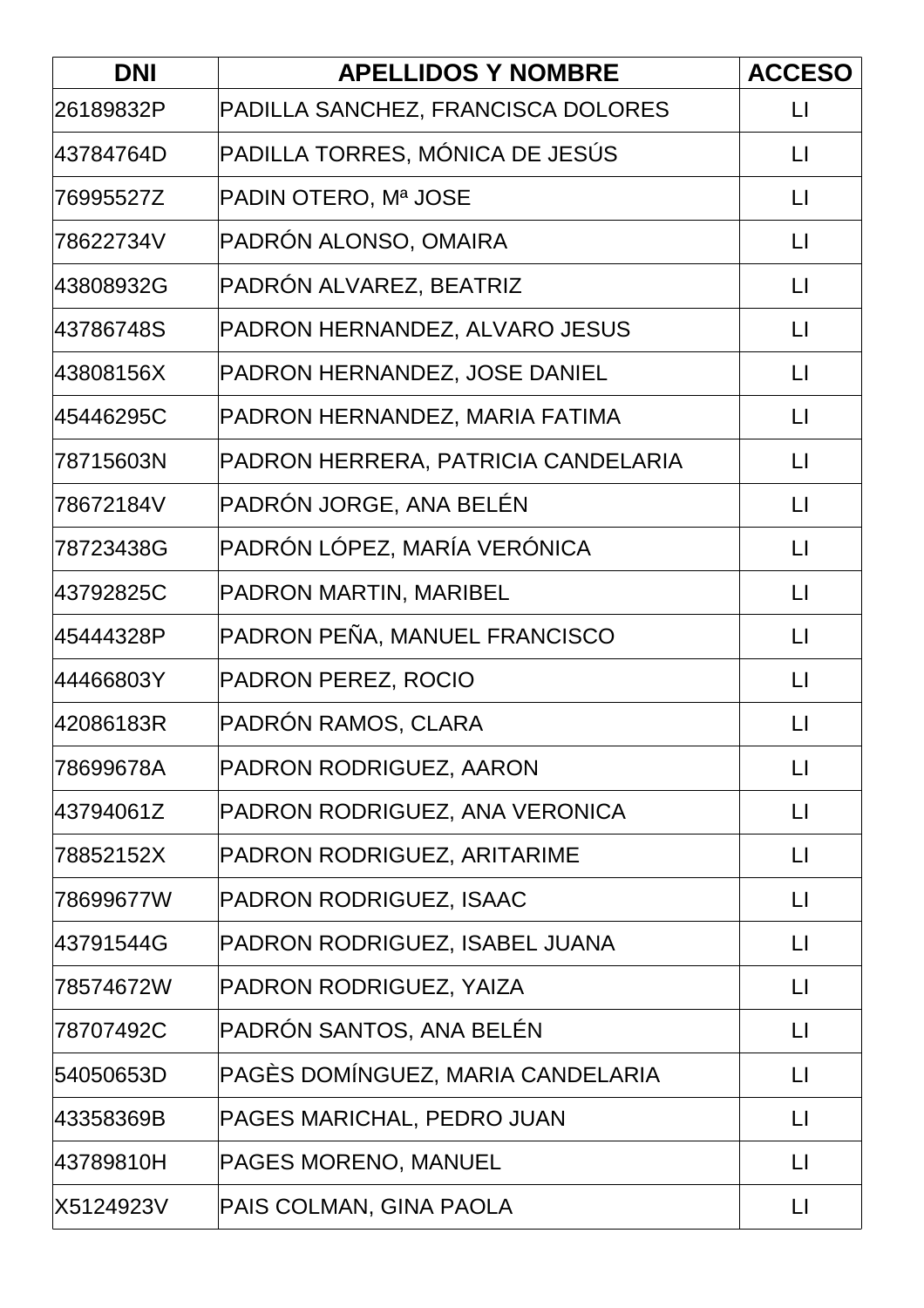| <b>DNI</b> | <b>APELLIDOS Y NOMBRE</b>           | <b>ACCESO</b>          |
|------------|-------------------------------------|------------------------|
| 26189832P  | PADILLA SANCHEZ, FRANCISCA DOLORES  | $\mathsf{L}$           |
| 43784764D  | PADILLA TORRES, MÓNICA DE JESÚS     | $\lfloor \rfloor$      |
| 76995527Z  | PADIN OTERO, Mª JOSE                | $\mathsf{L}$           |
| 78622734V  | PADRÓN ALONSO, OMAIRA               | $\lfloor \rfloor$      |
| 43808932G  | PADRÓN ALVAREZ, BEATRIZ             | $\lfloor \rfloor$      |
| 43786748S  | PADRON HERNANDEZ, ALVARO JESUS      | $\Box$                 |
| 43808156X  | PADRON HERNANDEZ, JOSE DANIEL       | $\lfloor \rfloor$      |
| 45446295C  | PADRON HERNANDEZ, MARIA FATIMA      | $\mathsf{L}$           |
| 78715603N  | PADRON HERRERA, PATRICIA CANDELARIA | $\mathsf{L}$           |
| 78672184V  | PADRÓN JORGE, ANA BELÉN             | $\lfloor \rfloor$      |
| 78723438G  | PADRÓN LÓPEZ, MARÍA VERÓNICA        | $\lfloor \rfloor$      |
| 43792825C  | PADRON MARTIN, MARIBEL              | $\lfloor \rfloor$      |
| 45444328P  | PADRON PEÑA, MANUEL FRANCISCO       | $\lfloor \rfloor$      |
| 44466803Y  | PADRON PEREZ, ROCIO                 | $\lfloor \rfloor$      |
| 42086183R  | PADRÓN RAMOS, CLARA                 | $\lfloor \rfloor$      |
| 78699678A  | PADRON RODRIGUEZ, AARON             | $\lfloor \rfloor$      |
| 43794061Z  | PADRON RODRIGUEZ, ANA VERONICA      | $\Box$                 |
| 78852152X  | PADRON RODRIGUEZ, ARITARIME         | $\Box$                 |
| 78699677W  | PADRON RODRIGUEZ, ISAAC             | $\Box$                 |
| 43791544G  | PADRON RODRIGUEZ, ISABEL JUANA      | $\lfloor \rfloor$      |
| 78574672W  | PADRON RODRIGUEZ, YAIZA             | $\mathsf{L}$           |
| 78707492C  | PADRÓN SANTOS, ANA BELÉN            | $\mathsf{L}$           |
| 54050653D  | PAGÈS DOMÍNGUEZ, MARIA CANDELARIA   | $\lfloor \rfloor$      |
| 43358369B  | PAGES MARICHAL, PEDRO JUAN          | $\mathsf{L}\mathsf{I}$ |
| 43789810H  | PAGES MORENO, MANUEL                | $\lfloor \rfloor$      |
| X5124923V  | PAIS COLMAN, GINA PAOLA             | $\lfloor \rfloor$      |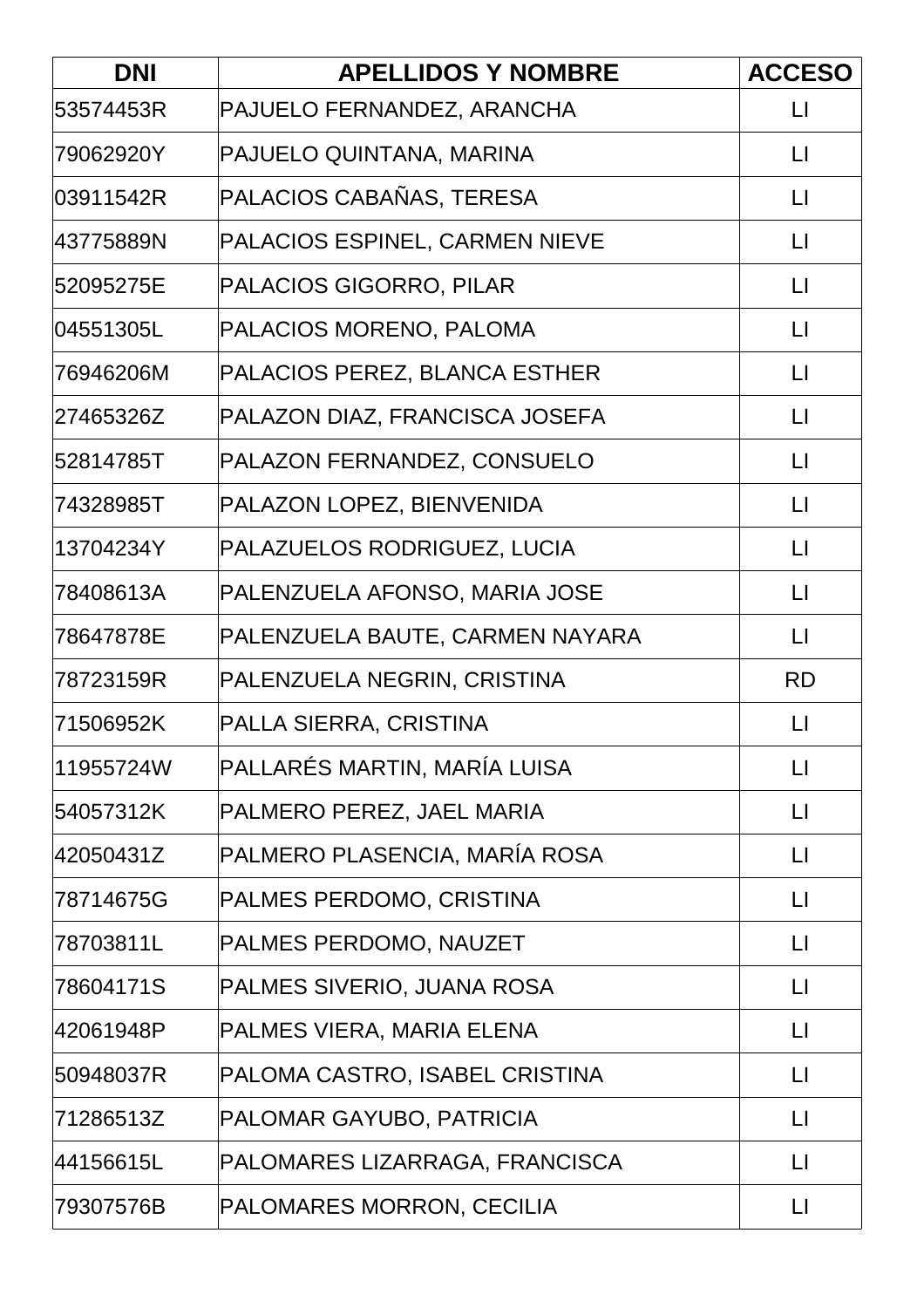| <b>DNI</b> | <b>APELLIDOS Y NOMBRE</b>       | <b>ACCESO</b>          |
|------------|---------------------------------|------------------------|
| 53574453R  | PAJUELO FERNANDEZ, ARANCHA      | $\mathsf{L}$           |
| 79062920Y  | PAJUELO QUINTANA, MARINA        | $\lfloor \rfloor$      |
| 03911542R  | PALACIOS CABAÑAS, TERESA        | $\mathsf{L}$           |
| 43775889N  | PALACIOS ESPINEL, CARMEN NIEVE  | $\lfloor \rfloor$      |
| 52095275E  | PALACIOS GIGORRO, PILAR         | $\lfloor \rfloor$      |
| 04551305L  | PALACIOS MORENO, PALOMA         | $\mathsf{L}$           |
| 76946206M  | PALACIOS PEREZ, BLANCA ESTHER   | $\lfloor \rfloor$      |
| 27465326Z  | PALAZON DIAZ, FRANCISCA JOSEFA  | $\lfloor \rfloor$      |
| 52814785T  | PALAZON FERNANDEZ, CONSUELO     | $\lfloor \rfloor$      |
| 74328985T  | PALAZON LOPEZ, BIENVENIDA       | $\mathsf{L}$           |
| 13704234Y  | PALAZUELOS RODRIGUEZ, LUCIA     | $\lfloor \rfloor$      |
| 78408613A  | PALENZUELA AFONSO, MARIA JOSE   | $\lfloor \rfloor$      |
| 78647878E  | PALENZUELA BAUTE, CARMEN NAYARA | $\mathsf{L}$           |
| 78723159R  | PALENZUELA NEGRIN, CRISTINA     | <b>RD</b>              |
| 71506952K  | PALLA SIERRA, CRISTINA          | $\mathsf{L}$           |
| 11955724W  | PALLARÉS MARTIN, MARÍA LUISA    | $\lfloor \rfloor$      |
| 54057312K  | PALMERO PEREZ, JAEL MARIA       | $\lfloor \rfloor$      |
| 42050431Z  | PALMERO PLASENCIA, MARÍA ROSA   | $\lfloor \rfloor$      |
| 78714675G  | PALMES PERDOMO, CRISTINA        | $\mathsf{L}$           |
| 78703811L  | PALMES PERDOMO, NAUZET          | $\lfloor \rfloor$      |
| 78604171S  | PALMES SIVERIO, JUANA ROSA      | $\lfloor \rfloor$      |
| 42061948P  | PALMES VIERA, MARIA ELENA       | $\lfloor \rfloor$      |
| 50948037R  | PALOMA CASTRO, ISABEL CRISTINA  | $\mathsf{L}$           |
| 71286513Z  | PALOMAR GAYUBO, PATRICIA        | $\mathsf{L}\mathsf{I}$ |
| 44156615L  | PALOMARES LIZARRAGA, FRANCISCA  | $\mathsf{L}$           |
| 79307576B  | PALOMARES MORRON, CECILIA       | $\lfloor \rfloor$      |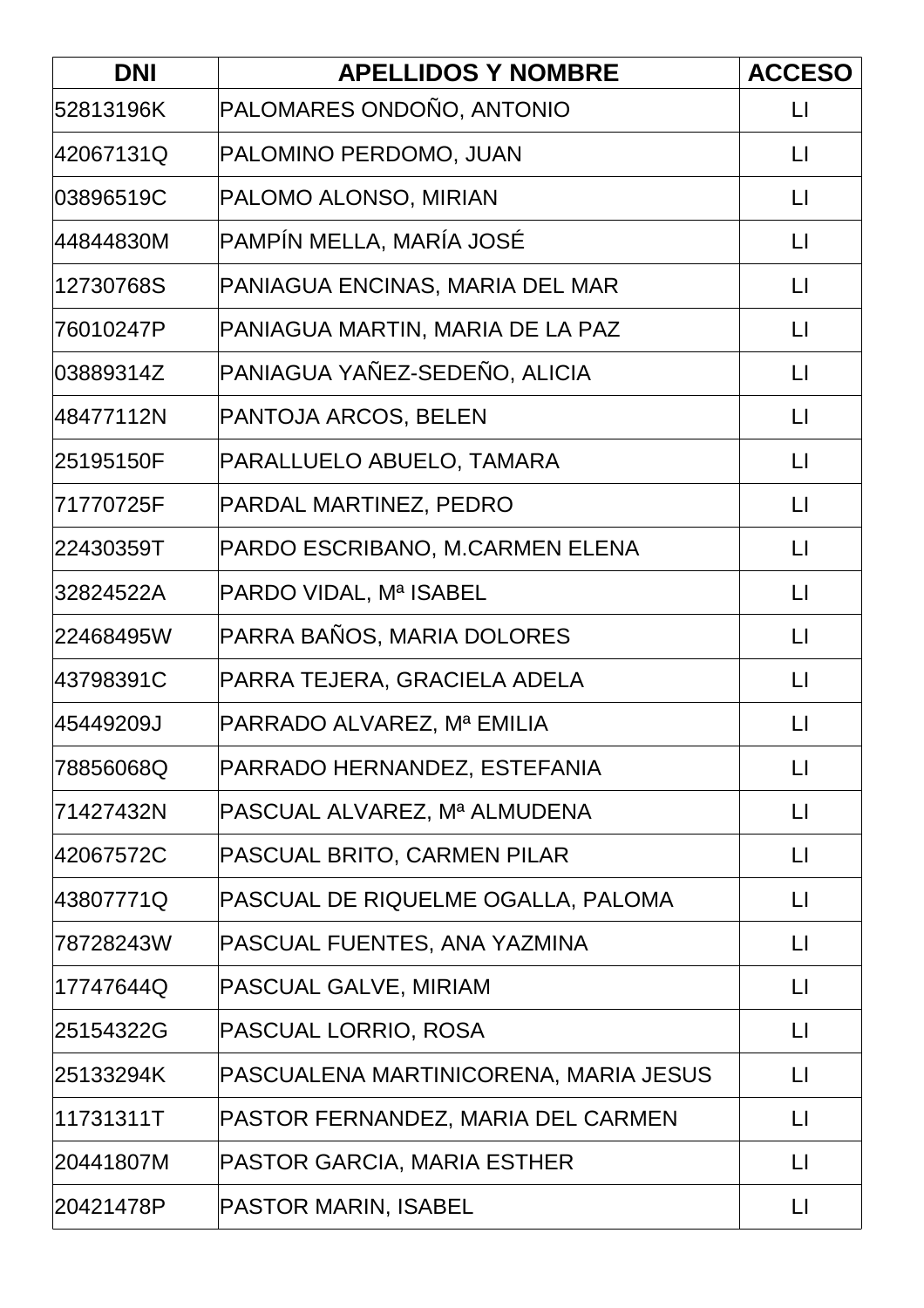| <b>DNI</b> | <b>APELLIDOS Y NOMBRE</b>             | <b>ACCESO</b>          |
|------------|---------------------------------------|------------------------|
| 52813196K  | PALOMARES ONDOÑO, ANTONIO             | $\Box$                 |
| 42067131Q  | PALOMINO PERDOMO, JUAN                | $\mathsf{L}$           |
| 03896519C  | PALOMO ALONSO, MIRIAN                 | $\mathsf{L}$           |
| 44844830M  | PAMPÍN MELLA, MARÍA JOSÉ              | $\lfloor \rfloor$      |
| 12730768S  | PANIAGUA ENCINAS, MARIA DEL MAR       | $\lfloor \rfloor$      |
| 76010247P  | PANIAGUA MARTIN, MARIA DE LA PAZ      | $\Box$                 |
| 03889314Z  | PANIAGUA YAÑEZ-SEDEÑO, ALICIA         | $\lfloor \rfloor$      |
| 48477112N  | PANTOJA ARCOS, BELEN                  | $\lfloor \rfloor$      |
| 25195150F  | PARALLUELO ABUELO, TAMARA             | $\lfloor \rfloor$      |
| 71770725F  | PARDAL MARTINEZ, PEDRO                | $\mathsf{L}$           |
| 22430359T  | PARDO ESCRIBANO, M.CARMEN ELENA       | $\lfloor \rfloor$      |
| 32824522A  | PARDO VIDAL, Mª ISABEL                | $\lfloor \rfloor$      |
| 22468495W  | PARRA BAÑOS, MARIA DOLORES            | $\lfloor \rfloor$      |
| 43798391C  | PARRA TEJERA, GRACIELA ADELA          | $\lfloor \rfloor$      |
| 45449209J  | PARRADO ALVAREZ, Mª EMILIA            | П                      |
| 78856068Q  | PARRADO HERNANDEZ, ESTEFANIA          | $\mathsf{L}\mathsf{I}$ |
| 71427432N  | PASCUAL ALVAREZ, Mª ALMUDENA          | $\lfloor \rfloor$      |
| 42067572C  | PASCUAL BRITO, CARMEN PILAR           | $\lfloor \rfloor$      |
| 43807771Q  | PASCUAL DE RIQUELME OGALLA, PALOMA    | $\mathsf{L}$           |
| 78728243W  | PASCUAL FUENTES, ANA YAZMINA          | $\mathsf{L}$           |
| 17747644Q  | PASCUAL GALVE, MIRIAM                 | $\lfloor \rfloor$      |
| 25154322G  | PASCUAL LORRIO, ROSA                  | $\mathsf{L}$           |
| 25133294K  | PASCUALENA MARTINICORENA, MARIA JESUS | $\lfloor \rfloor$      |
| 11731311T  | PASTOR FERNANDEZ, MARIA DEL CARMEN    | $\lfloor \rfloor$      |
| 20441807M  | PASTOR GARCIA, MARIA ESTHER           | $\mathsf{L}$           |
| 20421478P  | <b>PASTOR MARIN, ISABEL</b>           | $\lfloor \rfloor$      |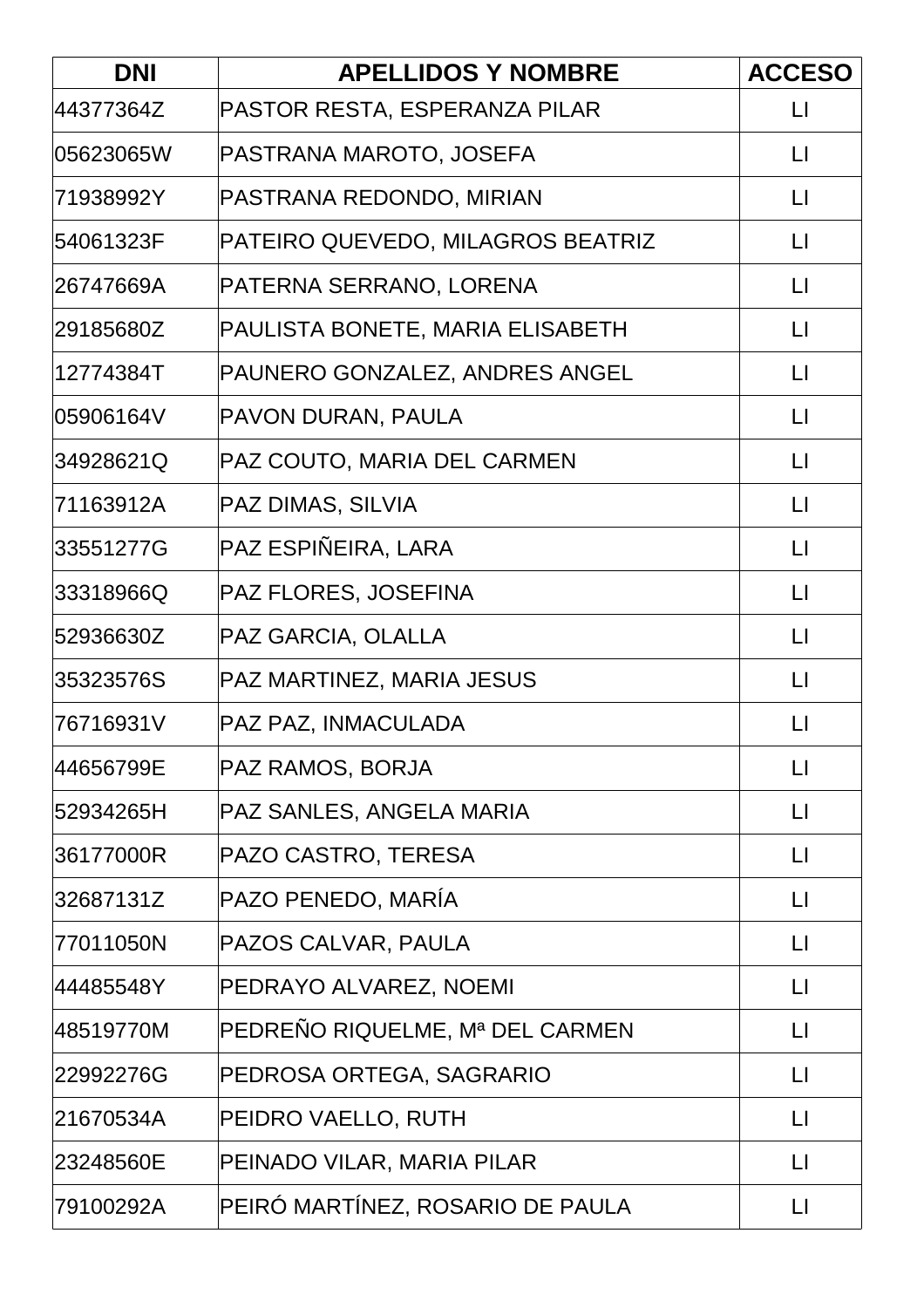| <b>DNI</b> | <b>APELLIDOS Y NOMBRE</b>         | <b>ACCESO</b>     |
|------------|-----------------------------------|-------------------|
| 44377364Z  | PASTOR RESTA, ESPERANZA PILAR     | $\lfloor \rfloor$ |
| 05623065W  | PASTRANA MAROTO, JOSEFA           | $\lfloor \rfloor$ |
| 71938992Y  | PASTRANA REDONDO, MIRIAN          | $\mathsf{L}$      |
| 54061323F  | PATEIRO QUEVEDO, MILAGROS BEATRIZ | $\lfloor \rfloor$ |
| 26747669A  | PATERNA SERRANO, LORENA           | $\lfloor \rfloor$ |
| 29185680Z  | PAULISTA BONETE, MARIA ELISABETH  | $\mathsf{L}$      |
| 12774384T  | PAUNERO GONZALEZ, ANDRES ANGEL    | $\lfloor \rfloor$ |
| 05906164V  | PAVON DURAN, PAULA                | $\mathsf{L}$      |
| 34928621Q  | PAZ COUTO, MARIA DEL CARMEN       | $\lfloor \rfloor$ |
| 71163912A  | PAZ DIMAS, SILVIA                 | $\mathsf{L}$      |
| 33551277G  | PAZ ESPIÑEIRA, LARA               | $\lfloor \rfloor$ |
| 33318966Q  | PAZ FLORES, JOSEFINA              | $\lfloor \rfloor$ |
| 52936630Z  | PAZ GARCIA, OLALLA                | $\lfloor \rfloor$ |
| 35323576S  | PAZ MARTINEZ, MARIA JESUS         | $\mathsf{L}$      |
| 76716931V  | PAZ PAZ, INMACULADA               | $\mathsf{L}$      |
| 44656799E  | PAZ RAMOS, BORJA                  | $\mathsf{L}$      |
| 52934265H  | PAZ SANLES, ANGELA MARIA          | $\lfloor \rfloor$ |
| 36177000R  | PAZO CASTRO, TERESA               | LI                |
| 32687131Z  | PAZO PENEDO, MARÍA                | П                 |
| 77011050N  | PAZOS CALVAR, PAULA               | $\mathsf{L}$      |
| 44485548Y  | PEDRAYO ALVAREZ, NOEMI            | $\mathsf{L}$      |
| 48519770M  | PEDREÑO RIQUELME, Mª DEL CARMEN   | $\mathsf{L}$      |
| 22992276G  | PEDROSA ORTEGA, SAGRARIO          | $\mathsf{L}$      |
| 21670534A  | PEIDRO VAELLO, RUTH               | $\lfloor \rfloor$ |
| 23248560E  | PEINADO VILAR, MARIA PILAR        | LI                |
| 79100292A  | PEIRÓ MARTÍNEZ, ROSARIO DE PAULA  | $\mathsf{L}$      |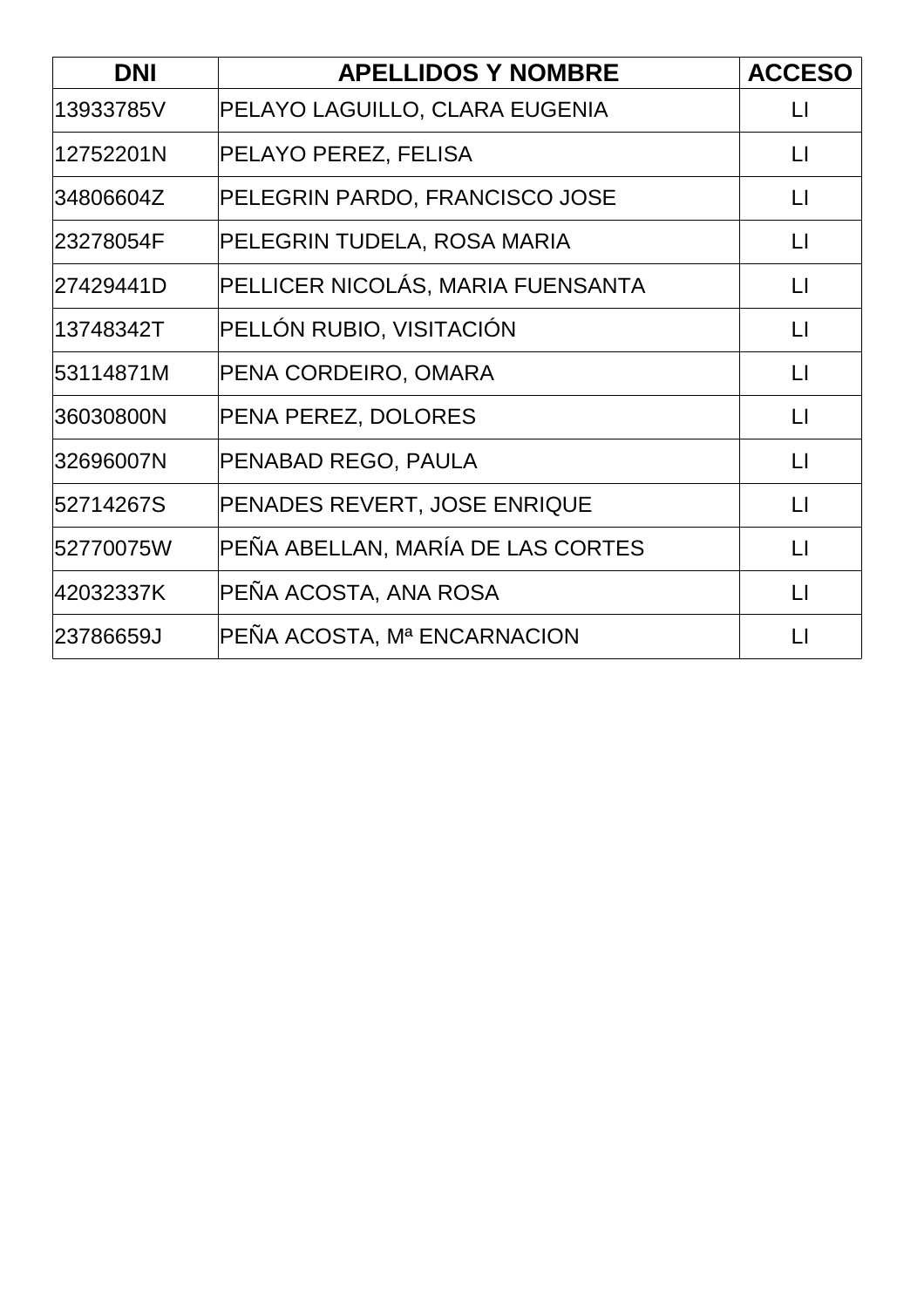| <b>DNI</b> | <b>APELLIDOS Y NOMBRE</b>         | <b>ACCESO</b>     |
|------------|-----------------------------------|-------------------|
| 13933785V  | PELAYO LAGUILLO, CLARA EUGENIA    | $\mathsf{L}$      |
| 12752201N  | PELAYO PEREZ, FELISA              | $\mathsf{L}$      |
| 34806604Z  | PELEGRIN PARDO, FRANCISCO JOSE    | $\Box$            |
| 23278054F  | PELEGRIN TUDELA, ROSA MARIA       | $\mathsf{L}$      |
| 27429441D  | PELLICER NICOLÁS, MARIA FUENSANTA | $\lfloor \rfloor$ |
| 13748342T  | PELLÓN RUBIO, VISITACIÓN          | $\mathsf{L}$      |
| 53114871M  | PENA CORDEIRO, OMARA              | $\lfloor \rfloor$ |
| 36030800N  | PENA PEREZ, DOLORES               | $\mathsf{L}$      |
| 32696007N  | PENABAD REGO, PAULA               | $\Box$            |
| 52714267S  | PENADES REVERT, JOSE ENRIQUE      | $\mathsf{L}$      |
| 52770075W  | PEÑA ABELLAN, MARÍA DE LAS CORTES | $\mathsf{L}$      |
| 42032337K  | PEÑA ACOSTA, ANA ROSA             | $\mathsf{L}$      |
| 23786659J  | PEÑA ACOSTA, Mª ENCARNACION       | $\mathsf{L}$      |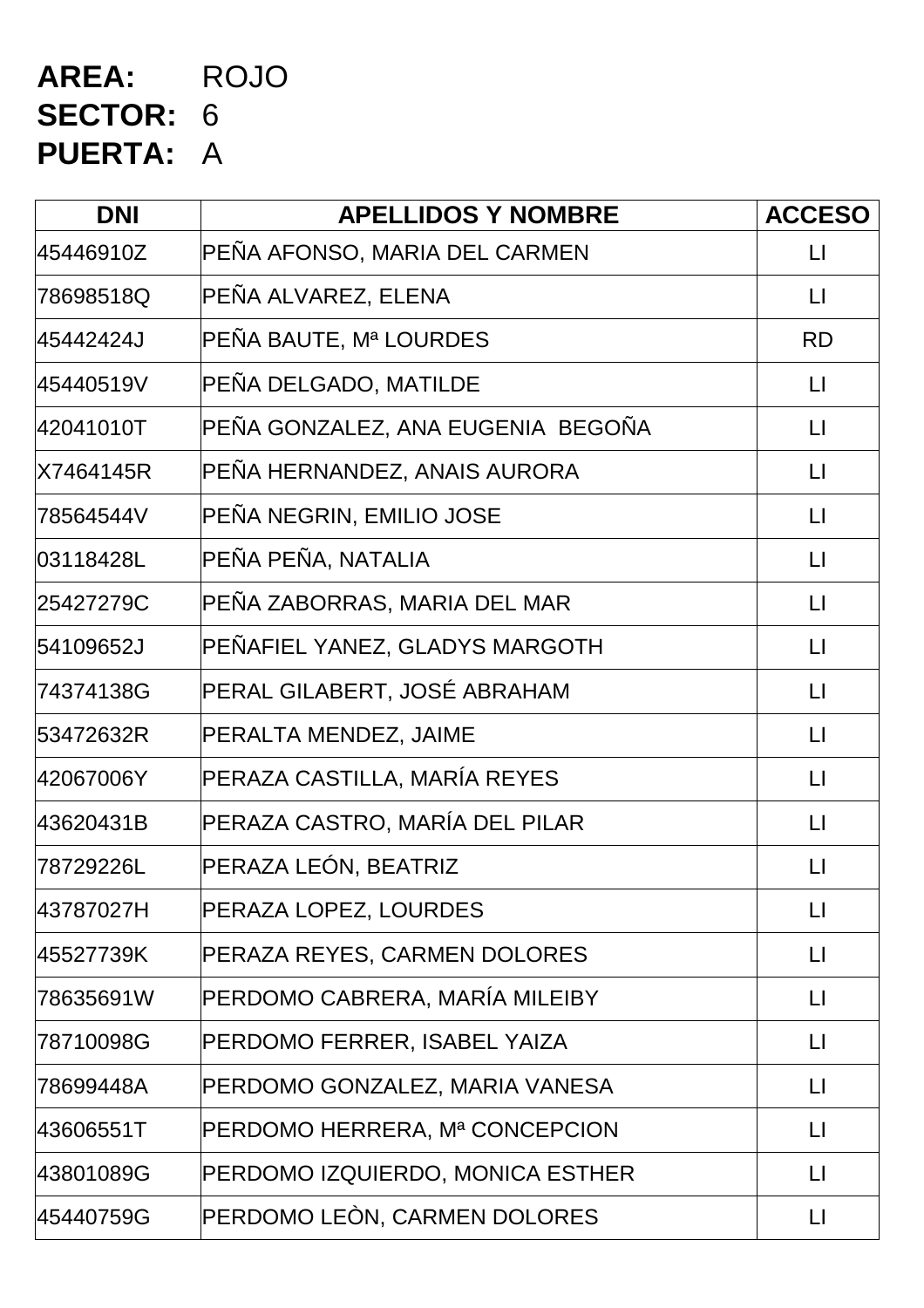# **AREA:** ROJO **SECTOR:** 6 **PUERTA:** A

| <b>DNI</b> | <b>APELLIDOS Y NOMBRE</b>         | <b>ACCESO</b>           |
|------------|-----------------------------------|-------------------------|
| 45446910Z  | PEÑA AFONSO, MARIA DEL CARMEN     | $\Box$                  |
| 78698518Q  | PEÑA ALVAREZ, ELENA               | $\Box$                  |
| 45442424J  | PEÑA BAUTE, Mª LOURDES            | <b>RD</b>               |
| 45440519V  | PEÑA DELGADO, MATILDE             | $\mathsf{L}$            |
| 42041010T  | PEÑA GONZALEZ, ANA EUGENIA BEGOÑA | $\lfloor \rfloor$       |
| X7464145R  | PEÑA HERNANDEZ, ANAIS AURORA      | $\mathsf{L}$            |
| 78564544V  | PEÑA NEGRIN, EMILIO JOSE          | $\lfloor \rfloor$       |
| 03118428L  | PEÑA PEÑA, NATALIA                | $\lfloor \rfloor$       |
| 25427279C  | PEÑA ZABORRAS, MARIA DEL MAR      | $\lfloor \rfloor$       |
| 54109652J  | PEÑAFIEL YANEZ, GLADYS MARGOTH    | $\lfloor \rfloor$       |
| 74374138G  | PERAL GILABERT, JOSÉ ABRAHAM      | $\lfloor \rfloor$       |
| 53472632R  | PERALTA MENDEZ, JAIME             | $\lfloor \rfloor$       |
| 42067006Y  | PERAZA CASTILLA, MARÍA REYES      | $\lfloor \cdot \rfloor$ |
| 43620431B  | PERAZA CASTRO, MARÍA DEL PILAR    | $\lfloor \cdot \rfloor$ |
| 78729226L  | PERAZA LEÓN, BEATRIZ              | $\mathsf{L}$            |
| 43787027H  | PERAZA LOPEZ, LOURDES             | $\mathsf{L}\mathsf{I}$  |
| 45527739K  | PERAZA REYES, CARMEN DOLORES      | $\sqcup$                |
| 78635691W  | PERDOMO CABRERA, MARÍA MILEIBY    | $\mathsf{L}$            |
| 78710098G  | PERDOMO FERRER, ISABEL YAIZA      | П                       |
| 78699448A  | PERDOMO GONZALEZ, MARIA VANESA    | $\sqcup$                |
| 43606551T  | PERDOMO HERRERA, Mª CONCEPCION    | $\mathsf{L}$            |
| 43801089G  | PERDOMO IZQUIERDO, MONICA ESTHER  | $\Box$                  |
| 45440759G  | PERDOMO LEÒN, CARMEN DOLORES      | $\sqcup$                |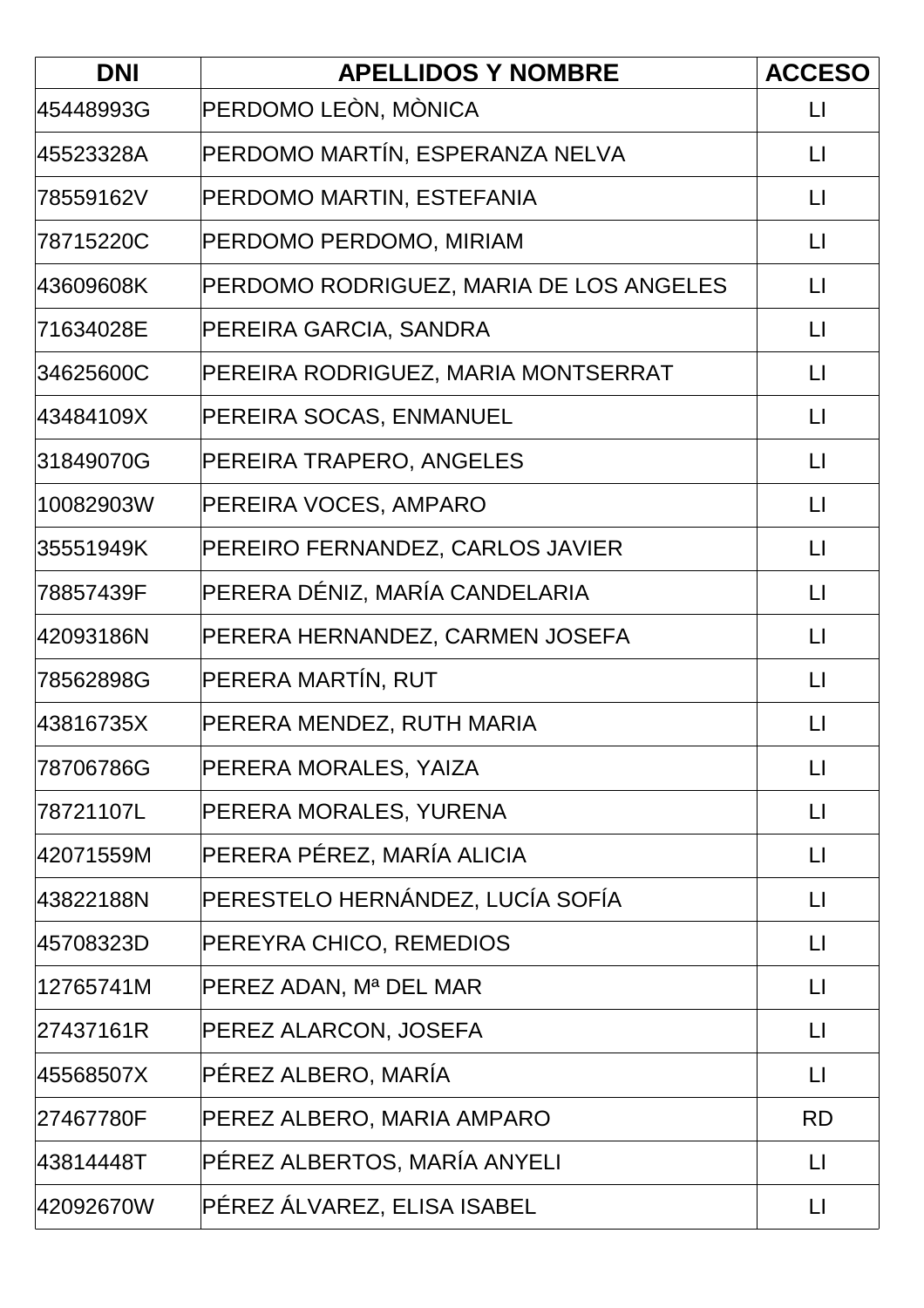| <b>DNI</b> | <b>APELLIDOS Y NOMBRE</b>               | <b>ACCESO</b>           |
|------------|-----------------------------------------|-------------------------|
| 45448993G  | PERDOMO LEÒN, MÒNICA                    | $\mathsf{L}$            |
| 45523328A  | PERDOMO MARTÍN, ESPERANZA NELVA         | $\mathsf{L}$            |
| 78559162V  | PERDOMO MARTIN, ESTEFANIA               | $\mathsf{L}$            |
| 78715220C  | PERDOMO PERDOMO, MIRIAM                 | $\Box$                  |
| 43609608K  | PERDOMO RODRIGUEZ, MARIA DE LOS ANGELES | $\lfloor \rfloor$       |
| 71634028E  | PEREIRA GARCIA, SANDRA                  | $\lfloor \cdot \rfloor$ |
| 34625600C  | PEREIRA RODRIGUEZ, MARIA MONTSERRAT     | $\mathsf{L}$            |
| 43484109X  | PEREIRA SOCAS, ENMANUEL                 | $\lfloor \rfloor$       |
| 31849070G  | PEREIRA TRAPERO, ANGELES                | $\mathsf{L}$            |
| 10082903W  | PEREIRA VOCES, AMPARO                   | $\mathsf{L}$            |
| 35551949K  | PEREIRO FERNANDEZ, CARLOS JAVIER        | $\lfloor \rfloor$       |
| 78857439F  | PERERA DÉNIZ, MARÍA CANDELARIA          | $\lfloor \rfloor$       |
| 42093186N  | PERERA HERNANDEZ, CARMEN JOSEFA         | $\lfloor \rfloor$       |
| 78562898G  | PERERA MARTÍN, RUT                      | $\lfloor \rfloor$       |
| 43816735X  | PERERA MENDEZ, RUTH MARIA               | $\mathsf{L}$            |
| 78706786G  | PERERA MORALES, YAIZA                   | $\lfloor \cdot \rfloor$ |
| 78721107L  | PERERA MORALES, YURENA                  | $\lfloor \rfloor$       |
| 42071559M  | PERERA PÉREZ, MARÍA ALICIA              | $\Box$                  |
| 43822188N  | PERESTELO HERNÁNDEZ, LUCÍA SOFÍA        | $\Box$                  |
| 45708323D  | PEREYRA CHICO, REMEDIOS                 | $\Box$                  |
| 12765741M  | PEREZ ADAN, Mª DEL MAR                  | $\Box$                  |
| 27437161R  | PEREZ ALARCON, JOSEFA                   | $\lfloor \cdot \rfloor$ |
| 45568507X  | PÉREZ ALBERO, MARÍA                     | $\Box$                  |
| 27467780F  | PEREZ ALBERO, MARIA AMPARO              | <b>RD</b>               |
| 43814448T  | PÉREZ ALBERTOS, MARÍA ANYELI            | $\lfloor \cdot \rfloor$ |
| 42092670W  | PÉREZ ÁLVAREZ, ELISA ISABEL             | $\lfloor \rfloor$       |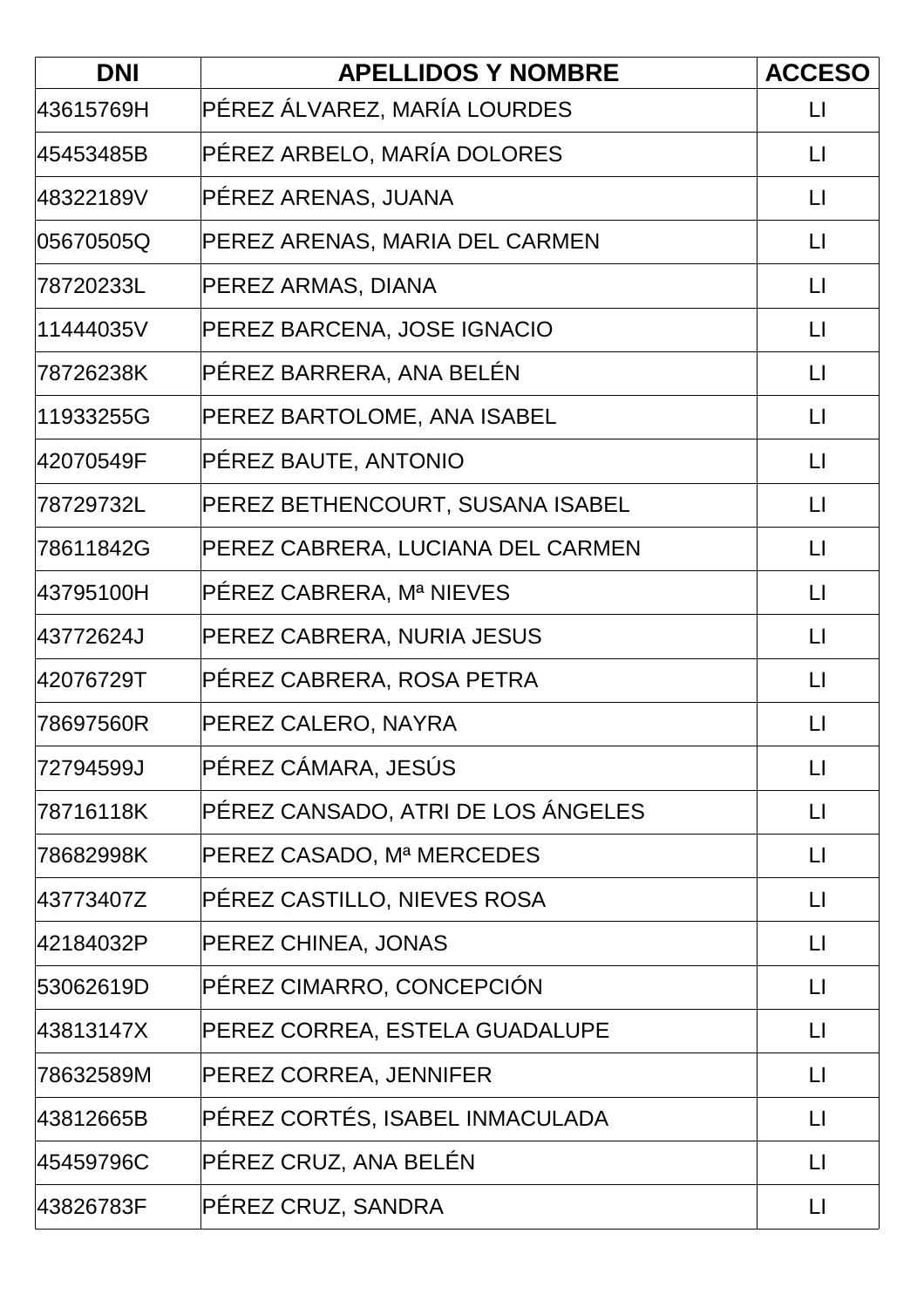| <b>DNI</b> | <b>APELLIDOS Y NOMBRE</b>          | <b>ACCESO</b>           |
|------------|------------------------------------|-------------------------|
| 43615769H  | PÉREZ ÁLVAREZ, MARÍA LOURDES       | $\mathsf{L}$            |
| 45453485B  | PÉREZ ARBELO, MARÍA DOLORES        | $\mathsf{L}$            |
| 48322189V  | PÉREZ ARENAS, JUANA                | $\Box$                  |
| 05670505Q  | PEREZ ARENAS, MARIA DEL CARMEN     | $\lfloor \rfloor$       |
| 78720233L  | PEREZ ARMAS, DIANA                 | $\Box$                  |
| 11444035V  | PEREZ BARCENA, JOSE IGNACIO        | $\lfloor \cdot \rfloor$ |
| 78726238K  | PÉREZ BARRERA, ANA BELÉN           | $\Box$                  |
| 11933255G  | PEREZ BARTOLOME, ANA ISABEL        | $\lfloor \rfloor$       |
| 42070549F  | PÉREZ BAUTE, ANTONIO               | $\lfloor \cdot \rfloor$ |
| 78729732L  | PEREZ BETHENCOURT, SUSANA ISABEL   | $\mathsf{L}$            |
| 78611842G  | PEREZ CABRERA, LUCIANA DEL CARMEN  | $\lfloor \rfloor$       |
| 43795100H  | PÉREZ CABRERA, Mª NIEVES           | $\lfloor \cdot \rfloor$ |
| 43772624J  | PEREZ CABRERA, NURIA JESUS         | $\lfloor \cdot \rfloor$ |
| 42076729T  | PÉREZ CABRERA, ROSA PETRA          | $\mathsf{L}$            |
| 78697560R  | PEREZ CALERO, NAYRA                | $\mathsf{L}$            |
| 72794599J  | PÉREZ CÁMARA, JESÚS                | $\lfloor \rfloor$       |
| 78716118K  | PÉREZ CANSADO, ATRI DE LOS ÁNGELES | $\lfloor \rfloor$       |
| 78682998K  | PEREZ CASADO, Mª MERCEDES          | $\lfloor \cdot \rfloor$ |
| 43773407Z  | PÉREZ CASTILLO, NIEVES ROSA        | $\Box$                  |
| 42184032P  | PEREZ CHINEA, JONAS                | $\Box$                  |
| 53062619D  | PÉREZ CIMARRO, CONCEPCIÓN          | $\Box$                  |
| 43813147X  | PEREZ CORREA, ESTELA GUADALUPE     | $\Box$                  |
| 78632589M  | PEREZ CORREA, JENNIFER             | $\Box$                  |
| 43812665B  | PÉREZ CORTÉS, ISABEL INMACULADA    | $\lfloor \rfloor$       |
| 45459796C  | PÉREZ CRUZ, ANA BELÉN              | $\lfloor \cdot \rfloor$ |
| 43826783F  | PÉREZ CRUZ, SANDRA                 | $\lfloor \rfloor$       |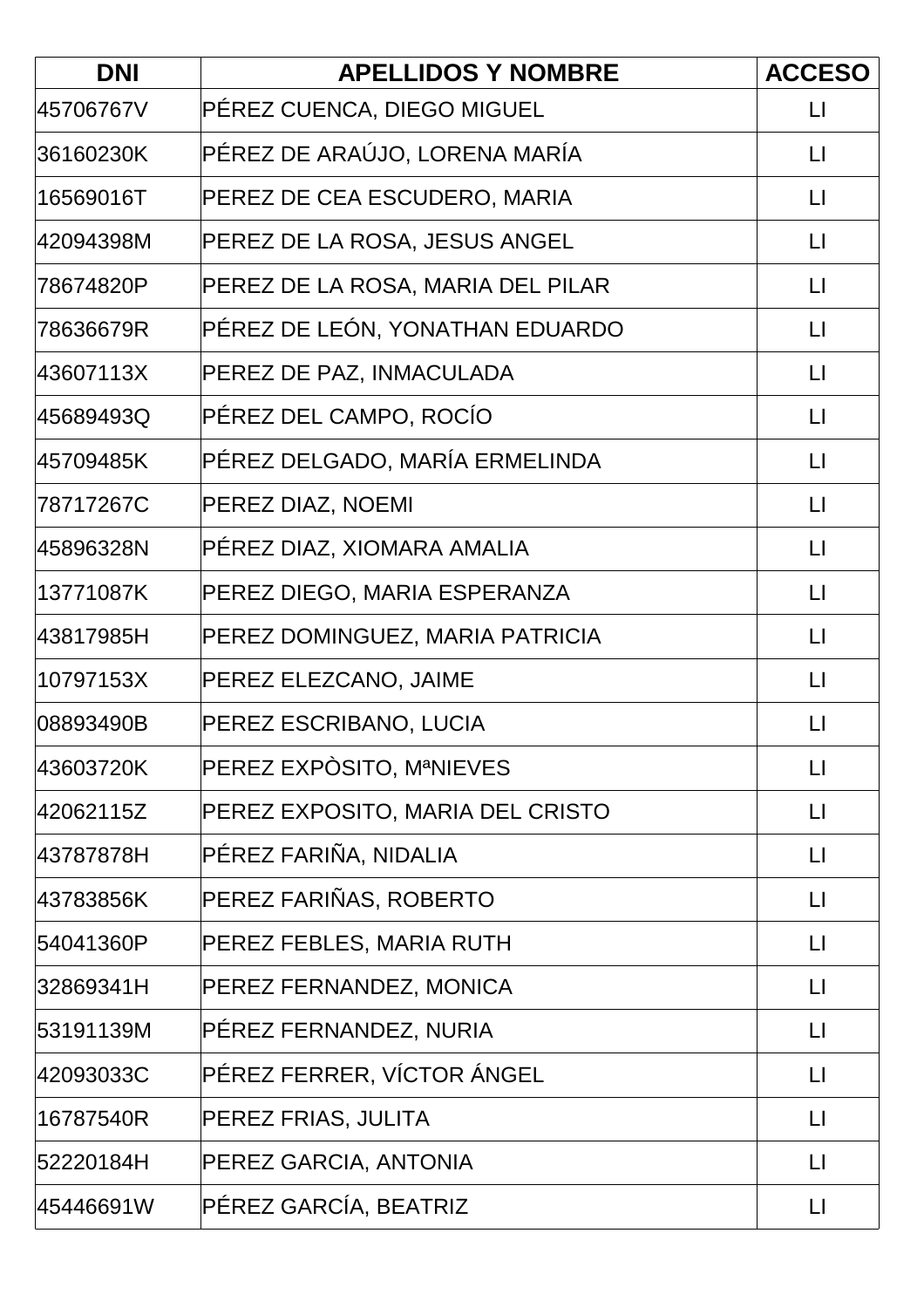| <b>DNI</b> | <b>APELLIDOS Y NOMBRE</b>         | <b>ACCESO</b>           |
|------------|-----------------------------------|-------------------------|
| 45706767V  | PÉREZ CUENCA, DIEGO MIGUEL        | $\mathsf{L}$            |
| 36160230K  | PÉREZ DE ARAÚJO, LORENA MARÍA     | $\mathsf{L}$            |
| 16569016T  | PEREZ DE CEA ESCUDERO, MARIA      | $\lfloor \cdot \rfloor$ |
| 42094398M  | PEREZ DE LA ROSA, JESUS ANGEL     | $\Box$                  |
| 78674820P  | PEREZ DE LA ROSA, MARIA DEL PILAR | $\lfloor \rfloor$       |
| 78636679R  | PÉREZ DE LEÓN, YONATHAN EDUARDO   | $\mathsf{L}$            |
| 43607113X  | PEREZ DE PAZ, INMACULADA          | $\Box$                  |
| 45689493Q  | PÉREZ DEL CAMPO, ROCÍO            | $\lfloor \rfloor$       |
| 45709485K  | PÉREZ DELGADO, MARÍA ERMELINDA    | $\Box$                  |
| 78717267C  | PEREZ DIAZ, NOEMI                 | $\mathsf{L}$            |
| 45896328N  | PÉREZ DIAZ, XIOMARA AMALIA        | $\Box$                  |
| 13771087K  | PEREZ DIEGO, MARIA ESPERANZA      | $\Box$                  |
| 43817985H  | PEREZ DOMINGUEZ, MARIA PATRICIA   | $\lfloor \rfloor$       |
| 10797153X  | PEREZ ELEZCANO, JAIME             | $\Box$                  |
| 08893490B  | PEREZ ESCRIBANO, LUCIA            | $\mathsf{L}$            |
| 43603720K  | PEREZ EXPÒSITO, MªNIEVES          | $\lfloor \cdot \rfloor$ |
| 42062115Z  | PEREZ EXPOSITO, MARIA DEL CRISTO  | $\lfloor \rfloor$       |
| 43787878H  | PÉREZ FARIÑA, NIDALIA             | $\Box$                  |
| 43783856K  | PEREZ FARIÑAS, ROBERTO            | $\Box$                  |
| 54041360P  | PEREZ FEBLES, MARIA RUTH          | $\Box$                  |
| 32869341H  | PEREZ FERNANDEZ, MONICA           | $\Box$                  |
| 53191139M  | PÉREZ FERNANDEZ, NURIA            | $\Box$                  |
| 42093033C  | PÉREZ FERRER, VÍCTOR ÁNGEL        | $\Box$                  |
| 16787540R  | PEREZ FRIAS, JULITA               | $\Box$                  |
| 52220184H  | PEREZ GARCIA, ANTONIA             | $\mathsf{L}$            |
| 45446691W  | PÉREZ GARCÍA, BEATRIZ             | $\Box$                  |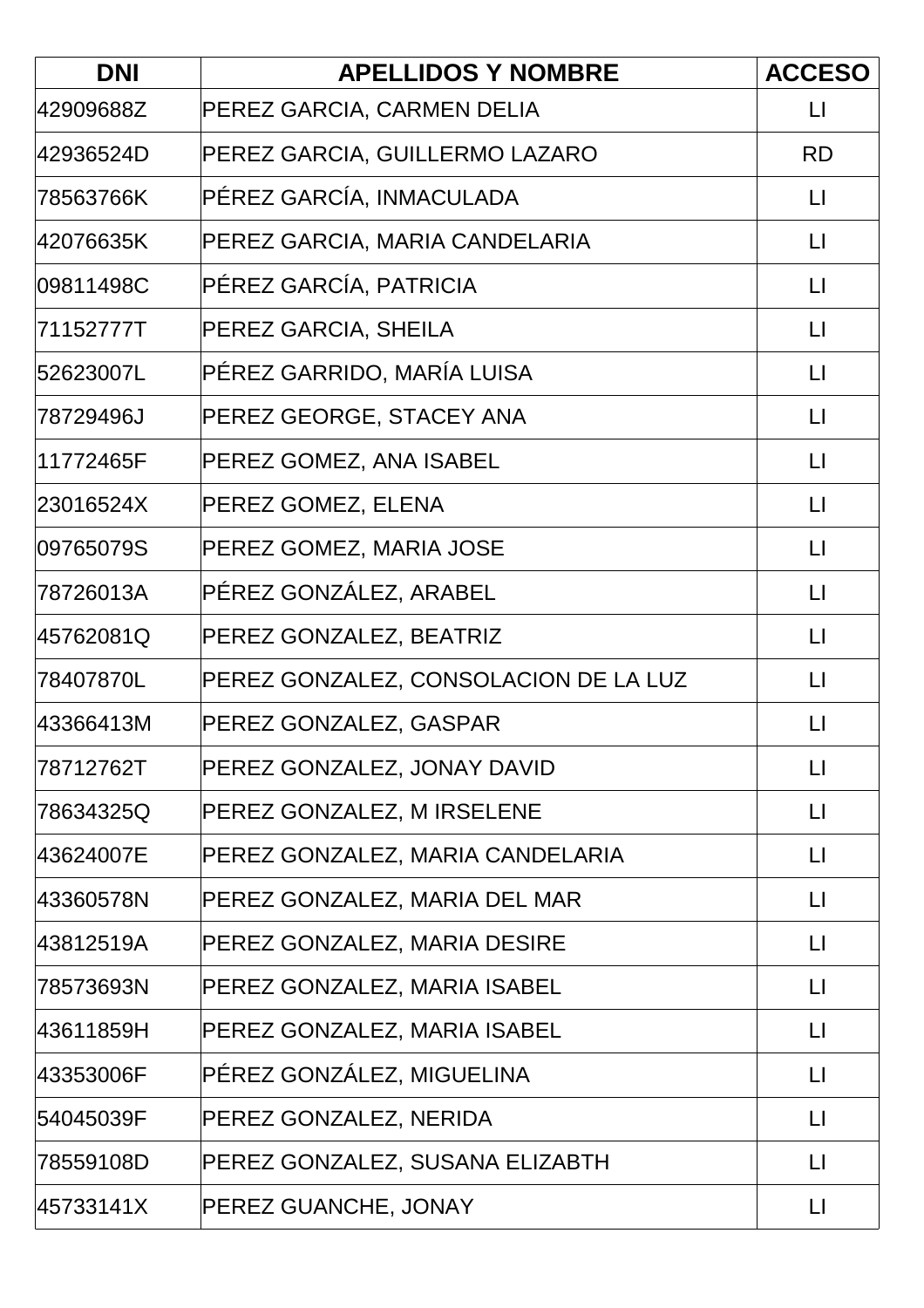| <b>DNI</b> | <b>APELLIDOS Y NOMBRE</b>             | <b>ACCESO</b>           |
|------------|---------------------------------------|-------------------------|
| 42909688Z  | PEREZ GARCIA, CARMEN DELIA            | $\mathsf{L}$            |
| 42936524D  | PEREZ GARCIA, GUILLERMO LAZARO        | <b>RD</b>               |
| 78563766K  | PÉREZ GARCÍA, INMACULADA              | $\mathsf{L}$            |
| 42076635K  | PEREZ GARCIA, MARIA CANDELARIA        | $\Box$                  |
| 09811498C  | PÉREZ GARCÍA, PATRICIA                | $\lfloor \rfloor$       |
| 71152777T  | PEREZ GARCIA, SHEILA                  | $\mathsf{L}$            |
| 52623007L  | PÉREZ GARRIDO, MARÍA LUISA            | $\lfloor \rfloor$       |
| 78729496J  | PEREZ GEORGE, STACEY ANA              | $\lfloor \rfloor$       |
| 11772465F  | PEREZ GOMEZ, ANA ISABEL               | $\lfloor \rfloor$       |
| 23016524X  | PEREZ GOMEZ, ELENA                    | LI                      |
| 09765079S  | PEREZ GOMEZ, MARIA JOSE               | $\lfloor \rfloor$       |
| 78726013A  | PÉREZ GONZÁLEZ, ARABEL                | $\lfloor \rfloor$       |
| 45762081Q  | PEREZ GONZALEZ, BEATRIZ               | $\lfloor \cdot \rfloor$ |
| 78407870L  | PEREZ GONZALEZ, CONSOLACION DE LA LUZ | $\lfloor \rfloor$       |
| 43366413M  | PEREZ GONZALEZ, GASPAR                | $\mathsf{L}$            |
| 78712762T  | PEREZ GONZALEZ, JONAY DAVID           | $\Box$                  |
| 78634325Q  | PEREZ GONZALEZ, M IRSELENE            | $\mathsf{L}$            |
| 43624007E  | PEREZ GONZALEZ, MARIA CANDELARIA      | $\Box$                  |
| 43360578N  | PEREZ GONZALEZ, MARIA DEL MAR         | $\mathsf{L}$            |
| 43812519A  | PEREZ GONZALEZ, MARIA DESIRE          | $\mathsf{L}$            |
| 78573693N  | PEREZ GONZALEZ, MARIA ISABEL          | $\lfloor \rfloor$       |
| 43611859H  | PEREZ GONZALEZ, MARIA ISABEL          | $\Box$                  |
| 43353006F  | PÉREZ GONZÁLEZ, MIGUELINA             | $\mathsf{L}$            |
| 54045039F  | PEREZ GONZALEZ, NERIDA                | $\mathsf{L}$            |
| 78559108D  | PEREZ GONZALEZ, SUSANA ELIZABTH       | $\mathsf{L}$            |
| 45733141X  | PEREZ GUANCHE, JONAY                  | $\mathsf{L}$            |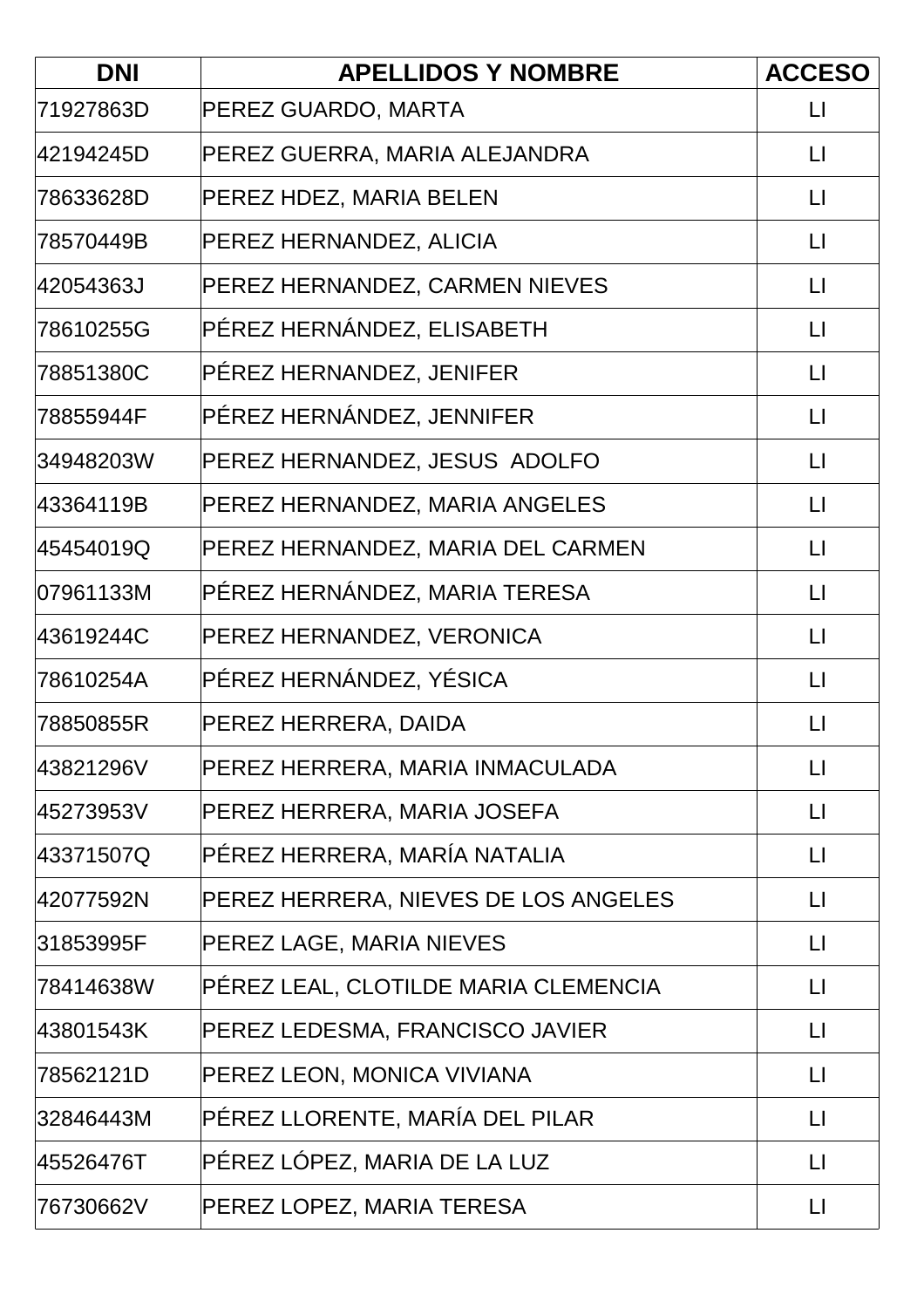| <b>DNI</b> | <b>APELLIDOS Y NOMBRE</b>            | <b>ACCESO</b>           |
|------------|--------------------------------------|-------------------------|
| 71927863D  | PEREZ GUARDO, MARTA                  | $\mathsf{L}$            |
| 42194245D  | PEREZ GUERRA, MARIA ALEJANDRA        | $\mathsf{L}$            |
| 78633628D  | PEREZ HDEZ, MARIA BELEN              | $\Box$                  |
| 78570449B  | PEREZ HERNANDEZ, ALICIA              | $\lfloor \rfloor$       |
| 42054363J  | PEREZ HERNANDEZ, CARMEN NIEVES       | $\Box$                  |
| 78610255G  | PÉREZ HERNÁNDEZ, ELISABETH           | $\mathsf{L}$            |
| 78851380C  | PÉREZ HERNANDEZ, JENIFER             | $\Box$                  |
| 78855944F  | PÉREZ HERNÁNDEZ, JENNIFER            | $\lfloor \rfloor$       |
| 34948203W  | PEREZ HERNANDEZ, JESUS ADOLFO        | $\mathsf{L}$            |
| 43364119B  | PEREZ HERNANDEZ, MARIA ANGELES       | $\Box$                  |
| 45454019Q  | PEREZ HERNANDEZ, MARIA DEL CARMEN    | $\lfloor \rfloor$       |
| 07961133M  | PÉREZ HERNÁNDEZ, MARIA TERESA        | $\Box$                  |
| 43619244C  | PEREZ HERNANDEZ, VERONICA            | $\lfloor \cdot \rfloor$ |
| 78610254A  | PÉREZ HERNÁNDEZ, YÉSICA              | $\lfloor \rfloor$       |
| 78850855R  | PEREZ HERRERA, DAIDA                 | $\mathsf{L}$            |
| 43821296V  | PEREZ HERRERA, MARIA INMACULADA      | $\Box$                  |
| 45273953V  | PEREZ HERRERA, MARIA JOSEFA          | $\lfloor \rfloor$       |
| 43371507Q  | PÉREZ HERRERA, MARÍA NATALIA         | $\mathsf{L}$            |
| 42077592N  | PEREZ HERRERA, NIEVES DE LOS ANGELES | $\Box$                  |
| 31853995F  | PEREZ LAGE, MARIA NIEVES             | $\Box$                  |
| 78414638W  | PÉREZ LEAL, CLOTILDE MARIA CLEMENCIA | $\Box$                  |
| 43801543K  | PEREZ LEDESMA, FRANCISCO JAVIER      | $\Box$                  |
| 78562121D  | PEREZ LEON, MONICA VIVIANA           | $\Box$                  |
| 32846443M  | PÉREZ LLORENTE, MARÍA DEL PILAR      | $\lfloor \rfloor$       |
| 45526476T  | PÉREZ LÓPEZ, MARIA DE LA LUZ         | $\Box$                  |
| 76730662V  | PEREZ LOPEZ, MARIA TERESA            | $\Box$                  |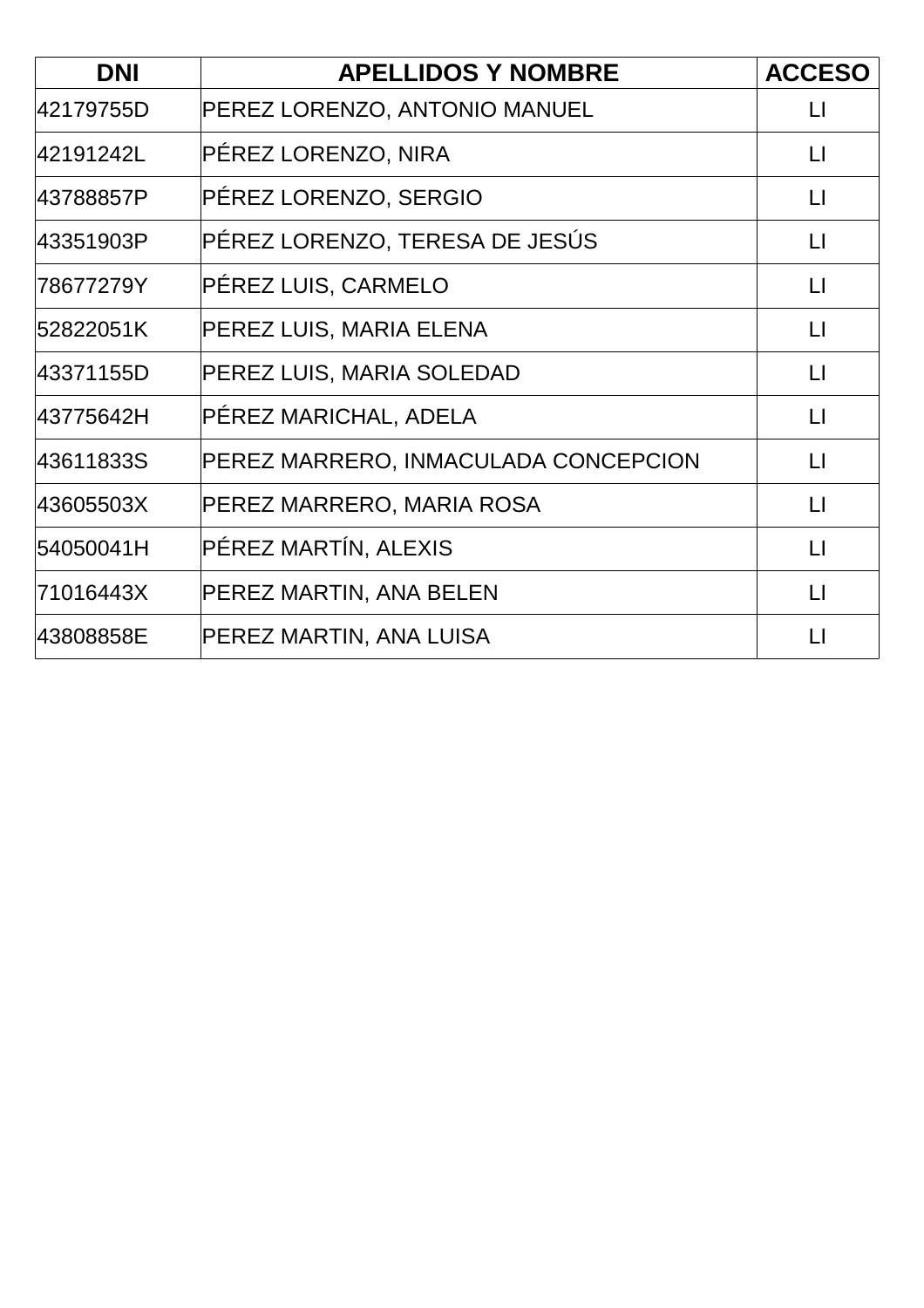| <b>DNI</b> | <b>APELLIDOS Y NOMBRE</b>            | <b>ACCESO</b>     |
|------------|--------------------------------------|-------------------|
| 42179755D  | PEREZ LORENZO, ANTONIO MANUEL        | $\mathsf{L}$      |
| 42191242L  | PÉREZ LORENZO, NIRA                  | $\mathsf{L}$      |
| 43788857P  | PÉREZ LORENZO, SERGIO                | $\lfloor \rfloor$ |
| 43351903P  | PÉREZ LORENZO, TERESA DE JESÚS       | $\mathsf{L}$      |
| 78677279Y  | PÉREZ LUIS, CARMELO                  | $\lfloor \rfloor$ |
| 52822051K  | PEREZ LUIS, MARIA ELENA              | $\mathsf{L}$      |
| 43371155D  | PEREZ LUIS, MARIA SOLEDAD            | $\lfloor \rfloor$ |
| 43775642H  | PÉREZ MARICHAL, ADELA                | $\lfloor \rfloor$ |
| 43611833S  | PEREZ MARRERO, INMACULADA CONCEPCION | $\mathsf{L}$      |
| 43605503X  | PEREZ MARRERO, MARIA ROSA            | $\lfloor \rfloor$ |
| 54050041H  | PÉREZ MARTÍN, ALEXIS                 | $\Box$            |
| 71016443X  | PEREZ MARTIN, ANA BELEN              | $\lfloor \rfloor$ |
| 43808858E  | PEREZ MARTIN, ANA LUISA              | $\mathsf{L}$      |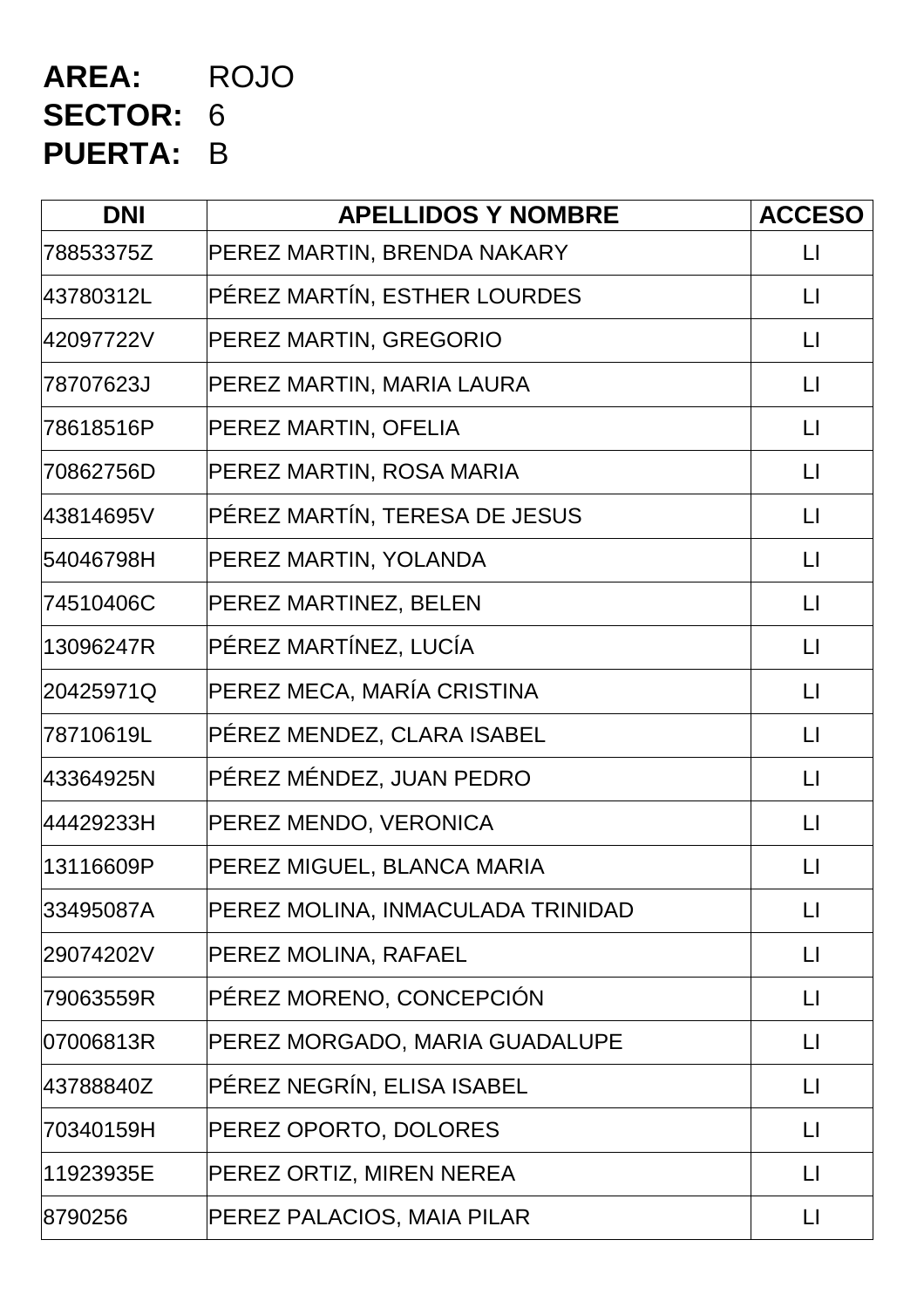## **AREA:** ROJO **SECTOR:** 6 **PUERTA:** B

| <b>DNI</b> | <b>APELLIDOS Y NOMBRE</b>         | <b>ACCESO</b>          |
|------------|-----------------------------------|------------------------|
| 78853375Z  | PEREZ MARTIN, BRENDA NAKARY       | $\mathsf{L}$           |
| 43780312L  | PÉREZ MARTÍN, ESTHER LOURDES      | $\lfloor \rfloor$      |
| 42097722V  | PEREZ MARTIN, GREGORIO            | $\lfloor \rfloor$      |
| 78707623J  | PEREZ MARTIN, MARIA LAURA         | $\lfloor \rfloor$      |
| 78618516P  | PEREZ MARTIN, OFELIA              | $\mathsf{L}$           |
| 70862756D  | PEREZ MARTIN, ROSA MARIA          | $\lfloor \rfloor$      |
| 43814695V  | PÉREZ MARTÍN, TERESA DE JESUS     | $\lfloor \rfloor$      |
| 54046798H  | PEREZ MARTIN, YOLANDA             | $\lfloor \rfloor$      |
| 74510406C  | PEREZ MARTINEZ, BELEN             | $\lfloor \rfloor$      |
| 13096247R  | PÉREZ MARTÍNEZ, LUCÍA             | $\lfloor \rfloor$      |
| 20425971Q  | PEREZ MECA, MARÍA CRISTINA        | $\lfloor \rfloor$      |
| 78710619L  | PÉREZ MENDEZ, CLARA ISABEL        | $\lfloor \rfloor$      |
| 43364925N  | PÉREZ MÉNDEZ, JUAN PEDRO          | $\lfloor \rfloor$      |
| 44429233H  | PEREZ MENDO, VERONICA             | $\lfloor \rfloor$      |
| 13116609P  | PEREZ MIGUEL, BLANCA MARIA        | $\lfloor \rfloor$      |
| 33495087A  | PEREZ MOLINA, INMACULADA TRINIDAD | $\lfloor \rfloor$      |
| 29074202V  | PEREZ MOLINA, RAFAEL              | $\lfloor \rfloor$      |
| 79063559R  | PÉREZ MORENO, CONCEPCIÓN          | $\lfloor \rfloor$      |
| 07006813R  | PEREZ MORGADO, MARIA GUADALUPE    | $\mathsf{L}$           |
| 43788840Z  | PÉREZ NEGRÍN, ELISA ISABEL        | $\lfloor \rfloor$      |
| 70340159H  | PEREZ OPORTO, DOLORES             | $\lfloor \rfloor$      |
| 11923935E  | PEREZ ORTIZ, MIREN NEREA          | $\mathsf{L}\mathsf{I}$ |
| 8790256    | PEREZ PALACIOS, MAIA PILAR        | $\lfloor \rfloor$      |
|            |                                   |                        |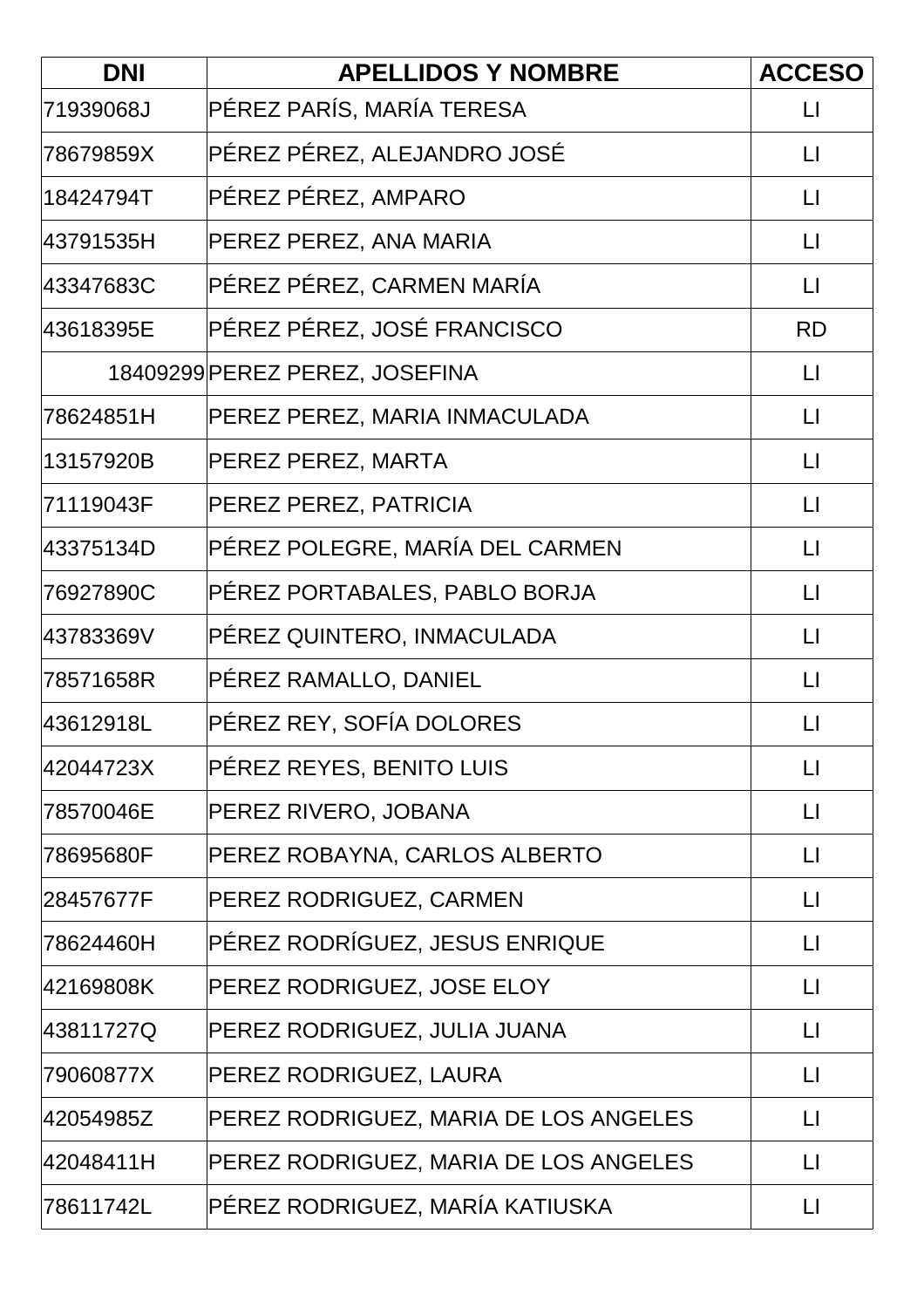| <b>DNI</b> | <b>APELLIDOS Y NOMBRE</b>             | <b>ACCESO</b>     |
|------------|---------------------------------------|-------------------|
| 71939068J  | PÉREZ PARÍS, MARÍA TERESA             | LI                |
| 78679859X  | PÉREZ PÉREZ, ALEJANDRO JOSÉ           | $\lfloor \rfloor$ |
| 18424794T  | PÉREZ PÉREZ, AMPARO                   | $\mathsf{L}$      |
| 43791535H  | PEREZ PEREZ, ANA MARIA                | $\lfloor \rfloor$ |
| 43347683C  | PÉREZ PÉREZ, CARMEN MARÍA             | $\lfloor \rfloor$ |
| 43618395E  | PÉREZ PÉREZ, JOSÉ FRANCISCO           | <b>RD</b>         |
|            | 18409299 PEREZ PEREZ, JOSEFINA        | $\mathsf{L}$      |
| 78624851H  | PEREZ PEREZ, MARIA INMACULADA         | $\mathsf{L}$      |
| 13157920B  | PEREZ PEREZ, MARTA                    | $\lfloor \rfloor$ |
| 71119043F  | PEREZ PEREZ, PATRICIA                 | $\mathsf{L}$      |
| 43375134D  | PÉREZ POLEGRE, MARÍA DEL CARMEN       | $\mathsf{L}$      |
| 76927890C  | PÉREZ PORTABALES, PABLO BORJA         | $\lfloor \rfloor$ |
| 43783369V  | PÉREZ QUINTERO, INMACULADA            | $\lfloor \rfloor$ |
| 78571658R  | PÉREZ RAMALLO, DANIEL                 | $\lfloor \rfloor$ |
| 43612918L  | PÉREZ REY, SOFÍA DOLORES              | $\mathsf{L}$      |
| 42044723X  | PÉREZ REYES, BENITO LUIS              | $\lfloor \rfloor$ |
| 78570046E  | PEREZ RIVERO, JOBANA                  | $\lfloor \rfloor$ |
| 78695680F  | PEREZ ROBAYNA, CARLOS ALBERTO         | $\mathsf{L}$      |
| 28457677F  | PEREZ RODRIGUEZ, CARMEN               | $\Box$            |
| 78624460H  | PÉREZ RODRÍGUEZ, JESUS ENRIQUE        | $\lfloor \rfloor$ |
| 42169808K  | PEREZ RODRIGUEZ, JOSE ELOY            | $\lfloor \rfloor$ |
| 43811727Q  | PEREZ RODRIGUEZ, JULIA JUANA          | $\mathsf{L}$      |
| 79060877X  | PEREZ RODRIGUEZ, LAURA                | $\mathsf{L}$      |
| 42054985Z  | PEREZ RODRIGUEZ, MARIA DE LOS ANGELES | LI                |
| 42048411H  | PEREZ RODRIGUEZ, MARIA DE LOS ANGELES | $\mathsf{L}$      |
| 78611742L  | PÉREZ RODRIGUEZ, MARÍA KATIUSKA       | $\mathsf{L}$      |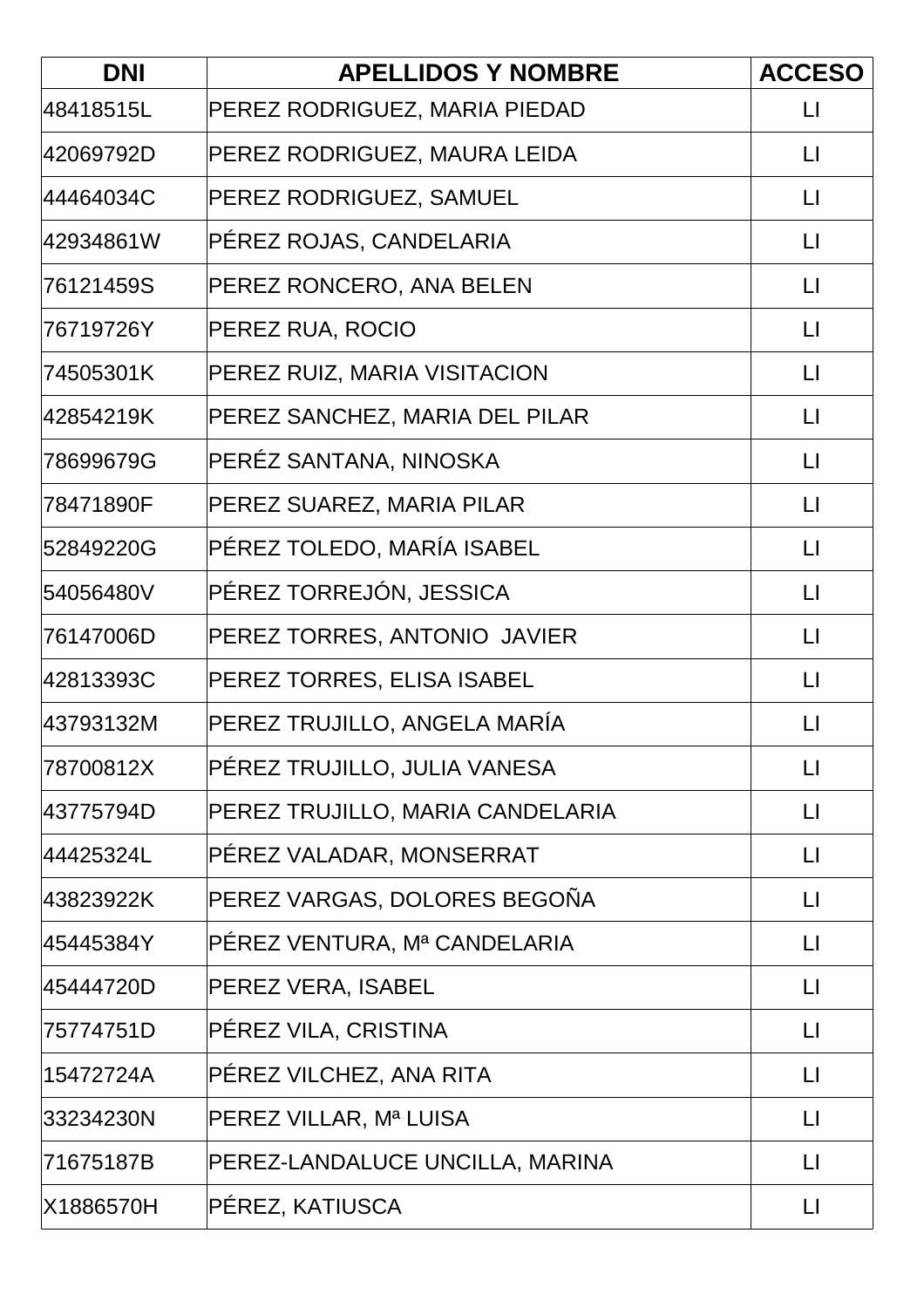| <b>DNI</b> | <b>APELLIDOS Y NOMBRE</b>        | <b>ACCESO</b>           |
|------------|----------------------------------|-------------------------|
| 48418515L  | PEREZ RODRIGUEZ, MARIA PIEDAD    | $\lfloor \rfloor$       |
| 42069792D  | PEREZ RODRIGUEZ, MAURA LEIDA     | $\lfloor \rfloor$       |
| 44464034C  | PEREZ RODRIGUEZ, SAMUEL          | $\lfloor \cdot \rfloor$ |
| 42934861W  | PÉREZ ROJAS, CANDELARIA          | $\Box$                  |
| 76121459S  | PEREZ RONCERO, ANA BELEN         | $\Box$                  |
| 76719726Y  | PEREZ RUA, ROCIO                 | $\lfloor \cdot \rfloor$ |
| 74505301K  | PEREZ RUIZ, MARIA VISITACION     | $\lfloor \rfloor$       |
| 42854219K  | PEREZ SANCHEZ, MARIA DEL PILAR   | $\lfloor \rfloor$       |
| 78699679G  | PERÉZ SANTANA, NINOSKA           | $\lfloor \cdot \rfloor$ |
| 78471890F  | PEREZ SUAREZ, MARIA PILAR        | $\lfloor \cdot \rfloor$ |
| 52849220G  | PÉREZ TOLEDO, MARÍA ISABEL       | $\Box$                  |
| 54056480V  | PÉREZ TORREJÓN, JESSICA          | $\lfloor \cdot \rfloor$ |
| 76147006D  | PEREZ TORRES, ANTONIO JAVIER     | $\lfloor \cdot \rfloor$ |
| 42813393C  | PEREZ TORRES, ELISA ISABEL       | $\Box$                  |
| 43793132M  | PEREZ TRUJILLO, ANGELA MARÍA     | $\lfloor \rfloor$       |
| 78700812X  | PÉREZ TRUJILLO, JULIA VANESA     | $\Box$                  |
| 43775794D  | PEREZ TRUJILLO, MARIA CANDELARIA | $\lfloor \rfloor$       |
| 44425324L  | PÉREZ VALADAR, MONSERRAT         | $\lfloor \rfloor$       |
| 43823922K  | PEREZ VARGAS, DOLORES BEGOÑA     | $\lfloor \rfloor$       |
| 45445384Y  | PÉREZ VENTURA, Mª CANDELARIA     | $\lfloor \rfloor$       |
| 45444720D  | PEREZ VERA, ISABEL               | $\Box$                  |
| 75774751D  | PÉREZ VILA, CRISTINA             | $\mathsf{L}$            |
| 15472724A  | PÉREZ VILCHEZ, ANA RITA          | $\Box$                  |
| 33234230N  | PEREZ VILLAR, Mª LUISA           | $\lfloor \rfloor$       |
| 71675187B  | PEREZ-LANDALUCE UNCILLA, MARINA  | $\Box$                  |
| X1886570H  | PÉREZ, KATIUSCA                  | $\Box$                  |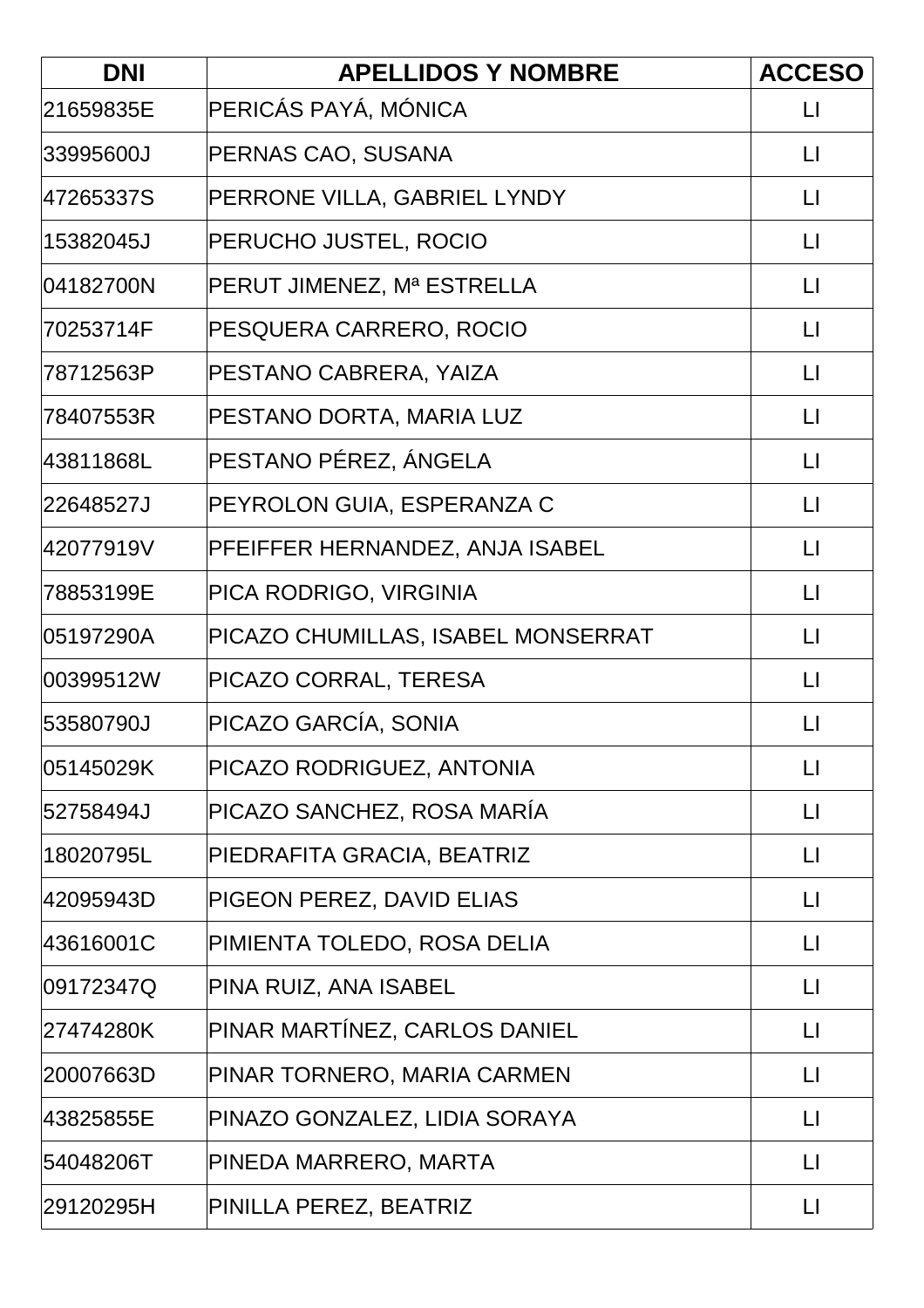| <b>DNI</b> | <b>APELLIDOS Y NOMBRE</b>          | <b>ACCESO</b>          |
|------------|------------------------------------|------------------------|
| 21659835E  | PERICÁS PAYÁ, MÓNICA               | $\mathsf{L}$           |
| 33995600J  | PERNAS CAO, SUSANA                 | $\lfloor \rfloor$      |
| 47265337S  | PERRONE VILLA, GABRIEL LYNDY       | $\lfloor \rfloor$      |
| 15382045J  | PERUCHO JUSTEL, ROCIO              | $\lfloor \rfloor$      |
| 04182700N  | PERUT JIMENEZ, Mª ESTRELLA         | $\lfloor \rfloor$      |
| 70253714F  | PESQUERA CARRERO, ROCIO            | $\mathsf{L}$           |
| 78712563P  | PESTANO CABRERA, YAIZA             | $\lfloor \rfloor$      |
| 78407553R  | PESTANO DORTA, MARIA LUZ           | $\lfloor \rfloor$      |
| 43811868L  | PESTANO PÉREZ, ÁNGELA              | $\mathsf{L}$           |
| 22648527J  | PEYROLON GUIA, ESPERANZA C         | $\mathsf{L}$           |
| 42077919V  | PFEIFFER HERNANDEZ, ANJA ISABEL    | $\lfloor \rfloor$      |
| 78853199E  | PICA RODRIGO, VIRGINIA             | $\lfloor \rfloor$      |
| 05197290A  | PICAZO CHUMILLAS, ISABEL MONSERRAT | $\lfloor \rfloor$      |
| 00399512W  | PICAZO CORRAL, TERESA              | $\mathsf{L}$           |
| 53580790J  | PICAZO GARCÍA, SONIA               | $\mathsf{L}$           |
| 05145029K  | PICAZO RODRIGUEZ, ANTONIA          | $\mathsf{L}$           |
| 52758494J  | PICAZO SANCHEZ, ROSA MARÍA         | $\lfloor \rfloor$      |
| 18020795L  | PIEDRAFITA GRACIA, BEATRIZ         | $\sqcup$               |
| 42095943D  | PIGEON PEREZ, DAVID ELIAS          | $\mathsf{L}$           |
| 43616001C  | PIMIENTA TOLEDO, ROSA DELIA        | $\mathsf{L}$           |
| 09172347Q  | PINA RUIZ, ANA ISABEL              | LI                     |
| 27474280K  | PINAR MARTÍNEZ, CARLOS DANIEL      | $\mathsf{L}$           |
| 20007663D  | PINAR TORNERO, MARIA CARMEN        | $\mathsf{L}\mathsf{L}$ |
| 43825855E  | PINAZO GONZALEZ, LIDIA SORAYA      | LI                     |
| 54048206T  | PINEDA MARRERO, MARTA              | $\lfloor \rfloor$      |
| 29120295H  | PINILLA PEREZ, BEATRIZ             | $\lfloor \rfloor$      |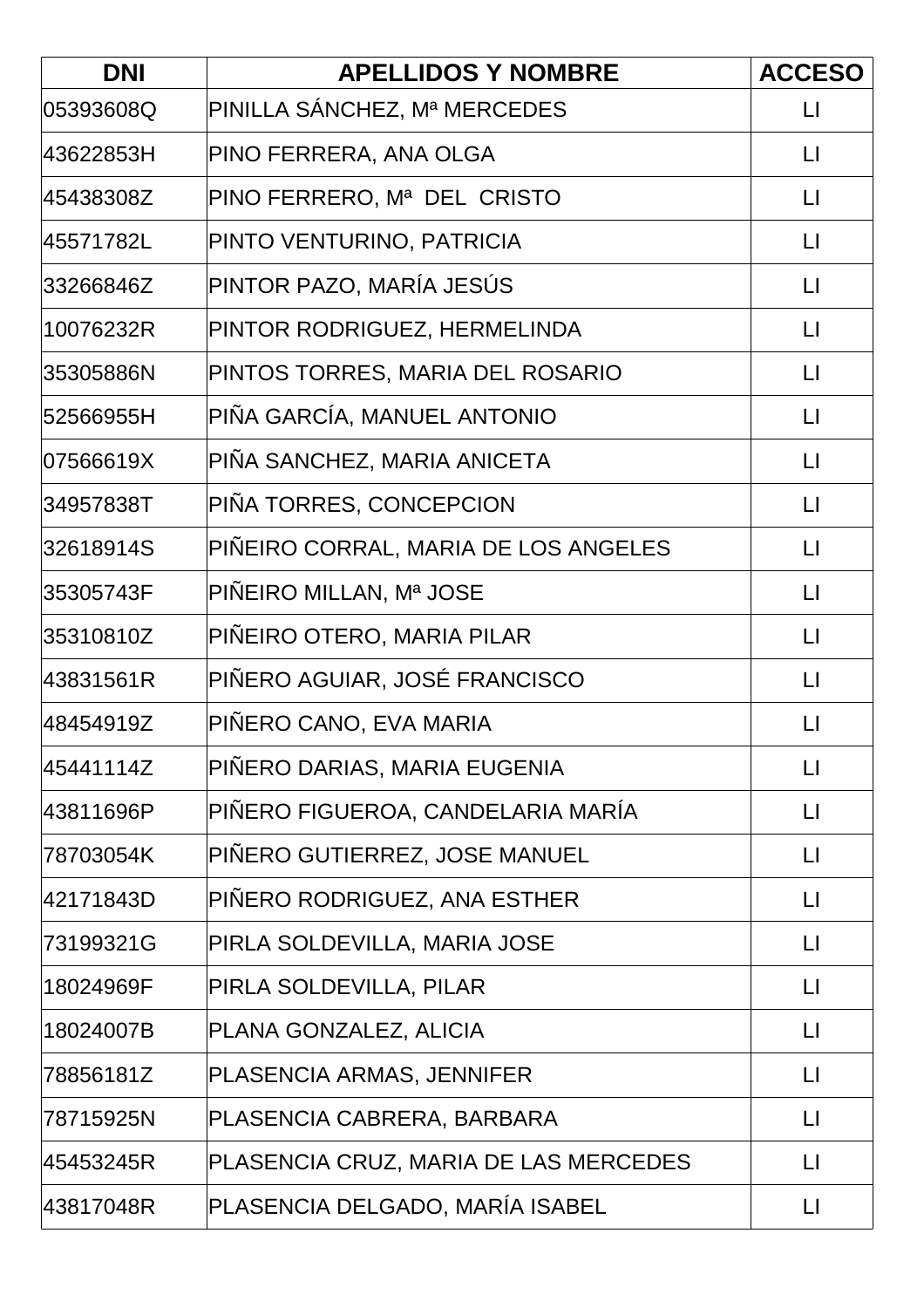| <b>DNI</b> | <b>APELLIDOS Y NOMBRE</b>             | <b>ACCESO</b>     |
|------------|---------------------------------------|-------------------|
| 05393608Q  | PINILLA SÁNCHEZ, Mª MERCEDES          | $\mathsf{L}$      |
| 43622853H  | PINO FERRERA, ANA OLGA                | $\lfloor \rfloor$ |
| 45438308Z  | PINO FERRERO, Mª DEL CRISTO           | $\mathsf{L}$      |
| 45571782L  | PINTO VENTURINO, PATRICIA             | $\lfloor \rfloor$ |
| 33266846Z  | PINTOR PAZO, MARÍA JESÚS              | $\lfloor \rfloor$ |
| 10076232R  | PINTOR RODRIGUEZ, HERMELINDA          | $\mathsf{L}$      |
| 35305886N  | PINTOS TORRES, MARIA DEL ROSARIO      | $\lfloor \rfloor$ |
| 52566955H  | PIÑA GARCÍA, MANUEL ANTONIO           | $\sqcup$          |
| 07566619X  | PIÑA SANCHEZ, MARIA ANICETA           | $\mathsf{L}$      |
| 34957838T  | PIÑA TORRES, CONCEPCION               | $\mathsf{L}$      |
| 32618914S  | PIÑEIRO CORRAL, MARIA DE LOS ANGELES  | $\mathsf{L}$      |
| 35305743F  | PIÑEIRO MILLAN, Mª JOSE               | $\lfloor \rfloor$ |
| 35310810Z  | PIÑEIRO OTERO, MARIA PILAR            | $\lfloor \rfloor$ |
| 43831561R  | PIÑERO AGUIAR, JOSÉ FRANCISCO         | $\lfloor \rfloor$ |
| 48454919Z  | PIÑERO CANO, EVA MARIA                | $\mathsf{L}$      |
| 45441114Z  | PIÑERO DARIAS, MARIA EUGENIA          | $\lfloor \rfloor$ |
| 43811696P  | PIÑERO FIGUEROA, CANDELARIA MARÍA     | $\lfloor \rfloor$ |
| 78703054K  | PIÑERO GUTIERREZ, JOSE MANUEL         | $\sqcup$          |
| 42171843D  | PIÑERO RODRIGUEZ, ANA ESTHER          | $\mathsf{L}$      |
| 73199321G  | PIRLA SOLDEVILLA, MARIA JOSE          | $\mathsf{L}$      |
| 18024969F  | PIRLA SOLDEVILLA, PILAR               | $\lfloor \rfloor$ |
| 18024007B  | PLANA GONZALEZ, ALICIA                | $\mathsf{L}$      |
| 78856181Z  | PLASENCIA ARMAS, JENNIFER             | $\lfloor \rfloor$ |
| 78715925N  | PLASENCIA CABRERA, BARBARA            | $\lfloor \rfloor$ |
| 45453245R  | PLASENCIA CRUZ, MARIA DE LAS MERCEDES | $\mathsf{L}$      |
| 43817048R  | PLASENCIA DELGADO, MARÍA ISABEL       | $\lfloor \rfloor$ |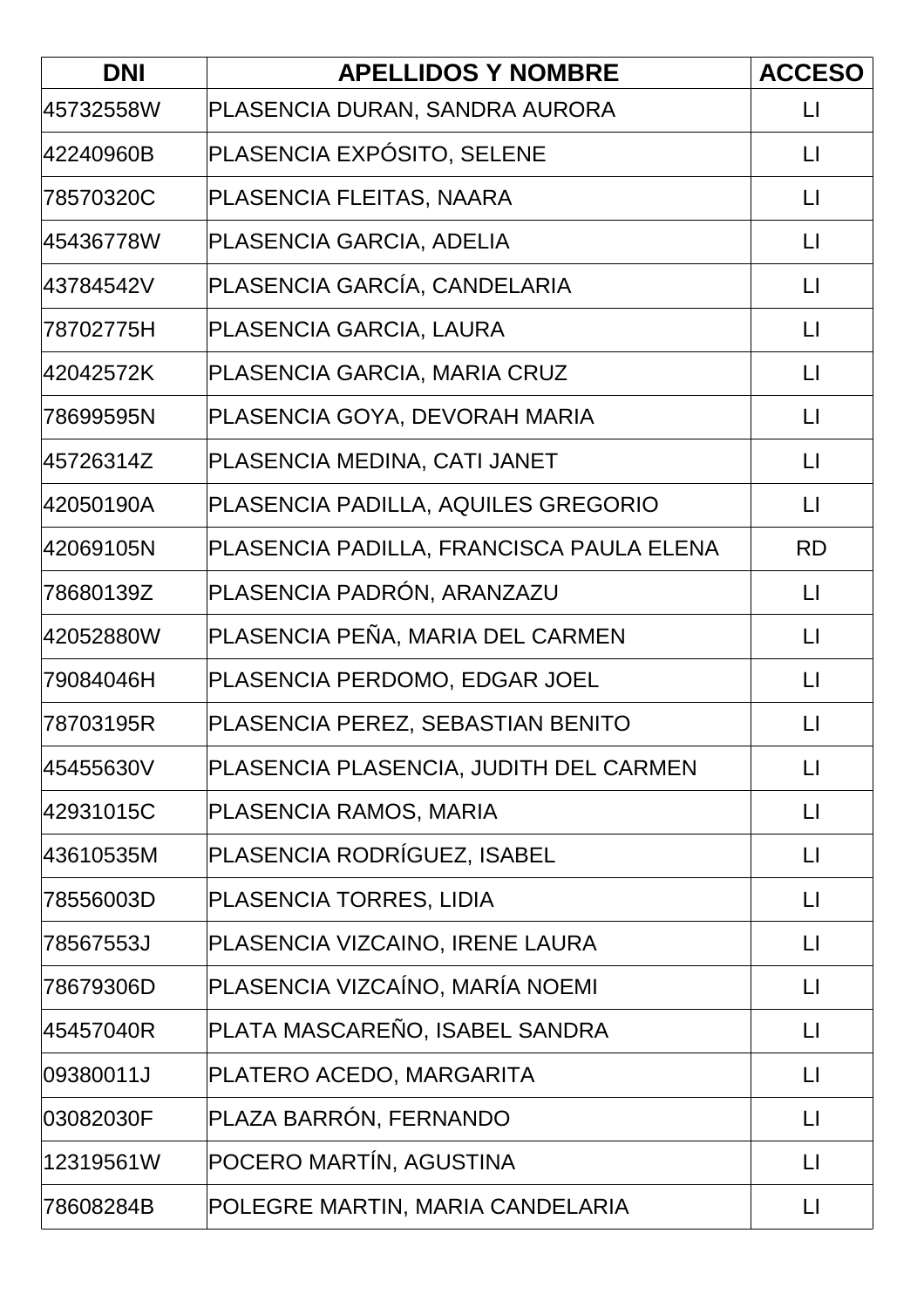| <b>DNI</b> | <b>APELLIDOS Y NOMBRE</b>                | <b>ACCESO</b>     |
|------------|------------------------------------------|-------------------|
| 45732558W  | PLASENCIA DURAN, SANDRA AURORA           | $\mathsf{L}$      |
| 42240960B  | PLASENCIA EXPÓSITO, SELENE               | $\lfloor \rfloor$ |
| 78570320C  | PLASENCIA FLEITAS, NAARA                 | $\mathsf{L}$      |
| 45436778W  | PLASENCIA GARCIA, ADELIA                 | $\lfloor \rfloor$ |
| 43784542V  | PLASENCIA GARCÍA, CANDELARIA             | $\lfloor \rfloor$ |
| 78702775H  | PLASENCIA GARCIA, LAURA                  | $\mathsf{L}$      |
| 42042572K  | PLASENCIA GARCIA, MARIA CRUZ             | $\Box$            |
| 78699595N  | PLASENCIA GOYA, DEVORAH MARIA            | $\mathsf{L}$      |
| 45726314Z  | PLASENCIA MEDINA, CATI JANET             | $\lfloor \rfloor$ |
| 42050190A  | PLASENCIA PADILLA, AQUILES GREGORIO      | $\Box$            |
| 42069105N  | PLASENCIA PADILLA, FRANCISCA PAULA ELENA | <b>RD</b>         |
| 78680139Z  | PLASENCIA PADRÓN, ARANZAZU               | $\lfloor \rfloor$ |
| 42052880W  | PLASENCIA PEÑA, MARIA DEL CARMEN         | $\lfloor \rfloor$ |
| 79084046H  | PLASENCIA PERDOMO, EDGAR JOEL            | $\lfloor \rfloor$ |
| 78703195R  | PLASENCIA PEREZ, SEBASTIAN BENITO        | LI                |
| 45455630V  | PLASENCIA PLASENCIA, JUDITH DEL CARMEN   | $\lfloor \rfloor$ |
| 42931015C  | PLASENCIA RAMOS, MARIA                   | $\lfloor \rfloor$ |
| 43610535M  | PLASENCIA RODRÍGUEZ, ISABEL              | LI                |
| 78556003D  | PLASENCIA TORRES, LIDIA                  | $\mathsf{L}$      |
| 78567553J  | PLASENCIA VIZCAINO, IRENE LAURA          | $\mathsf{L}$      |
| 78679306D  | PLASENCIA VIZCAÍNO, MARÍA NOEMI          | $\sqcup$          |
| 45457040R  | PLATA MASCAREÑO, ISABEL SANDRA           | $\mathsf{L}$      |
| 09380011J  | PLATERO ACEDO, MARGARITA                 | $\lfloor \rfloor$ |
| 03082030F  | PLAZA BARRÓN, FERNANDO                   | $\mathsf{L}$      |
| 12319561W  | POCERO MARTÍN, AGUSTINA                  | $\lfloor \rfloor$ |
| 78608284B  | POLEGRE MARTIN, MARIA CANDELARIA         | $\lfloor \rfloor$ |